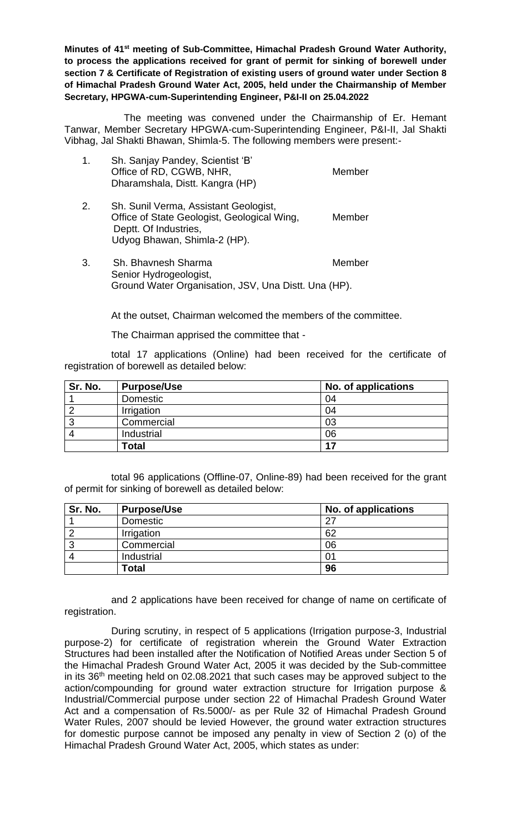Minutes of 41<sup>st</sup> meeting of Sub-Committee, Himachal Pradesh Ground Water Authority, **to process the applications received for grant of permit for sinking of borewell under section 7 & Certificate of Registration of existing users of ground water under Section 8 of Himachal Pradesh Ground Water Act, 2005, held under the Chairmanship of Member Secretary, HPGWA-cum-Superintending Engineer, P&I-II on 25.04.2022** 

The meeting was convened under the Chairmanship of Er. Hemant Tanwar, Member Secretary HPGWA-cum-Superintending Engineer, P&I-II, Jal Shakti Vibhag, Jal Shakti Bhawan, Shimla-5. The following members were present:-

| 1. | Sh. Sanjay Pandey, Scientist 'B'<br>Office of RD, CGWB, NHR,<br>Dharamshala, Distt. Kangra (HP)                                               | Member |
|----|-----------------------------------------------------------------------------------------------------------------------------------------------|--------|
| 2. | Sh. Sunil Verma, Assistant Geologist,<br>Office of State Geologist, Geological Wing,<br>Deptt. Of Industries,<br>Udyog Bhawan, Shimla-2 (HP). | Member |

3. Sh. Bhavnesh Sharma Member Senior Hydrogeologist, Ground Water Organisation, JSV, Una Distt. Una (HP).

At the outset, Chairman welcomed the members of the committee.

The Chairman apprised the committee that -

total 17 applications (Online) had been received for the certificate of registration of borewell as detailed below:

| Sr. No. | <b>Purpose/Use</b> | No. of applications |
|---------|--------------------|---------------------|
|         | Domestic           | 04                  |
|         | Irrigation         | 04                  |
|         | Commercial         | 03                  |
|         | Industrial         | 06                  |
|         | <b>Total</b>       | 17                  |

total 96 applications (Offline-07, Online-89) had been received for the grant of permit for sinking of borewell as detailed below:

| Sr. No. | <b>Purpose/Use</b> | No. of applications |
|---------|--------------------|---------------------|
|         | Domestic           | 27                  |
|         | Irrigation         | 62                  |
| ົ       | Commercial         | 06                  |
|         | Industrial         |                     |
|         | <b>Total</b>       | 96                  |

and 2 applications have been received for change of name on certificate of registration.

During scrutiny, in respect of 5 applications (Irrigation purpose-3, Industrial purpose-2) for certificate of registration wherein the Ground Water Extraction Structures had been installed after the Notification of Notified Areas under Section 5 of the Himachal Pradesh Ground Water Act, 2005 it was decided by the Sub-committee in its 36th meeting held on 02.08.2021 that such cases may be approved subject to the action/compounding for ground water extraction structure for Irrigation purpose & Industrial/Commercial purpose under section 22 of Himachal Pradesh Ground Water Act and a compensation of Rs.5000/- as per Rule 32 of Himachal Pradesh Ground Water Rules, 2007 should be levied However, the ground water extraction structures for domestic purpose cannot be imposed any penalty in view of Section 2 (o) of the Himachal Pradesh Ground Water Act, 2005, which states as under: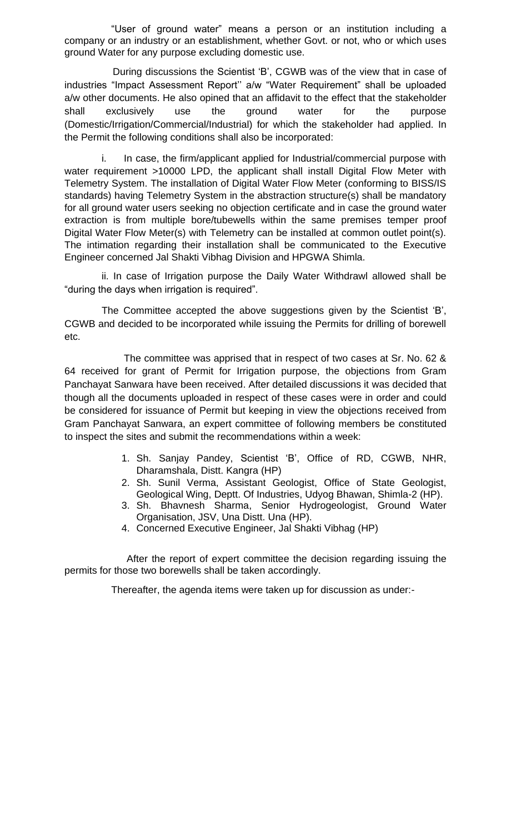"User of ground water" means a person or an institution including a company or an industry or an establishment, whether Govt. or not, who or which uses ground Water for any purpose excluding domestic use.

During discussions the Scientist 'B', CGWB was of the view that in case of industries "Impact Assessment Report'' a/w "Water Requirement" shall be uploaded a/w other documents. He also opined that an affidavit to the effect that the stakeholder shall exclusively use the ground water for the purpose (Domestic/Irrigation/Commercial/Industrial) for which the stakeholder had applied. In the Permit the following conditions shall also be incorporated:

i. In case, the firm/applicant applied for Industrial/commercial purpose with water requirement >10000 LPD, the applicant shall install Digital Flow Meter with Telemetry System. The installation of Digital Water Flow Meter (conforming to BISS/IS standards) having Telemetry System in the abstraction structure(s) shall be mandatory for all ground water users seeking no objection certificate and in case the ground water extraction is from multiple bore/tubewells within the same premises temper proof Digital Water Flow Meter(s) with Telemetry can be installed at common outlet point(s). The intimation regarding their installation shall be communicated to the Executive Engineer concerned Jal Shakti Vibhag Division and HPGWA Shimla.

ii. In case of Irrigation purpose the Daily Water Withdrawl allowed shall be "during the days when irrigation is required".

The Committee accepted the above suggestions given by the Scientist 'B', CGWB and decided to be incorporated while issuing the Permits for drilling of borewell etc.

The committee was apprised that in respect of two cases at Sr. No. 62 & 64 received for grant of Permit for Irrigation purpose, the objections from Gram Panchayat Sanwara have been received. After detailed discussions it was decided that though all the documents uploaded in respect of these cases were in order and could be considered for issuance of Permit but keeping in view the objections received from Gram Panchayat Sanwara, an expert committee of following members be constituted to inspect the sites and submit the recommendations within a week:

- 1. Sh. Sanjay Pandey, Scientist 'B', Office of RD, CGWB, NHR, Dharamshala, Distt. Kangra (HP)
- 2. Sh. Sunil Verma, Assistant Geologist, Office of State Geologist, Geological Wing, Deptt. Of Industries, Udyog Bhawan, Shimla-2 (HP).
- 3. Sh. Bhavnesh Sharma, Senior Hydrogeologist, Ground Water Organisation, JSV, Una Distt. Una (HP).
- 4. Concerned Executive Engineer, Jal Shakti Vibhag (HP)

 After the report of expert committee the decision regarding issuing the permits for those two borewells shall be taken accordingly.

Thereafter, the agenda items were taken up for discussion as under:-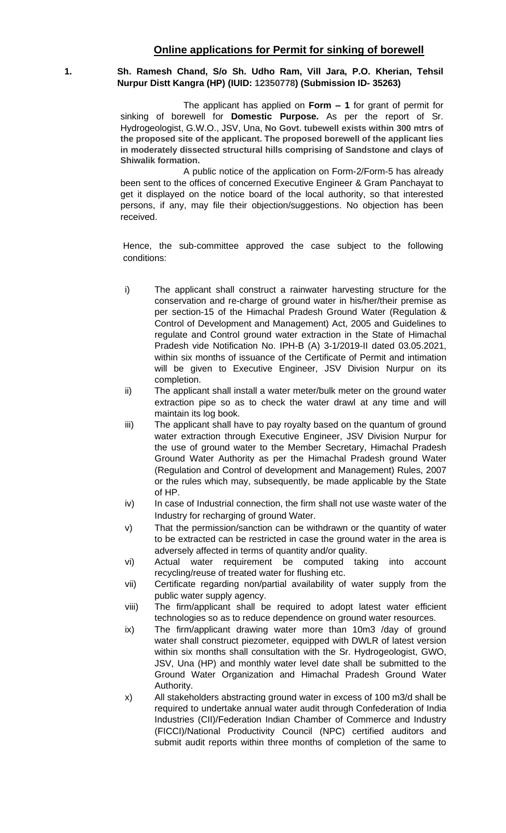# **1. Sh. Ramesh Chand, S/o Sh. Udho Ram, Vill Jara, P.O. Kherian, Tehsil Nurpur Distt Kangra (HP) (IUID: 12350778) (Submission ID- 35263)**

The applicant has applied on **Form – 1** for grant of permit for sinking of borewell for **Domestic Purpose.** As per the report of Sr. Hydrogeologist, G.W.O., JSV, Una, **No Govt. tubewell exists within 300 mtrs of the proposed site of the applicant. The proposed borewell of the applicant lies in moderately dissected structural hills comprising of Sandstone and clays of Shiwalik formation.**

A public notice of the application on Form-2/Form-5 has already been sent to the offices of concerned Executive Engineer & Gram Panchayat to get it displayed on the notice board of the local authority, so that interested persons, if any, may file their objection/suggestions. No objection has been received.

- i) The applicant shall construct a rainwater harvesting structure for the conservation and re-charge of ground water in his/her/their premise as per section-15 of the Himachal Pradesh Ground Water (Regulation & Control of Development and Management) Act, 2005 and Guidelines to regulate and Control ground water extraction in the State of Himachal Pradesh vide Notification No. IPH-B (A) 3-1/2019-II dated 03.05.2021, within six months of issuance of the Certificate of Permit and intimation will be given to Executive Engineer, JSV Division Nurpur on its completion.
- ii) The applicant shall install a water meter/bulk meter on the ground water extraction pipe so as to check the water drawl at any time and will maintain its log book.
- iii) The applicant shall have to pay royalty based on the quantum of ground water extraction through Executive Engineer, JSV Division Nurpur for the use of ground water to the Member Secretary, Himachal Pradesh Ground Water Authority as per the Himachal Pradesh ground Water (Regulation and Control of development and Management) Rules, 2007 or the rules which may, subsequently, be made applicable by the State of HP.
- iv) In case of Industrial connection, the firm shall not use waste water of the Industry for recharging of ground Water.
- v) That the permission/sanction can be withdrawn or the quantity of water to be extracted can be restricted in case the ground water in the area is adversely affected in terms of quantity and/or quality.
- vi) Actual water requirement be computed taking into account recycling/reuse of treated water for flushing etc.
- vii) Certificate regarding non/partial availability of water supply from the public water supply agency.
- viii) The firm/applicant shall be required to adopt latest water efficient technologies so as to reduce dependence on ground water resources.
- ix) The firm/applicant drawing water more than 10m3 /day of ground water shall construct piezometer, equipped with DWLR of latest version within six months shall consultation with the Sr. Hydrogeologist, GWO, JSV, Una (HP) and monthly water level date shall be submitted to the Ground Water Organization and Himachal Pradesh Ground Water Authority.
- x) All stakeholders abstracting ground water in excess of 100 m3/d shall be required to undertake annual water audit through Confederation of India Industries (CII)/Federation Indian Chamber of Commerce and Industry (FICCI)/National Productivity Council (NPC) certified auditors and submit audit reports within three months of completion of the same to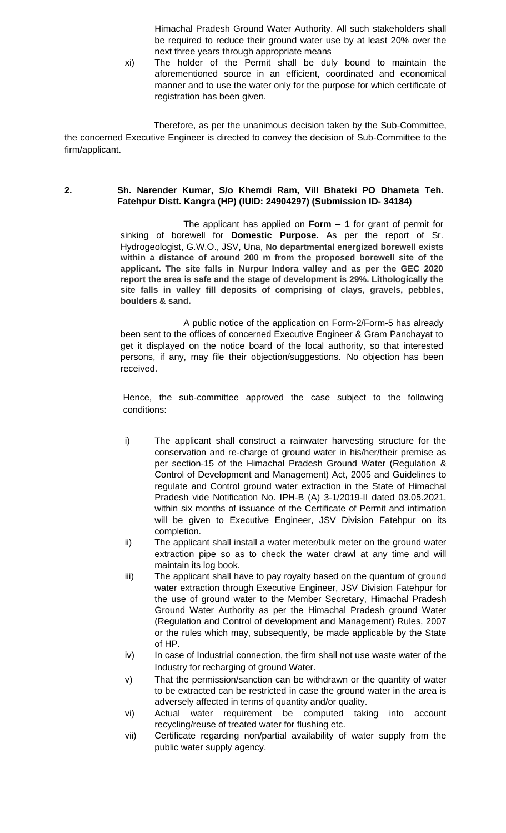Himachal Pradesh Ground Water Authority. All such stakeholders shall be required to reduce their ground water use by at least 20% over the next three years through appropriate means

xi) The holder of the Permit shall be duly bound to maintain the aforementioned source in an efficient, coordinated and economical manner and to use the water only for the purpose for which certificate of registration has been given.

Therefore, as per the unanimous decision taken by the Sub-Committee, the concerned Executive Engineer is directed to convey the decision of Sub-Committee to the firm/applicant.

# **2. Sh. Narender Kumar, S/o Khemdi Ram, Vill Bhateki PO Dhameta Teh. Fatehpur Distt. Kangra (HP) (IUID: 24904297) (Submission ID- 34184)**

The applicant has applied on **Form – 1** for grant of permit for sinking of borewell for **Domestic Purpose.** As per the report of Sr. Hydrogeologist, G.W.O., JSV, Una, **No departmental energized borewell exists within a distance of around 200 m from the proposed borewell site of the applicant. The site falls in Nurpur Indora valley and as per the GEC 2020 report the area is safe and the stage of development is 29%. Lithologically the site falls in valley fill deposits of comprising of clays, gravels, pebbles, boulders & sand.**

A public notice of the application on Form-2/Form-5 has already been sent to the offices of concerned Executive Engineer & Gram Panchayat to get it displayed on the notice board of the local authority, so that interested persons, if any, may file their objection/suggestions. No objection has been received.

- i) The applicant shall construct a rainwater harvesting structure for the conservation and re-charge of ground water in his/her/their premise as per section-15 of the Himachal Pradesh Ground Water (Regulation & Control of Development and Management) Act, 2005 and Guidelines to regulate and Control ground water extraction in the State of Himachal Pradesh vide Notification No. IPH-B (A) 3-1/2019-II dated 03.05.2021, within six months of issuance of the Certificate of Permit and intimation will be given to Executive Engineer, JSV Division Fatehpur on its completion.
- ii) The applicant shall install a water meter/bulk meter on the ground water extraction pipe so as to check the water drawl at any time and will maintain its log book.
- iii) The applicant shall have to pay royalty based on the quantum of ground water extraction through Executive Engineer, JSV Division Fatehpur for the use of ground water to the Member Secretary, Himachal Pradesh Ground Water Authority as per the Himachal Pradesh ground Water (Regulation and Control of development and Management) Rules, 2007 or the rules which may, subsequently, be made applicable by the State of HP.
- iv) In case of Industrial connection, the firm shall not use waste water of the Industry for recharging of ground Water.
- v) That the permission/sanction can be withdrawn or the quantity of water to be extracted can be restricted in case the ground water in the area is adversely affected in terms of quantity and/or quality.
- vi) Actual water requirement be computed taking into account recycling/reuse of treated water for flushing etc.
- vii) Certificate regarding non/partial availability of water supply from the public water supply agency.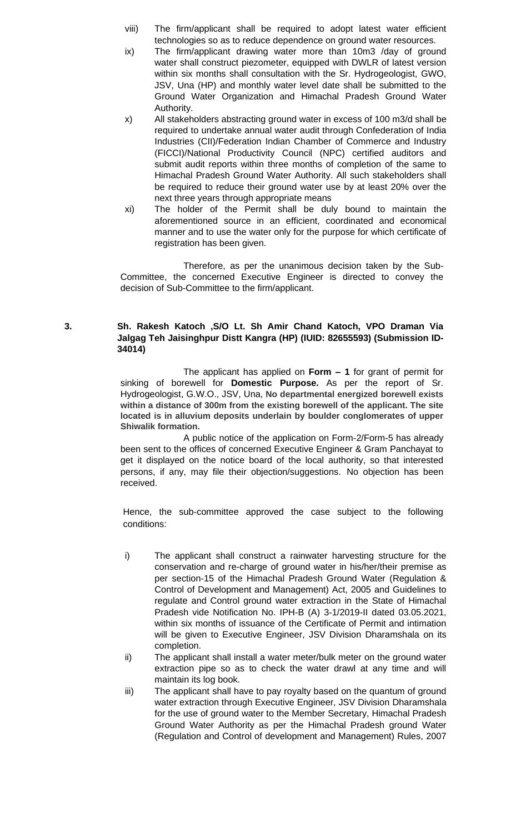- viii) The firm/applicant shall be required to adopt latest water efficient technologies so as to reduce dependence on ground water resources.
- ix) The firm/applicant drawing water more than 10m3 /day of ground water shall construct piezometer, equipped with DWLR of latest version within six months shall consultation with the Sr. Hydrogeologist, GWO, JSV, Una (HP) and monthly water level date shall be submitted to the Ground Water Organization and Himachal Pradesh Ground Water Authority.
- x) All stakeholders abstracting ground water in excess of 100 m3/d shall be required to undertake annual water audit through Confederation of India Industries (CII)/Federation Indian Chamber of Commerce and Industry (FICCI)/National Productivity Council (NPC) certified auditors and submit audit reports within three months of completion of the same to Himachal Pradesh Ground Water Authority. All such stakeholders shall be required to reduce their ground water use by at least 20% over the next three years through appropriate means
- xi) The holder of the Permit shall be duly bound to maintain the aforementioned source in an efficient, coordinated and economical manner and to use the water only for the purpose for which certificate of registration has been given.

# **3. Sh. Rakesh Katoch ,S/O Lt. Sh Amir Chand Katoch, VPO Draman Via Jalgag Teh Jaisinghpur Distt Kangra (HP) (IUID: 82655593) (Submission ID-34014)**

The applicant has applied on **Form – 1** for grant of permit for sinking of borewell for **Domestic Purpose.** As per the report of Sr. Hydrogeologist, G.W.O., JSV, Una, **No departmental energized borewell exists within a distance of 300m from the existing borewell of the applicant. The site located is in alluvium deposits underlain by boulder conglomerates of upper Shiwalik formation.**

A public notice of the application on Form-2/Form-5 has already been sent to the offices of concerned Executive Engineer & Gram Panchayat to get it displayed on the notice board of the local authority, so that interested persons, if any, may file their objection/suggestions. No objection has been received.

- i) The applicant shall construct a rainwater harvesting structure for the conservation and re-charge of ground water in his/her/their premise as per section-15 of the Himachal Pradesh Ground Water (Regulation & Control of Development and Management) Act, 2005 and Guidelines to regulate and Control ground water extraction in the State of Himachal Pradesh vide Notification No. IPH-B (A) 3-1/2019-II dated 03.05.2021, within six months of issuance of the Certificate of Permit and intimation will be given to Executive Engineer, JSV Division Dharamshala on its completion.
- ii) The applicant shall install a water meter/bulk meter on the ground water extraction pipe so as to check the water drawl at any time and will maintain its log book.
- iii) The applicant shall have to pay royalty based on the quantum of ground water extraction through Executive Engineer, JSV Division Dharamshala for the use of ground water to the Member Secretary, Himachal Pradesh Ground Water Authority as per the Himachal Pradesh ground Water (Regulation and Control of development and Management) Rules, 2007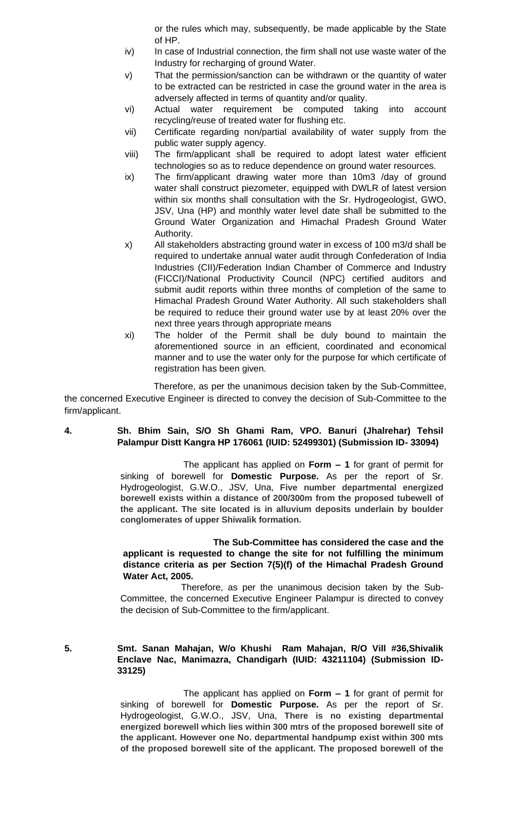or the rules which may, subsequently, be made applicable by the State of HP.

- iv) In case of Industrial connection, the firm shall not use waste water of the Industry for recharging of ground Water.
- v) That the permission/sanction can be withdrawn or the quantity of water to be extracted can be restricted in case the ground water in the area is adversely affected in terms of quantity and/or quality.
- vi) Actual water requirement be computed taking into account recycling/reuse of treated water for flushing etc.
- vii) Certificate regarding non/partial availability of water supply from the public water supply agency.
- viii) The firm/applicant shall be required to adopt latest water efficient technologies so as to reduce dependence on ground water resources.
- ix) The firm/applicant drawing water more than 10m3 /day of ground water shall construct piezometer, equipped with DWLR of latest version within six months shall consultation with the Sr. Hydrogeologist, GWO, JSV, Una (HP) and monthly water level date shall be submitted to the Ground Water Organization and Himachal Pradesh Ground Water Authority.
- x) All stakeholders abstracting ground water in excess of 100 m3/d shall be required to undertake annual water audit through Confederation of India Industries (CII)/Federation Indian Chamber of Commerce and Industry (FICCI)/National Productivity Council (NPC) certified auditors and submit audit reports within three months of completion of the same to Himachal Pradesh Ground Water Authority. All such stakeholders shall be required to reduce their ground water use by at least 20% over the next three years through appropriate means
- xi) The holder of the Permit shall be duly bound to maintain the aforementioned source in an efficient, coordinated and economical manner and to use the water only for the purpose for which certificate of registration has been given.

Therefore, as per the unanimous decision taken by the Sub-Committee, the concerned Executive Engineer is directed to convey the decision of Sub-Committee to the firm/applicant.

# **4. Sh. Bhim Sain, S/O Sh Ghami Ram, VPO. Banuri (Jhalrehar) Tehsil Palampur Distt Kangra HP 176061 (IUID: 52499301) (Submission ID- 33094)**

The applicant has applied on **Form – 1** for grant of permit for sinking of borewell for **Domestic Purpose.** As per the report of Sr. Hydrogeologist, G.W.O., JSV, Una, **Five number departmental energized borewell exists within a distance of 200/300m from the proposed tubewell of the applicant. The site located is in alluvium deposits underlain by boulder conglomerates of upper Shiwalik formation.**

# **The Sub-Committee has considered the case and the applicant is requested to change the site for not fulfilling the minimum distance criteria as per Section 7(5)(f) of the Himachal Pradesh Ground Water Act, 2005.**

 Therefore, as per the unanimous decision taken by the Sub-Committee, the concerned Executive Engineer Palampur is directed to convey the decision of Sub-Committee to the firm/applicant.

**5. Smt. Sanan Mahajan, W/o Khushi Ram Mahajan, R/O Vill #36,Shivalik Enclave Nac, Manimazra, Chandigarh (IUID: 43211104) (Submission ID-33125)** 

> The applicant has applied on **Form – 1** for grant of permit for sinking of borewell for **Domestic Purpose.** As per the report of Sr. Hydrogeologist, G.W.O., JSV, Una, **There is no existing departmental energized borewell which lies within 300 mtrs of the proposed borewell site of the applicant. However one No. departmental handpump exist within 300 mts of the proposed borewell site of the applicant. The proposed borewell of the**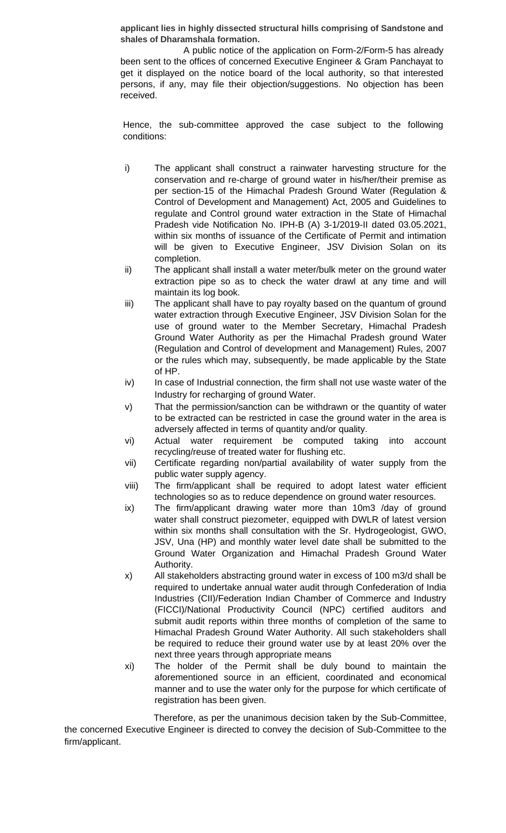**applicant lies in highly dissected structural hills comprising of Sandstone and shales of Dharamshala formation.**

A public notice of the application on Form-2/Form-5 has already been sent to the offices of concerned Executive Engineer & Gram Panchayat to get it displayed on the notice board of the local authority, so that interested persons, if any, may file their objection/suggestions. No objection has been received.

Hence, the sub-committee approved the case subject to the following conditions:

- i) The applicant shall construct a rainwater harvesting structure for the conservation and re-charge of ground water in his/her/their premise as per section-15 of the Himachal Pradesh Ground Water (Regulation & Control of Development and Management) Act, 2005 and Guidelines to regulate and Control ground water extraction in the State of Himachal Pradesh vide Notification No. IPH-B (A) 3-1/2019-II dated 03.05.2021, within six months of issuance of the Certificate of Permit and intimation will be given to Executive Engineer, JSV Division Solan on its completion.
- ii) The applicant shall install a water meter/bulk meter on the ground water extraction pipe so as to check the water drawl at any time and will maintain its log book.
- iii) The applicant shall have to pay royalty based on the quantum of ground water extraction through Executive Engineer, JSV Division Solan for the use of ground water to the Member Secretary, Himachal Pradesh Ground Water Authority as per the Himachal Pradesh ground Water (Regulation and Control of development and Management) Rules, 2007 or the rules which may, subsequently, be made applicable by the State of HP.
- iv) In case of Industrial connection, the firm shall not use waste water of the Industry for recharging of ground Water.
- v) That the permission/sanction can be withdrawn or the quantity of water to be extracted can be restricted in case the ground water in the area is adversely affected in terms of quantity and/or quality.
- vi) Actual water requirement be computed taking into account recycling/reuse of treated water for flushing etc.
- vii) Certificate regarding non/partial availability of water supply from the public water supply agency.
- viii) The firm/applicant shall be required to adopt latest water efficient technologies so as to reduce dependence on ground water resources.
- ix) The firm/applicant drawing water more than 10m3 /day of ground water shall construct piezometer, equipped with DWLR of latest version within six months shall consultation with the Sr. Hydrogeologist, GWO, JSV, Una (HP) and monthly water level date shall be submitted to the Ground Water Organization and Himachal Pradesh Ground Water Authority.
- x) All stakeholders abstracting ground water in excess of 100 m3/d shall be required to undertake annual water audit through Confederation of India Industries (CII)/Federation Indian Chamber of Commerce and Industry (FICCI)/National Productivity Council (NPC) certified auditors and submit audit reports within three months of completion of the same to Himachal Pradesh Ground Water Authority. All such stakeholders shall be required to reduce their ground water use by at least 20% over the next three years through appropriate means
- xi) The holder of the Permit shall be duly bound to maintain the aforementioned source in an efficient, coordinated and economical manner and to use the water only for the purpose for which certificate of registration has been given.

Therefore, as per the unanimous decision taken by the Sub-Committee, the concerned Executive Engineer is directed to convey the decision of Sub-Committee to the firm/applicant.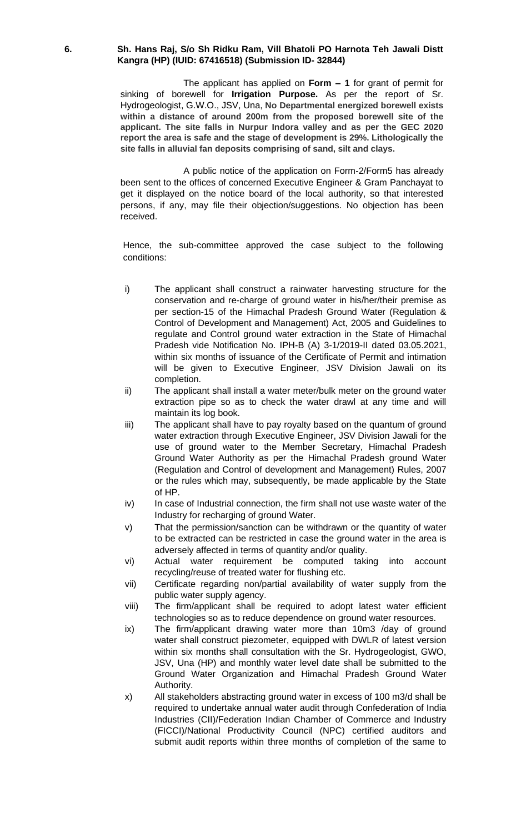# **6. Sh. Hans Raj, S/o Sh Ridku Ram, Vill Bhatoli PO Harnota Teh Jawali Distt Kangra (HP) (IUID: 67416518) (Submission ID- 32844)**

The applicant has applied on **Form – 1** for grant of permit for sinking of borewell for **Irrigation Purpose.** As per the report of Sr. Hydrogeologist, G.W.O., JSV, Una, **No Departmental energized borewell exists within a distance of around 200m from the proposed borewell site of the applicant. The site falls in Nurpur Indora valley and as per the GEC 2020 report the area is safe and the stage of development is 29%. Lithologically the site falls in alluvial fan deposits comprising of sand, silt and clays.**

A public notice of the application on Form-2/Form5 has already been sent to the offices of concerned Executive Engineer & Gram Panchayat to get it displayed on the notice board of the local authority, so that interested persons, if any, may file their objection/suggestions. No objection has been received.

- i) The applicant shall construct a rainwater harvesting structure for the conservation and re-charge of ground water in his/her/their premise as per section-15 of the Himachal Pradesh Ground Water (Regulation & Control of Development and Management) Act, 2005 and Guidelines to regulate and Control ground water extraction in the State of Himachal Pradesh vide Notification No. IPH-B (A) 3-1/2019-II dated 03.05.2021, within six months of issuance of the Certificate of Permit and intimation will be given to Executive Engineer, JSV Division Jawali on its completion.
- ii) The applicant shall install a water meter/bulk meter on the ground water extraction pipe so as to check the water drawl at any time and will maintain its log book.
- iii) The applicant shall have to pay royalty based on the quantum of ground water extraction through Executive Engineer, JSV Division Jawali for the use of ground water to the Member Secretary, Himachal Pradesh Ground Water Authority as per the Himachal Pradesh ground Water (Regulation and Control of development and Management) Rules, 2007 or the rules which may, subsequently, be made applicable by the State of HP.
- iv) In case of Industrial connection, the firm shall not use waste water of the Industry for recharging of ground Water.
- v) That the permission/sanction can be withdrawn or the quantity of water to be extracted can be restricted in case the ground water in the area is adversely affected in terms of quantity and/or quality.
- vi) Actual water requirement be computed taking into account recycling/reuse of treated water for flushing etc.
- vii) Certificate regarding non/partial availability of water supply from the public water supply agency.
- viii) The firm/applicant shall be required to adopt latest water efficient technologies so as to reduce dependence on ground water resources.
- ix) The firm/applicant drawing water more than 10m3 /day of ground water shall construct piezometer, equipped with DWLR of latest version within six months shall consultation with the Sr. Hydrogeologist, GWO, JSV, Una (HP) and monthly water level date shall be submitted to the Ground Water Organization and Himachal Pradesh Ground Water Authority.
- x) All stakeholders abstracting ground water in excess of 100 m3/d shall be required to undertake annual water audit through Confederation of India Industries (CII)/Federation Indian Chamber of Commerce and Industry (FICCI)/National Productivity Council (NPC) certified auditors and submit audit reports within three months of completion of the same to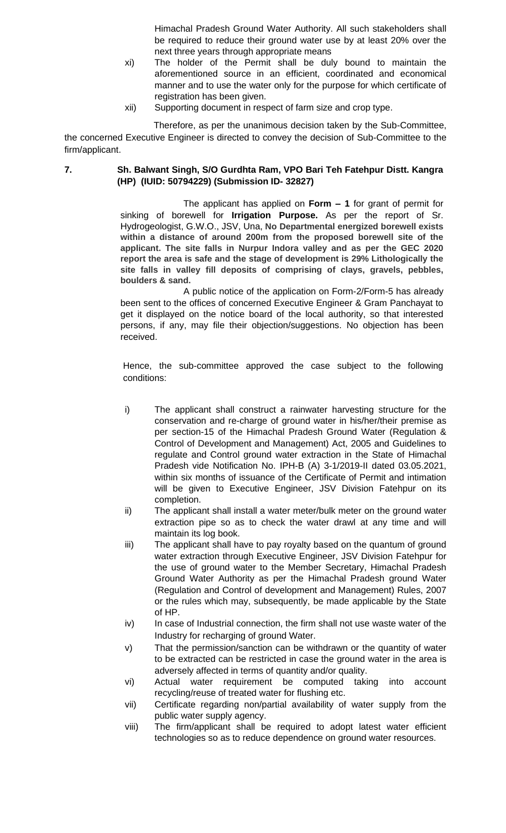Himachal Pradesh Ground Water Authority. All such stakeholders shall be required to reduce their ground water use by at least 20% over the next three years through appropriate means

- xi) The holder of the Permit shall be duly bound to maintain the aforementioned source in an efficient, coordinated and economical manner and to use the water only for the purpose for which certificate of registration has been given.
- xii) Supporting document in respect of farm size and crop type.

Therefore, as per the unanimous decision taken by the Sub-Committee, the concerned Executive Engineer is directed to convey the decision of Sub-Committee to the firm/applicant.

# **7. Sh. Balwant Singh, S/O Gurdhta Ram, VPO Bari Teh Fatehpur Distt. Kangra (HP) (IUID: 50794229) (Submission ID- 32827)**

The applicant has applied on **Form – 1** for grant of permit for sinking of borewell for **Irrigation Purpose.** As per the report of Sr. Hydrogeologist, G.W.O., JSV, Una, **No Departmental energized borewell exists within a distance of around 200m from the proposed borewell site of the applicant. The site falls in Nurpur Indora valley and as per the GEC 2020 report the area is safe and the stage of development is 29% Lithologically the site falls in valley fill deposits of comprising of clays, gravels, pebbles, boulders & sand.**

A public notice of the application on Form-2/Form-5 has already been sent to the offices of concerned Executive Engineer & Gram Panchayat to get it displayed on the notice board of the local authority, so that interested persons, if any, may file their objection/suggestions. No objection has been received.

- i) The applicant shall construct a rainwater harvesting structure for the conservation and re-charge of ground water in his/her/their premise as per section-15 of the Himachal Pradesh Ground Water (Regulation & Control of Development and Management) Act, 2005 and Guidelines to regulate and Control ground water extraction in the State of Himachal Pradesh vide Notification No. IPH-B (A) 3-1/2019-II dated 03.05.2021, within six months of issuance of the Certificate of Permit and intimation will be given to Executive Engineer, JSV Division Fatehpur on its completion.
- ii) The applicant shall install a water meter/bulk meter on the ground water extraction pipe so as to check the water drawl at any time and will maintain its log book.
- iii) The applicant shall have to pay royalty based on the quantum of ground water extraction through Executive Engineer, JSV Division Fatehpur for the use of ground water to the Member Secretary, Himachal Pradesh Ground Water Authority as per the Himachal Pradesh ground Water (Regulation and Control of development and Management) Rules, 2007 or the rules which may, subsequently, be made applicable by the State of HP.
- iv) In case of Industrial connection, the firm shall not use waste water of the Industry for recharging of ground Water.
- v) That the permission/sanction can be withdrawn or the quantity of water to be extracted can be restricted in case the ground water in the area is adversely affected in terms of quantity and/or quality.
- vi) Actual water requirement be computed taking into account recycling/reuse of treated water for flushing etc.
- vii) Certificate regarding non/partial availability of water supply from the public water supply agency.
- viii) The firm/applicant shall be required to adopt latest water efficient technologies so as to reduce dependence on ground water resources.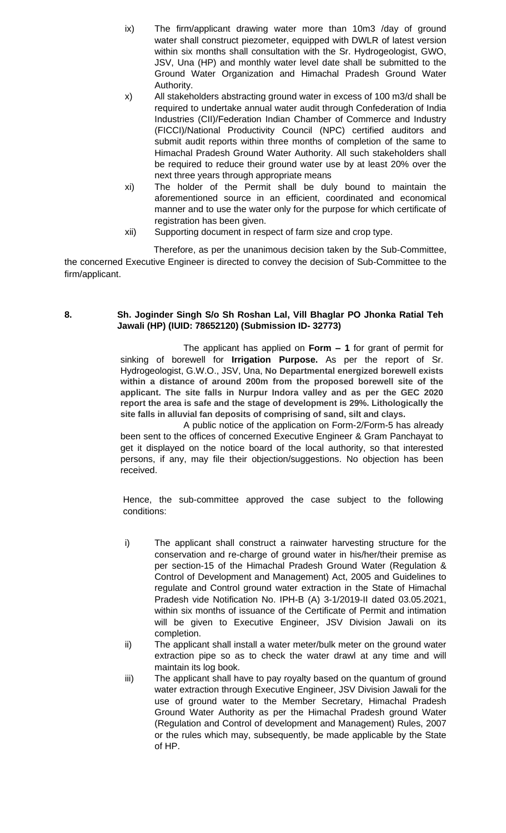- ix) The firm/applicant drawing water more than 10m3 /day of ground water shall construct piezometer, equipped with DWLR of latest version within six months shall consultation with the Sr. Hydrogeologist, GWO, JSV, Una (HP) and monthly water level date shall be submitted to the Ground Water Organization and Himachal Pradesh Ground Water Authority.
- x) All stakeholders abstracting ground water in excess of 100 m3/d shall be required to undertake annual water audit through Confederation of India Industries (CII)/Federation Indian Chamber of Commerce and Industry (FICCI)/National Productivity Council (NPC) certified auditors and submit audit reports within three months of completion of the same to Himachal Pradesh Ground Water Authority. All such stakeholders shall be required to reduce their ground water use by at least 20% over the next three years through appropriate means
- xi) The holder of the Permit shall be duly bound to maintain the aforementioned source in an efficient, coordinated and economical manner and to use the water only for the purpose for which certificate of registration has been given.
- xii) Supporting document in respect of farm size and crop type.

# **8. Sh. Joginder Singh S/o Sh Roshan Lal, Vill Bhaglar PO Jhonka Ratial Teh Jawali (HP) (IUID: 78652120) (Submission ID- 32773)**

The applicant has applied on **Form – 1** for grant of permit for sinking of borewell for **Irrigation Purpose.** As per the report of Sr. Hydrogeologist, G.W.O., JSV, Una, **No Departmental energized borewell exists within a distance of around 200m from the proposed borewell site of the applicant. The site falls in Nurpur Indora valley and as per the GEC 2020 report the area is safe and the stage of development is 29%. Lithologically the site falls in alluvial fan deposits of comprising of sand, silt and clays.**

A public notice of the application on Form-2/Form-5 has already been sent to the offices of concerned Executive Engineer & Gram Panchayat to get it displayed on the notice board of the local authority, so that interested persons, if any, may file their objection/suggestions. No objection has been received.

- i) The applicant shall construct a rainwater harvesting structure for the conservation and re-charge of ground water in his/her/their premise as per section-15 of the Himachal Pradesh Ground Water (Regulation & Control of Development and Management) Act, 2005 and Guidelines to regulate and Control ground water extraction in the State of Himachal Pradesh vide Notification No. IPH-B (A) 3-1/2019-II dated 03.05.2021, within six months of issuance of the Certificate of Permit and intimation will be given to Executive Engineer, JSV Division Jawali on its completion.
- ii) The applicant shall install a water meter/bulk meter on the ground water extraction pipe so as to check the water drawl at any time and will maintain its log book.
- iii) The applicant shall have to pay royalty based on the quantum of ground water extraction through Executive Engineer, JSV Division Jawali for the use of ground water to the Member Secretary, Himachal Pradesh Ground Water Authority as per the Himachal Pradesh ground Water (Regulation and Control of development and Management) Rules, 2007 or the rules which may, subsequently, be made applicable by the State of HP.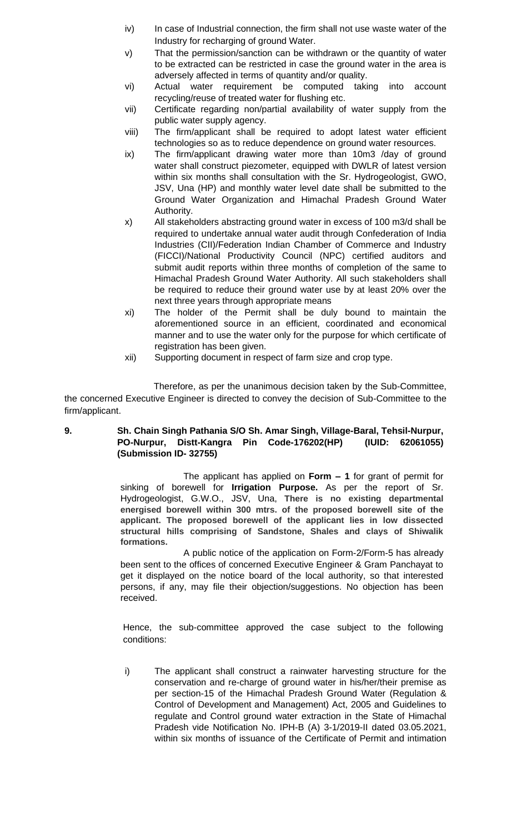- iv) In case of Industrial connection, the firm shall not use waste water of the Industry for recharging of ground Water.
- v) That the permission/sanction can be withdrawn or the quantity of water to be extracted can be restricted in case the ground water in the area is adversely affected in terms of quantity and/or quality.
- vi) Actual water requirement be computed taking into account recycling/reuse of treated water for flushing etc.
- vii) Certificate regarding non/partial availability of water supply from the public water supply agency.
- viii) The firm/applicant shall be required to adopt latest water efficient technologies so as to reduce dependence on ground water resources.
- ix) The firm/applicant drawing water more than 10m3 /day of ground water shall construct piezometer, equipped with DWLR of latest version within six months shall consultation with the Sr. Hydrogeologist, GWO, JSV, Una (HP) and monthly water level date shall be submitted to the Ground Water Organization and Himachal Pradesh Ground Water Authority.
- x) All stakeholders abstracting ground water in excess of 100 m3/d shall be required to undertake annual water audit through Confederation of India Industries (CII)/Federation Indian Chamber of Commerce and Industry (FICCI)/National Productivity Council (NPC) certified auditors and submit audit reports within three months of completion of the same to Himachal Pradesh Ground Water Authority. All such stakeholders shall be required to reduce their ground water use by at least 20% over the next three years through appropriate means
- xi) The holder of the Permit shall be duly bound to maintain the aforementioned source in an efficient, coordinated and economical manner and to use the water only for the purpose for which certificate of registration has been given.
- xii) Supporting document in respect of farm size and crop type.

# **9. Sh. Chain Singh Pathania S/O Sh. Amar Singh, Village-Baral, Tehsil-Nurpur, PO-Nurpur, Distt-Kangra Pin Code-176202(HP) (IUID: 62061055) (Submission ID- 32755)**

The applicant has applied on **Form – 1** for grant of permit for sinking of borewell for **Irrigation Purpose.** As per the report of Sr. Hydrogeologist, G.W.O., JSV, Una, **There is no existing departmental energised borewell within 300 mtrs. of the proposed borewell site of the applicant. The proposed borewell of the applicant lies in low dissected structural hills comprising of Sandstone, Shales and clays of Shiwalik formations.**

A public notice of the application on Form-2/Form-5 has already been sent to the offices of concerned Executive Engineer & Gram Panchayat to get it displayed on the notice board of the local authority, so that interested persons, if any, may file their objection/suggestions. No objection has been received.

Hence, the sub-committee approved the case subject to the following conditions:

i) The applicant shall construct a rainwater harvesting structure for the conservation and re-charge of ground water in his/her/their premise as per section-15 of the Himachal Pradesh Ground Water (Regulation & Control of Development and Management) Act, 2005 and Guidelines to regulate and Control ground water extraction in the State of Himachal Pradesh vide Notification No. IPH-B (A) 3-1/2019-II dated 03.05.2021, within six months of issuance of the Certificate of Permit and intimation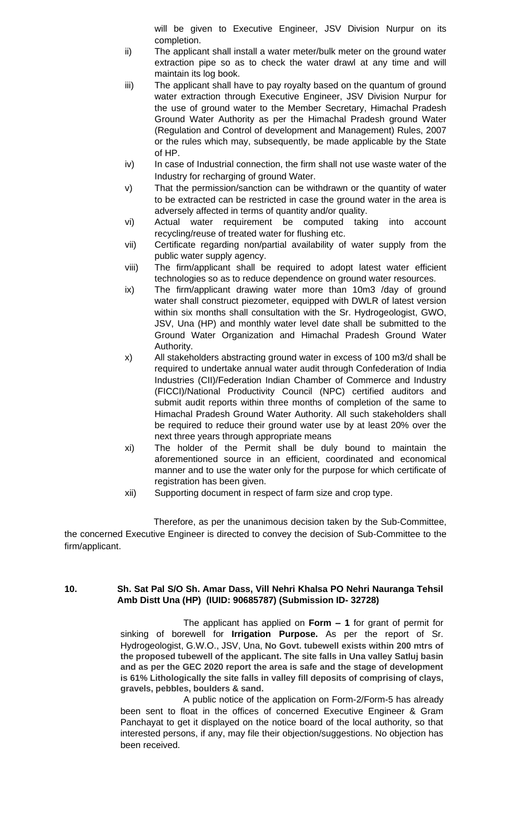will be given to Executive Engineer, JSV Division Nurpur on its completion.

- ii) The applicant shall install a water meter/bulk meter on the ground water extraction pipe so as to check the water drawl at any time and will maintain its log book.
- iii) The applicant shall have to pay royalty based on the quantum of ground water extraction through Executive Engineer, JSV Division Nurpur for the use of ground water to the Member Secretary, Himachal Pradesh Ground Water Authority as per the Himachal Pradesh ground Water (Regulation and Control of development and Management) Rules, 2007 or the rules which may, subsequently, be made applicable by the State of HP.
- iv) In case of Industrial connection, the firm shall not use waste water of the Industry for recharging of ground Water.
- v) That the permission/sanction can be withdrawn or the quantity of water to be extracted can be restricted in case the ground water in the area is adversely affected in terms of quantity and/or quality.
- vi) Actual water requirement be computed taking into account recycling/reuse of treated water for flushing etc.
- vii) Certificate regarding non/partial availability of water supply from the public water supply agency.
- viii) The firm/applicant shall be required to adopt latest water efficient technologies so as to reduce dependence on ground water resources.
- ix) The firm/applicant drawing water more than 10m3 /day of ground water shall construct piezometer, equipped with DWLR of latest version within six months shall consultation with the Sr. Hydrogeologist, GWO, JSV, Una (HP) and monthly water level date shall be submitted to the Ground Water Organization and Himachal Pradesh Ground Water Authority.
- x) All stakeholders abstracting ground water in excess of 100 m3/d shall be required to undertake annual water audit through Confederation of India Industries (CII)/Federation Indian Chamber of Commerce and Industry (FICCI)/National Productivity Council (NPC) certified auditors and submit audit reports within three months of completion of the same to Himachal Pradesh Ground Water Authority. All such stakeholders shall be required to reduce their ground water use by at least 20% over the next three years through appropriate means
- xi) The holder of the Permit shall be duly bound to maintain the aforementioned source in an efficient, coordinated and economical manner and to use the water only for the purpose for which certificate of registration has been given.
- xii) Supporting document in respect of farm size and crop type.

Therefore, as per the unanimous decision taken by the Sub-Committee, the concerned Executive Engineer is directed to convey the decision of Sub-Committee to the firm/applicant.

# **10. Sh. Sat Pal S/O Sh. Amar Dass, Vill Nehri Khalsa PO Nehri Nauranga Tehsil Amb Distt Una (HP) (IUID: 90685787) (Submission ID- 32728)**

The applicant has applied on **Form – 1** for grant of permit for sinking of borewell for **Irrigation Purpose.** As per the report of Sr. Hydrogeologist, G.W.O., JSV, Una, **No Govt. tubewell exists within 200 mtrs of the proposed tubewell of the applicant. The site falls in Una valley Satluj basin and as per the GEC 2020 report the area is safe and the stage of development is 61% Lithologically the site falls in valley fill deposits of comprising of clays, gravels, pebbles, boulders & sand.**

A public notice of the application on Form-2/Form-5 has already been sent to float in the offices of concerned Executive Engineer & Gram Panchayat to get it displayed on the notice board of the local authority, so that interested persons, if any, may file their objection/suggestions. No objection has been received.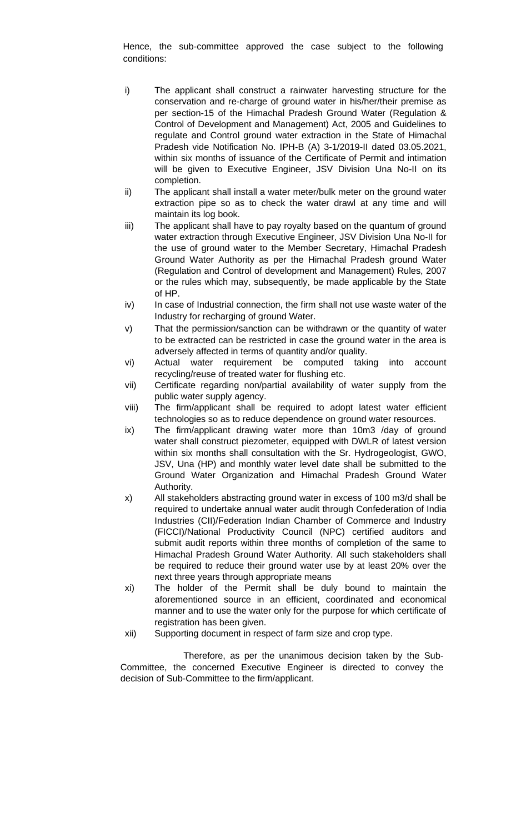Hence, the sub-committee approved the case subject to the following conditions:

- i) The applicant shall construct a rainwater harvesting structure for the conservation and re-charge of ground water in his/her/their premise as per section-15 of the Himachal Pradesh Ground Water (Regulation & Control of Development and Management) Act, 2005 and Guidelines to regulate and Control ground water extraction in the State of Himachal Pradesh vide Notification No. IPH-B (A) 3-1/2019-II dated 03.05.2021, within six months of issuance of the Certificate of Permit and intimation will be given to Executive Engineer, JSV Division Una No-II on its completion.
- ii) The applicant shall install a water meter/bulk meter on the ground water extraction pipe so as to check the water drawl at any time and will maintain its log book.
- iii) The applicant shall have to pay royalty based on the quantum of ground water extraction through Executive Engineer, JSV Division Una No-II for the use of ground water to the Member Secretary, Himachal Pradesh Ground Water Authority as per the Himachal Pradesh ground Water (Regulation and Control of development and Management) Rules, 2007 or the rules which may, subsequently, be made applicable by the State of HP.
- iv) In case of Industrial connection, the firm shall not use waste water of the Industry for recharging of ground Water.
- v) That the permission/sanction can be withdrawn or the quantity of water to be extracted can be restricted in case the ground water in the area is adversely affected in terms of quantity and/or quality.
- vi) Actual water requirement be computed taking into account recycling/reuse of treated water for flushing etc.
- vii) Certificate regarding non/partial availability of water supply from the public water supply agency.
- viii) The firm/applicant shall be required to adopt latest water efficient technologies so as to reduce dependence on ground water resources.
- ix) The firm/applicant drawing water more than 10m3 /day of ground water shall construct piezometer, equipped with DWLR of latest version within six months shall consultation with the Sr. Hydrogeologist, GWO, JSV, Una (HP) and monthly water level date shall be submitted to the Ground Water Organization and Himachal Pradesh Ground Water Authority.
- x) All stakeholders abstracting ground water in excess of 100 m3/d shall be required to undertake annual water audit through Confederation of India Industries (CII)/Federation Indian Chamber of Commerce and Industry (FICCI)/National Productivity Council (NPC) certified auditors and submit audit reports within three months of completion of the same to Himachal Pradesh Ground Water Authority. All such stakeholders shall be required to reduce their ground water use by at least 20% over the next three years through appropriate means
- xi) The holder of the Permit shall be duly bound to maintain the aforementioned source in an efficient, coordinated and economical manner and to use the water only for the purpose for which certificate of registration has been given.
- xii) Supporting document in respect of farm size and crop type.

Therefore, as per the unanimous decision taken by the Sub-Committee, the concerned Executive Engineer is directed to convey the decision of Sub-Committee to the firm/applicant.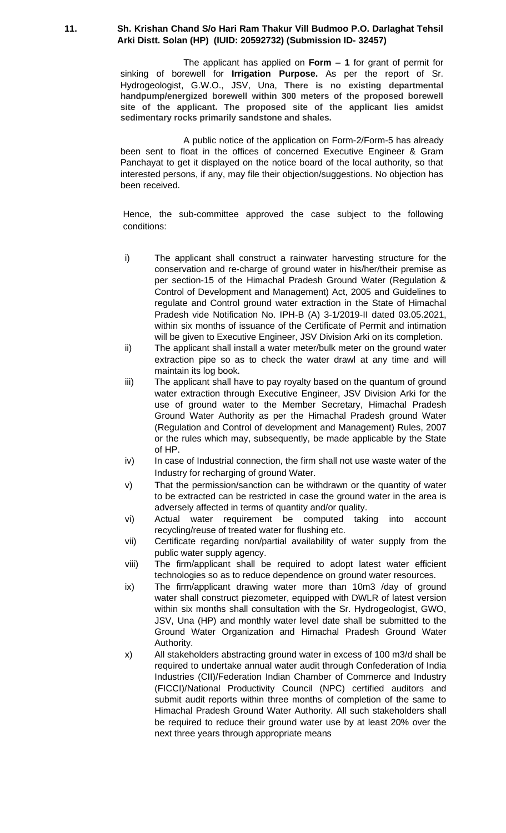# **11. Sh. Krishan Chand S/o Hari Ram Thakur Vill Budmoo P.O. Darlaghat Tehsil Arki Distt. Solan (HP) (IUID: 20592732) (Submission ID- 32457)**

The applicant has applied on **Form – 1** for grant of permit for sinking of borewell for **Irrigation Purpose.** As per the report of Sr. Hydrogeologist, G.W.O., JSV, Una, **There is no existing departmental handpump/energized borewell within 300 meters of the proposed borewell site of the applicant. The proposed site of the applicant lies amidst sedimentary rocks primarily sandstone and shales.**

A public notice of the application on Form-2/Form-5 has already been sent to float in the offices of concerned Executive Engineer & Gram Panchayat to get it displayed on the notice board of the local authority, so that interested persons, if any, may file their objection/suggestions. No objection has been received.

- i) The applicant shall construct a rainwater harvesting structure for the conservation and re-charge of ground water in his/her/their premise as per section-15 of the Himachal Pradesh Ground Water (Regulation & Control of Development and Management) Act, 2005 and Guidelines to regulate and Control ground water extraction in the State of Himachal Pradesh vide Notification No. IPH-B (A) 3-1/2019-II dated 03.05.2021, within six months of issuance of the Certificate of Permit and intimation will be given to Executive Engineer, JSV Division Arki on its completion.
- ii) The applicant shall install a water meter/bulk meter on the ground water extraction pipe so as to check the water drawl at any time and will maintain its log book.
- iii) The applicant shall have to pay royalty based on the quantum of ground water extraction through Executive Engineer, JSV Division Arki for the use of ground water to the Member Secretary, Himachal Pradesh Ground Water Authority as per the Himachal Pradesh ground Water (Regulation and Control of development and Management) Rules, 2007 or the rules which may, subsequently, be made applicable by the State of HP.
- iv) In case of Industrial connection, the firm shall not use waste water of the Industry for recharging of ground Water.
- v) That the permission/sanction can be withdrawn or the quantity of water to be extracted can be restricted in case the ground water in the area is adversely affected in terms of quantity and/or quality.
- vi) Actual water requirement be computed taking into account recycling/reuse of treated water for flushing etc.
- vii) Certificate regarding non/partial availability of water supply from the public water supply agency.
- viii) The firm/applicant shall be required to adopt latest water efficient technologies so as to reduce dependence on ground water resources.
- ix) The firm/applicant drawing water more than 10m3 /day of ground water shall construct piezometer, equipped with DWLR of latest version within six months shall consultation with the Sr. Hydrogeologist, GWO, JSV, Una (HP) and monthly water level date shall be submitted to the Ground Water Organization and Himachal Pradesh Ground Water Authority.
- x) All stakeholders abstracting ground water in excess of 100 m3/d shall be required to undertake annual water audit through Confederation of India Industries (CII)/Federation Indian Chamber of Commerce and Industry (FICCI)/National Productivity Council (NPC) certified auditors and submit audit reports within three months of completion of the same to Himachal Pradesh Ground Water Authority. All such stakeholders shall be required to reduce their ground water use by at least 20% over the next three years through appropriate means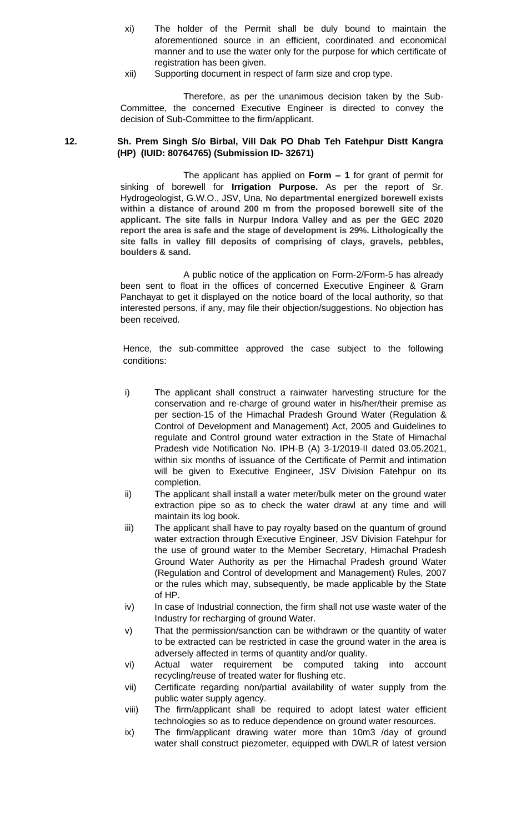- xi) The holder of the Permit shall be duly bound to maintain the aforementioned source in an efficient, coordinated and economical manner and to use the water only for the purpose for which certificate of registration has been given.
- xii) Supporting document in respect of farm size and crop type.

# **12. Sh. Prem Singh S/o Birbal, Vill Dak PO Dhab Teh Fatehpur Distt Kangra (HP) (IUID: 80764765) (Submission ID- 32671)**

The applicant has applied on **Form – 1** for grant of permit for sinking of borewell for **Irrigation Purpose.** As per the report of Sr. Hydrogeologist, G.W.O., JSV, Una, **No departmental energized borewell exists within a distance of around 200 m from the proposed borewell site of the applicant. The site falls in Nurpur Indora Valley and as per the GEC 2020 report the area is safe and the stage of development is 29%. Lithologically the site falls in valley fill deposits of comprising of clays, gravels, pebbles, boulders & sand.**

A public notice of the application on Form-2/Form-5 has already been sent to float in the offices of concerned Executive Engineer & Gram Panchayat to get it displayed on the notice board of the local authority, so that interested persons, if any, may file their objection/suggestions. No objection has been received.

- i) The applicant shall construct a rainwater harvesting structure for the conservation and re-charge of ground water in his/her/their premise as per section-15 of the Himachal Pradesh Ground Water (Regulation & Control of Development and Management) Act, 2005 and Guidelines to regulate and Control ground water extraction in the State of Himachal Pradesh vide Notification No. IPH-B (A) 3-1/2019-II dated 03.05.2021, within six months of issuance of the Certificate of Permit and intimation will be given to Executive Engineer, JSV Division Fatehpur on its completion.
- ii) The applicant shall install a water meter/bulk meter on the ground water extraction pipe so as to check the water drawl at any time and will maintain its log book.
- iii) The applicant shall have to pay royalty based on the quantum of ground water extraction through Executive Engineer, JSV Division Fatehpur for the use of ground water to the Member Secretary, Himachal Pradesh Ground Water Authority as per the Himachal Pradesh ground Water (Regulation and Control of development and Management) Rules, 2007 or the rules which may, subsequently, be made applicable by the State of HP.
- iv) In case of Industrial connection, the firm shall not use waste water of the Industry for recharging of ground Water.
- v) That the permission/sanction can be withdrawn or the quantity of water to be extracted can be restricted in case the ground water in the area is adversely affected in terms of quantity and/or quality.
- vi) Actual water requirement be computed taking into account recycling/reuse of treated water for flushing etc.
- vii) Certificate regarding non/partial availability of water supply from the public water supply agency.
- viii) The firm/applicant shall be required to adopt latest water efficient technologies so as to reduce dependence on ground water resources.
- ix) The firm/applicant drawing water more than 10m3 /day of ground water shall construct piezometer, equipped with DWLR of latest version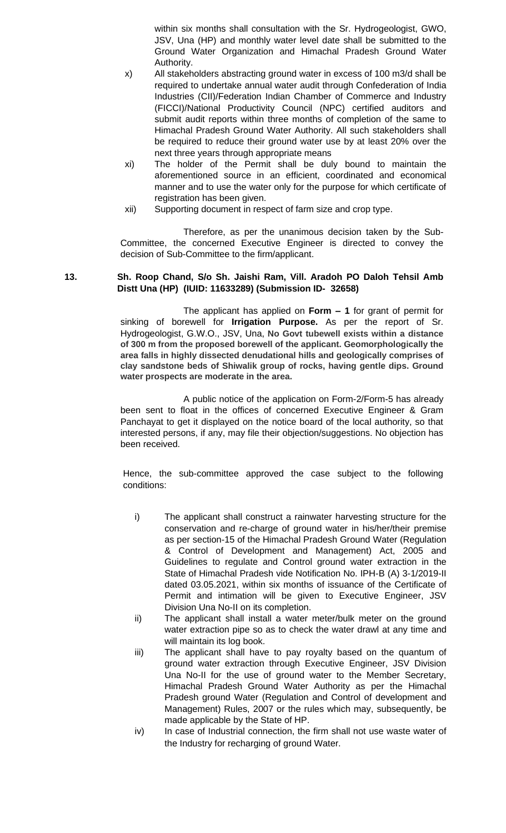within six months shall consultation with the Sr. Hydrogeologist, GWO, JSV, Una (HP) and monthly water level date shall be submitted to the Ground Water Organization and Himachal Pradesh Ground Water Authority.

- x) All stakeholders abstracting ground water in excess of 100 m3/d shall be required to undertake annual water audit through Confederation of India Industries (CII)/Federation Indian Chamber of Commerce and Industry (FICCI)/National Productivity Council (NPC) certified auditors and submit audit reports within three months of completion of the same to Himachal Pradesh Ground Water Authority. All such stakeholders shall be required to reduce their ground water use by at least 20% over the next three years through appropriate means
- xi) The holder of the Permit shall be duly bound to maintain the aforementioned source in an efficient, coordinated and economical manner and to use the water only for the purpose for which certificate of registration has been given.
- xii) Supporting document in respect of farm size and crop type.

Therefore, as per the unanimous decision taken by the Sub-Committee, the concerned Executive Engineer is directed to convey the decision of Sub-Committee to the firm/applicant.

## **13. Sh. Roop Chand, S/o Sh. Jaishi Ram, Vill. Aradoh PO Daloh Tehsil Amb Distt Una (HP) (IUID: 11633289) (Submission ID- 32658)**

The applicant has applied on **Form – 1** for grant of permit for sinking of borewell for **Irrigation Purpose.** As per the report of Sr. Hydrogeologist, G.W.O., JSV, Una, **No Govt tubewell exists within a distance of 300 m from the proposed borewell of the applicant. Geomorphologically the area falls in highly dissected denudational hills and geologically comprises of clay sandstone beds of Shiwalik group of rocks, having gentle dips. Ground water prospects are moderate in the area.**

A public notice of the application on Form-2/Form-5 has already been sent to float in the offices of concerned Executive Engineer & Gram Panchayat to get it displayed on the notice board of the local authority, so that interested persons, if any, may file their objection/suggestions. No objection has been received.

- i) The applicant shall construct a rainwater harvesting structure for the conservation and re-charge of ground water in his/her/their premise as per section-15 of the Himachal Pradesh Ground Water (Regulation & Control of Development and Management) Act, 2005 and Guidelines to regulate and Control ground water extraction in the State of Himachal Pradesh vide Notification No. IPH-B (A) 3-1/2019-II dated 03.05.2021, within six months of issuance of the Certificate of Permit and intimation will be given to Executive Engineer, JSV Division Una No-II on its completion.
- ii) The applicant shall install a water meter/bulk meter on the ground water extraction pipe so as to check the water drawl at any time and will maintain its log book.
- iii) The applicant shall have to pay royalty based on the quantum of ground water extraction through Executive Engineer, JSV Division Una No-II for the use of ground water to the Member Secretary, Himachal Pradesh Ground Water Authority as per the Himachal Pradesh ground Water (Regulation and Control of development and Management) Rules, 2007 or the rules which may, subsequently, be made applicable by the State of HP.
- iv) In case of Industrial connection, the firm shall not use waste water of the Industry for recharging of ground Water.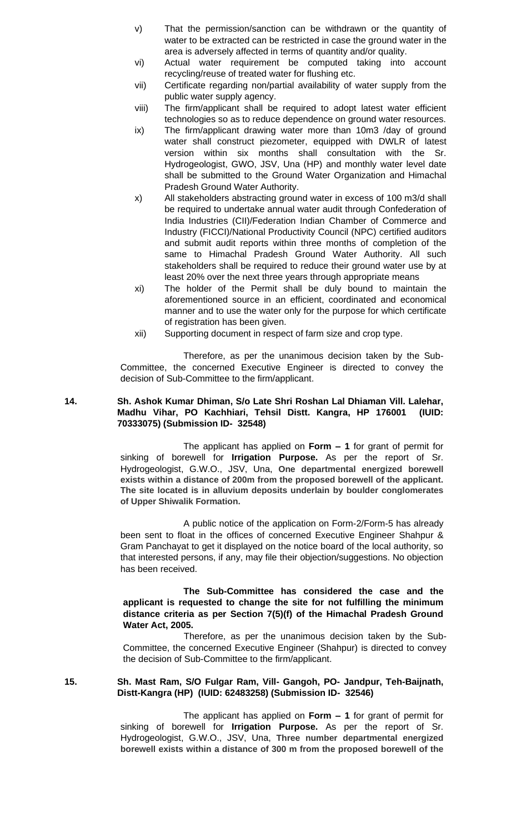- v) That the permission/sanction can be withdrawn or the quantity of water to be extracted can be restricted in case the ground water in the area is adversely affected in terms of quantity and/or quality.
- vi) Actual water requirement be computed taking into account recycling/reuse of treated water for flushing etc.
- vii) Certificate regarding non/partial availability of water supply from the public water supply agency.
- viii) The firm/applicant shall be required to adopt latest water efficient technologies so as to reduce dependence on ground water resources.
- ix) The firm/applicant drawing water more than 10m3 /day of ground water shall construct piezometer, equipped with DWLR of latest version within six months shall consultation with the Sr. Hydrogeologist, GWO, JSV, Una (HP) and monthly water level date shall be submitted to the Ground Water Organization and Himachal Pradesh Ground Water Authority.
- x) All stakeholders abstracting ground water in excess of 100 m3/d shall be required to undertake annual water audit through Confederation of India Industries (CII)/Federation Indian Chamber of Commerce and Industry (FICCI)/National Productivity Council (NPC) certified auditors and submit audit reports within three months of completion of the same to Himachal Pradesh Ground Water Authority. All such stakeholders shall be required to reduce their ground water use by at least 20% over the next three years through appropriate means
- xi) The holder of the Permit shall be duly bound to maintain the aforementioned source in an efficient, coordinated and economical manner and to use the water only for the purpose for which certificate of registration has been given.
- xii) Supporting document in respect of farm size and crop type.

# **14. Sh. Ashok Kumar Dhiman, S/o Late Shri Roshan Lal Dhiaman Vill. Lalehar, Madhu Vihar, PO Kachhiari, Tehsil Distt. Kangra, HP 176001 (IUID: 70333075) (Submission ID- 32548)**

The applicant has applied on **Form – 1** for grant of permit for sinking of borewell for **Irrigation Purpose.** As per the report of Sr. Hydrogeologist, G.W.O., JSV, Una, **One departmental energized borewell exists within a distance of 200m from the proposed borewell of the applicant. The site located is in alluvium deposits underlain by boulder conglomerates of Upper Shiwalik Formation.**

A public notice of the application on Form-2/Form-5 has already been sent to float in the offices of concerned Executive Engineer Shahpur & Gram Panchayat to get it displayed on the notice board of the local authority, so that interested persons, if any, may file their objection/suggestions. No objection has been received.

# **The Sub-Committee has considered the case and the applicant is requested to change the site for not fulfilling the minimum distance criteria as per Section 7(5)(f) of the Himachal Pradesh Ground Water Act, 2005.**

 Therefore, as per the unanimous decision taken by the Sub-Committee, the concerned Executive Engineer (Shahpur) is directed to convey the decision of Sub-Committee to the firm/applicant.

## **15. Sh. Mast Ram, S/O Fulgar Ram, Vill- Gangoh, PO- Jandpur, Teh-Baijnath, Distt-Kangra (HP) (IUID: 62483258) (Submission ID- 32546)**

The applicant has applied on **Form – 1** for grant of permit for sinking of borewell for **Irrigation Purpose.** As per the report of Sr. Hydrogeologist, G.W.O., JSV, Una, **Three number departmental energized borewell exists within a distance of 300 m from the proposed borewell of the**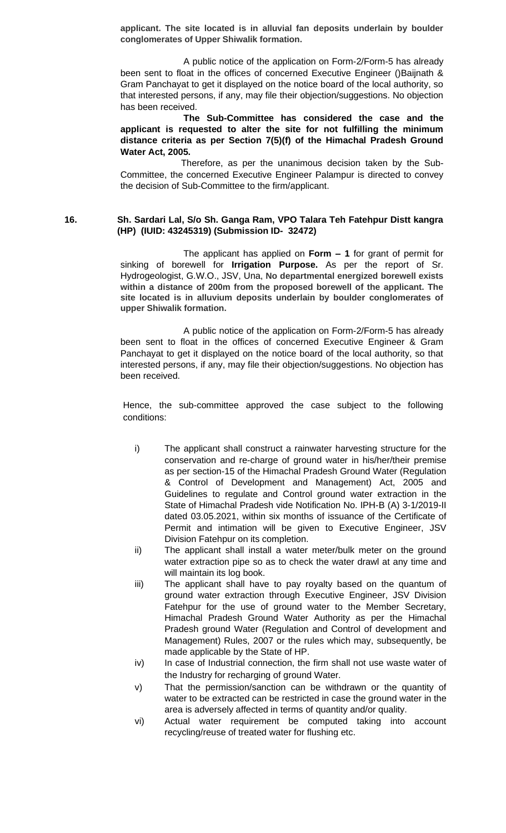**applicant. The site located is in alluvial fan deposits underlain by boulder conglomerates of Upper Shiwalik formation.**

A public notice of the application on Form-2/Form-5 has already been sent to float in the offices of concerned Executive Engineer ()Baijnath & Gram Panchayat to get it displayed on the notice board of the local authority, so that interested persons, if any, may file their objection/suggestions. No objection has been received.

**The Sub-Committee has considered the case and the applicant is requested to alter the site for not fulfilling the minimum distance criteria as per Section 7(5)(f) of the Himachal Pradesh Ground Water Act, 2005.**

 Therefore, as per the unanimous decision taken by the Sub-Committee, the concerned Executive Engineer Palampur is directed to convey the decision of Sub-Committee to the firm/applicant.

#### **16. Sh. Sardari Lal, S/o Sh. Ganga Ram, VPO Talara Teh Fatehpur Distt kangra (HP) (IUID: 43245319) (Submission ID- 32472)**

The applicant has applied on **Form – 1** for grant of permit for sinking of borewell for **Irrigation Purpose.** As per the report of Sr. Hydrogeologist, G.W.O., JSV, Una, **No departmental energized borewell exists within a distance of 200m from the proposed borewell of the applicant. The site located is in alluvium deposits underlain by boulder conglomerates of upper Shiwalik formation.**

A public notice of the application on Form-2/Form-5 has already been sent to float in the offices of concerned Executive Engineer & Gram Panchayat to get it displayed on the notice board of the local authority, so that interested persons, if any, may file their objection/suggestions. No objection has been received.

- i) The applicant shall construct a rainwater harvesting structure for the conservation and re-charge of ground water in his/her/their premise as per section-15 of the Himachal Pradesh Ground Water (Regulation & Control of Development and Management) Act, 2005 and Guidelines to regulate and Control ground water extraction in the State of Himachal Pradesh vide Notification No. IPH-B (A) 3-1/2019-II dated 03.05.2021, within six months of issuance of the Certificate of Permit and intimation will be given to Executive Engineer, JSV Division Fatehpur on its completion.
- ii) The applicant shall install a water meter/bulk meter on the ground water extraction pipe so as to check the water drawl at any time and will maintain its log book.
- iii) The applicant shall have to pay royalty based on the quantum of ground water extraction through Executive Engineer, JSV Division Fatehpur for the use of ground water to the Member Secretary, Himachal Pradesh Ground Water Authority as per the Himachal Pradesh ground Water (Regulation and Control of development and Management) Rules, 2007 or the rules which may, subsequently, be made applicable by the State of HP.
- iv) In case of Industrial connection, the firm shall not use waste water of the Industry for recharging of ground Water.
- v) That the permission/sanction can be withdrawn or the quantity of water to be extracted can be restricted in case the ground water in the area is adversely affected in terms of quantity and/or quality.
- vi) Actual water requirement be computed taking into account recycling/reuse of treated water for flushing etc.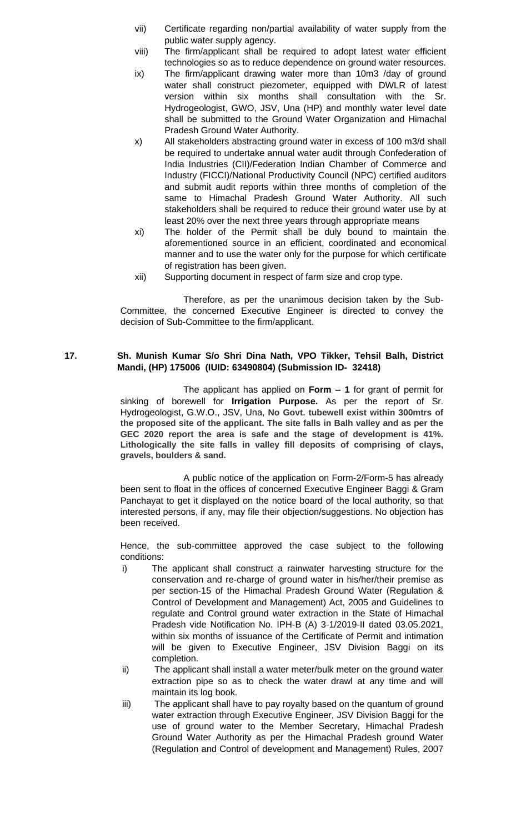- vii) Certificate regarding non/partial availability of water supply from the public water supply agency.
- viii) The firm/applicant shall be required to adopt latest water efficient technologies so as to reduce dependence on ground water resources.
- ix) The firm/applicant drawing water more than 10m3 /day of ground water shall construct piezometer, equipped with DWLR of latest version within six months shall consultation with the Sr. Hydrogeologist, GWO, JSV, Una (HP) and monthly water level date shall be submitted to the Ground Water Organization and Himachal Pradesh Ground Water Authority.
- x) All stakeholders abstracting ground water in excess of 100 m3/d shall be required to undertake annual water audit through Confederation of India Industries (CII)/Federation Indian Chamber of Commerce and Industry (FICCI)/National Productivity Council (NPC) certified auditors and submit audit reports within three months of completion of the same to Himachal Pradesh Ground Water Authority. All such stakeholders shall be required to reduce their ground water use by at least 20% over the next three years through appropriate means
- xi) The holder of the Permit shall be duly bound to maintain the aforementioned source in an efficient, coordinated and economical manner and to use the water only for the purpose for which certificate of registration has been given.
- xii) Supporting document in respect of farm size and crop type.

# **17. Sh. Munish Kumar S/o Shri Dina Nath, VPO Tikker, Tehsil Balh, District Mandi, (HP) 175006 (IUID: 63490804) (Submission ID- 32418)**

The applicant has applied on **Form – 1** for grant of permit for sinking of borewell for **Irrigation Purpose.** As per the report of Sr. Hydrogeologist, G.W.O., JSV, Una, **No Govt. tubewell exist within 300mtrs of the proposed site of the applicant. The site falls in Balh valley and as per the GEC 2020 report the area is safe and the stage of development is 41%. Lithologically the site falls in valley fill deposits of comprising of clays, gravels, boulders & sand.**

A public notice of the application on Form-2/Form-5 has already been sent to float in the offices of concerned Executive Engineer Baggi & Gram Panchayat to get it displayed on the notice board of the local authority, so that interested persons, if any, may file their objection/suggestions. No objection has been received.

- i) The applicant shall construct a rainwater harvesting structure for the conservation and re-charge of ground water in his/her/their premise as per section-15 of the Himachal Pradesh Ground Water (Regulation & Control of Development and Management) Act, 2005 and Guidelines to regulate and Control ground water extraction in the State of Himachal Pradesh vide Notification No. IPH-B (A) 3-1/2019-II dated 03.05.2021, within six months of issuance of the Certificate of Permit and intimation will be given to Executive Engineer, JSV Division Baggi on its completion.
- ii) The applicant shall install a water meter/bulk meter on the ground water extraction pipe so as to check the water drawl at any time and will maintain its log book.
- iii) The applicant shall have to pay royalty based on the quantum of ground water extraction through Executive Engineer, JSV Division Baggi for the use of ground water to the Member Secretary, Himachal Pradesh Ground Water Authority as per the Himachal Pradesh ground Water (Regulation and Control of development and Management) Rules, 2007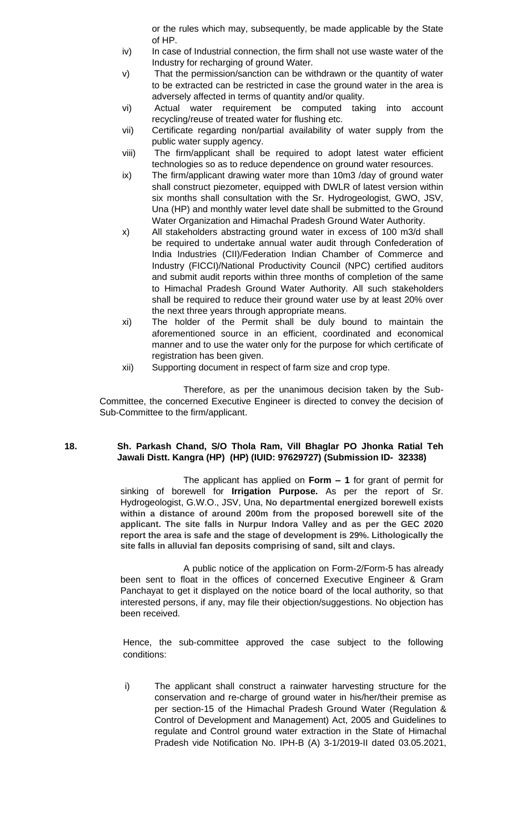or the rules which may, subsequently, be made applicable by the State of HP.

- iv) In case of Industrial connection, the firm shall not use waste water of the Industry for recharging of ground Water.
- v) That the permission/sanction can be withdrawn or the quantity of water to be extracted can be restricted in case the ground water in the area is adversely affected in terms of quantity and/or quality.
- vi) Actual water requirement be computed taking into account recycling/reuse of treated water for flushing etc.
- vii) Certificate regarding non/partial availability of water supply from the public water supply agency.
- viii) The firm/applicant shall be required to adopt latest water efficient technologies so as to reduce dependence on ground water resources.
- ix) The firm/applicant drawing water more than 10m3 /day of ground water shall construct piezometer, equipped with DWLR of latest version within six months shall consultation with the Sr. Hydrogeologist, GWO, JSV, Una (HP) and monthly water level date shall be submitted to the Ground Water Organization and Himachal Pradesh Ground Water Authority.
- x) All stakeholders abstracting ground water in excess of 100 m3/d shall be required to undertake annual water audit through Confederation of India Industries (CII)/Federation Indian Chamber of Commerce and Industry (FICCI)/National Productivity Council (NPC) certified auditors and submit audit reports within three months of completion of the same to Himachal Pradesh Ground Water Authority. All such stakeholders shall be required to reduce their ground water use by at least 20% over the next three years through appropriate means.
- xi) The holder of the Permit shall be duly bound to maintain the aforementioned source in an efficient, coordinated and economical manner and to use the water only for the purpose for which certificate of registration has been given.
- xii) Supporting document in respect of farm size and crop type.

Therefore, as per the unanimous decision taken by the Sub-Committee, the concerned Executive Engineer is directed to convey the decision of Sub-Committee to the firm/applicant.

## **18. Sh. Parkash Chand, S/O Thola Ram, Vill Bhaglar PO Jhonka Ratial Teh Jawali Distt. Kangra (HP) (HP) (IUID: 97629727) (Submission ID- 32338)**

The applicant has applied on **Form – 1** for grant of permit for sinking of borewell for **Irrigation Purpose.** As per the report of Sr. Hydrogeologist, G.W.O., JSV, Una, **No departmental energized borewell exists within a distance of around 200m from the proposed borewell site of the applicant. The site falls in Nurpur Indora Valley and as per the GEC 2020 report the area is safe and the stage of development is 29%. Lithologically the site falls in alluvial fan deposits comprising of sand, silt and clays.**

A public notice of the application on Form-2/Form-5 has already been sent to float in the offices of concerned Executive Engineer & Gram Panchayat to get it displayed on the notice board of the local authority, so that interested persons, if any, may file their objection/suggestions. No objection has been received.

Hence, the sub-committee approved the case subject to the following conditions:

i) The applicant shall construct a rainwater harvesting structure for the conservation and re-charge of ground water in his/her/their premise as per section-15 of the Himachal Pradesh Ground Water (Regulation & Control of Development and Management) Act, 2005 and Guidelines to regulate and Control ground water extraction in the State of Himachal Pradesh vide Notification No. IPH-B (A) 3-1/2019-II dated 03.05.2021,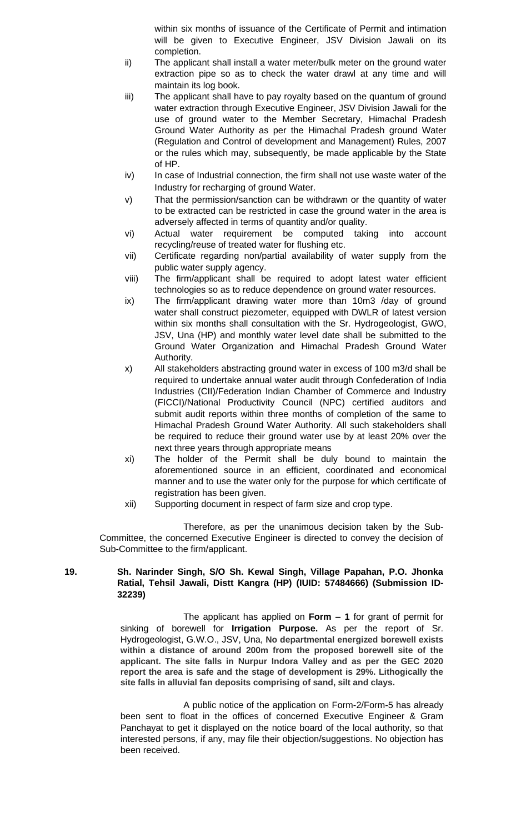within six months of issuance of the Certificate of Permit and intimation will be given to Executive Engineer, JSV Division Jawali on its completion.

- ii) The applicant shall install a water meter/bulk meter on the ground water extraction pipe so as to check the water drawl at any time and will maintain its log book.
- iii) The applicant shall have to pay royalty based on the quantum of ground water extraction through Executive Engineer, JSV Division Jawali for the use of ground water to the Member Secretary, Himachal Pradesh Ground Water Authority as per the Himachal Pradesh ground Water (Regulation and Control of development and Management) Rules, 2007 or the rules which may, subsequently, be made applicable by the State of HP.
- iv) In case of Industrial connection, the firm shall not use waste water of the Industry for recharging of ground Water.
- v) That the permission/sanction can be withdrawn or the quantity of water to be extracted can be restricted in case the ground water in the area is adversely affected in terms of quantity and/or quality.
- vi) Actual water requirement be computed taking into account recycling/reuse of treated water for flushing etc.
- vii) Certificate regarding non/partial availability of water supply from the public water supply agency.
- viii) The firm/applicant shall be required to adopt latest water efficient technologies so as to reduce dependence on ground water resources.
- ix) The firm/applicant drawing water more than 10m3 /day of ground water shall construct piezometer, equipped with DWLR of latest version within six months shall consultation with the Sr. Hydrogeologist, GWO, JSV, Una (HP) and monthly water level date shall be submitted to the Ground Water Organization and Himachal Pradesh Ground Water Authority.
- x) All stakeholders abstracting ground water in excess of 100 m3/d shall be required to undertake annual water audit through Confederation of India Industries (CII)/Federation Indian Chamber of Commerce and Industry (FICCI)/National Productivity Council (NPC) certified auditors and submit audit reports within three months of completion of the same to Himachal Pradesh Ground Water Authority. All such stakeholders shall be required to reduce their ground water use by at least 20% over the next three years through appropriate means
- xi) The holder of the Permit shall be duly bound to maintain the aforementioned source in an efficient, coordinated and economical manner and to use the water only for the purpose for which certificate of registration has been given.
- xii) Supporting document in respect of farm size and crop type.

Therefore, as per the unanimous decision taken by the Sub-Committee, the concerned Executive Engineer is directed to convey the decision of Sub-Committee to the firm/applicant.

# **19. Sh. Narinder Singh, S/O Sh. Kewal Singh, Village Papahan, P.O. Jhonka Ratial, Tehsil Jawali, Distt Kangra (HP) (IUID: 57484666) (Submission ID-32239)**

The applicant has applied on **Form – 1** for grant of permit for sinking of borewell for **Irrigation Purpose.** As per the report of Sr. Hydrogeologist, G.W.O., JSV, Una, **No departmental energized borewell exists within a distance of around 200m from the proposed borewell site of the applicant. The site falls in Nurpur Indora Valley and as per the GEC 2020 report the area is safe and the stage of development is 29%. Lithogically the site falls in alluvial fan deposits comprising of sand, silt and clays.**

A public notice of the application on Form-2/Form-5 has already been sent to float in the offices of concerned Executive Engineer & Gram Panchayat to get it displayed on the notice board of the local authority, so that interested persons, if any, may file their objection/suggestions. No objection has been received.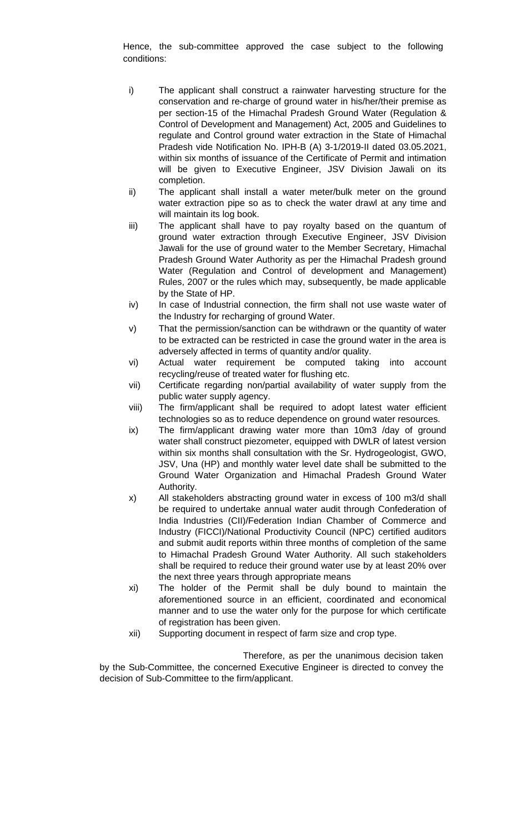Hence, the sub-committee approved the case subject to the following conditions:

- i) The applicant shall construct a rainwater harvesting structure for the conservation and re-charge of ground water in his/her/their premise as per section-15 of the Himachal Pradesh Ground Water (Regulation & Control of Development and Management) Act, 2005 and Guidelines to regulate and Control ground water extraction in the State of Himachal Pradesh vide Notification No. IPH-B (A) 3-1/2019-II dated 03.05.2021, within six months of issuance of the Certificate of Permit and intimation will be given to Executive Engineer, JSV Division Jawali on its completion.
- ii) The applicant shall install a water meter/bulk meter on the ground water extraction pipe so as to check the water drawl at any time and will maintain its log book.
- iii) The applicant shall have to pay royalty based on the quantum of ground water extraction through Executive Engineer, JSV Division Jawali for the use of ground water to the Member Secretary, Himachal Pradesh Ground Water Authority as per the Himachal Pradesh ground Water (Regulation and Control of development and Management) Rules, 2007 or the rules which may, subsequently, be made applicable by the State of HP.
- iv) In case of Industrial connection, the firm shall not use waste water of the Industry for recharging of ground Water.
- v) That the permission/sanction can be withdrawn or the quantity of water to be extracted can be restricted in case the ground water in the area is adversely affected in terms of quantity and/or quality.
- vi) Actual water requirement be computed taking into account recycling/reuse of treated water for flushing etc.
- vii) Certificate regarding non/partial availability of water supply from the public water supply agency.
- viii) The firm/applicant shall be required to adopt latest water efficient technologies so as to reduce dependence on ground water resources.
- ix) The firm/applicant drawing water more than 10m3 /day of ground water shall construct piezometer, equipped with DWLR of latest version within six months shall consultation with the Sr. Hydrogeologist, GWO, JSV, Una (HP) and monthly water level date shall be submitted to the Ground Water Organization and Himachal Pradesh Ground Water Authority.
- x) All stakeholders abstracting ground water in excess of 100 m3/d shall be required to undertake annual water audit through Confederation of India Industries (CII)/Federation Indian Chamber of Commerce and Industry (FICCI)/National Productivity Council (NPC) certified auditors and submit audit reports within three months of completion of the same to Himachal Pradesh Ground Water Authority. All such stakeholders shall be required to reduce their ground water use by at least 20% over the next three years through appropriate means
- xi) The holder of the Permit shall be duly bound to maintain the aforementioned source in an efficient, coordinated and economical manner and to use the water only for the purpose for which certificate of registration has been given.
- xii) Supporting document in respect of farm size and crop type.

Therefore, as per the unanimous decision taken by the Sub-Committee, the concerned Executive Engineer is directed to convey the decision of Sub-Committee to the firm/applicant.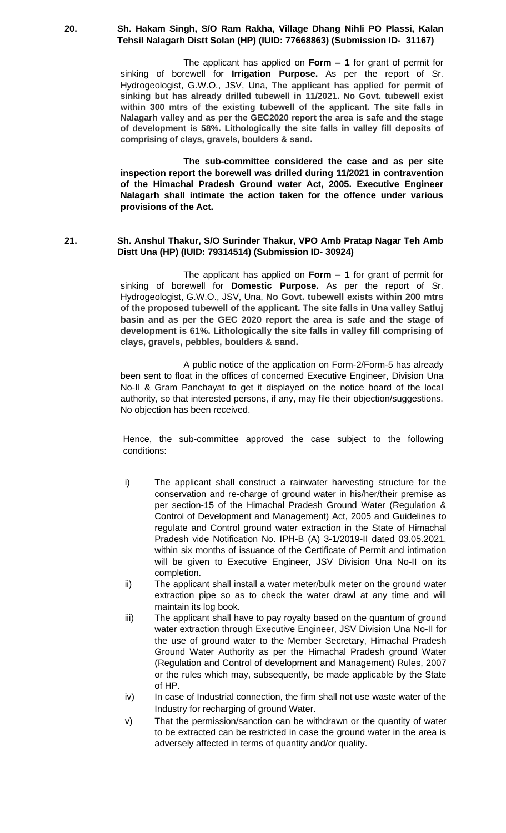#### **20. Sh. Hakam Singh, S/O Ram Rakha, Village Dhang Nihli PO Plassi, Kalan Tehsil Nalagarh Distt Solan (HP) (IUID: 77668863) (Submission ID- 31167)**

The applicant has applied on **Form – 1** for grant of permit for sinking of borewell for **Irrigation Purpose.** As per the report of Sr. Hydrogeologist, G.W.O., JSV, Una, **The applicant has applied for permit of sinking but has already drilled tubewell in 11/2021. No Govt. tubewell exist within 300 mtrs of the existing tubewell of the applicant. The site falls in Nalagarh valley and as per the GEC2020 report the area is safe and the stage of development is 58%. Lithologically the site falls in valley fill deposits of comprising of clays, gravels, boulders & sand.**

**The sub-committee considered the case and as per site inspection report the borewell was drilled during 11/2021 in contravention of the Himachal Pradesh Ground water Act, 2005. Executive Engineer Nalagarh shall intimate the action taken for the offence under various provisions of the Act.**

#### **21. Sh. Anshul Thakur, S/O Surinder Thakur, VPO Amb Pratap Nagar Teh Amb Distt Una (HP) (IUID: 79314514) (Submission ID- 30924)**

The applicant has applied on **Form – 1** for grant of permit for sinking of borewell for **Domestic Purpose.** As per the report of Sr. Hydrogeologist, G.W.O., JSV, Una, **No Govt. tubewell exists within 200 mtrs of the proposed tubewell of the applicant. The site falls in Una valley Satluj basin and as per the GEC 2020 report the area is safe and the stage of development is 61%. Lithologically the site falls in valley fill comprising of clays, gravels, pebbles, boulders & sand.**

A public notice of the application on Form-2/Form-5 has already been sent to float in the offices of concerned Executive Engineer, Division Una No-II & Gram Panchayat to get it displayed on the notice board of the local authority, so that interested persons, if any, may file their objection/suggestions. No objection has been received.

- i) The applicant shall construct a rainwater harvesting structure for the conservation and re-charge of ground water in his/her/their premise as per section-15 of the Himachal Pradesh Ground Water (Regulation & Control of Development and Management) Act, 2005 and Guidelines to regulate and Control ground water extraction in the State of Himachal Pradesh vide Notification No. IPH-B (A) 3-1/2019-II dated 03.05.2021, within six months of issuance of the Certificate of Permit and intimation will be given to Executive Engineer, JSV Division Una No-II on its completion.
- ii) The applicant shall install a water meter/bulk meter on the ground water extraction pipe so as to check the water drawl at any time and will maintain its log book.
- iii) The applicant shall have to pay royalty based on the quantum of ground water extraction through Executive Engineer, JSV Division Una No-II for the use of ground water to the Member Secretary, Himachal Pradesh Ground Water Authority as per the Himachal Pradesh ground Water (Regulation and Control of development and Management) Rules, 2007 or the rules which may, subsequently, be made applicable by the State of HP.
- iv) In case of Industrial connection, the firm shall not use waste water of the Industry for recharging of ground Water.
- v) That the permission/sanction can be withdrawn or the quantity of water to be extracted can be restricted in case the ground water in the area is adversely affected in terms of quantity and/or quality.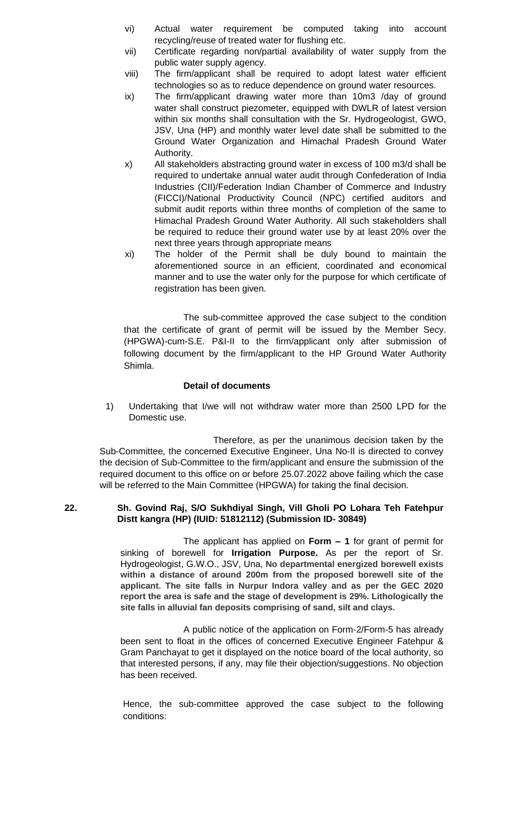- vi) Actual water requirement be computed taking into account recycling/reuse of treated water for flushing etc.
- vii) Certificate regarding non/partial availability of water supply from the public water supply agency.
- viii) The firm/applicant shall be required to adopt latest water efficient technologies so as to reduce dependence on ground water resources.
- ix) The firm/applicant drawing water more than 10m3 /day of ground water shall construct piezometer, equipped with DWLR of latest version within six months shall consultation with the Sr. Hydrogeologist, GWO, JSV, Una (HP) and monthly water level date shall be submitted to the Ground Water Organization and Himachal Pradesh Ground Water Authority.
- x) All stakeholders abstracting ground water in excess of 100 m3/d shall be required to undertake annual water audit through Confederation of India Industries (CII)/Federation Indian Chamber of Commerce and Industry (FICCI)/National Productivity Council (NPC) certified auditors and submit audit reports within three months of completion of the same to Himachal Pradesh Ground Water Authority. All such stakeholders shall be required to reduce their ground water use by at least 20% over the next three years through appropriate means
- xi) The holder of the Permit shall be duly bound to maintain the aforementioned source in an efficient, coordinated and economical manner and to use the water only for the purpose for which certificate of registration has been given.

The sub-committee approved the case subject to the condition that the certificate of grant of permit will be issued by the Member Secy. (HPGWA)-cum-S.E. P&I-II to the firm/applicant only after submission of following document by the firm/applicant to the HP Ground Water Authority Shimla.

# **Detail of documents**

1) Undertaking that I/we will not withdraw water more than 2500 LPD for the Domestic use.

Therefore, as per the unanimous decision taken by the Sub-Committee, the concerned Executive Engineer, Una No-II is directed to convey the decision of Sub-Committee to the firm/applicant and ensure the submission of the required document to this office on or before 25.07.2022 above failing which the case will be referred to the Main Committee (HPGWA) for taking the final decision.

## **22. Sh. Govind Raj, S/O Sukhdiyal Singh, Vill Gholi PO Lohara Teh Fatehpur Distt kangra (HP) (IUID: 51812112) (Submission ID- 30849)**

The applicant has applied on **Form – 1** for grant of permit for sinking of borewell for **Irrigation Purpose.** As per the report of Sr. Hydrogeologist, G.W.O., JSV, Una, **No departmental energized borewell exists within a distance of around 200m from the proposed borewell site of the applicant. The site falls in Nurpur Indora valley and as per the GEC 2020 report the area is safe and the stage of development is 29%. Lithologically the site falls in alluvial fan deposits comprising of sand, silt and clays.**

A public notice of the application on Form-2/Form-5 has already been sent to float in the offices of concerned Executive Engineer Fatehpur & Gram Panchayat to get it displayed on the notice board of the local authority, so that interested persons, if any, may file their objection/suggestions. No objection has been received.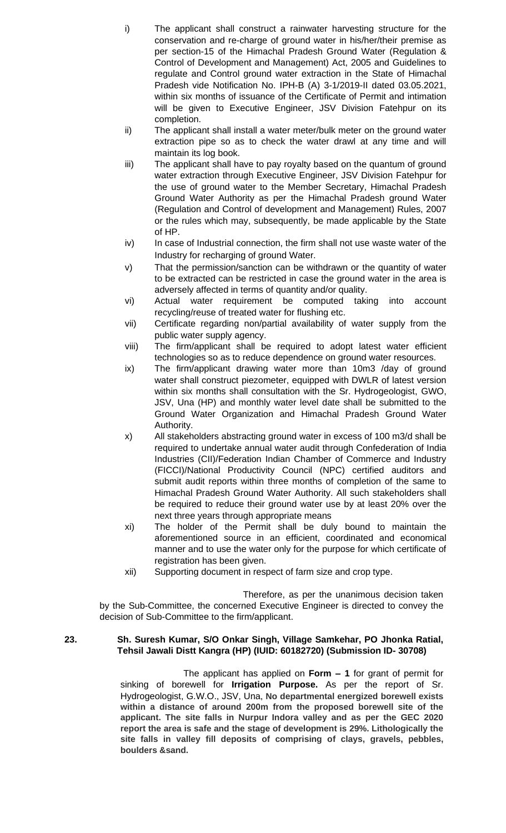- i) The applicant shall construct a rainwater harvesting structure for the conservation and re-charge of ground water in his/her/their premise as per section-15 of the Himachal Pradesh Ground Water (Regulation & Control of Development and Management) Act, 2005 and Guidelines to regulate and Control ground water extraction in the State of Himachal Pradesh vide Notification No. IPH-B (A) 3-1/2019-II dated 03.05.2021, within six months of issuance of the Certificate of Permit and intimation will be given to Executive Engineer, JSV Division Fatehpur on its completion.
- ii) The applicant shall install a water meter/bulk meter on the ground water extraction pipe so as to check the water drawl at any time and will maintain its log book.
- iii) The applicant shall have to pay royalty based on the quantum of ground water extraction through Executive Engineer, JSV Division Fatehpur for the use of ground water to the Member Secretary, Himachal Pradesh Ground Water Authority as per the Himachal Pradesh ground Water (Regulation and Control of development and Management) Rules, 2007 or the rules which may, subsequently, be made applicable by the State of HP.
- iv) In case of Industrial connection, the firm shall not use waste water of the Industry for recharging of ground Water.
- v) That the permission/sanction can be withdrawn or the quantity of water to be extracted can be restricted in case the ground water in the area is adversely affected in terms of quantity and/or quality.
- vi) Actual water requirement be computed taking into account recycling/reuse of treated water for flushing etc.
- vii) Certificate regarding non/partial availability of water supply from the public water supply agency.
- viii) The firm/applicant shall be required to adopt latest water efficient technologies so as to reduce dependence on ground water resources.
- ix) The firm/applicant drawing water more than 10m3 /day of ground water shall construct piezometer, equipped with DWLR of latest version within six months shall consultation with the Sr. Hydrogeologist, GWO, JSV, Una (HP) and monthly water level date shall be submitted to the Ground Water Organization and Himachal Pradesh Ground Water Authority.
- x) All stakeholders abstracting ground water in excess of 100 m3/d shall be required to undertake annual water audit through Confederation of India Industries (CII)/Federation Indian Chamber of Commerce and Industry (FICCI)/National Productivity Council (NPC) certified auditors and submit audit reports within three months of completion of the same to Himachal Pradesh Ground Water Authority. All such stakeholders shall be required to reduce their ground water use by at least 20% over the next three years through appropriate means
- xi) The holder of the Permit shall be duly bound to maintain the aforementioned source in an efficient, coordinated and economical manner and to use the water only for the purpose for which certificate of registration has been given.
- xii) Supporting document in respect of farm size and crop type.

# **23. Sh. Suresh Kumar, S/O Onkar Singh, Village Samkehar, PO Jhonka Ratial, Tehsil Jawali Distt Kangra (HP) (IUID: 60182720) (Submission ID- 30708)**

The applicant has applied on **Form – 1** for grant of permit for sinking of borewell for **Irrigation Purpose.** As per the report of Sr. Hydrogeologist, G.W.O., JSV, Una, **No departmental energized borewell exists within a distance of around 200m from the proposed borewell site of the applicant. The site falls in Nurpur Indora valley and as per the GEC 2020 report the area is safe and the stage of development is 29%. Lithologically the site falls in valley fill deposits of comprising of clays, gravels, pebbles, boulders &sand.**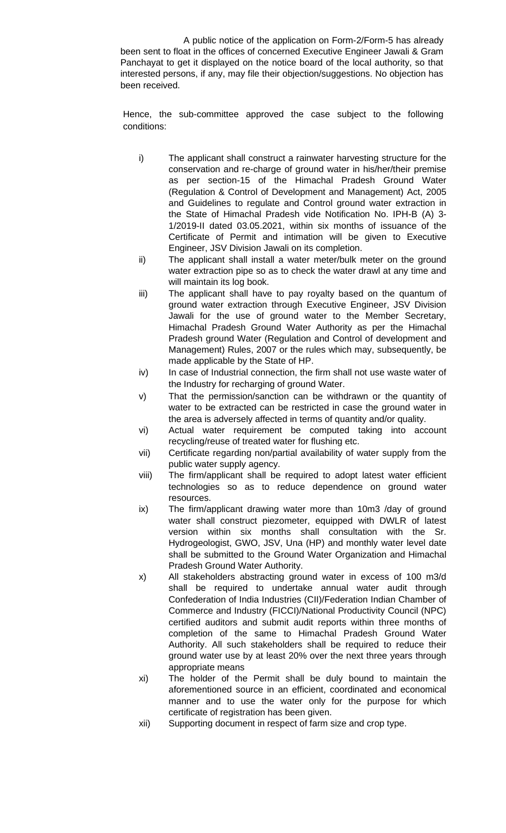A public notice of the application on Form-2/Form-5 has already been sent to float in the offices of concerned Executive Engineer Jawali & Gram Panchayat to get it displayed on the notice board of the local authority, so that interested persons, if any, may file their objection/suggestions. No objection has been received.

- i) The applicant shall construct a rainwater harvesting structure for the conservation and re-charge of ground water in his/her/their premise as per section-15 of the Himachal Pradesh Ground Water (Regulation & Control of Development and Management) Act, 2005 and Guidelines to regulate and Control ground water extraction in the State of Himachal Pradesh vide Notification No. IPH-B (A) 3- 1/2019-II dated 03.05.2021, within six months of issuance of the Certificate of Permit and intimation will be given to Executive Engineer, JSV Division Jawali on its completion.
- ii) The applicant shall install a water meter/bulk meter on the ground water extraction pipe so as to check the water drawl at any time and will maintain its log book.
- iii) The applicant shall have to pay royalty based on the quantum of ground water extraction through Executive Engineer, JSV Division Jawali for the use of ground water to the Member Secretary, Himachal Pradesh Ground Water Authority as per the Himachal Pradesh ground Water (Regulation and Control of development and Management) Rules, 2007 or the rules which may, subsequently, be made applicable by the State of HP.
- iv) In case of Industrial connection, the firm shall not use waste water of the Industry for recharging of ground Water.
- v) That the permission/sanction can be withdrawn or the quantity of water to be extracted can be restricted in case the ground water in the area is adversely affected in terms of quantity and/or quality.
- vi) Actual water requirement be computed taking into account recycling/reuse of treated water for flushing etc.
- vii) Certificate regarding non/partial availability of water supply from the public water supply agency.
- viii) The firm/applicant shall be required to adopt latest water efficient technologies so as to reduce dependence on ground water resources.
- ix) The firm/applicant drawing water more than 10m3 /day of ground water shall construct piezometer, equipped with DWLR of latest version within six months shall consultation with the Sr. Hydrogeologist, GWO, JSV, Una (HP) and monthly water level date shall be submitted to the Ground Water Organization and Himachal Pradesh Ground Water Authority.
- x) All stakeholders abstracting ground water in excess of 100 m3/d shall be required to undertake annual water audit through Confederation of India Industries (CII)/Federation Indian Chamber of Commerce and Industry (FICCI)/National Productivity Council (NPC) certified auditors and submit audit reports within three months of completion of the same to Himachal Pradesh Ground Water Authority. All such stakeholders shall be required to reduce their ground water use by at least 20% over the next three years through appropriate means
- xi) The holder of the Permit shall be duly bound to maintain the aforementioned source in an efficient, coordinated and economical manner and to use the water only for the purpose for which certificate of registration has been given.
- xii) Supporting document in respect of farm size and crop type.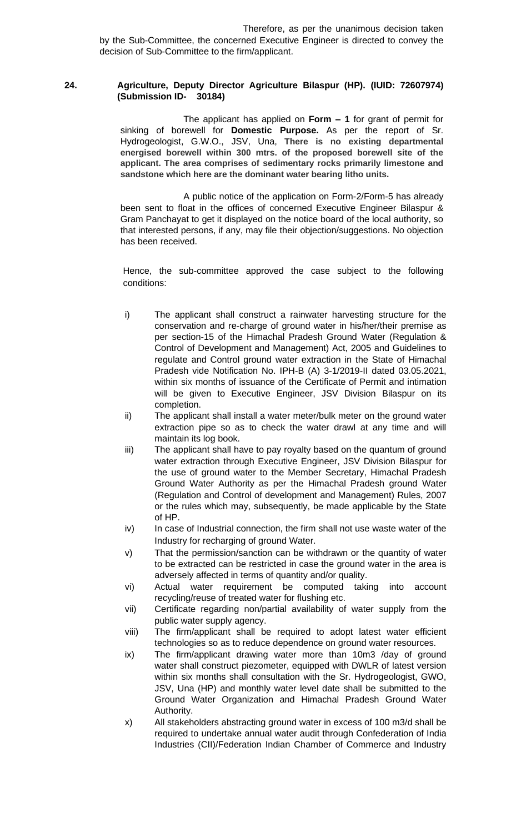## **24. Agriculture, Deputy Director Agriculture Bilaspur (HP). (IUID: 72607974) (Submission ID- 30184)**

The applicant has applied on **Form – 1** for grant of permit for sinking of borewell for **Domestic Purpose.** As per the report of Sr. Hydrogeologist, G.W.O., JSV, Una, **There is no existing departmental energised borewell within 300 mtrs. of the proposed borewell site of the applicant. The area comprises of sedimentary rocks primarily limestone and sandstone which here are the dominant water bearing litho units.**

A public notice of the application on Form-2/Form-5 has already been sent to float in the offices of concerned Executive Engineer Bilaspur & Gram Panchayat to get it displayed on the notice board of the local authority, so that interested persons, if any, may file their objection/suggestions. No objection has been received.

- i) The applicant shall construct a rainwater harvesting structure for the conservation and re-charge of ground water in his/her/their premise as per section-15 of the Himachal Pradesh Ground Water (Regulation & Control of Development and Management) Act, 2005 and Guidelines to regulate and Control ground water extraction in the State of Himachal Pradesh vide Notification No. IPH-B (A) 3-1/2019-II dated 03.05.2021, within six months of issuance of the Certificate of Permit and intimation will be given to Executive Engineer, JSV Division Bilaspur on its completion.
- ii) The applicant shall install a water meter/bulk meter on the ground water extraction pipe so as to check the water drawl at any time and will maintain its log book.
- iii) The applicant shall have to pay royalty based on the quantum of ground water extraction through Executive Engineer, JSV Division Bilaspur for the use of ground water to the Member Secretary, Himachal Pradesh Ground Water Authority as per the Himachal Pradesh ground Water (Regulation and Control of development and Management) Rules, 2007 or the rules which may, subsequently, be made applicable by the State of HP.
- iv) In case of Industrial connection, the firm shall not use waste water of the Industry for recharging of ground Water.
- v) That the permission/sanction can be withdrawn or the quantity of water to be extracted can be restricted in case the ground water in the area is adversely affected in terms of quantity and/or quality.
- vi) Actual water requirement be computed taking into account recycling/reuse of treated water for flushing etc.
- vii) Certificate regarding non/partial availability of water supply from the public water supply agency.
- viii) The firm/applicant shall be required to adopt latest water efficient technologies so as to reduce dependence on ground water resources.
- ix) The firm/applicant drawing water more than 10m3 /day of ground water shall construct piezometer, equipped with DWLR of latest version within six months shall consultation with the Sr. Hydrogeologist, GWO, JSV, Una (HP) and monthly water level date shall be submitted to the Ground Water Organization and Himachal Pradesh Ground Water Authority.
- x) All stakeholders abstracting ground water in excess of 100 m3/d shall be required to undertake annual water audit through Confederation of India Industries (CII)/Federation Indian Chamber of Commerce and Industry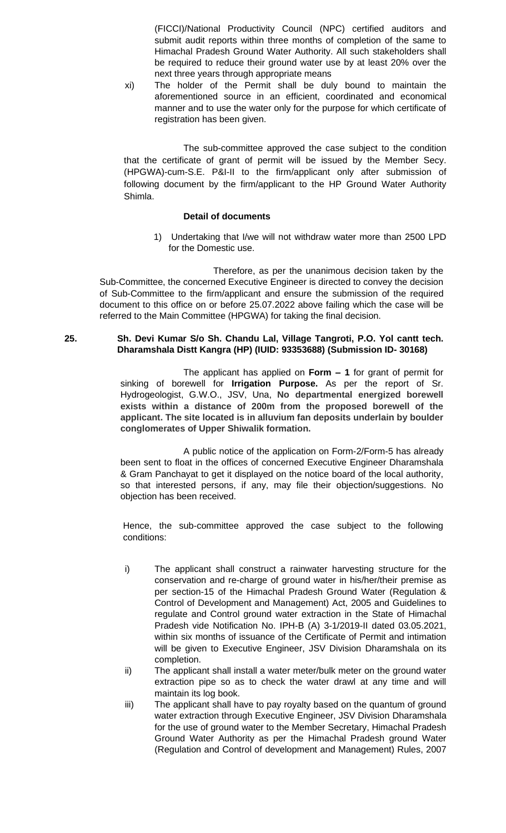(FICCI)/National Productivity Council (NPC) certified auditors and submit audit reports within three months of completion of the same to Himachal Pradesh Ground Water Authority. All such stakeholders shall be required to reduce their ground water use by at least 20% over the next three years through appropriate means

xi) The holder of the Permit shall be duly bound to maintain the aforementioned source in an efficient, coordinated and economical manner and to use the water only for the purpose for which certificate of registration has been given.

The sub-committee approved the case subject to the condition that the certificate of grant of permit will be issued by the Member Secy. (HPGWA)-cum-S.E. P&I-II to the firm/applicant only after submission of following document by the firm/applicant to the HP Ground Water Authority Shimla.

#### **Detail of documents**

1) Undertaking that I/we will not withdraw water more than 2500 LPD for the Domestic use.

Therefore, as per the unanimous decision taken by the Sub-Committee, the concerned Executive Engineer is directed to convey the decision of Sub-Committee to the firm/applicant and ensure the submission of the required document to this office on or before 25.07.2022 above failing which the case will be referred to the Main Committee (HPGWA) for taking the final decision.

# **25. Sh. Devi Kumar S/o Sh. Chandu Lal, Village Tangroti, P.O. Yol cantt tech. Dharamshala Distt Kangra (HP) (IUID: 93353688) (Submission ID- 30168)**

The applicant has applied on **Form – 1** for grant of permit for sinking of borewell for **Irrigation Purpose.** As per the report of Sr. Hydrogeologist, G.W.O., JSV, Una, **No departmental energized borewell exists within a distance of 200m from the proposed borewell of the applicant. The site located is in alluvium fan deposits underlain by boulder conglomerates of Upper Shiwalik formation.**

A public notice of the application on Form-2/Form-5 has already been sent to float in the offices of concerned Executive Engineer Dharamshala & Gram Panchayat to get it displayed on the notice board of the local authority, so that interested persons, if any, may file their objection/suggestions. No objection has been received.

- i) The applicant shall construct a rainwater harvesting structure for the conservation and re-charge of ground water in his/her/their premise as per section-15 of the Himachal Pradesh Ground Water (Regulation & Control of Development and Management) Act, 2005 and Guidelines to regulate and Control ground water extraction in the State of Himachal Pradesh vide Notification No. IPH-B (A) 3-1/2019-II dated 03.05.2021, within six months of issuance of the Certificate of Permit and intimation will be given to Executive Engineer, JSV Division Dharamshala on its completion.
- ii) The applicant shall install a water meter/bulk meter on the ground water extraction pipe so as to check the water drawl at any time and will maintain its log book.
- iii) The applicant shall have to pay royalty based on the quantum of ground water extraction through Executive Engineer, JSV Division Dharamshala for the use of ground water to the Member Secretary, Himachal Pradesh Ground Water Authority as per the Himachal Pradesh ground Water (Regulation and Control of development and Management) Rules, 2007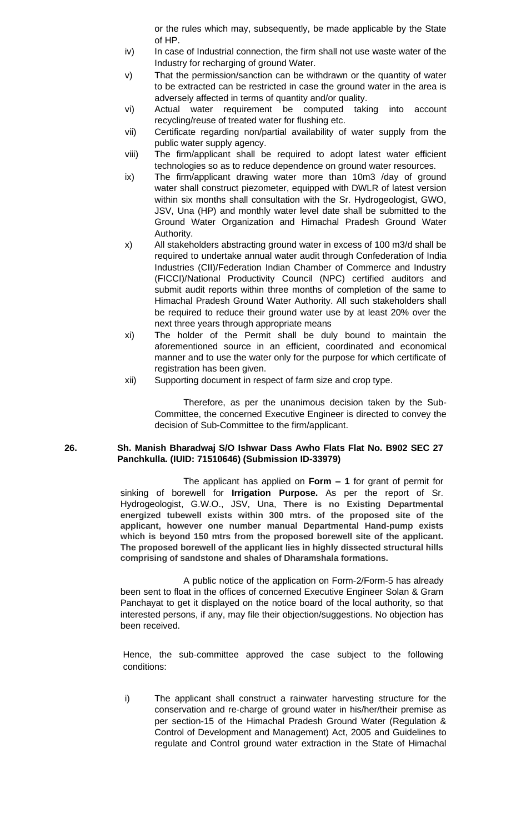or the rules which may, subsequently, be made applicable by the State of HP.

- iv) In case of Industrial connection, the firm shall not use waste water of the Industry for recharging of ground Water.
- v) That the permission/sanction can be withdrawn or the quantity of water to be extracted can be restricted in case the ground water in the area is adversely affected in terms of quantity and/or quality.
- vi) Actual water requirement be computed taking into account recycling/reuse of treated water for flushing etc.
- vii) Certificate regarding non/partial availability of water supply from the public water supply agency.
- viii) The firm/applicant shall be required to adopt latest water efficient technologies so as to reduce dependence on ground water resources.
- ix) The firm/applicant drawing water more than 10m3 /day of ground water shall construct piezometer, equipped with DWLR of latest version within six months shall consultation with the Sr. Hydrogeologist, GWO, JSV, Una (HP) and monthly water level date shall be submitted to the Ground Water Organization and Himachal Pradesh Ground Water Authority.
- x) All stakeholders abstracting ground water in excess of 100 m3/d shall be required to undertake annual water audit through Confederation of India Industries (CII)/Federation Indian Chamber of Commerce and Industry (FICCI)/National Productivity Council (NPC) certified auditors and submit audit reports within three months of completion of the same to Himachal Pradesh Ground Water Authority. All such stakeholders shall be required to reduce their ground water use by at least 20% over the next three years through appropriate means
- xi) The holder of the Permit shall be duly bound to maintain the aforementioned source in an efficient, coordinated and economical manner and to use the water only for the purpose for which certificate of registration has been given.
- xii) Supporting document in respect of farm size and crop type.

Therefore, as per the unanimous decision taken by the Sub-Committee, the concerned Executive Engineer is directed to convey the decision of Sub-Committee to the firm/applicant.

# **26. Sh. Manish Bharadwaj S/O Ishwar Dass Awho Flats Flat No. B902 SEC 27 Panchkulla. (IUID: 71510646) (Submission ID-33979)**

The applicant has applied on **Form – 1** for grant of permit for sinking of borewell for **Irrigation Purpose.** As per the report of Sr. Hydrogeologist, G.W.O., JSV, Una, **There is no Existing Departmental energized tubewell exists within 300 mtrs. of the proposed site of the applicant, however one number manual Departmental Hand-pump exists which is beyond 150 mtrs from the proposed borewell site of the applicant. The proposed borewell of the applicant lies in highly dissected structural hills comprising of sandstone and shales of Dharamshala formations.**

A public notice of the application on Form-2/Form-5 has already been sent to float in the offices of concerned Executive Engineer Solan & Gram Panchayat to get it displayed on the notice board of the local authority, so that interested persons, if any, may file their objection/suggestions. No objection has been received.

Hence, the sub-committee approved the case subject to the following conditions:

i) The applicant shall construct a rainwater harvesting structure for the conservation and re-charge of ground water in his/her/their premise as per section-15 of the Himachal Pradesh Ground Water (Regulation & Control of Development and Management) Act, 2005 and Guidelines to regulate and Control ground water extraction in the State of Himachal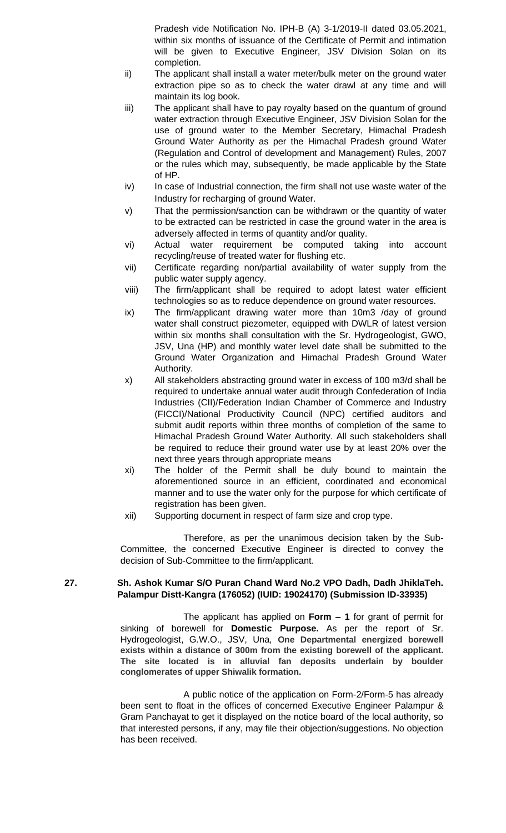Pradesh vide Notification No. IPH-B (A) 3-1/2019-II dated 03.05.2021, within six months of issuance of the Certificate of Permit and intimation will be given to Executive Engineer, JSV Division Solan on its completion.

- ii) The applicant shall install a water meter/bulk meter on the ground water extraction pipe so as to check the water drawl at any time and will maintain its log book.
- iii) The applicant shall have to pay royalty based on the quantum of ground water extraction through Executive Engineer, JSV Division Solan for the use of ground water to the Member Secretary, Himachal Pradesh Ground Water Authority as per the Himachal Pradesh ground Water (Regulation and Control of development and Management) Rules, 2007 or the rules which may, subsequently, be made applicable by the State of HP.
- iv) In case of Industrial connection, the firm shall not use waste water of the Industry for recharging of ground Water.
- v) That the permission/sanction can be withdrawn or the quantity of water to be extracted can be restricted in case the ground water in the area is adversely affected in terms of quantity and/or quality.
- vi) Actual water requirement be computed taking into account recycling/reuse of treated water for flushing etc.
- vii) Certificate regarding non/partial availability of water supply from the public water supply agency.
- viii) The firm/applicant shall be required to adopt latest water efficient technologies so as to reduce dependence on ground water resources.
- ix) The firm/applicant drawing water more than 10m3 /day of ground water shall construct piezometer, equipped with DWLR of latest version within six months shall consultation with the Sr. Hydrogeologist, GWO, JSV, Una (HP) and monthly water level date shall be submitted to the Ground Water Organization and Himachal Pradesh Ground Water Authority.
- x) All stakeholders abstracting ground water in excess of 100 m3/d shall be required to undertake annual water audit through Confederation of India Industries (CII)/Federation Indian Chamber of Commerce and Industry (FICCI)/National Productivity Council (NPC) certified auditors and submit audit reports within three months of completion of the same to Himachal Pradesh Ground Water Authority. All such stakeholders shall be required to reduce their ground water use by at least 20% over the next three years through appropriate means
- xi) The holder of the Permit shall be duly bound to maintain the aforementioned source in an efficient, coordinated and economical manner and to use the water only for the purpose for which certificate of registration has been given.
- xii) Supporting document in respect of farm size and crop type.

Therefore, as per the unanimous decision taken by the Sub-Committee, the concerned Executive Engineer is directed to convey the decision of Sub-Committee to the firm/applicant.

# **27. Sh. Ashok Kumar S/O Puran Chand Ward No.2 VPO Dadh, Dadh JhiklaTeh. Palampur Distt-Kangra (176052) (IUID: 19024170) (Submission ID-33935)**

The applicant has applied on **Form – 1** for grant of permit for sinking of borewell for **Domestic Purpose.** As per the report of Sr. Hydrogeologist, G.W.O., JSV, Una, **One Departmental energized borewell exists within a distance of 300m from the existing borewell of the applicant. The site located is in alluvial fan deposits underlain by boulder conglomerates of upper Shiwalik formation.**

A public notice of the application on Form-2/Form-5 has already been sent to float in the offices of concerned Executive Engineer Palampur & Gram Panchayat to get it displayed on the notice board of the local authority, so that interested persons, if any, may file their objection/suggestions. No objection has been received.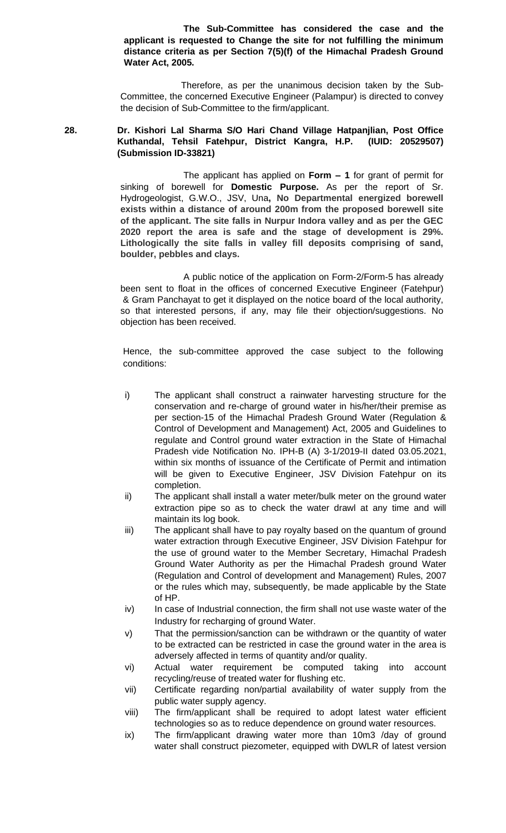**The Sub-Committee has considered the case and the applicant is requested to Change the site for not fulfilling the minimum distance criteria as per Section 7(5)(f) of the Himachal Pradesh Ground Water Act, 2005.**

 Therefore, as per the unanimous decision taken by the Sub-Committee, the concerned Executive Engineer (Palampur) is directed to convey the decision of Sub-Committee to the firm/applicant.

## **28. Dr. Kishori Lal Sharma S/O Hari Chand Village Hatpanjlian, Post Office Kuthandal, Tehsil Fatehpur, District Kangra, H.P. (IUID: 20529507) (Submission ID-33821)**

The applicant has applied on **Form – 1** for grant of permit for sinking of borewell for **Domestic Purpose.** As per the report of Sr. Hydrogeologist, G.W.O., JSV, Una**, No Departmental energized borewell exists within a distance of around 200m from the proposed borewell site of the applicant. The site falls in Nurpur Indora valley and as per the GEC 2020 report the area is safe and the stage of development is 29%. Lithologically the site falls in valley fill deposits comprising of sand, boulder, pebbles and clays.**

A public notice of the application on Form-2/Form-5 has already been sent to float in the offices of concerned Executive Engineer (Fatehpur) & Gram Panchayat to get it displayed on the notice board of the local authority, so that interested persons, if any, may file their objection/suggestions. No objection has been received.

- i) The applicant shall construct a rainwater harvesting structure for the conservation and re-charge of ground water in his/her/their premise as per section-15 of the Himachal Pradesh Ground Water (Regulation & Control of Development and Management) Act, 2005 and Guidelines to regulate and Control ground water extraction in the State of Himachal Pradesh vide Notification No. IPH-B (A) 3-1/2019-II dated 03.05.2021, within six months of issuance of the Certificate of Permit and intimation will be given to Executive Engineer, JSV Division Fatehpur on its completion.
- ii) The applicant shall install a water meter/bulk meter on the ground water extraction pipe so as to check the water drawl at any time and will maintain its log book.
- iii) The applicant shall have to pay royalty based on the quantum of ground water extraction through Executive Engineer, JSV Division Fatehpur for the use of ground water to the Member Secretary, Himachal Pradesh Ground Water Authority as per the Himachal Pradesh ground Water (Regulation and Control of development and Management) Rules, 2007 or the rules which may, subsequently, be made applicable by the State of HP.
- iv) In case of Industrial connection, the firm shall not use waste water of the Industry for recharging of ground Water.
- v) That the permission/sanction can be withdrawn or the quantity of water to be extracted can be restricted in case the ground water in the area is adversely affected in terms of quantity and/or quality.
- vi) Actual water requirement be computed taking into account recycling/reuse of treated water for flushing etc.
- vii) Certificate regarding non/partial availability of water supply from the public water supply agency.
- viii) The firm/applicant shall be required to adopt latest water efficient technologies so as to reduce dependence on ground water resources.
- ix) The firm/applicant drawing water more than 10m3 /day of ground water shall construct piezometer, equipped with DWLR of latest version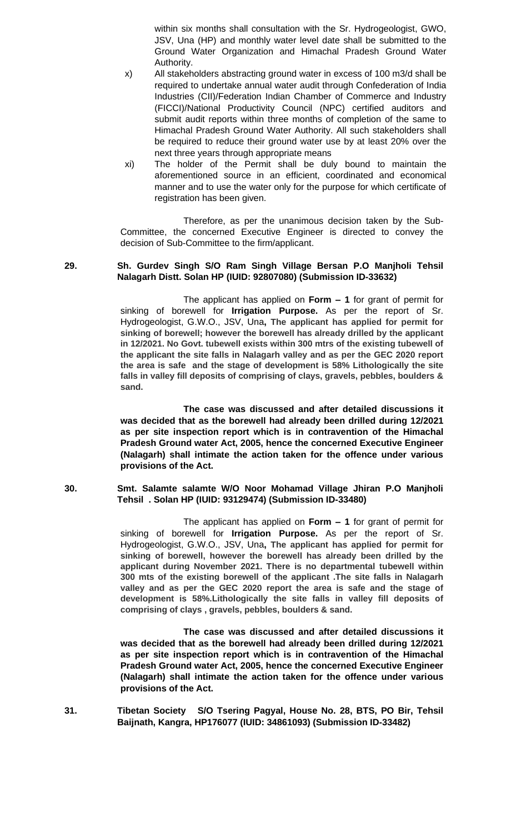within six months shall consultation with the Sr. Hydrogeologist, GWO, JSV, Una (HP) and monthly water level date shall be submitted to the Ground Water Organization and Himachal Pradesh Ground Water Authority.

- x) All stakeholders abstracting ground water in excess of 100 m3/d shall be required to undertake annual water audit through Confederation of India Industries (CII)/Federation Indian Chamber of Commerce and Industry (FICCI)/National Productivity Council (NPC) certified auditors and submit audit reports within three months of completion of the same to Himachal Pradesh Ground Water Authority. All such stakeholders shall be required to reduce their ground water use by at least 20% over the next three years through appropriate means
- xi) The holder of the Permit shall be duly bound to maintain the aforementioned source in an efficient, coordinated and economical manner and to use the water only for the purpose for which certificate of registration has been given.

Therefore, as per the unanimous decision taken by the Sub-Committee, the concerned Executive Engineer is directed to convey the decision of Sub-Committee to the firm/applicant.

# **29. Sh. Gurdev Singh S/O Ram Singh Village Bersan P.O Manjholi Tehsil Nalagarh Distt. Solan HP (IUID: 92807080) (Submission ID-33632)**

The applicant has applied on **Form – 1** for grant of permit for sinking of borewell for **Irrigation Purpose.** As per the report of Sr. Hydrogeologist, G.W.O., JSV, Una**, The applicant has applied for permit for sinking of borewell; however the borewell has already drilled by the applicant in 12/2021. No Govt. tubewell exists within 300 mtrs of the existing tubewell of the applicant the site falls in Nalagarh valley and as per the GEC 2020 report the area is safe and the stage of development is 58% Lithologically the site falls in valley fill deposits of comprising of clays, gravels, pebbles, boulders & sand.**

**The case was discussed and after detailed discussions it was decided that as the borewell had already been drilled during 12/2021 as per site inspection report which is in contravention of the Himachal Pradesh Ground water Act, 2005, hence the concerned Executive Engineer (Nalagarh) shall intimate the action taken for the offence under various provisions of the Act.**

#### **30. Smt. Salamte salamte W/O Noor Mohamad Village Jhiran P.O Manjholi Tehsil . Solan HP (IUID: 93129474) (Submission ID-33480)**

The applicant has applied on **Form – 1** for grant of permit for sinking of borewell for **Irrigation Purpose.** As per the report of Sr. Hydrogeologist, G.W.O., JSV, Una**, The applicant has applied for permit for sinking of borewell, however the borewell has already been drilled by the applicant during November 2021. There is no departmental tubewell within 300 mts of the existing borewell of the applicant .The site falls in Nalagarh valley and as per the GEC 2020 report the area is safe and the stage of development is 58%.Lithologically the site falls in valley fill deposits of comprising of clays , gravels, pebbles, boulders & sand.**

**The case was discussed and after detailed discussions it was decided that as the borewell had already been drilled during 12/2021 as per site inspection report which is in contravention of the Himachal Pradesh Ground water Act, 2005, hence the concerned Executive Engineer (Nalagarh) shall intimate the action taken for the offence under various provisions of the Act.**

**31. Tibetan Society S/O Tsering Pagyal, House No. 28, BTS, PO Bir, Tehsil Baijnath, Kangra, HP176077 (IUID: 34861093) (Submission ID-33482)**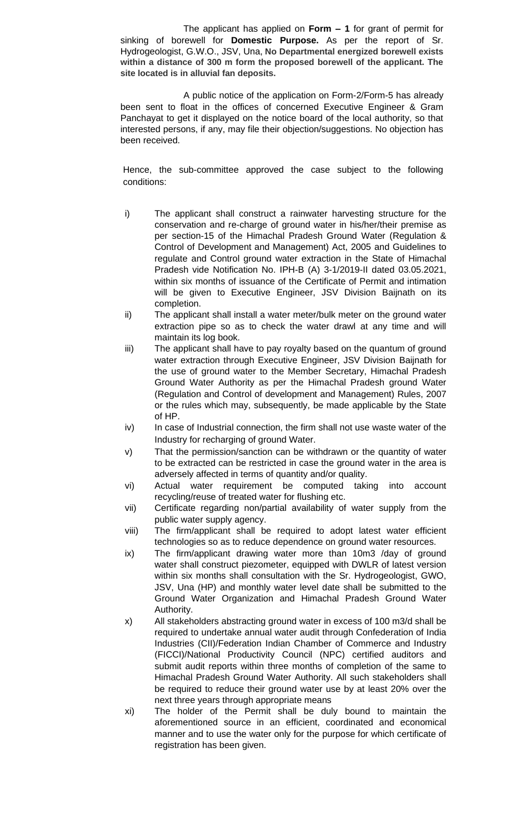The applicant has applied on **Form – 1** for grant of permit for sinking of borewell for **Domestic Purpose.** As per the report of Sr. Hydrogeologist, G.W.O., JSV, Una, **No Departmental energized borewell exists within a distance of 300 m form the proposed borewell of the applicant. The site located is in alluvial fan deposits.**

A public notice of the application on Form-2/Form-5 has already been sent to float in the offices of concerned Executive Engineer & Gram Panchayat to get it displayed on the notice board of the local authority, so that interested persons, if any, may file their objection/suggestions. No objection has been received.

- i) The applicant shall construct a rainwater harvesting structure for the conservation and re-charge of ground water in his/her/their premise as per section-15 of the Himachal Pradesh Ground Water (Regulation & Control of Development and Management) Act, 2005 and Guidelines to regulate and Control ground water extraction in the State of Himachal Pradesh vide Notification No. IPH-B (A) 3-1/2019-II dated 03.05.2021, within six months of issuance of the Certificate of Permit and intimation will be given to Executive Engineer, JSV Division Baijnath on its completion.
- ii) The applicant shall install a water meter/bulk meter on the ground water extraction pipe so as to check the water drawl at any time and will maintain its log book.
- iii) The applicant shall have to pay royalty based on the quantum of ground water extraction through Executive Engineer, JSV Division Baijnath for the use of ground water to the Member Secretary, Himachal Pradesh Ground Water Authority as per the Himachal Pradesh ground Water (Regulation and Control of development and Management) Rules, 2007 or the rules which may, subsequently, be made applicable by the State of HP.
- iv) In case of Industrial connection, the firm shall not use waste water of the Industry for recharging of ground Water.
- v) That the permission/sanction can be withdrawn or the quantity of water to be extracted can be restricted in case the ground water in the area is adversely affected in terms of quantity and/or quality.
- vi) Actual water requirement be computed taking into account recycling/reuse of treated water for flushing etc.
- vii) Certificate regarding non/partial availability of water supply from the public water supply agency.
- viii) The firm/applicant shall be required to adopt latest water efficient technologies so as to reduce dependence on ground water resources.
- ix) The firm/applicant drawing water more than 10m3 /day of ground water shall construct piezometer, equipped with DWLR of latest version within six months shall consultation with the Sr. Hydrogeologist, GWO, JSV, Una (HP) and monthly water level date shall be submitted to the Ground Water Organization and Himachal Pradesh Ground Water Authority.
- x) All stakeholders abstracting ground water in excess of 100 m3/d shall be required to undertake annual water audit through Confederation of India Industries (CII)/Federation Indian Chamber of Commerce and Industry (FICCI)/National Productivity Council (NPC) certified auditors and submit audit reports within three months of completion of the same to Himachal Pradesh Ground Water Authority. All such stakeholders shall be required to reduce their ground water use by at least 20% over the next three years through appropriate means
- xi) The holder of the Permit shall be duly bound to maintain the aforementioned source in an efficient, coordinated and economical manner and to use the water only for the purpose for which certificate of registration has been given.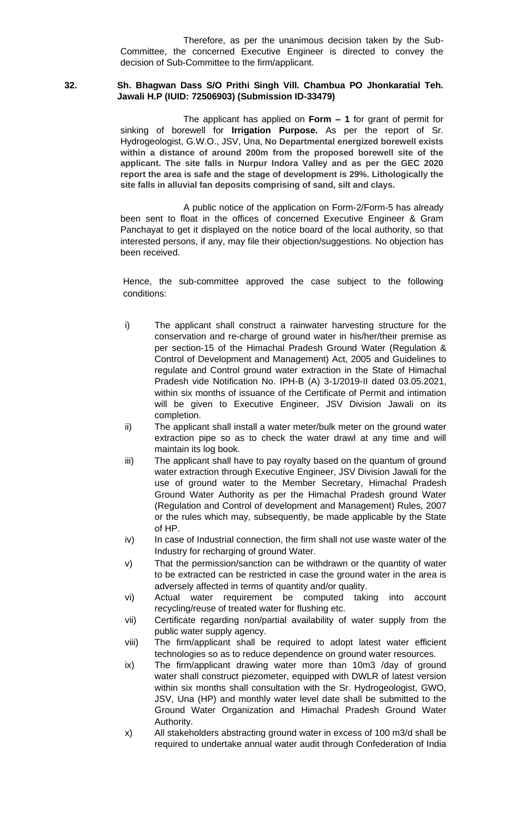#### **32. Sh. Bhagwan Dass S/O Prithi Singh Vill. Chambua PO Jhonkaratial Teh. Jawali H.P (IUID: 72506903) (Submission ID-33479)**

The applicant has applied on **Form – 1** for grant of permit for sinking of borewell for **Irrigation Purpose.** As per the report of Sr. Hydrogeologist, G.W.O., JSV, Una, **No Departmental energized borewell exists within a distance of around 200m from the proposed borewell site of the applicant. The site falls in Nurpur Indora Valley and as per the GEC 2020 report the area is safe and the stage of development is 29%. Lithologically the site falls in alluvial fan deposits comprising of sand, silt and clays.**

A public notice of the application on Form-2/Form-5 has already been sent to float in the offices of concerned Executive Engineer & Gram Panchayat to get it displayed on the notice board of the local authority, so that interested persons, if any, may file their objection/suggestions. No objection has been received.

- i) The applicant shall construct a rainwater harvesting structure for the conservation and re-charge of ground water in his/her/their premise as per section-15 of the Himachal Pradesh Ground Water (Regulation & Control of Development and Management) Act, 2005 and Guidelines to regulate and Control ground water extraction in the State of Himachal Pradesh vide Notification No. IPH-B (A) 3-1/2019-II dated 03.05.2021, within six months of issuance of the Certificate of Permit and intimation will be given to Executive Engineer, JSV Division Jawali on its completion.
- ii) The applicant shall install a water meter/bulk meter on the ground water extraction pipe so as to check the water drawl at any time and will maintain its log book.
- iii) The applicant shall have to pay royalty based on the quantum of ground water extraction through Executive Engineer, JSV Division Jawali for the use of ground water to the Member Secretary, Himachal Pradesh Ground Water Authority as per the Himachal Pradesh ground Water (Regulation and Control of development and Management) Rules, 2007 or the rules which may, subsequently, be made applicable by the State of HP.
- iv) In case of Industrial connection, the firm shall not use waste water of the Industry for recharging of ground Water.
- v) That the permission/sanction can be withdrawn or the quantity of water to be extracted can be restricted in case the ground water in the area is adversely affected in terms of quantity and/or quality.
- vi) Actual water requirement be computed taking into account recycling/reuse of treated water for flushing etc.
- vii) Certificate regarding non/partial availability of water supply from the public water supply agency.
- viii) The firm/applicant shall be required to adopt latest water efficient technologies so as to reduce dependence on ground water resources.
- ix) The firm/applicant drawing water more than 10m3 /day of ground water shall construct piezometer, equipped with DWLR of latest version within six months shall consultation with the Sr. Hydrogeologist, GWO, JSV, Una (HP) and monthly water level date shall be submitted to the Ground Water Organization and Himachal Pradesh Ground Water Authority.
- x) All stakeholders abstracting ground water in excess of 100 m3/d shall be required to undertake annual water audit through Confederation of India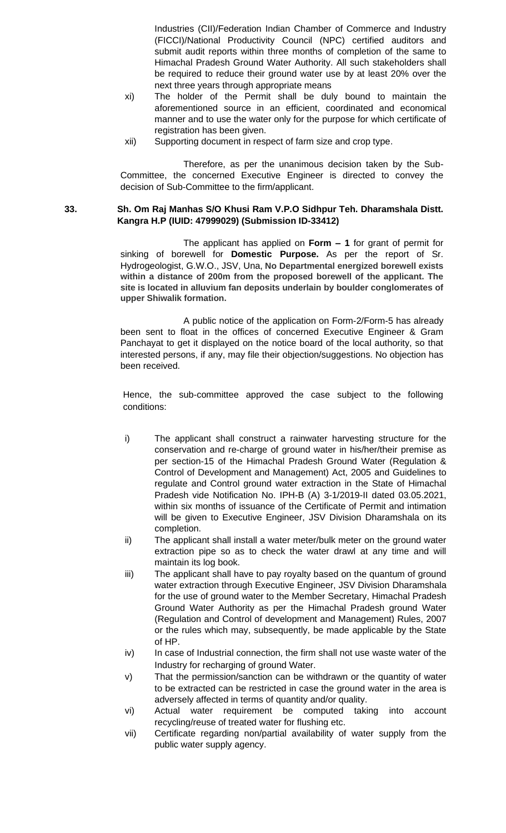Industries (CII)/Federation Indian Chamber of Commerce and Industry (FICCI)/National Productivity Council (NPC) certified auditors and submit audit reports within three months of completion of the same to Himachal Pradesh Ground Water Authority. All such stakeholders shall be required to reduce their ground water use by at least 20% over the next three years through appropriate means

- xi) The holder of the Permit shall be duly bound to maintain the aforementioned source in an efficient, coordinated and economical manner and to use the water only for the purpose for which certificate of registration has been given.
- xii) Supporting document in respect of farm size and crop type.

Therefore, as per the unanimous decision taken by the Sub-Committee, the concerned Executive Engineer is directed to convey the decision of Sub-Committee to the firm/applicant.

# **33. Sh. Om Raj Manhas S/O Khusi Ram V.P.O Sidhpur Teh. Dharamshala Distt. Kangra H.P (IUID: 47999029) (Submission ID-33412)**

The applicant has applied on **Form – 1** for grant of permit for sinking of borewell for **Domestic Purpose.** As per the report of Sr. Hydrogeologist, G.W.O., JSV, Una, **No Departmental energized borewell exists within a distance of 200m from the proposed borewell of the applicant. The site is located in alluvium fan deposits underlain by boulder conglomerates of upper Shiwalik formation.**

A public notice of the application on Form-2/Form-5 has already been sent to float in the offices of concerned Executive Engineer & Gram Panchayat to get it displayed on the notice board of the local authority, so that interested persons, if any, may file their objection/suggestions. No objection has been received.

- i) The applicant shall construct a rainwater harvesting structure for the conservation and re-charge of ground water in his/her/their premise as per section-15 of the Himachal Pradesh Ground Water (Regulation & Control of Development and Management) Act, 2005 and Guidelines to regulate and Control ground water extraction in the State of Himachal Pradesh vide Notification No. IPH-B (A) 3-1/2019-II dated 03.05.2021, within six months of issuance of the Certificate of Permit and intimation will be given to Executive Engineer, JSV Division Dharamshala on its completion.
- ii) The applicant shall install a water meter/bulk meter on the ground water extraction pipe so as to check the water drawl at any time and will maintain its log book.
- iii) The applicant shall have to pay royalty based on the quantum of ground water extraction through Executive Engineer, JSV Division Dharamshala for the use of ground water to the Member Secretary, Himachal Pradesh Ground Water Authority as per the Himachal Pradesh ground Water (Regulation and Control of development and Management) Rules, 2007 or the rules which may, subsequently, be made applicable by the State of HP.
- iv) In case of Industrial connection, the firm shall not use waste water of the Industry for recharging of ground Water.
- v) That the permission/sanction can be withdrawn or the quantity of water to be extracted can be restricted in case the ground water in the area is adversely affected in terms of quantity and/or quality.
- vi) Actual water requirement be computed taking into account recycling/reuse of treated water for flushing etc.
- vii) Certificate regarding non/partial availability of water supply from the public water supply agency.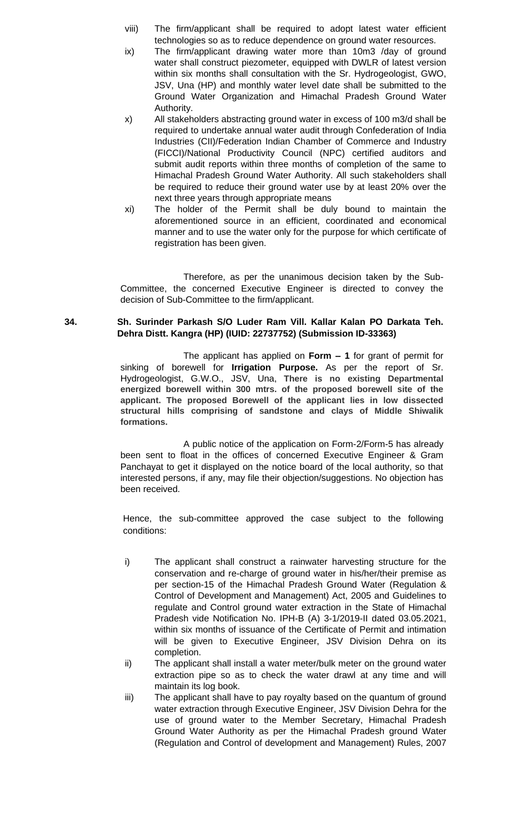- viii) The firm/applicant shall be required to adopt latest water efficient technologies so as to reduce dependence on ground water resources.
- ix) The firm/applicant drawing water more than 10m3 /day of ground water shall construct piezometer, equipped with DWLR of latest version within six months shall consultation with the Sr. Hydrogeologist, GWO, JSV, Una (HP) and monthly water level date shall be submitted to the Ground Water Organization and Himachal Pradesh Ground Water Authority.
- x) All stakeholders abstracting ground water in excess of 100 m3/d shall be required to undertake annual water audit through Confederation of India Industries (CII)/Federation Indian Chamber of Commerce and Industry (FICCI)/National Productivity Council (NPC) certified auditors and submit audit reports within three months of completion of the same to Himachal Pradesh Ground Water Authority. All such stakeholders shall be required to reduce their ground water use by at least 20% over the next three years through appropriate means
- xi) The holder of the Permit shall be duly bound to maintain the aforementioned source in an efficient, coordinated and economical manner and to use the water only for the purpose for which certificate of registration has been given.

## **34. Sh. Surinder Parkash S/O Luder Ram Vill. Kallar Kalan PO Darkata Teh. Dehra Distt. Kangra (HP) (IUID: 22737752) (Submission ID-33363)**

The applicant has applied on **Form – 1** for grant of permit for sinking of borewell for **Irrigation Purpose.** As per the report of Sr. Hydrogeologist, G.W.O., JSV, Una, **There is no existing Departmental energized borewell within 300 mtrs. of the proposed borewell site of the applicant. The proposed Borewell of the applicant lies in low dissected structural hills comprising of sandstone and clays of Middle Shiwalik formations.**

A public notice of the application on Form-2/Form-5 has already been sent to float in the offices of concerned Executive Engineer & Gram Panchayat to get it displayed on the notice board of the local authority, so that interested persons, if any, may file their objection/suggestions. No objection has been received.

- i) The applicant shall construct a rainwater harvesting structure for the conservation and re-charge of ground water in his/her/their premise as per section-15 of the Himachal Pradesh Ground Water (Regulation & Control of Development and Management) Act, 2005 and Guidelines to regulate and Control ground water extraction in the State of Himachal Pradesh vide Notification No. IPH-B (A) 3-1/2019-II dated 03.05.2021, within six months of issuance of the Certificate of Permit and intimation will be given to Executive Engineer, JSV Division Dehra on its completion.
- ii) The applicant shall install a water meter/bulk meter on the ground water extraction pipe so as to check the water drawl at any time and will maintain its log book.
- iii) The applicant shall have to pay royalty based on the quantum of ground water extraction through Executive Engineer, JSV Division Dehra for the use of ground water to the Member Secretary, Himachal Pradesh Ground Water Authority as per the Himachal Pradesh ground Water (Regulation and Control of development and Management) Rules, 2007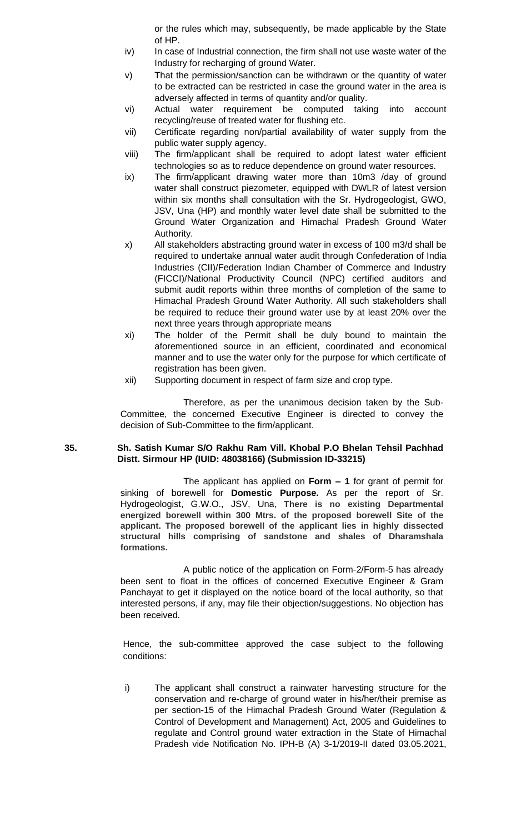or the rules which may, subsequently, be made applicable by the State of HP.

- iv) In case of Industrial connection, the firm shall not use waste water of the Industry for recharging of ground Water.
- v) That the permission/sanction can be withdrawn or the quantity of water to be extracted can be restricted in case the ground water in the area is adversely affected in terms of quantity and/or quality.
- vi) Actual water requirement be computed taking into account recycling/reuse of treated water for flushing etc.
- vii) Certificate regarding non/partial availability of water supply from the public water supply agency.
- viii) The firm/applicant shall be required to adopt latest water efficient technologies so as to reduce dependence on ground water resources.
- ix) The firm/applicant drawing water more than 10m3 /day of ground water shall construct piezometer, equipped with DWLR of latest version within six months shall consultation with the Sr. Hydrogeologist, GWO, JSV, Una (HP) and monthly water level date shall be submitted to the Ground Water Organization and Himachal Pradesh Ground Water Authority.
- x) All stakeholders abstracting ground water in excess of 100 m3/d shall be required to undertake annual water audit through Confederation of India Industries (CII)/Federation Indian Chamber of Commerce and Industry (FICCI)/National Productivity Council (NPC) certified auditors and submit audit reports within three months of completion of the same to Himachal Pradesh Ground Water Authority. All such stakeholders shall be required to reduce their ground water use by at least 20% over the next three years through appropriate means
- xi) The holder of the Permit shall be duly bound to maintain the aforementioned source in an efficient, coordinated and economical manner and to use the water only for the purpose for which certificate of registration has been given.
- xii) Supporting document in respect of farm size and crop type.

Therefore, as per the unanimous decision taken by the Sub-Committee, the concerned Executive Engineer is directed to convey the decision of Sub-Committee to the firm/applicant.

### **35. Sh. Satish Kumar S/O Rakhu Ram Vill. Khobal P.O Bhelan Tehsil Pachhad Distt. Sirmour HP (IUID: 48038166) (Submission ID-33215)**

The applicant has applied on **Form – 1** for grant of permit for sinking of borewell for **Domestic Purpose.** As per the report of Sr. Hydrogeologist, G.W.O., JSV, Una, **There is no existing Departmental energized borewell within 300 Mtrs. of the proposed borewell Site of the applicant. The proposed borewell of the applicant lies in highly dissected structural hills comprising of sandstone and shales of Dharamshala formations.**

A public notice of the application on Form-2/Form-5 has already been sent to float in the offices of concerned Executive Engineer & Gram Panchayat to get it displayed on the notice board of the local authority, so that interested persons, if any, may file their objection/suggestions. No objection has been received.

Hence, the sub-committee approved the case subject to the following conditions:

i) The applicant shall construct a rainwater harvesting structure for the conservation and re-charge of ground water in his/her/their premise as per section-15 of the Himachal Pradesh Ground Water (Regulation & Control of Development and Management) Act, 2005 and Guidelines to regulate and Control ground water extraction in the State of Himachal Pradesh vide Notification No. IPH-B (A) 3-1/2019-II dated 03.05.2021,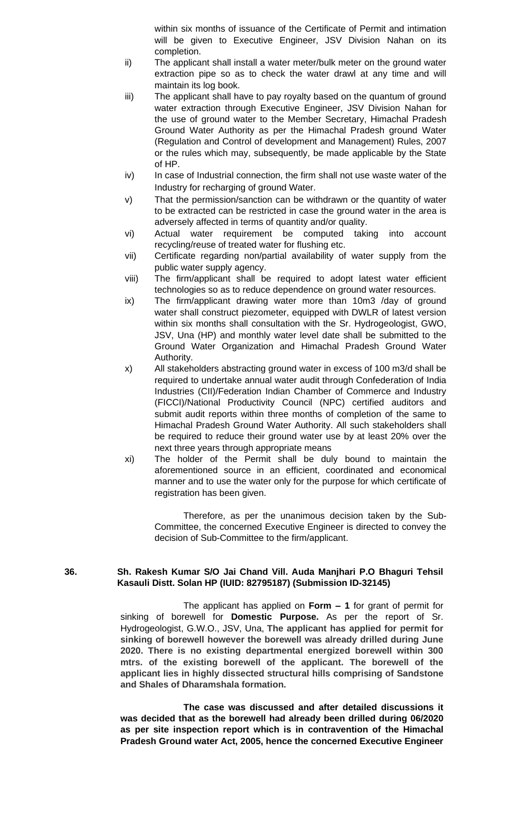within six months of issuance of the Certificate of Permit and intimation will be given to Executive Engineer, JSV Division Nahan on its completion.

- ii) The applicant shall install a water meter/bulk meter on the ground water extraction pipe so as to check the water drawl at any time and will maintain its log book.
- iii) The applicant shall have to pay royalty based on the quantum of ground water extraction through Executive Engineer, JSV Division Nahan for the use of ground water to the Member Secretary, Himachal Pradesh Ground Water Authority as per the Himachal Pradesh ground Water (Regulation and Control of development and Management) Rules, 2007 or the rules which may, subsequently, be made applicable by the State of HP.
- iv) In case of Industrial connection, the firm shall not use waste water of the Industry for recharging of ground Water.
- v) That the permission/sanction can be withdrawn or the quantity of water to be extracted can be restricted in case the ground water in the area is adversely affected in terms of quantity and/or quality.
- vi) Actual water requirement be computed taking into account recycling/reuse of treated water for flushing etc.
- vii) Certificate regarding non/partial availability of water supply from the public water supply agency.
- viii) The firm/applicant shall be required to adopt latest water efficient technologies so as to reduce dependence on ground water resources.
- ix) The firm/applicant drawing water more than 10m3 /day of ground water shall construct piezometer, equipped with DWLR of latest version within six months shall consultation with the Sr. Hydrogeologist, GWO, JSV, Una (HP) and monthly water level date shall be submitted to the Ground Water Organization and Himachal Pradesh Ground Water Authority.
- x) All stakeholders abstracting ground water in excess of 100 m3/d shall be required to undertake annual water audit through Confederation of India Industries (CII)/Federation Indian Chamber of Commerce and Industry (FICCI)/National Productivity Council (NPC) certified auditors and submit audit reports within three months of completion of the same to Himachal Pradesh Ground Water Authority. All such stakeholders shall be required to reduce their ground water use by at least 20% over the next three years through appropriate means
- xi) The holder of the Permit shall be duly bound to maintain the aforementioned source in an efficient, coordinated and economical manner and to use the water only for the purpose for which certificate of registration has been given.

Therefore, as per the unanimous decision taken by the Sub-Committee, the concerned Executive Engineer is directed to convey the decision of Sub-Committee to the firm/applicant.

#### **36. Sh. Rakesh Kumar S/O Jai Chand Vill. Auda Manjhari P.O Bhaguri Tehsil Kasauli Distt. Solan HP (IUID: 82795187) (Submission ID-32145)**

The applicant has applied on **Form – 1** for grant of permit for sinking of borewell for **Domestic Purpose.** As per the report of Sr. Hydrogeologist, G.W.O., JSV, Una, **The applicant has applied for permit for sinking of borewell however the borewell was already drilled during June 2020. There is no existing departmental energized borewell within 300 mtrs. of the existing borewell of the applicant. The borewell of the applicant lies in highly dissected structural hills comprising of Sandstone and Shales of Dharamshala formation.**

**The case was discussed and after detailed discussions it was decided that as the borewell had already been drilled during 06/2020 as per site inspection report which is in contravention of the Himachal Pradesh Ground water Act, 2005, hence the concerned Executive Engineer**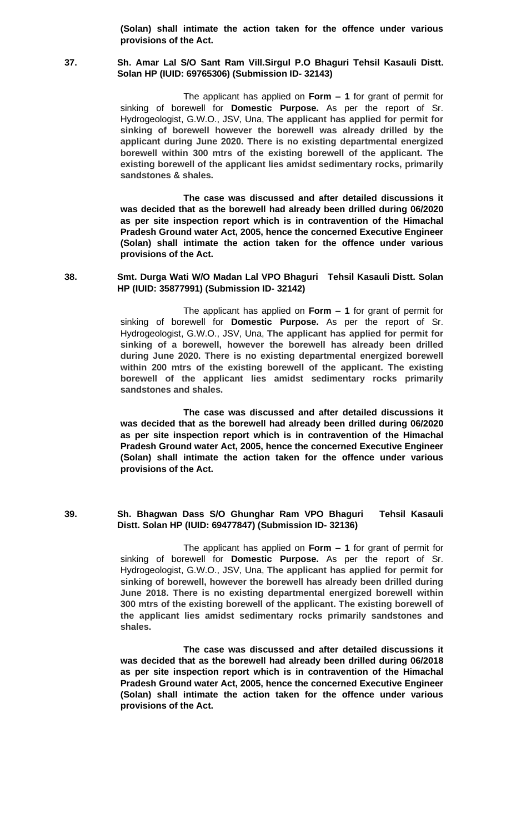**(Solan) shall intimate the action taken for the offence under various provisions of the Act.**

#### **37. Sh. Amar Lal S/O Sant Ram Vill.Sirgul P.O Bhaguri Tehsil Kasauli Distt. Solan HP (IUID: 69765306) (Submission ID- 32143)**

The applicant has applied on **Form – 1** for grant of permit for sinking of borewell for **Domestic Purpose.** As per the report of Sr. Hydrogeologist, G.W.O., JSV, Una, **The applicant has applied for permit for sinking of borewell however the borewell was already drilled by the applicant during June 2020. There is no existing departmental energized borewell within 300 mtrs of the existing borewell of the applicant. The existing borewell of the applicant lies amidst sedimentary rocks, primarily sandstones & shales.**

**The case was discussed and after detailed discussions it was decided that as the borewell had already been drilled during 06/2020 as per site inspection report which is in contravention of the Himachal Pradesh Ground water Act, 2005, hence the concerned Executive Engineer (Solan) shall intimate the action taken for the offence under various provisions of the Act.**

**38. Smt. Durga Wati W/O Madan Lal VPO Bhaguri Tehsil Kasauli Distt. Solan HP (IUID: 35877991) (Submission ID- 32142)**

> The applicant has applied on **Form – 1** for grant of permit for sinking of borewell for **Domestic Purpose.** As per the report of Sr. Hydrogeologist, G.W.O., JSV, Una, **The applicant has applied for permit for sinking of a borewell, however the borewell has already been drilled during June 2020. There is no existing departmental energized borewell within 200 mtrs of the existing borewell of the applicant. The existing borewell of the applicant lies amidst sedimentary rocks primarily sandstones and shales.**

> **The case was discussed and after detailed discussions it was decided that as the borewell had already been drilled during 06/2020 as per site inspection report which is in contravention of the Himachal Pradesh Ground water Act, 2005, hence the concerned Executive Engineer (Solan) shall intimate the action taken for the offence under various provisions of the Act.**

#### **39. Sh. Bhagwan Dass S/O Ghunghar Ram VPO Bhaguri Tehsil Kasauli Distt. Solan HP (IUID: 69477847) (Submission ID- 32136)**

The applicant has applied on **Form – 1** for grant of permit for sinking of borewell for **Domestic Purpose.** As per the report of Sr. Hydrogeologist, G.W.O., JSV, Una, **The applicant has applied for permit for sinking of borewell, however the borewell has already been drilled during June 2018. There is no existing departmental energized borewell within 300 mtrs of the existing borewell of the applicant. The existing borewell of the applicant lies amidst sedimentary rocks primarily sandstones and shales.**

**The case was discussed and after detailed discussions it was decided that as the borewell had already been drilled during 06/2018 as per site inspection report which is in contravention of the Himachal Pradesh Ground water Act, 2005, hence the concerned Executive Engineer (Solan) shall intimate the action taken for the offence under various provisions of the Act.**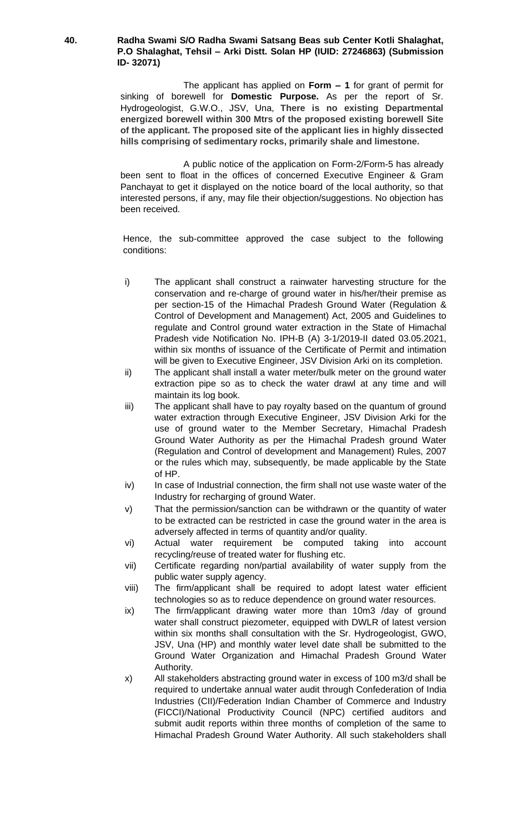#### **40. Radha Swami S/O Radha Swami Satsang Beas sub Center Kotli Shalaghat, P.O Shalaghat, Tehsil – Arki Distt. Solan HP (IUID: 27246863) (Submission ID- 32071)**

The applicant has applied on **Form – 1** for grant of permit for sinking of borewell for **Domestic Purpose.** As per the report of Sr. Hydrogeologist, G.W.O., JSV, Una, **There is no existing Departmental energized borewell within 300 Mtrs of the proposed existing borewell Site of the applicant. The proposed site of the applicant lies in highly dissected hills comprising of sedimentary rocks, primarily shale and limestone.**

A public notice of the application on Form-2/Form-5 has already been sent to float in the offices of concerned Executive Engineer & Gram Panchayat to get it displayed on the notice board of the local authority, so that interested persons, if any, may file their objection/suggestions. No objection has been received.

- i) The applicant shall construct a rainwater harvesting structure for the conservation and re-charge of ground water in his/her/their premise as per section-15 of the Himachal Pradesh Ground Water (Regulation & Control of Development and Management) Act, 2005 and Guidelines to regulate and Control ground water extraction in the State of Himachal Pradesh vide Notification No. IPH-B (A) 3-1/2019-II dated 03.05.2021, within six months of issuance of the Certificate of Permit and intimation will be given to Executive Engineer, JSV Division Arki on its completion.
- ii) The applicant shall install a water meter/bulk meter on the ground water extraction pipe so as to check the water drawl at any time and will maintain its log book.
- iii) The applicant shall have to pay royalty based on the quantum of ground water extraction through Executive Engineer, JSV Division Arki for the use of ground water to the Member Secretary, Himachal Pradesh Ground Water Authority as per the Himachal Pradesh ground Water (Regulation and Control of development and Management) Rules, 2007 or the rules which may, subsequently, be made applicable by the State of HP.
- iv) In case of Industrial connection, the firm shall not use waste water of the Industry for recharging of ground Water.
- v) That the permission/sanction can be withdrawn or the quantity of water to be extracted can be restricted in case the ground water in the area is adversely affected in terms of quantity and/or quality.
- vi) Actual water requirement be computed taking into account recycling/reuse of treated water for flushing etc.
- vii) Certificate regarding non/partial availability of water supply from the public water supply agency.
- viii) The firm/applicant shall be required to adopt latest water efficient technologies so as to reduce dependence on ground water resources.
- ix) The firm/applicant drawing water more than 10m3 /day of ground water shall construct piezometer, equipped with DWLR of latest version within six months shall consultation with the Sr. Hydrogeologist, GWO, JSV, Una (HP) and monthly water level date shall be submitted to the Ground Water Organization and Himachal Pradesh Ground Water Authority.
- x) All stakeholders abstracting ground water in excess of 100 m3/d shall be required to undertake annual water audit through Confederation of India Industries (CII)/Federation Indian Chamber of Commerce and Industry (FICCI)/National Productivity Council (NPC) certified auditors and submit audit reports within three months of completion of the same to Himachal Pradesh Ground Water Authority. All such stakeholders shall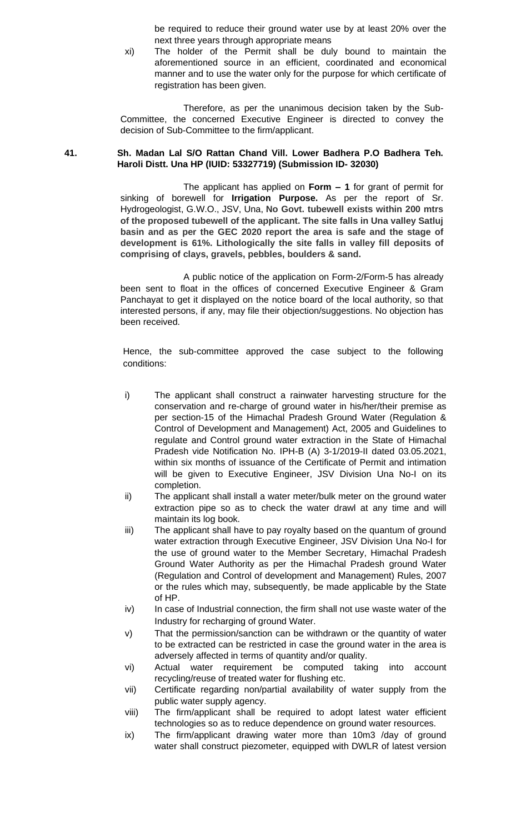be required to reduce their ground water use by at least 20% over the next three years through appropriate means

xi) The holder of the Permit shall be duly bound to maintain the aforementioned source in an efficient, coordinated and economical manner and to use the water only for the purpose for which certificate of registration has been given.

Therefore, as per the unanimous decision taken by the Sub-Committee, the concerned Executive Engineer is directed to convey the decision of Sub-Committee to the firm/applicant.

#### **41. Sh. Madan Lal S/O Rattan Chand Vill. Lower Badhera P.O Badhera Teh. Haroli Distt. Una HP (IUID: 53327719) (Submission ID- 32030)**

The applicant has applied on **Form – 1** for grant of permit for sinking of borewell for **Irrigation Purpose.** As per the report of Sr. Hydrogeologist, G.W.O., JSV, Una, **No Govt. tubewell exists within 200 mtrs of the proposed tubewell of the applicant. The site falls in Una valley Satluj basin and as per the GEC 2020 report the area is safe and the stage of development is 61%. Lithologically the site falls in valley fill deposits of comprising of clays, gravels, pebbles, boulders & sand.**

A public notice of the application on Form-2/Form-5 has already been sent to float in the offices of concerned Executive Engineer & Gram Panchayat to get it displayed on the notice board of the local authority, so that interested persons, if any, may file their objection/suggestions. No objection has been received.

- i) The applicant shall construct a rainwater harvesting structure for the conservation and re-charge of ground water in his/her/their premise as per section-15 of the Himachal Pradesh Ground Water (Regulation & Control of Development and Management) Act, 2005 and Guidelines to regulate and Control ground water extraction in the State of Himachal Pradesh vide Notification No. IPH-B (A) 3-1/2019-II dated 03.05.2021, within six months of issuance of the Certificate of Permit and intimation will be given to Executive Engineer, JSV Division Una No-I on its completion.
- ii) The applicant shall install a water meter/bulk meter on the ground water extraction pipe so as to check the water drawl at any time and will maintain its log book.
- iii) The applicant shall have to pay royalty based on the quantum of ground water extraction through Executive Engineer, JSV Division Una No-I for the use of ground water to the Member Secretary, Himachal Pradesh Ground Water Authority as per the Himachal Pradesh ground Water (Regulation and Control of development and Management) Rules, 2007 or the rules which may, subsequently, be made applicable by the State of HP.
- iv) In case of Industrial connection, the firm shall not use waste water of the Industry for recharging of ground Water.
- v) That the permission/sanction can be withdrawn or the quantity of water to be extracted can be restricted in case the ground water in the area is adversely affected in terms of quantity and/or quality.
- vi) Actual water requirement be computed taking into account recycling/reuse of treated water for flushing etc.
- vii) Certificate regarding non/partial availability of water supply from the public water supply agency.
- viii) The firm/applicant shall be required to adopt latest water efficient technologies so as to reduce dependence on ground water resources.
- ix) The firm/applicant drawing water more than 10m3 /day of ground water shall construct piezometer, equipped with DWLR of latest version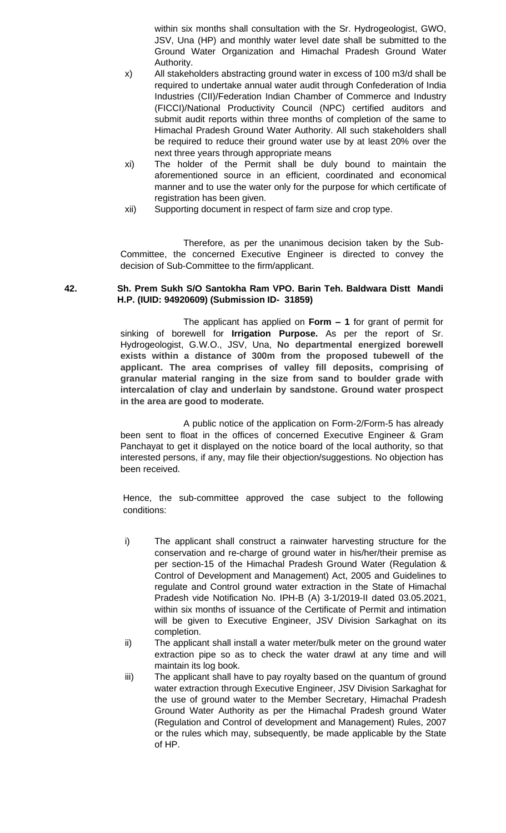within six months shall consultation with the Sr. Hydrogeologist, GWO, JSV, Una (HP) and monthly water level date shall be submitted to the Ground Water Organization and Himachal Pradesh Ground Water Authority.

- x) All stakeholders abstracting ground water in excess of 100 m3/d shall be required to undertake annual water audit through Confederation of India Industries (CII)/Federation Indian Chamber of Commerce and Industry (FICCI)/National Productivity Council (NPC) certified auditors and submit audit reports within three months of completion of the same to Himachal Pradesh Ground Water Authority. All such stakeholders shall be required to reduce their ground water use by at least 20% over the next three years through appropriate means
- xi) The holder of the Permit shall be duly bound to maintain the aforementioned source in an efficient, coordinated and economical manner and to use the water only for the purpose for which certificate of registration has been given.
- xii) Supporting document in respect of farm size and crop type.

Therefore, as per the unanimous decision taken by the Sub-Committee, the concerned Executive Engineer is directed to convey the decision of Sub-Committee to the firm/applicant.

# **42. Sh. Prem Sukh S/O Santokha Ram VPO. Barin Teh. Baldwara Distt Mandi H.P. (IUID: 94920609) (Submission ID- 31859)**

The applicant has applied on **Form – 1** for grant of permit for sinking of borewell for **Irrigation Purpose.** As per the report of Sr. Hydrogeologist, G.W.O., JSV, Una, **No departmental energized borewell exists within a distance of 300m from the proposed tubewell of the applicant. The area comprises of valley fill deposits, comprising of granular material ranging in the size from sand to boulder grade with intercalation of clay and underlain by sandstone. Ground water prospect in the area are good to moderate.**

A public notice of the application on Form-2/Form-5 has already been sent to float in the offices of concerned Executive Engineer & Gram Panchayat to get it displayed on the notice board of the local authority, so that interested persons, if any, may file their objection/suggestions. No objection has been received.

- i) The applicant shall construct a rainwater harvesting structure for the conservation and re-charge of ground water in his/her/their premise as per section-15 of the Himachal Pradesh Ground Water (Regulation & Control of Development and Management) Act, 2005 and Guidelines to regulate and Control ground water extraction in the State of Himachal Pradesh vide Notification No. IPH-B (A) 3-1/2019-II dated 03.05.2021, within six months of issuance of the Certificate of Permit and intimation will be given to Executive Engineer, JSV Division Sarkaghat on its completion.
- ii) The applicant shall install a water meter/bulk meter on the ground water extraction pipe so as to check the water drawl at any time and will maintain its log book.
- iii) The applicant shall have to pay royalty based on the quantum of ground water extraction through Executive Engineer, JSV Division Sarkaghat for the use of ground water to the Member Secretary, Himachal Pradesh Ground Water Authority as per the Himachal Pradesh ground Water (Regulation and Control of development and Management) Rules, 2007 or the rules which may, subsequently, be made applicable by the State of HP.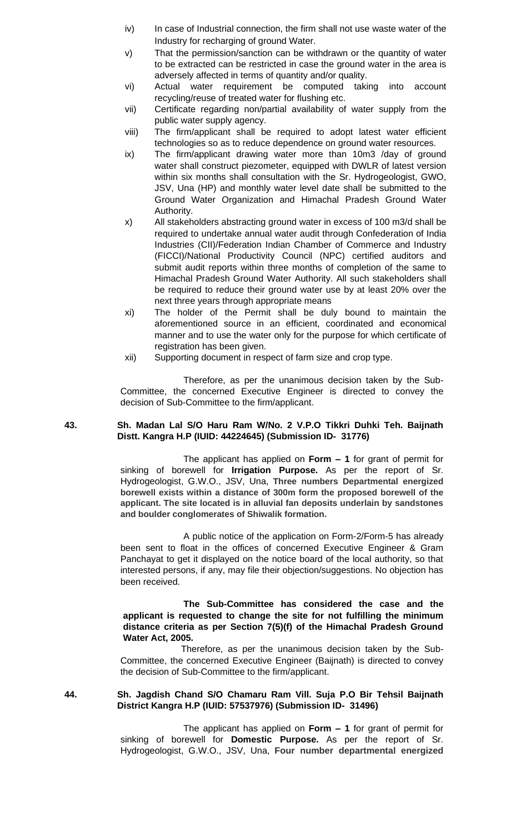- iv) In case of Industrial connection, the firm shall not use waste water of the Industry for recharging of ground Water.
- v) That the permission/sanction can be withdrawn or the quantity of water to be extracted can be restricted in case the ground water in the area is adversely affected in terms of quantity and/or quality.
- vi) Actual water requirement be computed taking into account recycling/reuse of treated water for flushing etc.
- vii) Certificate regarding non/partial availability of water supply from the public water supply agency.
- viii) The firm/applicant shall be required to adopt latest water efficient technologies so as to reduce dependence on ground water resources.
- ix) The firm/applicant drawing water more than 10m3 /day of ground water shall construct piezometer, equipped with DWLR of latest version within six months shall consultation with the Sr. Hydrogeologist, GWO, JSV, Una (HP) and monthly water level date shall be submitted to the Ground Water Organization and Himachal Pradesh Ground Water Authority.
- x) All stakeholders abstracting ground water in excess of 100 m3/d shall be required to undertake annual water audit through Confederation of India Industries (CII)/Federation Indian Chamber of Commerce and Industry (FICCI)/National Productivity Council (NPC) certified auditors and submit audit reports within three months of completion of the same to Himachal Pradesh Ground Water Authority. All such stakeholders shall be required to reduce their ground water use by at least 20% over the next three years through appropriate means
- xi) The holder of the Permit shall be duly bound to maintain the aforementioned source in an efficient, coordinated and economical manner and to use the water only for the purpose for which certificate of registration has been given.
- xii) Supporting document in respect of farm size and crop type.

#### **43. Sh. Madan Lal S/O Haru Ram W/No. 2 V.P.O Tikkri Duhki Teh. Baijnath Distt. Kangra H.P (IUID: 44224645) (Submission ID- 31776)**

The applicant has applied on **Form – 1** for grant of permit for sinking of borewell for **Irrigation Purpose.** As per the report of Sr. Hydrogeologist, G.W.O., JSV, Una, **Three numbers Departmental energized borewell exists within a distance of 300m form the proposed borewell of the applicant. The site located is in alluvial fan deposits underlain by sandstones and boulder conglomerates of Shiwalik formation.**

A public notice of the application on Form-2/Form-5 has already been sent to float in the offices of concerned Executive Engineer & Gram Panchayat to get it displayed on the notice board of the local authority, so that interested persons, if any, may file their objection/suggestions. No objection has been received.

#### **The Sub-Committee has considered the case and the applicant is requested to change the site for not fulfilling the minimum distance criteria as per Section 7(5)(f) of the Himachal Pradesh Ground Water Act, 2005.**

 Therefore, as per the unanimous decision taken by the Sub-Committee, the concerned Executive Engineer (Baijnath) is directed to convey the decision of Sub-Committee to the firm/applicant.

#### **44. Sh. Jagdish Chand S/O Chamaru Ram Vill. Suja P.O Bir Tehsil Baijnath District Kangra H.P (IUID: 57537976) (Submission ID- 31496)**

The applicant has applied on **Form – 1** for grant of permit for sinking of borewell for **Domestic Purpose.** As per the report of Sr. Hydrogeologist, G.W.O., JSV, Una, **Four number departmental energized**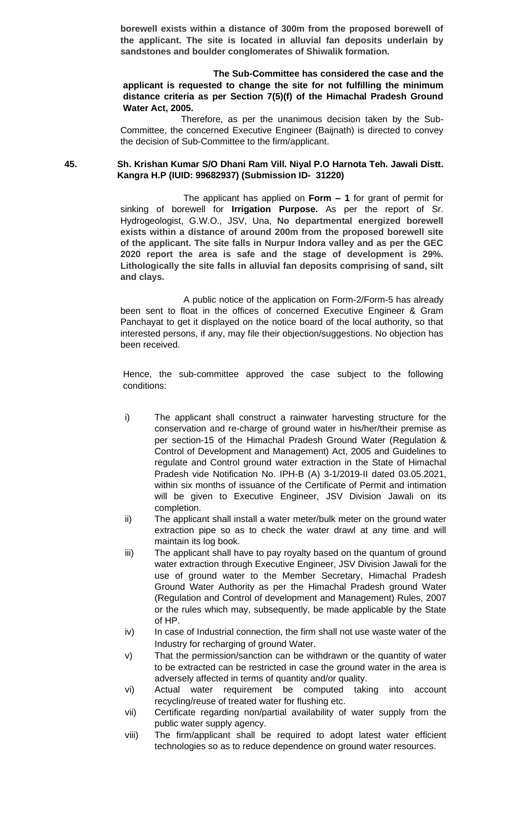**borewell exists within a distance of 300m from the proposed borewell of the applicant. The site is located in alluvial fan deposits underlain by sandstones and boulder conglomerates of Shiwalik formation.**

#### **The Sub-Committee has considered the case and the applicant is requested to change the site for not fulfilling the minimum distance criteria as per Section 7(5)(f) of the Himachal Pradesh Ground Water Act, 2005.**

 Therefore, as per the unanimous decision taken by the Sub-Committee, the concerned Executive Engineer (Baijnath) is directed to convey the decision of Sub-Committee to the firm/applicant.

**45. Sh. Krishan Kumar S/O Dhani Ram Vill. Niyal P.O Harnota Teh. Jawali Distt. Kangra H.P (IUID: 99682937) (Submission ID- 31220)**

> The applicant has applied on **Form – 1** for grant of permit for sinking of borewell for **Irrigation Purpose.** As per the report of Sr. Hydrogeologist, G.W.O., JSV, Una, **No departmental energized borewell exists within a distance of around 200m from the proposed borewell site of the applicant. The site falls in Nurpur Indora valley and as per the GEC 2020 report the area is safe and the stage of development is 29%. Lithologically the site falls in alluvial fan deposits comprising of sand, silt and clays.**

> A public notice of the application on Form-2/Form-5 has already been sent to float in the offices of concerned Executive Engineer & Gram Panchayat to get it displayed on the notice board of the local authority, so that interested persons, if any, may file their objection/suggestions. No objection has been received.

- i) The applicant shall construct a rainwater harvesting structure for the conservation and re-charge of ground water in his/her/their premise as per section-15 of the Himachal Pradesh Ground Water (Regulation & Control of Development and Management) Act, 2005 and Guidelines to regulate and Control ground water extraction in the State of Himachal Pradesh vide Notification No. IPH-B (A) 3-1/2019-II dated 03.05.2021, within six months of issuance of the Certificate of Permit and intimation will be given to Executive Engineer, JSV Division Jawali on its completion.
- ii) The applicant shall install a water meter/bulk meter on the ground water extraction pipe so as to check the water drawl at any time and will maintain its log book.
- iii) The applicant shall have to pay royalty based on the quantum of ground water extraction through Executive Engineer, JSV Division Jawali for the use of ground water to the Member Secretary, Himachal Pradesh Ground Water Authority as per the Himachal Pradesh ground Water (Regulation and Control of development and Management) Rules, 2007 or the rules which may, subsequently, be made applicable by the State of HP.
- iv) In case of Industrial connection, the firm shall not use waste water of the Industry for recharging of ground Water.
- v) That the permission/sanction can be withdrawn or the quantity of water to be extracted can be restricted in case the ground water in the area is adversely affected in terms of quantity and/or quality.
- vi) Actual water requirement be computed taking into account recycling/reuse of treated water for flushing etc.
- vii) Certificate regarding non/partial availability of water supply from the public water supply agency.
- viii) The firm/applicant shall be required to adopt latest water efficient technologies so as to reduce dependence on ground water resources.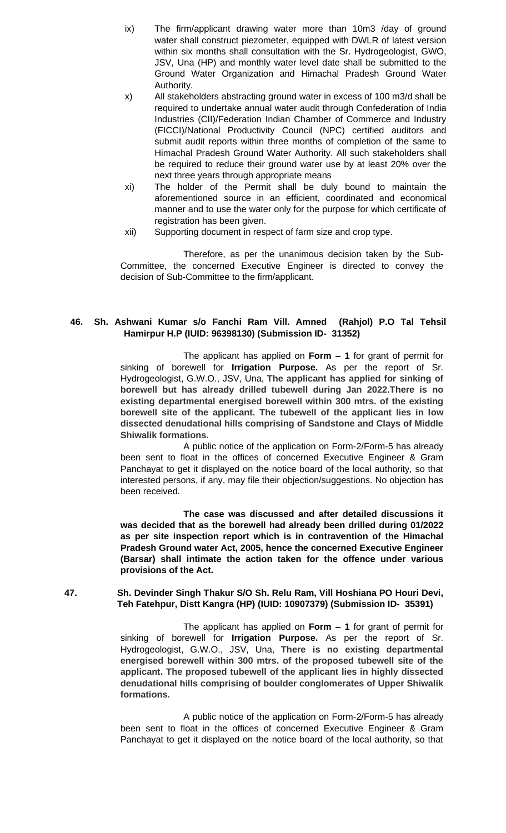- ix) The firm/applicant drawing water more than 10m3 /day of ground water shall construct piezometer, equipped with DWLR of latest version within six months shall consultation with the Sr. Hydrogeologist, GWO, JSV, Una (HP) and monthly water level date shall be submitted to the Ground Water Organization and Himachal Pradesh Ground Water Authority.
- x) All stakeholders abstracting ground water in excess of 100 m3/d shall be required to undertake annual water audit through Confederation of India Industries (CII)/Federation Indian Chamber of Commerce and Industry (FICCI)/National Productivity Council (NPC) certified auditors and submit audit reports within three months of completion of the same to Himachal Pradesh Ground Water Authority. All such stakeholders shall be required to reduce their ground water use by at least 20% over the next three years through appropriate means
- xi) The holder of the Permit shall be duly bound to maintain the aforementioned source in an efficient, coordinated and economical manner and to use the water only for the purpose for which certificate of registration has been given.
- xii) Supporting document in respect of farm size and crop type.

### **46. Sh. Ashwani Kumar s/o Fanchi Ram Vill. Amned (Rahjol) P.O Tal Tehsil Hamirpur H.P (IUID: 96398130) (Submission ID- 31352)**

The applicant has applied on **Form – 1** for grant of permit for sinking of borewell for **Irrigation Purpose.** As per the report of Sr. Hydrogeologist, G.W.O., JSV, Una, **The applicant has applied for sinking of borewell but has already drilled tubewell during Jan 2022.There is no existing departmental energised borewell within 300 mtrs. of the existing borewell site of the applicant. The tubewell of the applicant lies in low dissected denudational hills comprising of Sandstone and Clays of Middle Shiwalik formations.**

A public notice of the application on Form-2/Form-5 has already been sent to float in the offices of concerned Executive Engineer & Gram Panchayat to get it displayed on the notice board of the local authority, so that interested persons, if any, may file their objection/suggestions. No objection has been received.

**The case was discussed and after detailed discussions it was decided that as the borewell had already been drilled during 01/2022 as per site inspection report which is in contravention of the Himachal Pradesh Ground water Act, 2005, hence the concerned Executive Engineer (Barsar) shall intimate the action taken for the offence under various provisions of the Act.**

## **47. Sh. Devinder Singh Thakur S/O Sh. Relu Ram, Vill Hoshiana PO Houri Devi, Teh Fatehpur, Distt Kangra (HP) (IUID: 10907379) (Submission ID- 35391)**

The applicant has applied on **Form – 1** for grant of permit for sinking of borewell for **Irrigation Purpose.** As per the report of Sr. Hydrogeologist, G.W.O., JSV, Una, **There is no existing departmental energised borewell within 300 mtrs. of the proposed tubewell site of the applicant. The proposed tubewell of the applicant lies in highly dissected denudational hills comprising of boulder conglomerates of Upper Shiwalik formations.**

A public notice of the application on Form-2/Form-5 has already been sent to float in the offices of concerned Executive Engineer & Gram Panchayat to get it displayed on the notice board of the local authority, so that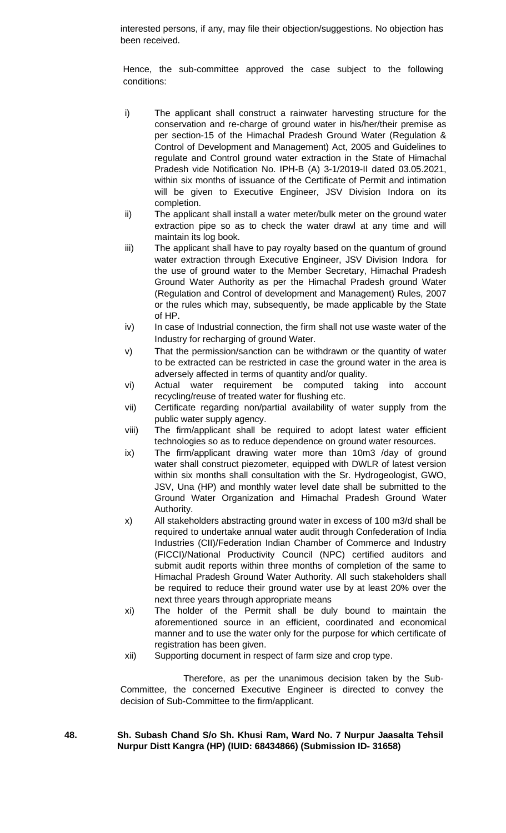interested persons, if any, may file their objection/suggestions. No objection has been received.

Hence, the sub-committee approved the case subject to the following conditions:

- i) The applicant shall construct a rainwater harvesting structure for the conservation and re-charge of ground water in his/her/their premise as per section-15 of the Himachal Pradesh Ground Water (Regulation & Control of Development and Management) Act, 2005 and Guidelines to regulate and Control ground water extraction in the State of Himachal Pradesh vide Notification No. IPH-B (A) 3-1/2019-II dated 03.05.2021, within six months of issuance of the Certificate of Permit and intimation will be given to Executive Engineer, JSV Division Indora on its completion.
- ii) The applicant shall install a water meter/bulk meter on the ground water extraction pipe so as to check the water drawl at any time and will maintain its log book.
- iii) The applicant shall have to pay royalty based on the quantum of ground water extraction through Executive Engineer, JSV Division Indora for the use of ground water to the Member Secretary, Himachal Pradesh Ground Water Authority as per the Himachal Pradesh ground Water (Regulation and Control of development and Management) Rules, 2007 or the rules which may, subsequently, be made applicable by the State of HP.
- iv) In case of Industrial connection, the firm shall not use waste water of the Industry for recharging of ground Water.
- v) That the permission/sanction can be withdrawn or the quantity of water to be extracted can be restricted in case the ground water in the area is adversely affected in terms of quantity and/or quality.
- vi) Actual water requirement be computed taking into account recycling/reuse of treated water for flushing etc.
- vii) Certificate regarding non/partial availability of water supply from the public water supply agency.
- viii) The firm/applicant shall be required to adopt latest water efficient technologies so as to reduce dependence on ground water resources.
- ix) The firm/applicant drawing water more than 10m3 /day of ground water shall construct piezometer, equipped with DWLR of latest version within six months shall consultation with the Sr. Hydrogeologist, GWO, JSV, Una (HP) and monthly water level date shall be submitted to the Ground Water Organization and Himachal Pradesh Ground Water Authority.
- x) All stakeholders abstracting ground water in excess of 100 m3/d shall be required to undertake annual water audit through Confederation of India Industries (CII)/Federation Indian Chamber of Commerce and Industry (FICCI)/National Productivity Council (NPC) certified auditors and submit audit reports within three months of completion of the same to Himachal Pradesh Ground Water Authority. All such stakeholders shall be required to reduce their ground water use by at least 20% over the next three years through appropriate means
- xi) The holder of the Permit shall be duly bound to maintain the aforementioned source in an efficient, coordinated and economical manner and to use the water only for the purpose for which certificate of registration has been given.
- xii) Supporting document in respect of farm size and crop type.

Therefore, as per the unanimous decision taken by the Sub-Committee, the concerned Executive Engineer is directed to convey the decision of Sub-Committee to the firm/applicant.

# **48. Sh. Subash Chand S/o Sh. Khusi Ram, Ward No. 7 Nurpur Jaasalta Tehsil Nurpur Distt Kangra (HP) (IUID: 68434866) (Submission ID- 31658)**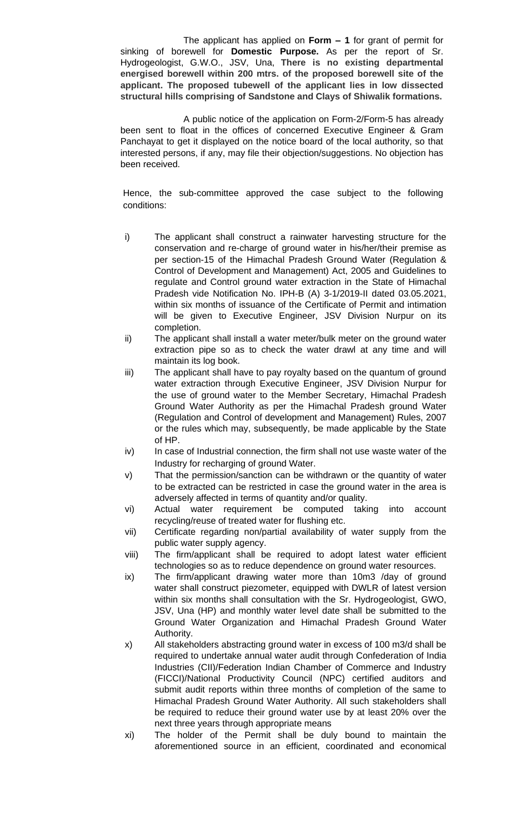The applicant has applied on **Form – 1** for grant of permit for sinking of borewell for **Domestic Purpose.** As per the report of Sr. Hydrogeologist, G.W.O., JSV, Una, **There is no existing departmental energised borewell within 200 mtrs. of the proposed borewell site of the applicant. The proposed tubewell of the applicant lies in low dissected structural hills comprising of Sandstone and Clays of Shiwalik formations.**

A public notice of the application on Form-2/Form-5 has already been sent to float in the offices of concerned Executive Engineer & Gram Panchayat to get it displayed on the notice board of the local authority, so that interested persons, if any, may file their objection/suggestions. No objection has been received.

- i) The applicant shall construct a rainwater harvesting structure for the conservation and re-charge of ground water in his/her/their premise as per section-15 of the Himachal Pradesh Ground Water (Regulation & Control of Development and Management) Act, 2005 and Guidelines to regulate and Control ground water extraction in the State of Himachal Pradesh vide Notification No. IPH-B (A) 3-1/2019-II dated 03.05.2021, within six months of issuance of the Certificate of Permit and intimation will be given to Executive Engineer, JSV Division Nurpur on its completion.
- ii) The applicant shall install a water meter/bulk meter on the ground water extraction pipe so as to check the water drawl at any time and will maintain its log book.
- iii) The applicant shall have to pay royalty based on the quantum of ground water extraction through Executive Engineer, JSV Division Nurpur for the use of ground water to the Member Secretary, Himachal Pradesh Ground Water Authority as per the Himachal Pradesh ground Water (Regulation and Control of development and Management) Rules, 2007 or the rules which may, subsequently, be made applicable by the State of HP.
- iv) In case of Industrial connection, the firm shall not use waste water of the Industry for recharging of ground Water.
- v) That the permission/sanction can be withdrawn or the quantity of water to be extracted can be restricted in case the ground water in the area is adversely affected in terms of quantity and/or quality.
- vi) Actual water requirement be computed taking into account recycling/reuse of treated water for flushing etc.
- vii) Certificate regarding non/partial availability of water supply from the public water supply agency.
- viii) The firm/applicant shall be required to adopt latest water efficient technologies so as to reduce dependence on ground water resources.
- ix) The firm/applicant drawing water more than 10m3 /day of ground water shall construct piezometer, equipped with DWLR of latest version within six months shall consultation with the Sr. Hydrogeologist, GWO, JSV, Una (HP) and monthly water level date shall be submitted to the Ground Water Organization and Himachal Pradesh Ground Water Authority.
- x) All stakeholders abstracting ground water in excess of 100 m3/d shall be required to undertake annual water audit through Confederation of India Industries (CII)/Federation Indian Chamber of Commerce and Industry (FICCI)/National Productivity Council (NPC) certified auditors and submit audit reports within three months of completion of the same to Himachal Pradesh Ground Water Authority. All such stakeholders shall be required to reduce their ground water use by at least 20% over the next three years through appropriate means
- xi) The holder of the Permit shall be duly bound to maintain the aforementioned source in an efficient, coordinated and economical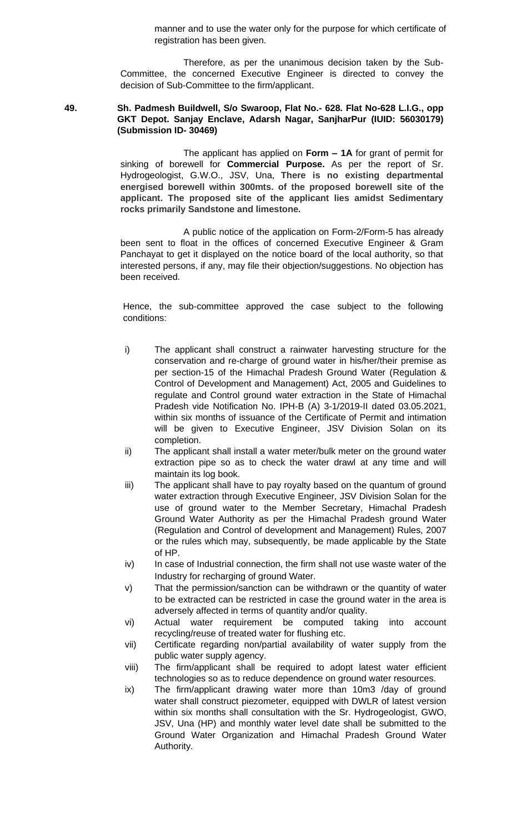manner and to use the water only for the purpose for which certificate of registration has been given.

Therefore, as per the unanimous decision taken by the Sub-Committee, the concerned Executive Engineer is directed to convey the decision of Sub-Committee to the firm/applicant.

### **49. Sh. Padmesh Buildwell, S/o Swaroop, Flat No.- 628. Flat No-628 L.I.G., opp GKT Depot. Sanjay Enclave, Adarsh Nagar, SanjharPur (IUID: 56030179) (Submission ID- 30469)**

The applicant has applied on **Form – 1A** for grant of permit for sinking of borewell for **Commercial Purpose.** As per the report of Sr. Hydrogeologist, G.W.O., JSV, Una, **There is no existing departmental energised borewell within 300mts. of the proposed borewell site of the applicant. The proposed site of the applicant lies amidst Sedimentary rocks primarily Sandstone and limestone.**

A public notice of the application on Form-2/Form-5 has already been sent to float in the offices of concerned Executive Engineer & Gram Panchayat to get it displayed on the notice board of the local authority, so that interested persons, if any, may file their objection/suggestions. No objection has been received.

- i) The applicant shall construct a rainwater harvesting structure for the conservation and re-charge of ground water in his/her/their premise as per section-15 of the Himachal Pradesh Ground Water (Regulation & Control of Development and Management) Act, 2005 and Guidelines to regulate and Control ground water extraction in the State of Himachal Pradesh vide Notification No. IPH-B (A) 3-1/2019-II dated 03.05.2021, within six months of issuance of the Certificate of Permit and intimation will be given to Executive Engineer, JSV Division Solan on its completion.
- ii) The applicant shall install a water meter/bulk meter on the ground water extraction pipe so as to check the water drawl at any time and will maintain its log book.
- iii) The applicant shall have to pay royalty based on the quantum of ground water extraction through Executive Engineer, JSV Division Solan for the use of ground water to the Member Secretary, Himachal Pradesh Ground Water Authority as per the Himachal Pradesh ground Water (Regulation and Control of development and Management) Rules, 2007 or the rules which may, subsequently, be made applicable by the State of HP.
- iv) In case of Industrial connection, the firm shall not use waste water of the Industry for recharging of ground Water.
- v) That the permission/sanction can be withdrawn or the quantity of water to be extracted can be restricted in case the ground water in the area is adversely affected in terms of quantity and/or quality.
- vi) Actual water requirement be computed taking into account recycling/reuse of treated water for flushing etc.
- vii) Certificate regarding non/partial availability of water supply from the public water supply agency.
- viii) The firm/applicant shall be required to adopt latest water efficient technologies so as to reduce dependence on ground water resources.
- ix) The firm/applicant drawing water more than 10m3 /day of ground water shall construct piezometer, equipped with DWLR of latest version within six months shall consultation with the Sr. Hydrogeologist, GWO, JSV, Una (HP) and monthly water level date shall be submitted to the Ground Water Organization and Himachal Pradesh Ground Water Authority.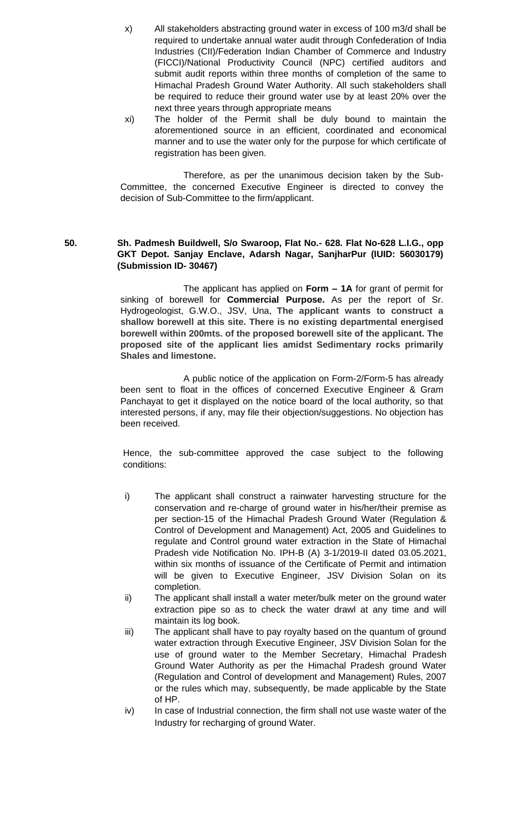- x) All stakeholders abstracting ground water in excess of 100 m3/d shall be required to undertake annual water audit through Confederation of India Industries (CII)/Federation Indian Chamber of Commerce and Industry (FICCI)/National Productivity Council (NPC) certified auditors and submit audit reports within three months of completion of the same to Himachal Pradesh Ground Water Authority. All such stakeholders shall be required to reduce their ground water use by at least 20% over the next three years through appropriate means
- xi) The holder of the Permit shall be duly bound to maintain the aforementioned source in an efficient, coordinated and economical manner and to use the water only for the purpose for which certificate of registration has been given.

# **50. Sh. Padmesh Buildwell, S/o Swaroop, Flat No.- 628. Flat No-628 L.I.G., opp GKT Depot. Sanjay Enclave, Adarsh Nagar, SanjharPur (IUID: 56030179) (Submission ID- 30467)**

The applicant has applied on **Form – 1A** for grant of permit for sinking of borewell for **Commercial Purpose.** As per the report of Sr. Hydrogeologist, G.W.O., JSV, Una, **The applicant wants to construct a shallow borewell at this site. There is no existing departmental energised borewell within 200mts. of the proposed borewell site of the applicant. The proposed site of the applicant lies amidst Sedimentary rocks primarily Shales and limestone.**

A public notice of the application on Form-2/Form-5 has already been sent to float in the offices of concerned Executive Engineer & Gram Panchayat to get it displayed on the notice board of the local authority, so that interested persons, if any, may file their objection/suggestions. No objection has been received.

- i) The applicant shall construct a rainwater harvesting structure for the conservation and re-charge of ground water in his/her/their premise as per section-15 of the Himachal Pradesh Ground Water (Regulation & Control of Development and Management) Act, 2005 and Guidelines to regulate and Control ground water extraction in the State of Himachal Pradesh vide Notification No. IPH-B (A) 3-1/2019-II dated 03.05.2021, within six months of issuance of the Certificate of Permit and intimation will be given to Executive Engineer, JSV Division Solan on its completion.
- ii) The applicant shall install a water meter/bulk meter on the ground water extraction pipe so as to check the water drawl at any time and will maintain its log book.
- iii) The applicant shall have to pay royalty based on the quantum of ground water extraction through Executive Engineer, JSV Division Solan for the use of ground water to the Member Secretary, Himachal Pradesh Ground Water Authority as per the Himachal Pradesh ground Water (Regulation and Control of development and Management) Rules, 2007 or the rules which may, subsequently, be made applicable by the State of HP.
- iv) In case of Industrial connection, the firm shall not use waste water of the Industry for recharging of ground Water.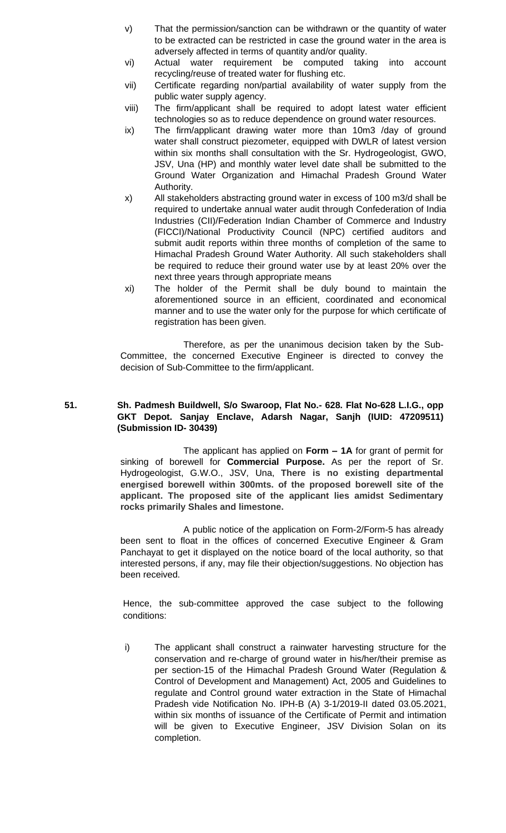- v) That the permission/sanction can be withdrawn or the quantity of water to be extracted can be restricted in case the ground water in the area is adversely affected in terms of quantity and/or quality.
- vi) Actual water requirement be computed taking into account recycling/reuse of treated water for flushing etc.
- vii) Certificate regarding non/partial availability of water supply from the public water supply agency.
- viii) The firm/applicant shall be required to adopt latest water efficient technologies so as to reduce dependence on ground water resources.
- ix) The firm/applicant drawing water more than 10m3 /day of ground water shall construct piezometer, equipped with DWLR of latest version within six months shall consultation with the Sr. Hydrogeologist, GWO, JSV, Una (HP) and monthly water level date shall be submitted to the Ground Water Organization and Himachal Pradesh Ground Water Authority.
- x) All stakeholders abstracting ground water in excess of 100 m3/d shall be required to undertake annual water audit through Confederation of India Industries (CII)/Federation Indian Chamber of Commerce and Industry (FICCI)/National Productivity Council (NPC) certified auditors and submit audit reports within three months of completion of the same to Himachal Pradesh Ground Water Authority. All such stakeholders shall be required to reduce their ground water use by at least 20% over the next three years through appropriate means
- xi) The holder of the Permit shall be duly bound to maintain the aforementioned source in an efficient, coordinated and economical manner and to use the water only for the purpose for which certificate of registration has been given.

# **51. Sh. Padmesh Buildwell, S/o Swaroop, Flat No.- 628. Flat No-628 L.I.G., opp GKT Depot. Sanjay Enclave, Adarsh Nagar, Sanjh (IUID: 47209511) (Submission ID- 30439)**

The applicant has applied on **Form – 1A** for grant of permit for sinking of borewell for **Commercial Purpose.** As per the report of Sr. Hydrogeologist, G.W.O., JSV, Una, **There is no existing departmental energised borewell within 300mts. of the proposed borewell site of the applicant. The proposed site of the applicant lies amidst Sedimentary rocks primarily Shales and limestone.**

A public notice of the application on Form-2/Form-5 has already been sent to float in the offices of concerned Executive Engineer & Gram Panchayat to get it displayed on the notice board of the local authority, so that interested persons, if any, may file their objection/suggestions. No objection has been received.

Hence, the sub-committee approved the case subject to the following conditions:

i) The applicant shall construct a rainwater harvesting structure for the conservation and re-charge of ground water in his/her/their premise as per section-15 of the Himachal Pradesh Ground Water (Regulation & Control of Development and Management) Act, 2005 and Guidelines to regulate and Control ground water extraction in the State of Himachal Pradesh vide Notification No. IPH-B (A) 3-1/2019-II dated 03.05.2021, within six months of issuance of the Certificate of Permit and intimation will be given to Executive Engineer, JSV Division Solan on its completion.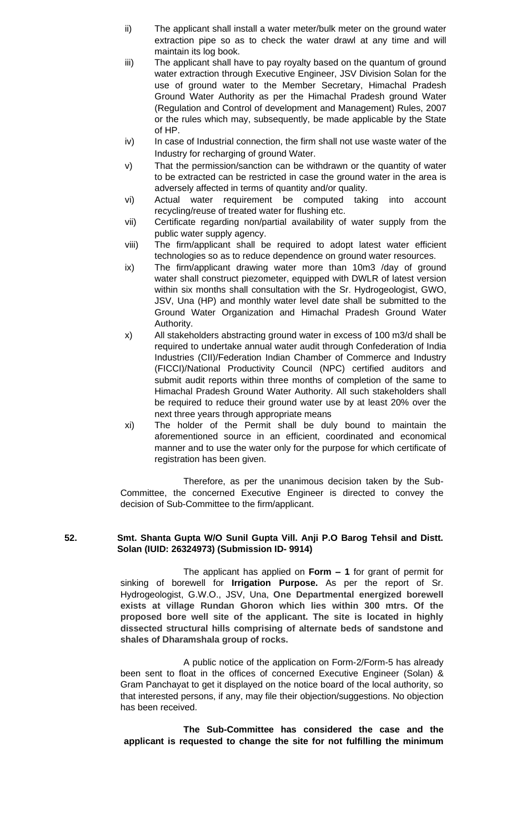- ii) The applicant shall install a water meter/bulk meter on the ground water extraction pipe so as to check the water drawl at any time and will maintain its log book.
- iii) The applicant shall have to pay royalty based on the quantum of ground water extraction through Executive Engineer, JSV Division Solan for the use of ground water to the Member Secretary, Himachal Pradesh Ground Water Authority as per the Himachal Pradesh ground Water (Regulation and Control of development and Management) Rules, 2007 or the rules which may, subsequently, be made applicable by the State of HP.
- iv) In case of Industrial connection, the firm shall not use waste water of the Industry for recharging of ground Water.
- v) That the permission/sanction can be withdrawn or the quantity of water to be extracted can be restricted in case the ground water in the area is adversely affected in terms of quantity and/or quality.
- vi) Actual water requirement be computed taking into account recycling/reuse of treated water for flushing etc.
- vii) Certificate regarding non/partial availability of water supply from the public water supply agency.
- viii) The firm/applicant shall be required to adopt latest water efficient technologies so as to reduce dependence on ground water resources.
- ix) The firm/applicant drawing water more than 10m3 /day of ground water shall construct piezometer, equipped with DWLR of latest version within six months shall consultation with the Sr. Hydrogeologist, GWO, JSV, Una (HP) and monthly water level date shall be submitted to the Ground Water Organization and Himachal Pradesh Ground Water Authority.
- x) All stakeholders abstracting ground water in excess of 100 m3/d shall be required to undertake annual water audit through Confederation of India Industries (CII)/Federation Indian Chamber of Commerce and Industry (FICCI)/National Productivity Council (NPC) certified auditors and submit audit reports within three months of completion of the same to Himachal Pradesh Ground Water Authority. All such stakeholders shall be required to reduce their ground water use by at least 20% over the next three years through appropriate means
- xi) The holder of the Permit shall be duly bound to maintain the aforementioned source in an efficient, coordinated and economical manner and to use the water only for the purpose for which certificate of registration has been given.

## **52. Smt. Shanta Gupta W/O Sunil Gupta Vill. Anji P.O Barog Tehsil and Distt. Solan (IUID: 26324973) (Submission ID- 9914)**

The applicant has applied on **Form – 1** for grant of permit for sinking of borewell for **Irrigation Purpose.** As per the report of Sr. Hydrogeologist, G.W.O., JSV, Una, **One Departmental energized borewell exists at village Rundan Ghoron which lies within 300 mtrs. Of the proposed bore well site of the applicant. The site is located in highly dissected structural hills comprising of alternate beds of sandstone and shales of Dharamshala group of rocks.**

A public notice of the application on Form-2/Form-5 has already been sent to float in the offices of concerned Executive Engineer (Solan) & Gram Panchayat to get it displayed on the notice board of the local authority, so that interested persons, if any, may file their objection/suggestions. No objection has been received.

**The Sub-Committee has considered the case and the applicant is requested to change the site for not fulfilling the minimum**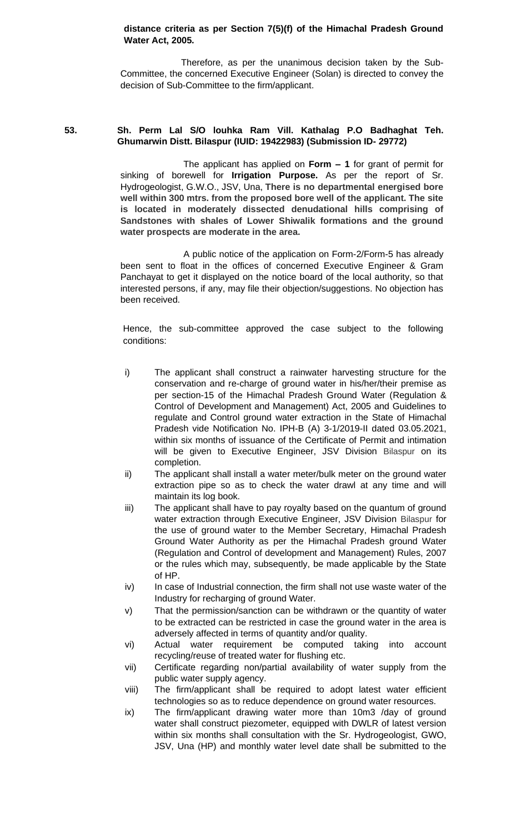## **distance criteria as per Section 7(5)(f) of the Himachal Pradesh Ground Water Act, 2005.**

 Therefore, as per the unanimous decision taken by the Sub-Committee, the concerned Executive Engineer (Solan) is directed to convey the decision of Sub-Committee to the firm/applicant.

# **53. Sh. Perm Lal S/O louhka Ram Vill. Kathalag P.O Badhaghat Teh. Ghumarwin Distt. Bilaspur (IUID: 19422983) (Submission ID- 29772)**

The applicant has applied on **Form – 1** for grant of permit for sinking of borewell for **Irrigation Purpose.** As per the report of Sr. Hydrogeologist, G.W.O., JSV, Una, **There is no departmental energised bore well within 300 mtrs. from the proposed bore well of the applicant. The site is located in moderately dissected denudational hills comprising of Sandstones with shales of Lower Shiwalik formations and the ground water prospects are moderate in the area.**

A public notice of the application on Form-2/Form-5 has already been sent to float in the offices of concerned Executive Engineer & Gram Panchayat to get it displayed on the notice board of the local authority, so that interested persons, if any, may file their objection/suggestions. No objection has been received.

- i) The applicant shall construct a rainwater harvesting structure for the conservation and re-charge of ground water in his/her/their premise as per section-15 of the Himachal Pradesh Ground Water (Regulation & Control of Development and Management) Act, 2005 and Guidelines to regulate and Control ground water extraction in the State of Himachal Pradesh vide Notification No. IPH-B (A) 3-1/2019-II dated 03.05.2021, within six months of issuance of the Certificate of Permit and intimation will be given to Executive Engineer, JSV Division Bilaspur on its completion.
- ii) The applicant shall install a water meter/bulk meter on the ground water extraction pipe so as to check the water drawl at any time and will maintain its log book.
- iii) The applicant shall have to pay royalty based on the quantum of ground water extraction through Executive Engineer, JSV Division Bilaspur for the use of ground water to the Member Secretary, Himachal Pradesh Ground Water Authority as per the Himachal Pradesh ground Water (Regulation and Control of development and Management) Rules, 2007 or the rules which may, subsequently, be made applicable by the State of HP.
- iv) In case of Industrial connection, the firm shall not use waste water of the Industry for recharging of ground Water.
- v) That the permission/sanction can be withdrawn or the quantity of water to be extracted can be restricted in case the ground water in the area is adversely affected in terms of quantity and/or quality.
- vi) Actual water requirement be computed taking into account recycling/reuse of treated water for flushing etc.
- vii) Certificate regarding non/partial availability of water supply from the public water supply agency.
- viii) The firm/applicant shall be required to adopt latest water efficient technologies so as to reduce dependence on ground water resources.
- ix) The firm/applicant drawing water more than 10m3 /day of ground water shall construct piezometer, equipped with DWLR of latest version within six months shall consultation with the Sr. Hydrogeologist, GWO, JSV, Una (HP) and monthly water level date shall be submitted to the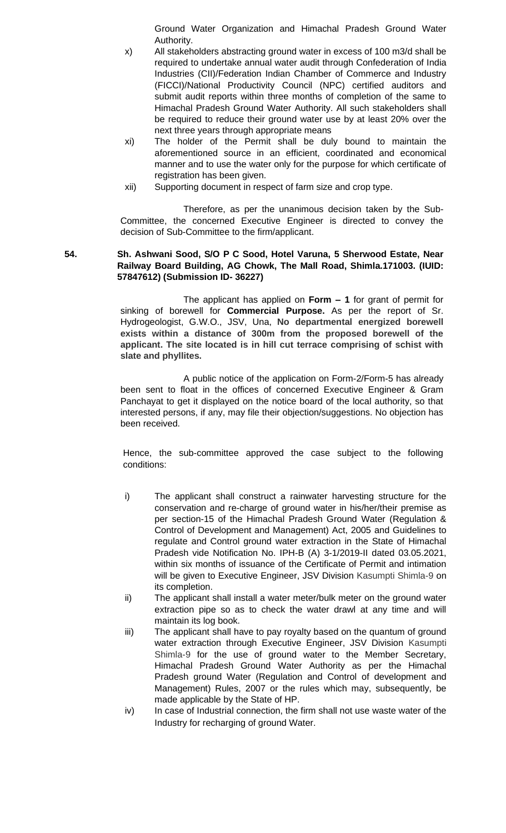Ground Water Organization and Himachal Pradesh Ground Water Authority.

- x) All stakeholders abstracting ground water in excess of 100 m3/d shall be required to undertake annual water audit through Confederation of India Industries (CII)/Federation Indian Chamber of Commerce and Industry (FICCI)/National Productivity Council (NPC) certified auditors and submit audit reports within three months of completion of the same to Himachal Pradesh Ground Water Authority. All such stakeholders shall be required to reduce their ground water use by at least 20% over the next three years through appropriate means
- xi) The holder of the Permit shall be duly bound to maintain the aforementioned source in an efficient, coordinated and economical manner and to use the water only for the purpose for which certificate of registration has been given.
- xii) Supporting document in respect of farm size and crop type.

Therefore, as per the unanimous decision taken by the Sub-Committee, the concerned Executive Engineer is directed to convey the decision of Sub-Committee to the firm/applicant.

## **54. Sh. Ashwani Sood, S/O P C Sood, Hotel Varuna, 5 Sherwood Estate, Near Railway Board Building, AG Chowk, The Mall Road, Shimla.171003. (IUID: 57847612) (Submission ID- 36227)**

The applicant has applied on **Form – 1** for grant of permit for sinking of borewell for **Commercial Purpose.** As per the report of Sr. Hydrogeologist, G.W.O., JSV, Una, **No departmental energized borewell exists within a distance of 300m from the proposed borewell of the applicant. The site located is in hill cut terrace comprising of schist with slate and phyllites.**

A public notice of the application on Form-2/Form-5 has already been sent to float in the offices of concerned Executive Engineer & Gram Panchayat to get it displayed on the notice board of the local authority, so that interested persons, if any, may file their objection/suggestions. No objection has been received.

- i) The applicant shall construct a rainwater harvesting structure for the conservation and re-charge of ground water in his/her/their premise as per section-15 of the Himachal Pradesh Ground Water (Regulation & Control of Development and Management) Act, 2005 and Guidelines to regulate and Control ground water extraction in the State of Himachal Pradesh vide Notification No. IPH-B (A) 3-1/2019-II dated 03.05.2021, within six months of issuance of the Certificate of Permit and intimation will be given to Executive Engineer, JSV Division Kasumpti Shimla-9 on its completion.
- ii) The applicant shall install a water meter/bulk meter on the ground water extraction pipe so as to check the water drawl at any time and will maintain its log book.
- iii) The applicant shall have to pay royalty based on the quantum of ground water extraction through Executive Engineer, JSV Division Kasumpti Shimla-9 for the use of ground water to the Member Secretary, Himachal Pradesh Ground Water Authority as per the Himachal Pradesh ground Water (Regulation and Control of development and Management) Rules, 2007 or the rules which may, subsequently, be made applicable by the State of HP.
- iv) In case of Industrial connection, the firm shall not use waste water of the Industry for recharging of ground Water.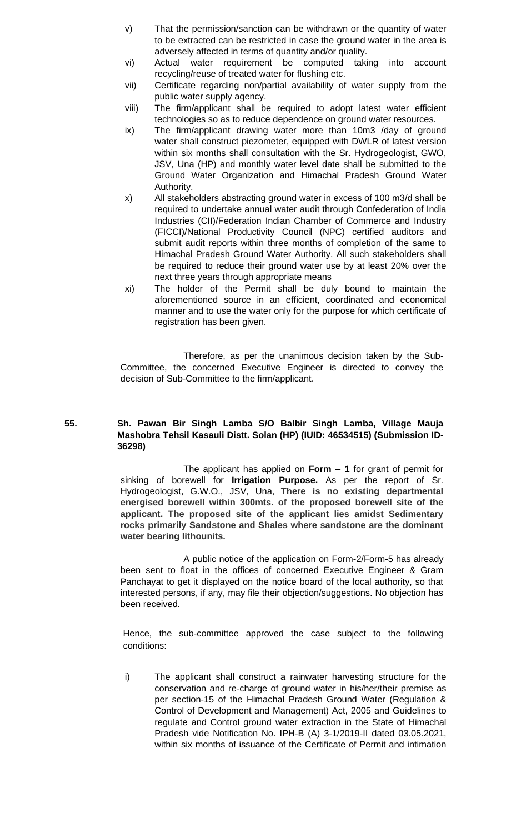- v) That the permission/sanction can be withdrawn or the quantity of water to be extracted can be restricted in case the ground water in the area is adversely affected in terms of quantity and/or quality.
- vi) Actual water requirement be computed taking into account recycling/reuse of treated water for flushing etc.
- vii) Certificate regarding non/partial availability of water supply from the public water supply agency.
- viii) The firm/applicant shall be required to adopt latest water efficient technologies so as to reduce dependence on ground water resources.
- ix) The firm/applicant drawing water more than 10m3 /day of ground water shall construct piezometer, equipped with DWLR of latest version within six months shall consultation with the Sr. Hydrogeologist, GWO, JSV, Una (HP) and monthly water level date shall be submitted to the Ground Water Organization and Himachal Pradesh Ground Water Authority.
- x) All stakeholders abstracting ground water in excess of 100 m3/d shall be required to undertake annual water audit through Confederation of India Industries (CII)/Federation Indian Chamber of Commerce and Industry (FICCI)/National Productivity Council (NPC) certified auditors and submit audit reports within three months of completion of the same to Himachal Pradesh Ground Water Authority. All such stakeholders shall be required to reduce their ground water use by at least 20% over the next three years through appropriate means
- xi) The holder of the Permit shall be duly bound to maintain the aforementioned source in an efficient, coordinated and economical manner and to use the water only for the purpose for which certificate of registration has been given.

## **55. Sh. Pawan Bir Singh Lamba S/O Balbir Singh Lamba, Village Mauja Mashobra Tehsil Kasauli Distt. Solan (HP) (IUID: 46534515) (Submission ID-36298)**

The applicant has applied on **Form – 1** for grant of permit for sinking of borewell for **Irrigation Purpose.** As per the report of Sr. Hydrogeologist, G.W.O., JSV, Una, **There is no existing departmental energised borewell within 300mts. of the proposed borewell site of the applicant. The proposed site of the applicant lies amidst Sedimentary rocks primarily Sandstone and Shales where sandstone are the dominant water bearing lithounits.**

A public notice of the application on Form-2/Form-5 has already been sent to float in the offices of concerned Executive Engineer & Gram Panchayat to get it displayed on the notice board of the local authority, so that interested persons, if any, may file their objection/suggestions. No objection has been received.

Hence, the sub-committee approved the case subject to the following conditions:

i) The applicant shall construct a rainwater harvesting structure for the conservation and re-charge of ground water in his/her/their premise as per section-15 of the Himachal Pradesh Ground Water (Regulation & Control of Development and Management) Act, 2005 and Guidelines to regulate and Control ground water extraction in the State of Himachal Pradesh vide Notification No. IPH-B (A) 3-1/2019-II dated 03.05.2021, within six months of issuance of the Certificate of Permit and intimation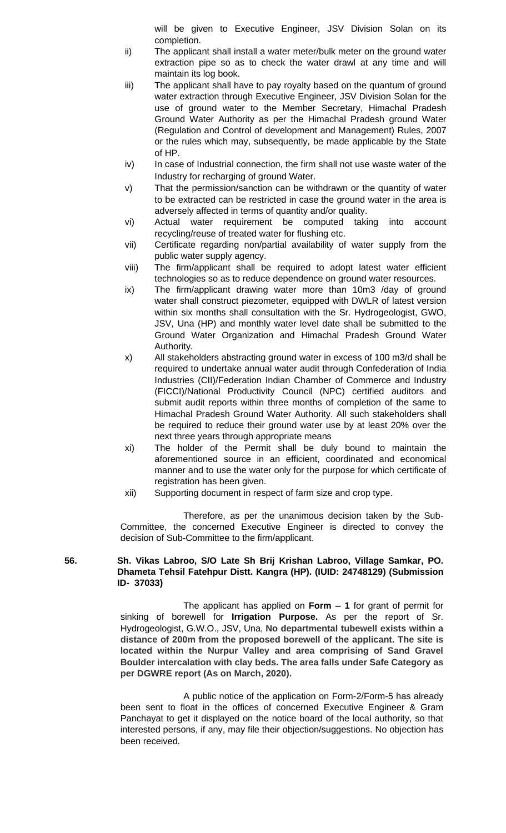will be given to Executive Engineer, JSV Division Solan on its completion.

- ii) The applicant shall install a water meter/bulk meter on the ground water extraction pipe so as to check the water drawl at any time and will maintain its log book.
- iii) The applicant shall have to pay royalty based on the quantum of ground water extraction through Executive Engineer, JSV Division Solan for the use of ground water to the Member Secretary, Himachal Pradesh Ground Water Authority as per the Himachal Pradesh ground Water (Regulation and Control of development and Management) Rules, 2007 or the rules which may, subsequently, be made applicable by the State of HP.
- iv) In case of Industrial connection, the firm shall not use waste water of the Industry for recharging of ground Water.
- v) That the permission/sanction can be withdrawn or the quantity of water to be extracted can be restricted in case the ground water in the area is adversely affected in terms of quantity and/or quality.
- vi) Actual water requirement be computed taking into account recycling/reuse of treated water for flushing etc.
- vii) Certificate regarding non/partial availability of water supply from the public water supply agency.
- viii) The firm/applicant shall be required to adopt latest water efficient technologies so as to reduce dependence on ground water resources.
- ix) The firm/applicant drawing water more than 10m3 /day of ground water shall construct piezometer, equipped with DWLR of latest version within six months shall consultation with the Sr. Hydrogeologist, GWO, JSV, Una (HP) and monthly water level date shall be submitted to the Ground Water Organization and Himachal Pradesh Ground Water Authority.
- x) All stakeholders abstracting ground water in excess of 100 m3/d shall be required to undertake annual water audit through Confederation of India Industries (CII)/Federation Indian Chamber of Commerce and Industry (FICCI)/National Productivity Council (NPC) certified auditors and submit audit reports within three months of completion of the same to Himachal Pradesh Ground Water Authority. All such stakeholders shall be required to reduce their ground water use by at least 20% over the next three years through appropriate means
- xi) The holder of the Permit shall be duly bound to maintain the aforementioned source in an efficient, coordinated and economical manner and to use the water only for the purpose for which certificate of registration has been given.
- xii) Supporting document in respect of farm size and crop type.

Therefore, as per the unanimous decision taken by the Sub-Committee, the concerned Executive Engineer is directed to convey the decision of Sub-Committee to the firm/applicant.

# **56. Sh. Vikas Labroo, S/O Late Sh Brij Krishan Labroo, Village Samkar, PO. Dhameta Tehsil Fatehpur Distt. Kangra (HP). (IUID: 24748129) (Submission ID- 37033)**

The applicant has applied on **Form – 1** for grant of permit for sinking of borewell for **Irrigation Purpose.** As per the report of Sr. Hydrogeologist, G.W.O., JSV, Una, **No departmental tubewell exists within a distance of 200m from the proposed borewell of the applicant. The site is located within the Nurpur Valley and area comprising of Sand Gravel Boulder intercalation with clay beds. The area falls under Safe Category as per DGWRE report (As on March, 2020).**

A public notice of the application on Form-2/Form-5 has already been sent to float in the offices of concerned Executive Engineer & Gram Panchayat to get it displayed on the notice board of the local authority, so that interested persons, if any, may file their objection/suggestions. No objection has been received.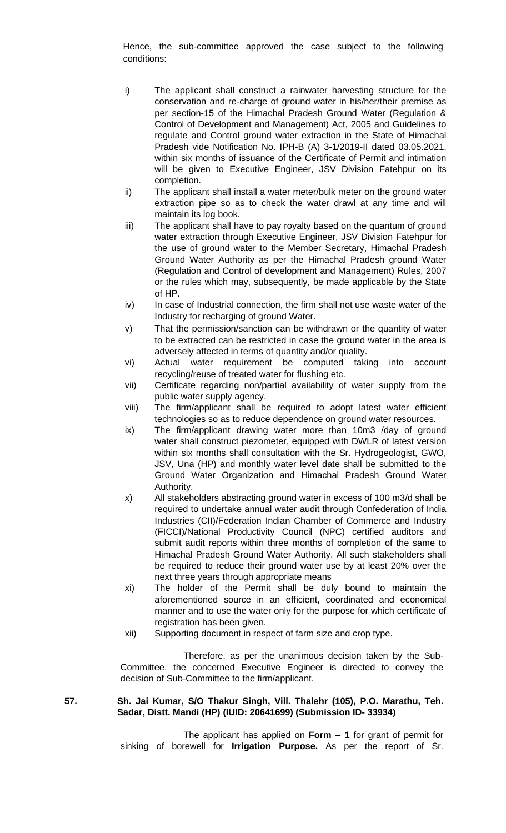Hence, the sub-committee approved the case subject to the following conditions:

- i) The applicant shall construct a rainwater harvesting structure for the conservation and re-charge of ground water in his/her/their premise as per section-15 of the Himachal Pradesh Ground Water (Regulation & Control of Development and Management) Act, 2005 and Guidelines to regulate and Control ground water extraction in the State of Himachal Pradesh vide Notification No. IPH-B (A) 3-1/2019-II dated 03.05.2021, within six months of issuance of the Certificate of Permit and intimation will be given to Executive Engineer, JSV Division Fatehpur on its completion.
- ii) The applicant shall install a water meter/bulk meter on the ground water extraction pipe so as to check the water drawl at any time and will maintain its log book.
- iii) The applicant shall have to pay royalty based on the quantum of ground water extraction through Executive Engineer, JSV Division Fatehpur for the use of ground water to the Member Secretary, Himachal Pradesh Ground Water Authority as per the Himachal Pradesh ground Water (Regulation and Control of development and Management) Rules, 2007 or the rules which may, subsequently, be made applicable by the State of HP.
- iv) In case of Industrial connection, the firm shall not use waste water of the Industry for recharging of ground Water.
- v) That the permission/sanction can be withdrawn or the quantity of water to be extracted can be restricted in case the ground water in the area is adversely affected in terms of quantity and/or quality.
- vi) Actual water requirement be computed taking into account recycling/reuse of treated water for flushing etc.
- vii) Certificate regarding non/partial availability of water supply from the public water supply agency.
- viii) The firm/applicant shall be required to adopt latest water efficient technologies so as to reduce dependence on ground water resources.
- ix) The firm/applicant drawing water more than 10m3 /day of ground water shall construct piezometer, equipped with DWLR of latest version within six months shall consultation with the Sr. Hydrogeologist, GWO, JSV, Una (HP) and monthly water level date shall be submitted to the Ground Water Organization and Himachal Pradesh Ground Water Authority.
- x) All stakeholders abstracting ground water in excess of 100 m3/d shall be required to undertake annual water audit through Confederation of India Industries (CII)/Federation Indian Chamber of Commerce and Industry (FICCI)/National Productivity Council (NPC) certified auditors and submit audit reports within three months of completion of the same to Himachal Pradesh Ground Water Authority. All such stakeholders shall be required to reduce their ground water use by at least 20% over the next three years through appropriate means
- xi) The holder of the Permit shall be duly bound to maintain the aforementioned source in an efficient, coordinated and economical manner and to use the water only for the purpose for which certificate of registration has been given.
- xii) Supporting document in respect of farm size and crop type.

Therefore, as per the unanimous decision taken by the Sub-Committee, the concerned Executive Engineer is directed to convey the decision of Sub-Committee to the firm/applicant.

# **57. Sh. Jai Kumar, S/O Thakur Singh, Vill. Thalehr (105), P.O. Marathu, Teh. Sadar, Distt. Mandi (HP) (IUID: 20641699) (Submission ID- 33934)**

The applicant has applied on **Form – 1** for grant of permit for sinking of borewell for **Irrigation Purpose.** As per the report of Sr.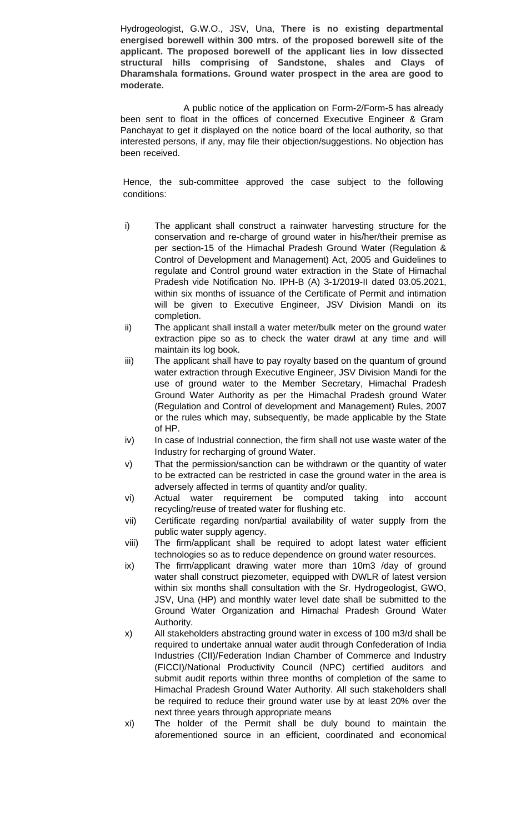Hydrogeologist, G.W.O., JSV, Una, **There is no existing departmental energised borewell within 300 mtrs. of the proposed borewell site of the applicant. The proposed borewell of the applicant lies in low dissected structural hills comprising of Sandstone, shales and Clays of Dharamshala formations. Ground water prospect in the area are good to moderate.**

A public notice of the application on Form-2/Form-5 has already been sent to float in the offices of concerned Executive Engineer & Gram Panchayat to get it displayed on the notice board of the local authority, so that interested persons, if any, may file their objection/suggestions. No objection has been received.

- i) The applicant shall construct a rainwater harvesting structure for the conservation and re-charge of ground water in his/her/their premise as per section-15 of the Himachal Pradesh Ground Water (Regulation & Control of Development and Management) Act, 2005 and Guidelines to regulate and Control ground water extraction in the State of Himachal Pradesh vide Notification No. IPH-B (A) 3-1/2019-II dated 03.05.2021, within six months of issuance of the Certificate of Permit and intimation will be given to Executive Engineer, JSV Division Mandi on its completion.
- ii) The applicant shall install a water meter/bulk meter on the ground water extraction pipe so as to check the water drawl at any time and will maintain its log book.
- iii) The applicant shall have to pay royalty based on the quantum of ground water extraction through Executive Engineer, JSV Division Mandi for the use of ground water to the Member Secretary, Himachal Pradesh Ground Water Authority as per the Himachal Pradesh ground Water (Regulation and Control of development and Management) Rules, 2007 or the rules which may, subsequently, be made applicable by the State of HP.
- iv) In case of Industrial connection, the firm shall not use waste water of the Industry for recharging of ground Water.
- v) That the permission/sanction can be withdrawn or the quantity of water to be extracted can be restricted in case the ground water in the area is adversely affected in terms of quantity and/or quality.
- vi) Actual water requirement be computed taking into account recycling/reuse of treated water for flushing etc.
- vii) Certificate regarding non/partial availability of water supply from the public water supply agency.
- viii) The firm/applicant shall be required to adopt latest water efficient technologies so as to reduce dependence on ground water resources.
- ix) The firm/applicant drawing water more than 10m3 /day of ground water shall construct piezometer, equipped with DWLR of latest version within six months shall consultation with the Sr. Hydrogeologist, GWO, JSV, Una (HP) and monthly water level date shall be submitted to the Ground Water Organization and Himachal Pradesh Ground Water Authority.
- x) All stakeholders abstracting ground water in excess of 100 m3/d shall be required to undertake annual water audit through Confederation of India Industries (CII)/Federation Indian Chamber of Commerce and Industry (FICCI)/National Productivity Council (NPC) certified auditors and submit audit reports within three months of completion of the same to Himachal Pradesh Ground Water Authority. All such stakeholders shall be required to reduce their ground water use by at least 20% over the next three years through appropriate means
- xi) The holder of the Permit shall be duly bound to maintain the aforementioned source in an efficient, coordinated and economical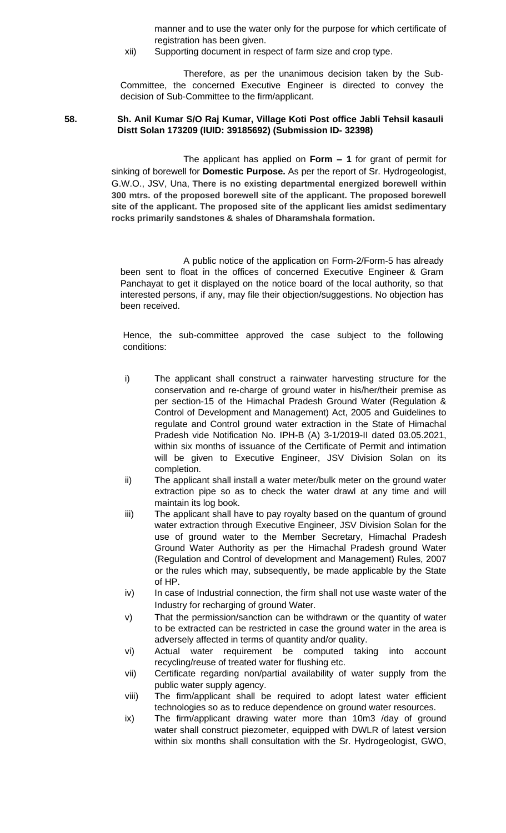manner and to use the water only for the purpose for which certificate of registration has been given.

xii) Supporting document in respect of farm size and crop type.

Therefore, as per the unanimous decision taken by the Sub-Committee, the concerned Executive Engineer is directed to convey the decision of Sub-Committee to the firm/applicant.

## **58. Sh. Anil Kumar S/O Raj Kumar, Village Koti Post office Jabli Tehsil kasauli Distt Solan 173209 (IUID: 39185692) (Submission ID- 32398)**

The applicant has applied on **Form – 1** for grant of permit for sinking of borewell for **Domestic Purpose.** As per the report of Sr. Hydrogeologist, G.W.O., JSV, Una, **There is no existing departmental energized borewell within 300 mtrs. of the proposed borewell site of the applicant. The proposed borewell site of the applicant. The proposed site of the applicant lies amidst sedimentary rocks primarily sandstones & shales of Dharamshala formation.**

A public notice of the application on Form-2/Form-5 has already been sent to float in the offices of concerned Executive Engineer & Gram Panchayat to get it displayed on the notice board of the local authority, so that interested persons, if any, may file their objection/suggestions. No objection has been received.

- i) The applicant shall construct a rainwater harvesting structure for the conservation and re-charge of ground water in his/her/their premise as per section-15 of the Himachal Pradesh Ground Water (Regulation & Control of Development and Management) Act, 2005 and Guidelines to regulate and Control ground water extraction in the State of Himachal Pradesh vide Notification No. IPH-B (A) 3-1/2019-II dated 03.05.2021, within six months of issuance of the Certificate of Permit and intimation will be given to Executive Engineer, JSV Division Solan on its completion.
- ii) The applicant shall install a water meter/bulk meter on the ground water extraction pipe so as to check the water drawl at any time and will maintain its log book.
- iii) The applicant shall have to pay royalty based on the quantum of ground water extraction through Executive Engineer, JSV Division Solan for the use of ground water to the Member Secretary, Himachal Pradesh Ground Water Authority as per the Himachal Pradesh ground Water (Regulation and Control of development and Management) Rules, 2007 or the rules which may, subsequently, be made applicable by the State of HP.
- iv) In case of Industrial connection, the firm shall not use waste water of the Industry for recharging of ground Water.
- v) That the permission/sanction can be withdrawn or the quantity of water to be extracted can be restricted in case the ground water in the area is adversely affected in terms of quantity and/or quality.
- vi) Actual water requirement be computed taking into account recycling/reuse of treated water for flushing etc.
- vii) Certificate regarding non/partial availability of water supply from the public water supply agency.
- viii) The firm/applicant shall be required to adopt latest water efficient technologies so as to reduce dependence on ground water resources.
- ix) The firm/applicant drawing water more than 10m3 /day of ground water shall construct piezometer, equipped with DWLR of latest version within six months shall consultation with the Sr. Hydrogeologist, GWO,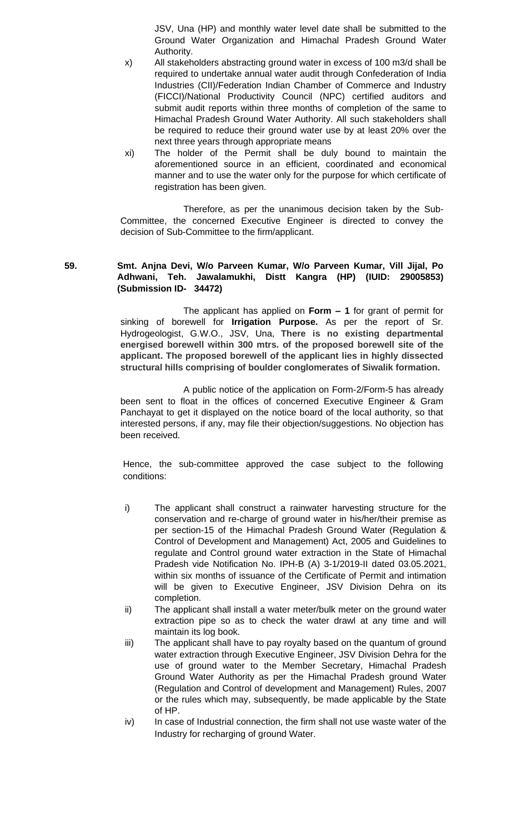JSV, Una (HP) and monthly water level date shall be submitted to the Ground Water Organization and Himachal Pradesh Ground Water Authority.

- x) All stakeholders abstracting ground water in excess of 100 m3/d shall be required to undertake annual water audit through Confederation of India Industries (CII)/Federation Indian Chamber of Commerce and Industry (FICCI)/National Productivity Council (NPC) certified auditors and submit audit reports within three months of completion of the same to Himachal Pradesh Ground Water Authority. All such stakeholders shall be required to reduce their ground water use by at least 20% over the next three years through appropriate means
- xi) The holder of the Permit shall be duly bound to maintain the aforementioned source in an efficient, coordinated and economical manner and to use the water only for the purpose for which certificate of registration has been given.

Therefore, as per the unanimous decision taken by the Sub-Committee, the concerned Executive Engineer is directed to convey the decision of Sub-Committee to the firm/applicant.

# **59. Smt. Anjna Devi, W/o Parveen Kumar, W/o Parveen Kumar, Vill Jijal, Po Adhwani, Teh. Jawalamukhi, Distt Kangra (HP) (IUID: 29005853) (Submission ID- 34472)**

The applicant has applied on **Form – 1** for grant of permit for sinking of borewell for **Irrigation Purpose.** As per the report of Sr. Hydrogeologist, G.W.O., JSV, Una, **There is no existing departmental energised borewell within 300 mtrs. of the proposed borewell site of the applicant. The proposed borewell of the applicant lies in highly dissected structural hills comprising of boulder conglomerates of Siwalik formation.**

A public notice of the application on Form-2/Form-5 has already been sent to float in the offices of concerned Executive Engineer & Gram Panchayat to get it displayed on the notice board of the local authority, so that interested persons, if any, may file their objection/suggestions. No objection has been received.

- i) The applicant shall construct a rainwater harvesting structure for the conservation and re-charge of ground water in his/her/their premise as per section-15 of the Himachal Pradesh Ground Water (Regulation & Control of Development and Management) Act, 2005 and Guidelines to regulate and Control ground water extraction in the State of Himachal Pradesh vide Notification No. IPH-B (A) 3-1/2019-II dated 03.05.2021, within six months of issuance of the Certificate of Permit and intimation will be given to Executive Engineer, JSV Division Dehra on its completion.
- ii) The applicant shall install a water meter/bulk meter on the ground water extraction pipe so as to check the water drawl at any time and will maintain its log book.
- iii) The applicant shall have to pay royalty based on the quantum of ground water extraction through Executive Engineer, JSV Division Dehra for the use of ground water to the Member Secretary, Himachal Pradesh Ground Water Authority as per the Himachal Pradesh ground Water (Regulation and Control of development and Management) Rules, 2007 or the rules which may, subsequently, be made applicable by the State of HP.
- iv) In case of Industrial connection, the firm shall not use waste water of the Industry for recharging of ground Water.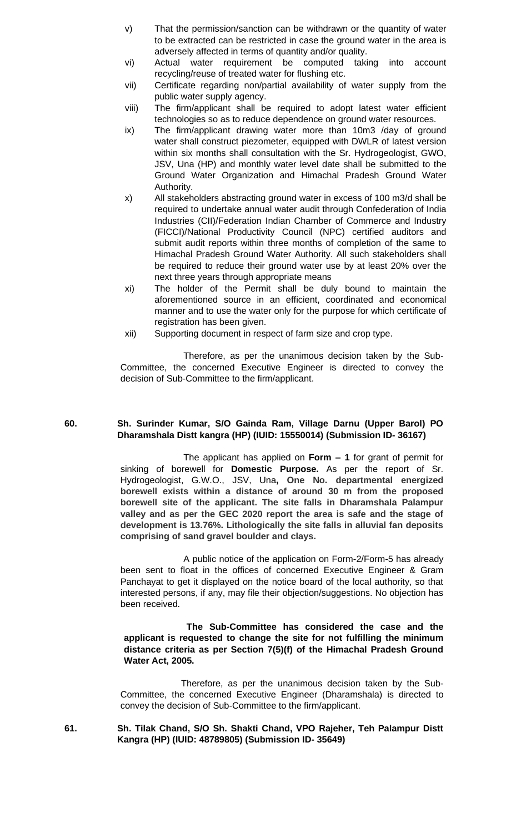- v) That the permission/sanction can be withdrawn or the quantity of water to be extracted can be restricted in case the ground water in the area is adversely affected in terms of quantity and/or quality.
- vi) Actual water requirement be computed taking into account recycling/reuse of treated water for flushing etc.
- vii) Certificate regarding non/partial availability of water supply from the public water supply agency.
- viii) The firm/applicant shall be required to adopt latest water efficient technologies so as to reduce dependence on ground water resources.
- ix) The firm/applicant drawing water more than 10m3 /day of ground water shall construct piezometer, equipped with DWLR of latest version within six months shall consultation with the Sr. Hydrogeologist, GWO, JSV, Una (HP) and monthly water level date shall be submitted to the Ground Water Organization and Himachal Pradesh Ground Water Authority.
- x) All stakeholders abstracting ground water in excess of 100 m3/d shall be required to undertake annual water audit through Confederation of India Industries (CII)/Federation Indian Chamber of Commerce and Industry (FICCI)/National Productivity Council (NPC) certified auditors and submit audit reports within three months of completion of the same to Himachal Pradesh Ground Water Authority. All such stakeholders shall be required to reduce their ground water use by at least 20% over the next three years through appropriate means
- xi) The holder of the Permit shall be duly bound to maintain the aforementioned source in an efficient, coordinated and economical manner and to use the water only for the purpose for which certificate of registration has been given.
- xii) Supporting document in respect of farm size and crop type.

## **60. Sh. Surinder Kumar, S/O Gainda Ram, Village Darnu (Upper Barol) PO Dharamshala Distt kangra (HP) (IUID: 15550014) (Submission ID- 36167)**

The applicant has applied on **Form – 1** for grant of permit for sinking of borewell for **Domestic Purpose.** As per the report of Sr. Hydrogeologist, G.W.O., JSV, Una**, One No. departmental energized borewell exists within a distance of around 30 m from the proposed borewell site of the applicant. The site falls in Dharamshala Palampur valley and as per the GEC 2020 report the area is safe and the stage of development is 13.76%. Lithologically the site falls in alluvial fan deposits comprising of sand gravel boulder and clays.**

A public notice of the application on Form-2/Form-5 has already been sent to float in the offices of concerned Executive Engineer & Gram Panchayat to get it displayed on the notice board of the local authority, so that interested persons, if any, may file their objection/suggestions. No objection has been received.

### **The Sub-Committee has considered the case and the applicant is requested to change the site for not fulfilling the minimum distance criteria as per Section 7(5)(f) of the Himachal Pradesh Ground Water Act, 2005.**

 Therefore, as per the unanimous decision taken by the Sub-Committee, the concerned Executive Engineer (Dharamshala) is directed to convey the decision of Sub-Committee to the firm/applicant.

#### **61. Sh. Tilak Chand, S/O Sh. Shakti Chand, VPO Rajeher, Teh Palampur Distt Kangra (HP) (IUID: 48789805) (Submission ID- 35649)**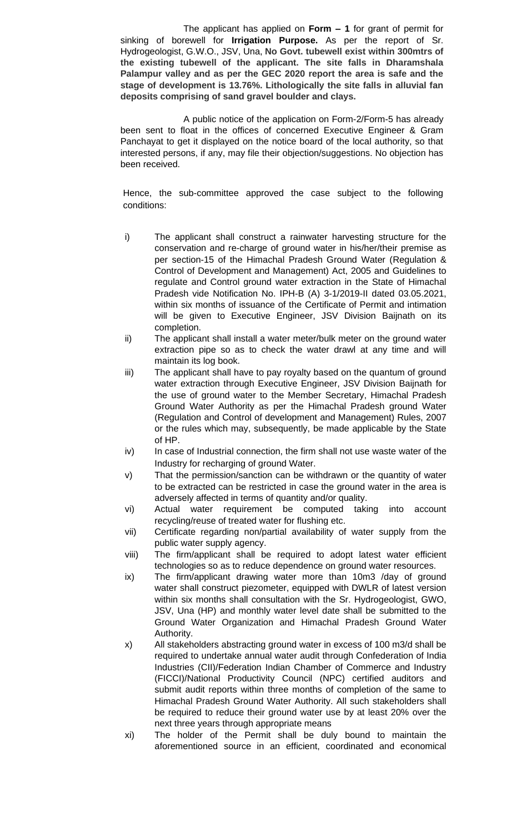The applicant has applied on **Form – 1** for grant of permit for sinking of borewell for **Irrigation Purpose.** As per the report of Sr. Hydrogeologist, G.W.O., JSV, Una, **No Govt. tubewell exist within 300mtrs of the existing tubewell of the applicant. The site falls in Dharamshala Palampur valley and as per the GEC 2020 report the area is safe and the stage of development is 13.76%. Lithologically the site falls in alluvial fan deposits comprising of sand gravel boulder and clays.**

A public notice of the application on Form-2/Form-5 has already been sent to float in the offices of concerned Executive Engineer & Gram Panchayat to get it displayed on the notice board of the local authority, so that interested persons, if any, may file their objection/suggestions. No objection has been received.

- i) The applicant shall construct a rainwater harvesting structure for the conservation and re-charge of ground water in his/her/their premise as per section-15 of the Himachal Pradesh Ground Water (Regulation & Control of Development and Management) Act, 2005 and Guidelines to regulate and Control ground water extraction in the State of Himachal Pradesh vide Notification No. IPH-B (A) 3-1/2019-II dated 03.05.2021, within six months of issuance of the Certificate of Permit and intimation will be given to Executive Engineer, JSV Division Baijnath on its completion.
- ii) The applicant shall install a water meter/bulk meter on the ground water extraction pipe so as to check the water drawl at any time and will maintain its log book.
- iii) The applicant shall have to pay royalty based on the quantum of ground water extraction through Executive Engineer, JSV Division Baijnath for the use of ground water to the Member Secretary, Himachal Pradesh Ground Water Authority as per the Himachal Pradesh ground Water (Regulation and Control of development and Management) Rules, 2007 or the rules which may, subsequently, be made applicable by the State of HP.
- iv) In case of Industrial connection, the firm shall not use waste water of the Industry for recharging of ground Water.
- v) That the permission/sanction can be withdrawn or the quantity of water to be extracted can be restricted in case the ground water in the area is adversely affected in terms of quantity and/or quality.
- vi) Actual water requirement be computed taking into account recycling/reuse of treated water for flushing etc.
- vii) Certificate regarding non/partial availability of water supply from the public water supply agency.
- viii) The firm/applicant shall be required to adopt latest water efficient technologies so as to reduce dependence on ground water resources.
- ix) The firm/applicant drawing water more than 10m3 /day of ground water shall construct piezometer, equipped with DWLR of latest version within six months shall consultation with the Sr. Hydrogeologist, GWO, JSV, Una (HP) and monthly water level date shall be submitted to the Ground Water Organization and Himachal Pradesh Ground Water Authority.
- x) All stakeholders abstracting ground water in excess of 100 m3/d shall be required to undertake annual water audit through Confederation of India Industries (CII)/Federation Indian Chamber of Commerce and Industry (FICCI)/National Productivity Council (NPC) certified auditors and submit audit reports within three months of completion of the same to Himachal Pradesh Ground Water Authority. All such stakeholders shall be required to reduce their ground water use by at least 20% over the next three years through appropriate means
- xi) The holder of the Permit shall be duly bound to maintain the aforementioned source in an efficient, coordinated and economical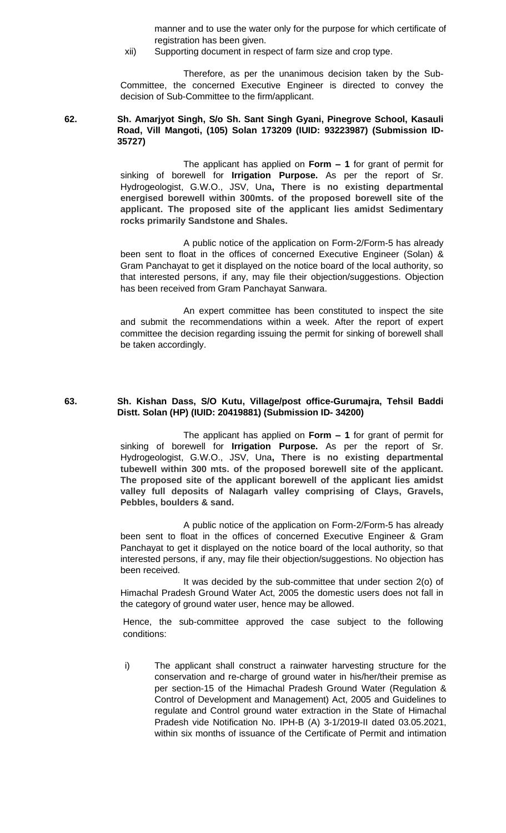manner and to use the water only for the purpose for which certificate of registration has been given.

xii) Supporting document in respect of farm size and crop type.

Therefore, as per the unanimous decision taken by the Sub-Committee, the concerned Executive Engineer is directed to convey the decision of Sub-Committee to the firm/applicant.

#### **62. Sh. Amarjyot Singh, S/o Sh. Sant Singh Gyani, Pinegrove School, Kasauli Road, Vill Mangoti, (105) Solan 173209 (IUID: 93223987) (Submission ID-35727)**

The applicant has applied on **Form – 1** for grant of permit for sinking of borewell for **Irrigation Purpose.** As per the report of Sr. Hydrogeologist, G.W.O., JSV, Una**, There is no existing departmental energised borewell within 300mts. of the proposed borewell site of the applicant. The proposed site of the applicant lies amidst Sedimentary rocks primarily Sandstone and Shales.**

A public notice of the application on Form-2/Form-5 has already been sent to float in the offices of concerned Executive Engineer (Solan) & Gram Panchayat to get it displayed on the notice board of the local authority, so that interested persons, if any, may file their objection/suggestions. Objection has been received from Gram Panchayat Sanwara.

An expert committee has been constituted to inspect the site and submit the recommendations within a week. After the report of expert committee the decision regarding issuing the permit for sinking of borewell shall be taken accordingly.

#### **63. Sh. Kishan Dass, S/O Kutu, Village/post office-Gurumajra, Tehsil Baddi Distt. Solan (HP) (IUID: 20419881) (Submission ID- 34200)**

The applicant has applied on **Form – 1** for grant of permit for sinking of borewell for **Irrigation Purpose.** As per the report of Sr. Hydrogeologist, G.W.O., JSV, Una**, There is no existing departmental tubewell within 300 mts. of the proposed borewell site of the applicant. The proposed site of the applicant borewell of the applicant lies amidst valley full deposits of Nalagarh valley comprising of Clays, Gravels, Pebbles, boulders & sand.**

A public notice of the application on Form-2/Form-5 has already been sent to float in the offices of concerned Executive Engineer & Gram Panchayat to get it displayed on the notice board of the local authority, so that interested persons, if any, may file their objection/suggestions. No objection has been received.

It was decided by the sub-committee that under section 2(o) of Himachal Pradesh Ground Water Act, 2005 the domestic users does not fall in the category of ground water user, hence may be allowed.

Hence, the sub-committee approved the case subject to the following conditions:

i) The applicant shall construct a rainwater harvesting structure for the conservation and re-charge of ground water in his/her/their premise as per section-15 of the Himachal Pradesh Ground Water (Regulation & Control of Development and Management) Act, 2005 and Guidelines to regulate and Control ground water extraction in the State of Himachal Pradesh vide Notification No. IPH-B (A) 3-1/2019-II dated 03.05.2021, within six months of issuance of the Certificate of Permit and intimation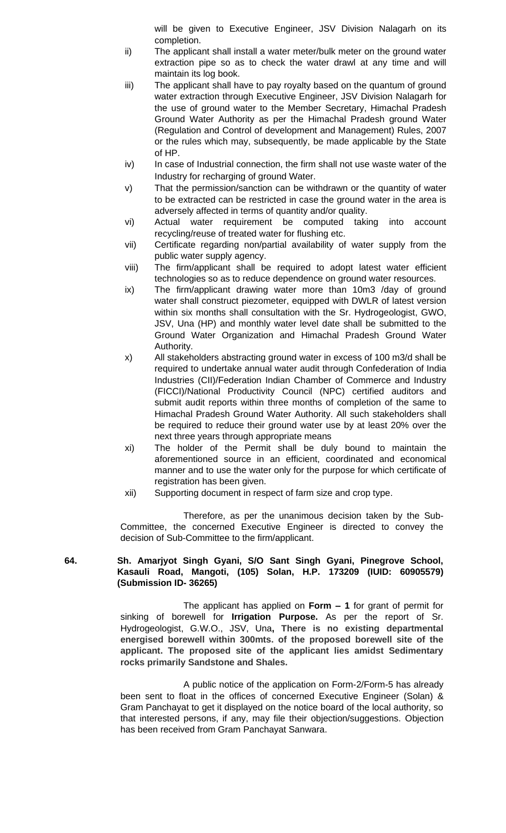will be given to Executive Engineer, JSV Division Nalagarh on its completion.

- ii) The applicant shall install a water meter/bulk meter on the ground water extraction pipe so as to check the water drawl at any time and will maintain its log book.
- iii) The applicant shall have to pay royalty based on the quantum of ground water extraction through Executive Engineer, JSV Division Nalagarh for the use of ground water to the Member Secretary, Himachal Pradesh Ground Water Authority as per the Himachal Pradesh ground Water (Regulation and Control of development and Management) Rules, 2007 or the rules which may, subsequently, be made applicable by the State of HP.
- iv) In case of Industrial connection, the firm shall not use waste water of the Industry for recharging of ground Water.
- v) That the permission/sanction can be withdrawn or the quantity of water to be extracted can be restricted in case the ground water in the area is adversely affected in terms of quantity and/or quality.
- vi) Actual water requirement be computed taking into account recycling/reuse of treated water for flushing etc.
- vii) Certificate regarding non/partial availability of water supply from the public water supply agency.
- viii) The firm/applicant shall be required to adopt latest water efficient technologies so as to reduce dependence on ground water resources.
- ix) The firm/applicant drawing water more than 10m3 /day of ground water shall construct piezometer, equipped with DWLR of latest version within six months shall consultation with the Sr. Hydrogeologist, GWO, JSV, Una (HP) and monthly water level date shall be submitted to the Ground Water Organization and Himachal Pradesh Ground Water Authority.
- x) All stakeholders abstracting ground water in excess of 100 m3/d shall be required to undertake annual water audit through Confederation of India Industries (CII)/Federation Indian Chamber of Commerce and Industry (FICCI)/National Productivity Council (NPC) certified auditors and submit audit reports within three months of completion of the same to Himachal Pradesh Ground Water Authority. All such stakeholders shall be required to reduce their ground water use by at least 20% over the next three years through appropriate means
- xi) The holder of the Permit shall be duly bound to maintain the aforementioned source in an efficient, coordinated and economical manner and to use the water only for the purpose for which certificate of registration has been given.
- xii) Supporting document in respect of farm size and crop type.

Therefore, as per the unanimous decision taken by the Sub-Committee, the concerned Executive Engineer is directed to convey the decision of Sub-Committee to the firm/applicant.

# **64. Sh. Amarjyot Singh Gyani, S/O Sant Singh Gyani, Pinegrove School, Kasauli Road, Mangoti, (105) Solan, H.P. 173209 (IUID: 60905579) (Submission ID- 36265)**

The applicant has applied on **Form – 1** for grant of permit for sinking of borewell for **Irrigation Purpose.** As per the report of Sr. Hydrogeologist, G.W.O., JSV, Una**, There is no existing departmental energised borewell within 300mts. of the proposed borewell site of the applicant. The proposed site of the applicant lies amidst Sedimentary rocks primarily Sandstone and Shales.**

A public notice of the application on Form-2/Form-5 has already been sent to float in the offices of concerned Executive Engineer (Solan) & Gram Panchayat to get it displayed on the notice board of the local authority, so that interested persons, if any, may file their objection/suggestions. Objection has been received from Gram Panchayat Sanwara.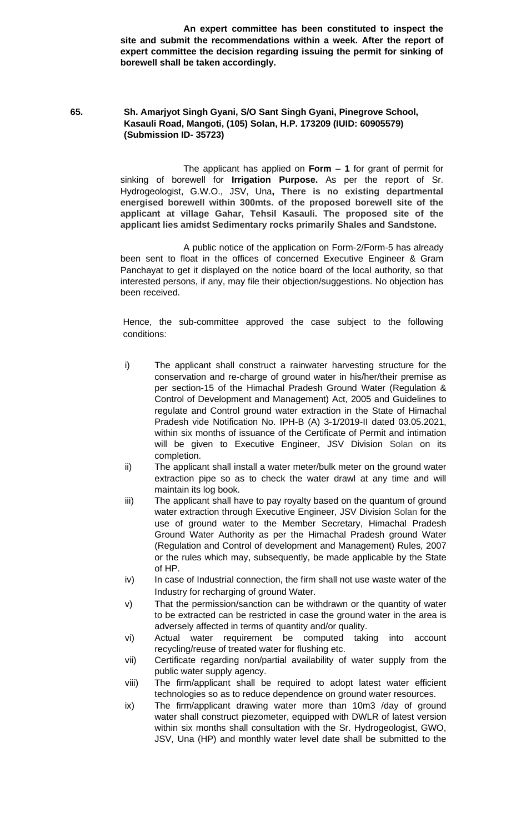**An expert committee has been constituted to inspect the site and submit the recommendations within a week. After the report of expert committee the decision regarding issuing the permit for sinking of borewell shall be taken accordingly.**

# **65. Sh. Amarjyot Singh Gyani, S/O Sant Singh Gyani, Pinegrove School, Kasauli Road, Mangoti, (105) Solan, H.P. 173209 (IUID: 60905579) (Submission ID- 35723)**

The applicant has applied on **Form – 1** for grant of permit for sinking of borewell for **Irrigation Purpose.** As per the report of Sr. Hydrogeologist, G.W.O., JSV, Una**, There is no existing departmental energised borewell within 300mts. of the proposed borewell site of the applicant at village Gahar, Tehsil Kasauli. The proposed site of the applicant lies amidst Sedimentary rocks primarily Shales and Sandstone.**

A public notice of the application on Form-2/Form-5 has already been sent to float in the offices of concerned Executive Engineer & Gram Panchayat to get it displayed on the notice board of the local authority, so that interested persons, if any, may file their objection/suggestions. No objection has been received.

- i) The applicant shall construct a rainwater harvesting structure for the conservation and re-charge of ground water in his/her/their premise as per section-15 of the Himachal Pradesh Ground Water (Regulation & Control of Development and Management) Act, 2005 and Guidelines to regulate and Control ground water extraction in the State of Himachal Pradesh vide Notification No. IPH-B (A) 3-1/2019-II dated 03.05.2021, within six months of issuance of the Certificate of Permit and intimation will be given to Executive Engineer, JSV Division Solan on its completion.
- ii) The applicant shall install a water meter/bulk meter on the ground water extraction pipe so as to check the water drawl at any time and will maintain its log book.
- iii) The applicant shall have to pay royalty based on the quantum of ground water extraction through Executive Engineer, JSV Division Solan for the use of ground water to the Member Secretary, Himachal Pradesh Ground Water Authority as per the Himachal Pradesh ground Water (Regulation and Control of development and Management) Rules, 2007 or the rules which may, subsequently, be made applicable by the State of HP.
- iv) In case of Industrial connection, the firm shall not use waste water of the Industry for recharging of ground Water.
- v) That the permission/sanction can be withdrawn or the quantity of water to be extracted can be restricted in case the ground water in the area is adversely affected in terms of quantity and/or quality.
- vi) Actual water requirement be computed taking into account recycling/reuse of treated water for flushing etc.
- vii) Certificate regarding non/partial availability of water supply from the public water supply agency.
- viii) The firm/applicant shall be required to adopt latest water efficient technologies so as to reduce dependence on ground water resources.
- ix) The firm/applicant drawing water more than 10m3 /day of ground water shall construct piezometer, equipped with DWLR of latest version within six months shall consultation with the Sr. Hydrogeologist, GWO, JSV, Una (HP) and monthly water level date shall be submitted to the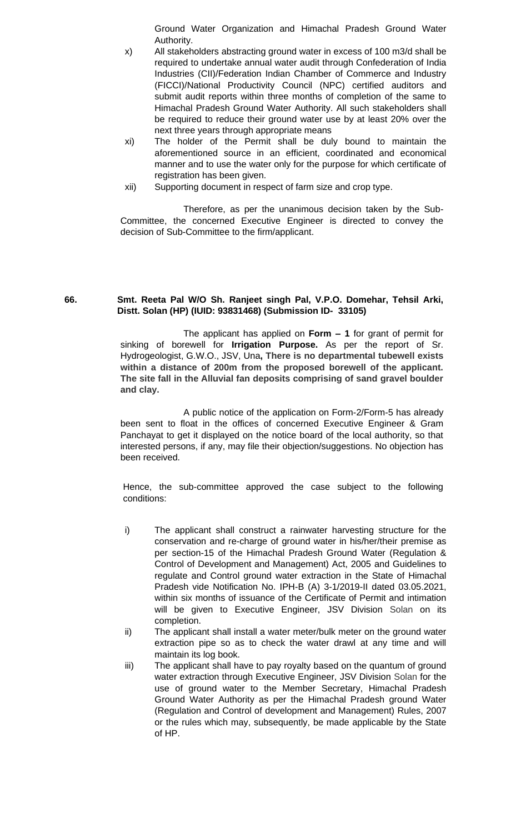Ground Water Organization and Himachal Pradesh Ground Water Authority.

- x) All stakeholders abstracting ground water in excess of 100 m3/d shall be required to undertake annual water audit through Confederation of India Industries (CII)/Federation Indian Chamber of Commerce and Industry (FICCI)/National Productivity Council (NPC) certified auditors and submit audit reports within three months of completion of the same to Himachal Pradesh Ground Water Authority. All such stakeholders shall be required to reduce their ground water use by at least 20% over the next three years through appropriate means
- xi) The holder of the Permit shall be duly bound to maintain the aforementioned source in an efficient, coordinated and economical manner and to use the water only for the purpose for which certificate of registration has been given.
- xii) Supporting document in respect of farm size and crop type.

Therefore, as per the unanimous decision taken by the Sub-Committee, the concerned Executive Engineer is directed to convey the decision of Sub-Committee to the firm/applicant.

#### **66. Smt. Reeta Pal W/O Sh. Ranjeet singh Pal, V.P.O. Domehar, Tehsil Arki, Distt. Solan (HP) (IUID: 93831468) (Submission ID- 33105)**

The applicant has applied on **Form – 1** for grant of permit for sinking of borewell for **Irrigation Purpose.** As per the report of Sr. Hydrogeologist, G.W.O., JSV, Una**, There is no departmental tubewell exists within a distance of 200m from the proposed borewell of the applicant. The site fall in the Alluvial fan deposits comprising of sand gravel boulder and clay.**

A public notice of the application on Form-2/Form-5 has already been sent to float in the offices of concerned Executive Engineer & Gram Panchayat to get it displayed on the notice board of the local authority, so that interested persons, if any, may file their objection/suggestions. No objection has been received.

- i) The applicant shall construct a rainwater harvesting structure for the conservation and re-charge of ground water in his/her/their premise as per section-15 of the Himachal Pradesh Ground Water (Regulation & Control of Development and Management) Act, 2005 and Guidelines to regulate and Control ground water extraction in the State of Himachal Pradesh vide Notification No. IPH-B (A) 3-1/2019-II dated 03.05.2021, within six months of issuance of the Certificate of Permit and intimation will be given to Executive Engineer, JSV Division Solan on its completion.
- ii) The applicant shall install a water meter/bulk meter on the ground water extraction pipe so as to check the water drawl at any time and will maintain its log book.
- iii) The applicant shall have to pay royalty based on the quantum of ground water extraction through Executive Engineer, JSV Division Solan for the use of ground water to the Member Secretary, Himachal Pradesh Ground Water Authority as per the Himachal Pradesh ground Water (Regulation and Control of development and Management) Rules, 2007 or the rules which may, subsequently, be made applicable by the State of HP.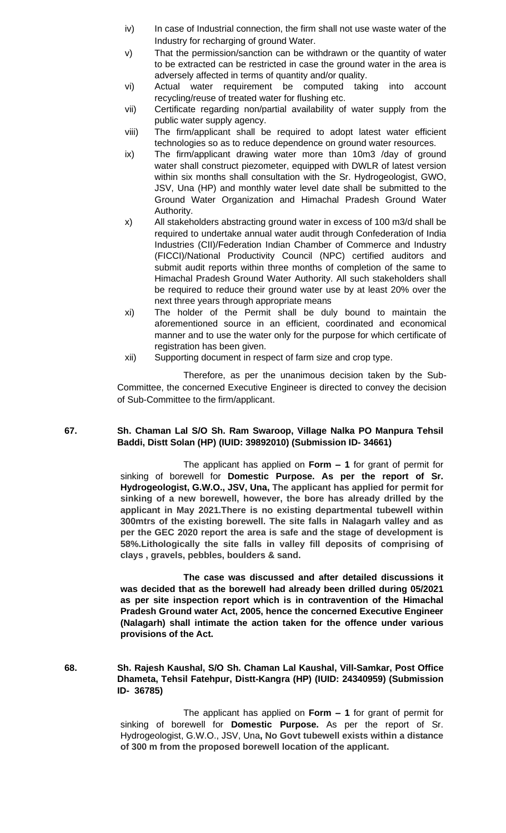- iv) In case of Industrial connection, the firm shall not use waste water of the Industry for recharging of ground Water.
- v) That the permission/sanction can be withdrawn or the quantity of water to be extracted can be restricted in case the ground water in the area is adversely affected in terms of quantity and/or quality.
- vi) Actual water requirement be computed taking into account recycling/reuse of treated water for flushing etc.
- vii) Certificate regarding non/partial availability of water supply from the public water supply agency.
- viii) The firm/applicant shall be required to adopt latest water efficient technologies so as to reduce dependence on ground water resources.
- ix) The firm/applicant drawing water more than 10m3 /day of ground water shall construct piezometer, equipped with DWLR of latest version within six months shall consultation with the Sr. Hydrogeologist, GWO, JSV, Una (HP) and monthly water level date shall be submitted to the Ground Water Organization and Himachal Pradesh Ground Water Authority.
- x) All stakeholders abstracting ground water in excess of 100 m3/d shall be required to undertake annual water audit through Confederation of India Industries (CII)/Federation Indian Chamber of Commerce and Industry (FICCI)/National Productivity Council (NPC) certified auditors and submit audit reports within three months of completion of the same to Himachal Pradesh Ground Water Authority. All such stakeholders shall be required to reduce their ground water use by at least 20% over the next three years through appropriate means
- xi) The holder of the Permit shall be duly bound to maintain the aforementioned source in an efficient, coordinated and economical manner and to use the water only for the purpose for which certificate of registration has been given.
- xii) Supporting document in respect of farm size and crop type.

### **67. Sh. Chaman Lal S/O Sh. Ram Swaroop, Village Nalka PO Manpura Tehsil Baddi, Distt Solan (HP) (IUID: 39892010) (Submission ID- 34661)**

The applicant has applied on **Form – 1** for grant of permit for sinking of borewell for **Domestic Purpose. As per the report of Sr. Hydrogeologist, G.W.O., JSV, Una, The applicant has applied for permit for sinking of a new borewell, however, the bore has already drilled by the applicant in May 2021.There is no existing departmental tubewell within 300mtrs of the existing borewell. The site falls in Nalagarh valley and as per the GEC 2020 report the area is safe and the stage of development is 58%.Lithologically the site falls in valley fill deposits of comprising of clays , gravels, pebbles, boulders & sand.**

**The case was discussed and after detailed discussions it was decided that as the borewell had already been drilled during 05/2021 as per site inspection report which is in contravention of the Himachal Pradesh Ground water Act, 2005, hence the concerned Executive Engineer (Nalagarh) shall intimate the action taken for the offence under various provisions of the Act.**

**68. Sh. Rajesh Kaushal, S/O Sh. Chaman Lal Kaushal, Vill-Samkar, Post Office Dhameta, Tehsil Fatehpur, Distt-Kangra (HP) (IUID: 24340959) (Submission ID- 36785)**

> The applicant has applied on **Form – 1** for grant of permit for sinking of borewell for **Domestic Purpose.** As per the report of Sr. Hydrogeologist, G.W.O., JSV, Una**, No Govt tubewell exists within a distance of 300 m from the proposed borewell location of the applicant.**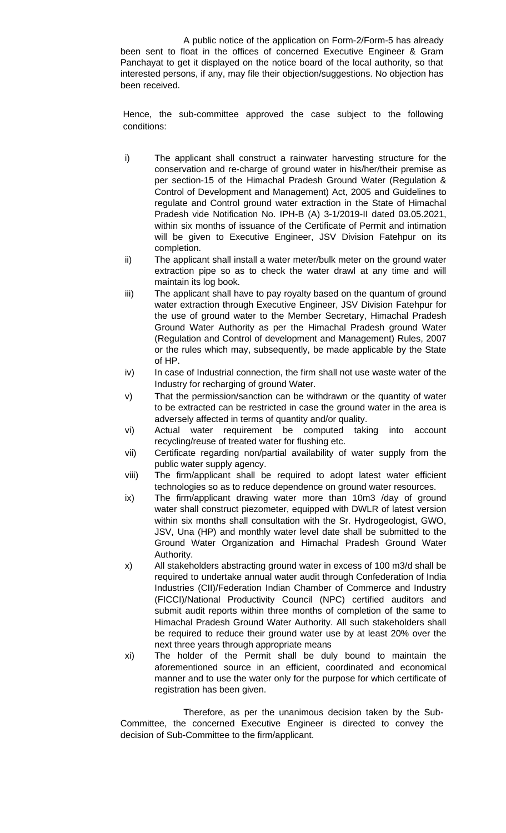A public notice of the application on Form-2/Form-5 has already been sent to float in the offices of concerned Executive Engineer & Gram Panchayat to get it displayed on the notice board of the local authority, so that interested persons, if any, may file their objection/suggestions. No objection has been received.

Hence, the sub-committee approved the case subject to the following conditions:

- i) The applicant shall construct a rainwater harvesting structure for the conservation and re-charge of ground water in his/her/their premise as per section-15 of the Himachal Pradesh Ground Water (Regulation & Control of Development and Management) Act, 2005 and Guidelines to regulate and Control ground water extraction in the State of Himachal Pradesh vide Notification No. IPH-B (A) 3-1/2019-II dated 03.05.2021, within six months of issuance of the Certificate of Permit and intimation will be given to Executive Engineer, JSV Division Fatehpur on its completion.
- ii) The applicant shall install a water meter/bulk meter on the ground water extraction pipe so as to check the water drawl at any time and will maintain its log book.
- iii) The applicant shall have to pay royalty based on the quantum of ground water extraction through Executive Engineer, JSV Division Fatehpur for the use of ground water to the Member Secretary, Himachal Pradesh Ground Water Authority as per the Himachal Pradesh ground Water (Regulation and Control of development and Management) Rules, 2007 or the rules which may, subsequently, be made applicable by the State of HP.
- iv) In case of Industrial connection, the firm shall not use waste water of the Industry for recharging of ground Water.
- v) That the permission/sanction can be withdrawn or the quantity of water to be extracted can be restricted in case the ground water in the area is adversely affected in terms of quantity and/or quality.
- vi) Actual water requirement be computed taking into account recycling/reuse of treated water for flushing etc.
- vii) Certificate regarding non/partial availability of water supply from the public water supply agency.
- viii) The firm/applicant shall be required to adopt latest water efficient technologies so as to reduce dependence on ground water resources.
- ix) The firm/applicant drawing water more than 10m3 /day of ground water shall construct piezometer, equipped with DWLR of latest version within six months shall consultation with the Sr. Hydrogeologist, GWO, JSV, Una (HP) and monthly water level date shall be submitted to the Ground Water Organization and Himachal Pradesh Ground Water Authority.
- x) All stakeholders abstracting ground water in excess of 100 m3/d shall be required to undertake annual water audit through Confederation of India Industries (CII)/Federation Indian Chamber of Commerce and Industry (FICCI)/National Productivity Council (NPC) certified auditors and submit audit reports within three months of completion of the same to Himachal Pradesh Ground Water Authority. All such stakeholders shall be required to reduce their ground water use by at least 20% over the next three years through appropriate means
- xi) The holder of the Permit shall be duly bound to maintain the aforementioned source in an efficient, coordinated and economical manner and to use the water only for the purpose for which certificate of registration has been given.

Therefore, as per the unanimous decision taken by the Sub-Committee, the concerned Executive Engineer is directed to convey the decision of Sub-Committee to the firm/applicant.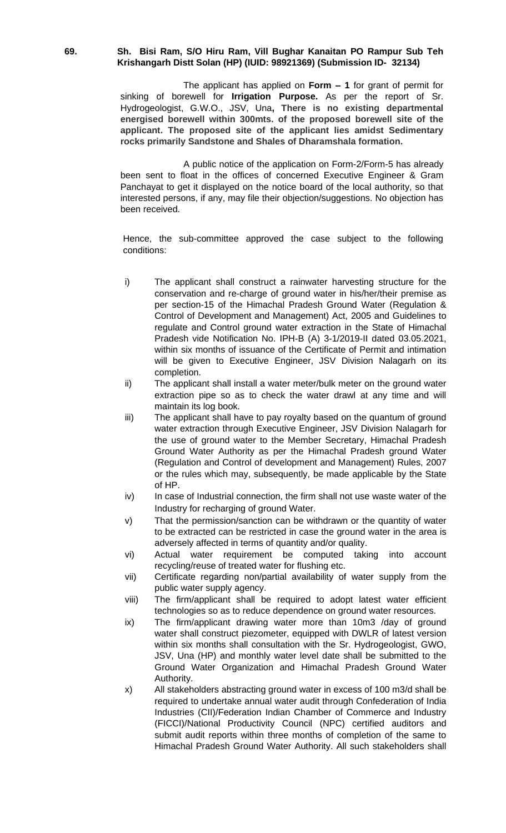#### **69. Sh. Bisi Ram, S/O Hiru Ram, Vill Bughar Kanaitan PO Rampur Sub Teh Krishangarh Distt Solan (HP) (IUID: 98921369) (Submission ID- 32134)**

The applicant has applied on **Form – 1** for grant of permit for sinking of borewell for **Irrigation Purpose.** As per the report of Sr. Hydrogeologist, G.W.O., JSV, Una**, There is no existing departmental energised borewell within 300mts. of the proposed borewell site of the applicant. The proposed site of the applicant lies amidst Sedimentary rocks primarily Sandstone and Shales of Dharamshala formation.**

A public notice of the application on Form-2/Form-5 has already been sent to float in the offices of concerned Executive Engineer & Gram Panchayat to get it displayed on the notice board of the local authority, so that interested persons, if any, may file their objection/suggestions. No objection has been received.

- i) The applicant shall construct a rainwater harvesting structure for the conservation and re-charge of ground water in his/her/their premise as per section-15 of the Himachal Pradesh Ground Water (Regulation & Control of Development and Management) Act, 2005 and Guidelines to regulate and Control ground water extraction in the State of Himachal Pradesh vide Notification No. IPH-B (A) 3-1/2019-II dated 03.05.2021, within six months of issuance of the Certificate of Permit and intimation will be given to Executive Engineer, JSV Division Nalagarh on its completion.
- ii) The applicant shall install a water meter/bulk meter on the ground water extraction pipe so as to check the water drawl at any time and will maintain its log book.
- iii) The applicant shall have to pay royalty based on the quantum of ground water extraction through Executive Engineer, JSV Division Nalagarh for the use of ground water to the Member Secretary, Himachal Pradesh Ground Water Authority as per the Himachal Pradesh ground Water (Regulation and Control of development and Management) Rules, 2007 or the rules which may, subsequently, be made applicable by the State of HP.
- iv) In case of Industrial connection, the firm shall not use waste water of the Industry for recharging of ground Water.
- v) That the permission/sanction can be withdrawn or the quantity of water to be extracted can be restricted in case the ground water in the area is adversely affected in terms of quantity and/or quality.
- vi) Actual water requirement be computed taking into account recycling/reuse of treated water for flushing etc.
- vii) Certificate regarding non/partial availability of water supply from the public water supply agency.
- viii) The firm/applicant shall be required to adopt latest water efficient technologies so as to reduce dependence on ground water resources.
- ix) The firm/applicant drawing water more than 10m3 /day of ground water shall construct piezometer, equipped with DWLR of latest version within six months shall consultation with the Sr. Hydrogeologist, GWO, JSV, Una (HP) and monthly water level date shall be submitted to the Ground Water Organization and Himachal Pradesh Ground Water Authority.
- x) All stakeholders abstracting ground water in excess of 100 m3/d shall be required to undertake annual water audit through Confederation of India Industries (CII)/Federation Indian Chamber of Commerce and Industry (FICCI)/National Productivity Council (NPC) certified auditors and submit audit reports within three months of completion of the same to Himachal Pradesh Ground Water Authority. All such stakeholders shall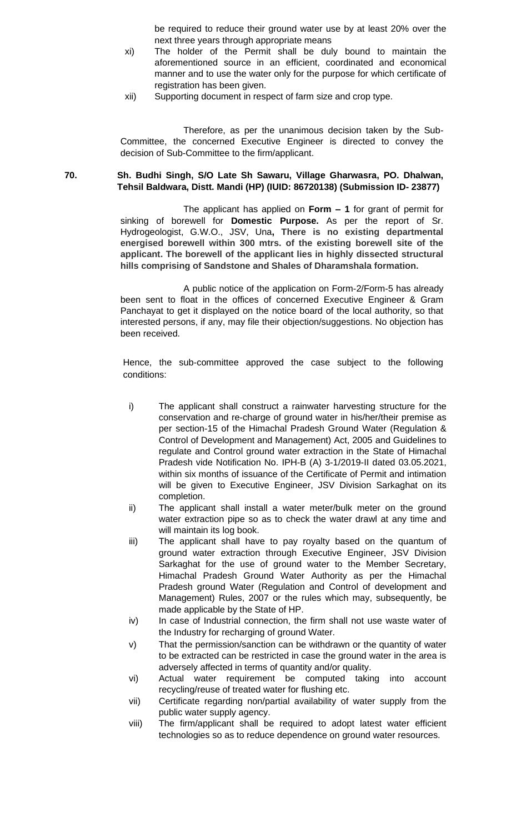be required to reduce their ground water use by at least 20% over the next three years through appropriate means

- xi) The holder of the Permit shall be duly bound to maintain the aforementioned source in an efficient, coordinated and economical manner and to use the water only for the purpose for which certificate of registration has been given.
- xii) Supporting document in respect of farm size and crop type.

Therefore, as per the unanimous decision taken by the Sub-Committee, the concerned Executive Engineer is directed to convey the decision of Sub-Committee to the firm/applicant.

## **70. Sh. Budhi Singh, S/O Late Sh Sawaru, Village Gharwasra, PO. Dhalwan, Tehsil Baldwara, Distt. Mandi (HP) (IUID: 86720138) (Submission ID- 23877)**

The applicant has applied on **Form – 1** for grant of permit for sinking of borewell for **Domestic Purpose.** As per the report of Sr. Hydrogeologist, G.W.O., JSV, Una**, There is no existing departmental energised borewell within 300 mtrs. of the existing borewell site of the applicant. The borewell of the applicant lies in highly dissected structural hills comprising of Sandstone and Shales of Dharamshala formation.**

A public notice of the application on Form-2/Form-5 has already been sent to float in the offices of concerned Executive Engineer & Gram Panchayat to get it displayed on the notice board of the local authority, so that interested persons, if any, may file their objection/suggestions. No objection has been received.

- i) The applicant shall construct a rainwater harvesting structure for the conservation and re-charge of ground water in his/her/their premise as per section-15 of the Himachal Pradesh Ground Water (Regulation & Control of Development and Management) Act, 2005 and Guidelines to regulate and Control ground water extraction in the State of Himachal Pradesh vide Notification No. IPH-B (A) 3-1/2019-II dated 03.05.2021, within six months of issuance of the Certificate of Permit and intimation will be given to Executive Engineer, JSV Division Sarkaghat on its completion.
- ii) The applicant shall install a water meter/bulk meter on the ground water extraction pipe so as to check the water drawl at any time and will maintain its log book.
- iii) The applicant shall have to pay royalty based on the quantum of ground water extraction through Executive Engineer, JSV Division Sarkaghat for the use of ground water to the Member Secretary, Himachal Pradesh Ground Water Authority as per the Himachal Pradesh ground Water (Regulation and Control of development and Management) Rules, 2007 or the rules which may, subsequently, be made applicable by the State of HP.
- iv) In case of Industrial connection, the firm shall not use waste water of the Industry for recharging of ground Water.
- v) That the permission/sanction can be withdrawn or the quantity of water to be extracted can be restricted in case the ground water in the area is adversely affected in terms of quantity and/or quality.
- vi) Actual water requirement be computed taking into account recycling/reuse of treated water for flushing etc.
- vii) Certificate regarding non/partial availability of water supply from the public water supply agency.
- viii) The firm/applicant shall be required to adopt latest water efficient technologies so as to reduce dependence on ground water resources.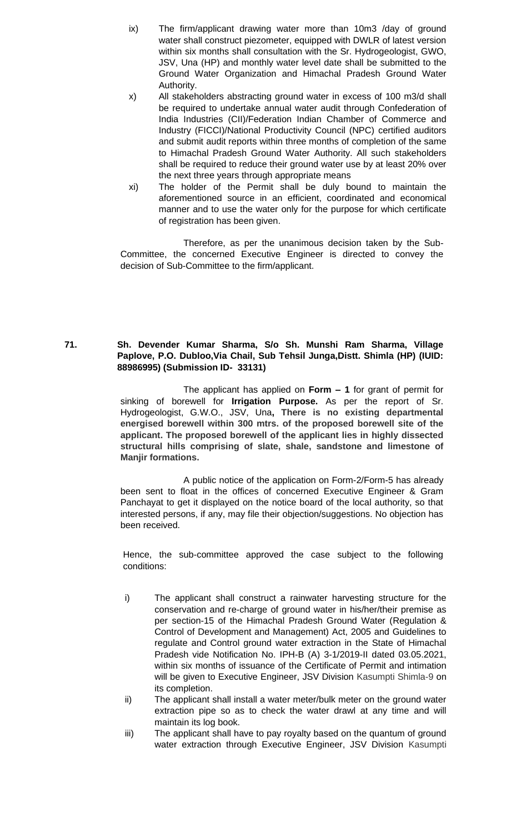- ix) The firm/applicant drawing water more than 10m3 /day of ground water shall construct piezometer, equipped with DWLR of latest version within six months shall consultation with the Sr. Hydrogeologist, GWO, JSV, Una (HP) and monthly water level date shall be submitted to the Ground Water Organization and Himachal Pradesh Ground Water Authority.
- x) All stakeholders abstracting ground water in excess of 100 m3/d shall be required to undertake annual water audit through Confederation of India Industries (CII)/Federation Indian Chamber of Commerce and Industry (FICCI)/National Productivity Council (NPC) certified auditors and submit audit reports within three months of completion of the same to Himachal Pradesh Ground Water Authority. All such stakeholders shall be required to reduce their ground water use by at least 20% over the next three years through appropriate means
- xi) The holder of the Permit shall be duly bound to maintain the aforementioned source in an efficient, coordinated and economical manner and to use the water only for the purpose for which certificate of registration has been given.

# **71. Sh. Devender Kumar Sharma, S/o Sh. Munshi Ram Sharma, Village Paplove, P.O. Dubloo,Via Chail, Sub Tehsil Junga,Distt. Shimla (HP) (IUID: 88986995) (Submission ID- 33131)**

The applicant has applied on **Form – 1** for grant of permit for sinking of borewell for **Irrigation Purpose.** As per the report of Sr. Hydrogeologist, G.W.O., JSV, Una**, There is no existing departmental energised borewell within 300 mtrs. of the proposed borewell site of the applicant. The proposed borewell of the applicant lies in highly dissected structural hills comprising of slate, shale, sandstone and limestone of Manjir formations.**

A public notice of the application on Form-2/Form-5 has already been sent to float in the offices of concerned Executive Engineer & Gram Panchayat to get it displayed on the notice board of the local authority, so that interested persons, if any, may file their objection/suggestions. No objection has been received.

- i) The applicant shall construct a rainwater harvesting structure for the conservation and re-charge of ground water in his/her/their premise as per section-15 of the Himachal Pradesh Ground Water (Regulation & Control of Development and Management) Act, 2005 and Guidelines to regulate and Control ground water extraction in the State of Himachal Pradesh vide Notification No. IPH-B (A) 3-1/2019-II dated 03.05.2021, within six months of issuance of the Certificate of Permit and intimation will be given to Executive Engineer, JSV Division Kasumpti Shimla-9 on its completion.
- ii) The applicant shall install a water meter/bulk meter on the ground water extraction pipe so as to check the water drawl at any time and will maintain its log book.
- iii) The applicant shall have to pay royalty based on the quantum of ground water extraction through Executive Engineer, JSV Division Kasumpti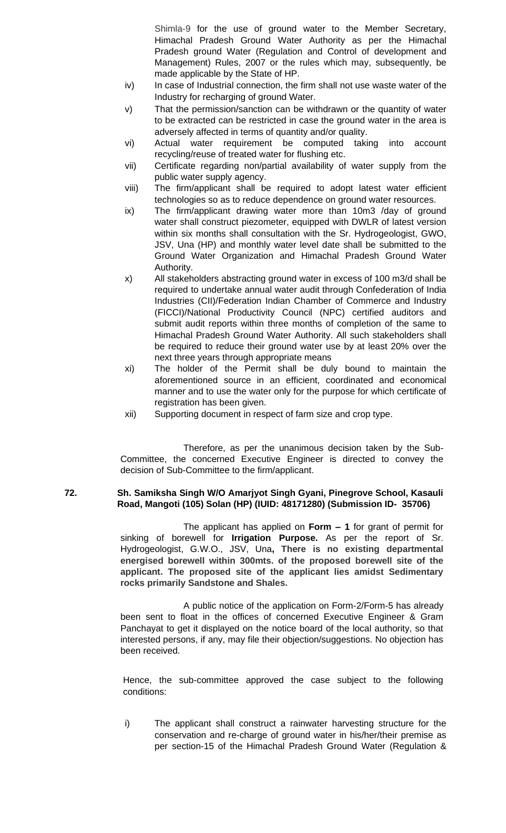Shimla-9 for the use of ground water to the Member Secretary, Himachal Pradesh Ground Water Authority as per the Himachal Pradesh ground Water (Regulation and Control of development and Management) Rules, 2007 or the rules which may, subsequently, be made applicable by the State of HP.

- iv) In case of Industrial connection, the firm shall not use waste water of the Industry for recharging of ground Water.
- v) That the permission/sanction can be withdrawn or the quantity of water to be extracted can be restricted in case the ground water in the area is adversely affected in terms of quantity and/or quality.
- vi) Actual water requirement be computed taking into account recycling/reuse of treated water for flushing etc.
- vii) Certificate regarding non/partial availability of water supply from the public water supply agency.
- viii) The firm/applicant shall be required to adopt latest water efficient technologies so as to reduce dependence on ground water resources.
- ix) The firm/applicant drawing water more than 10m3 /day of ground water shall construct piezometer, equipped with DWLR of latest version within six months shall consultation with the Sr. Hydrogeologist, GWO, JSV, Una (HP) and monthly water level date shall be submitted to the Ground Water Organization and Himachal Pradesh Ground Water Authority.
- x) All stakeholders abstracting ground water in excess of 100 m3/d shall be required to undertake annual water audit through Confederation of India Industries (CII)/Federation Indian Chamber of Commerce and Industry (FICCI)/National Productivity Council (NPC) certified auditors and submit audit reports within three months of completion of the same to Himachal Pradesh Ground Water Authority. All such stakeholders shall be required to reduce their ground water use by at least 20% over the next three years through appropriate means
- xi) The holder of the Permit shall be duly bound to maintain the aforementioned source in an efficient, coordinated and economical manner and to use the water only for the purpose for which certificate of registration has been given.
- xii) Supporting document in respect of farm size and crop type.

Therefore, as per the unanimous decision taken by the Sub-Committee, the concerned Executive Engineer is directed to convey the decision of Sub-Committee to the firm/applicant.

# **72. Sh. Samiksha Singh W/O Amarjyot Singh Gyani, Pinegrove School, Kasauli Road, Mangoti (105) Solan (HP) (IUID: 48171280) (Submission ID- 35706)**

The applicant has applied on **Form – 1** for grant of permit for sinking of borewell for **Irrigation Purpose.** As per the report of Sr. Hydrogeologist, G.W.O., JSV, Una**, There is no existing departmental energised borewell within 300mts. of the proposed borewell site of the applicant. The proposed site of the applicant lies amidst Sedimentary rocks primarily Sandstone and Shales.**

A public notice of the application on Form-2/Form-5 has already been sent to float in the offices of concerned Executive Engineer & Gram Panchayat to get it displayed on the notice board of the local authority, so that interested persons, if any, may file their objection/suggestions. No objection has been received.

Hence, the sub-committee approved the case subject to the following conditions:

i) The applicant shall construct a rainwater harvesting structure for the conservation and re-charge of ground water in his/her/their premise as per section-15 of the Himachal Pradesh Ground Water (Regulation &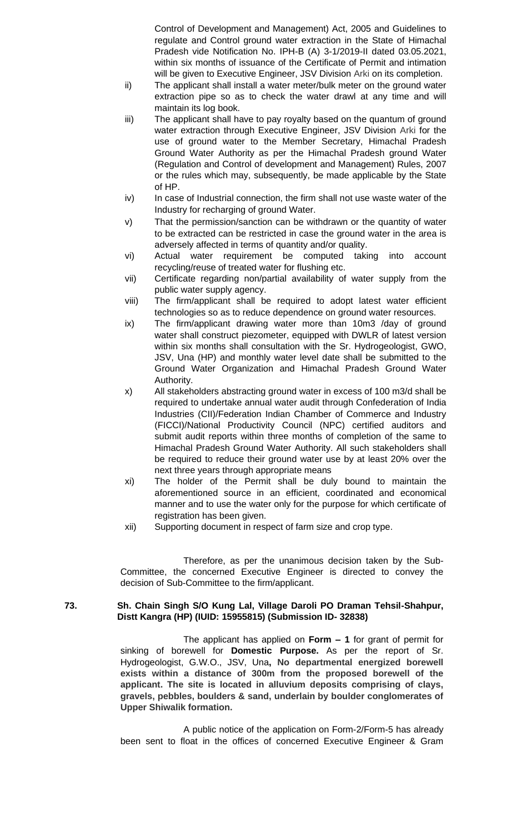Control of Development and Management) Act, 2005 and Guidelines to regulate and Control ground water extraction in the State of Himachal Pradesh vide Notification No. IPH-B (A) 3-1/2019-II dated 03.05.2021, within six months of issuance of the Certificate of Permit and intimation will be given to Executive Engineer, JSV Division Arki on its completion.

- ii) The applicant shall install a water meter/bulk meter on the ground water extraction pipe so as to check the water drawl at any time and will maintain its log book.
- iii) The applicant shall have to pay royalty based on the quantum of ground water extraction through Executive Engineer, JSV Division Arki for the use of ground water to the Member Secretary, Himachal Pradesh Ground Water Authority as per the Himachal Pradesh ground Water (Regulation and Control of development and Management) Rules, 2007 or the rules which may, subsequently, be made applicable by the State of HP.
- iv) In case of Industrial connection, the firm shall not use waste water of the Industry for recharging of ground Water.
- v) That the permission/sanction can be withdrawn or the quantity of water to be extracted can be restricted in case the ground water in the area is adversely affected in terms of quantity and/or quality.
- vi) Actual water requirement be computed taking into account recycling/reuse of treated water for flushing etc.
- vii) Certificate regarding non/partial availability of water supply from the public water supply agency.
- viii) The firm/applicant shall be required to adopt latest water efficient technologies so as to reduce dependence on ground water resources.
- ix) The firm/applicant drawing water more than 10m3 /day of ground water shall construct piezometer, equipped with DWLR of latest version within six months shall consultation with the Sr. Hydrogeologist, GWO, JSV, Una (HP) and monthly water level date shall be submitted to the Ground Water Organization and Himachal Pradesh Ground Water Authority.
- x) All stakeholders abstracting ground water in excess of 100 m3/d shall be required to undertake annual water audit through Confederation of India Industries (CII)/Federation Indian Chamber of Commerce and Industry (FICCI)/National Productivity Council (NPC) certified auditors and submit audit reports within three months of completion of the same to Himachal Pradesh Ground Water Authority. All such stakeholders shall be required to reduce their ground water use by at least 20% over the next three years through appropriate means
- xi) The holder of the Permit shall be duly bound to maintain the aforementioned source in an efficient, coordinated and economical manner and to use the water only for the purpose for which certificate of registration has been given.
- xii) Supporting document in respect of farm size and crop type.

Therefore, as per the unanimous decision taken by the Sub-Committee, the concerned Executive Engineer is directed to convey the decision of Sub-Committee to the firm/applicant.

#### **73. Sh. Chain Singh S/O Kung Lal, Village Daroli PO Draman Tehsil-Shahpur, Distt Kangra (HP) (IUID: 15955815) (Submission ID- 32838)**

The applicant has applied on **Form – 1** for grant of permit for sinking of borewell for **Domestic Purpose.** As per the report of Sr. Hydrogeologist, G.W.O., JSV, Una**, No departmental energized borewell exists within a distance of 300m from the proposed borewell of the applicant. The site is located in alluvium deposits comprising of clays, gravels, pebbles, boulders & sand, underlain by boulder conglomerates of Upper Shiwalik formation.**

A public notice of the application on Form-2/Form-5 has already been sent to float in the offices of concerned Executive Engineer & Gram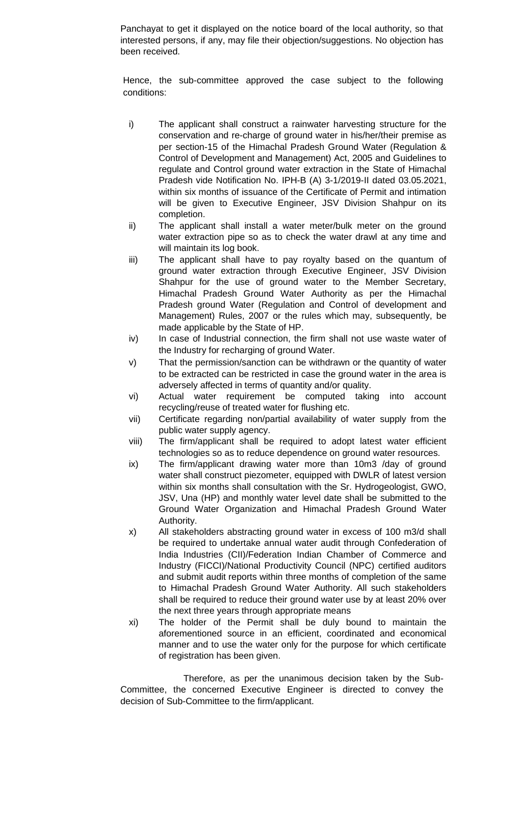Panchayat to get it displayed on the notice board of the local authority, so that interested persons, if any, may file their objection/suggestions. No objection has been received.

Hence, the sub-committee approved the case subject to the following conditions:

- i) The applicant shall construct a rainwater harvesting structure for the conservation and re-charge of ground water in his/her/their premise as per section-15 of the Himachal Pradesh Ground Water (Regulation & Control of Development and Management) Act, 2005 and Guidelines to regulate and Control ground water extraction in the State of Himachal Pradesh vide Notification No. IPH-B (A) 3-1/2019-II dated 03.05.2021, within six months of issuance of the Certificate of Permit and intimation will be given to Executive Engineer, JSV Division Shahpur on its completion.
- ii) The applicant shall install a water meter/bulk meter on the ground water extraction pipe so as to check the water drawl at any time and will maintain its log book.
- iii) The applicant shall have to pay royalty based on the quantum of ground water extraction through Executive Engineer, JSV Division Shahpur for the use of ground water to the Member Secretary, Himachal Pradesh Ground Water Authority as per the Himachal Pradesh ground Water (Regulation and Control of development and Management) Rules, 2007 or the rules which may, subsequently, be made applicable by the State of HP.
- iv) In case of Industrial connection, the firm shall not use waste water of the Industry for recharging of ground Water.
- v) That the permission/sanction can be withdrawn or the quantity of water to be extracted can be restricted in case the ground water in the area is adversely affected in terms of quantity and/or quality.
- vi) Actual water requirement be computed taking into account recycling/reuse of treated water for flushing etc.
- vii) Certificate regarding non/partial availability of water supply from the public water supply agency.
- viii) The firm/applicant shall be required to adopt latest water efficient technologies so as to reduce dependence on ground water resources.
- ix) The firm/applicant drawing water more than 10m3 /day of ground water shall construct piezometer, equipped with DWLR of latest version within six months shall consultation with the Sr. Hydrogeologist, GWO, JSV, Una (HP) and monthly water level date shall be submitted to the Ground Water Organization and Himachal Pradesh Ground Water Authority.
- x) All stakeholders abstracting ground water in excess of 100 m3/d shall be required to undertake annual water audit through Confederation of India Industries (CII)/Federation Indian Chamber of Commerce and Industry (FICCI)/National Productivity Council (NPC) certified auditors and submit audit reports within three months of completion of the same to Himachal Pradesh Ground Water Authority. All such stakeholders shall be required to reduce their ground water use by at least 20% over the next three years through appropriate means
- xi) The holder of the Permit shall be duly bound to maintain the aforementioned source in an efficient, coordinated and economical manner and to use the water only for the purpose for which certificate of registration has been given.

Therefore, as per the unanimous decision taken by the Sub-Committee, the concerned Executive Engineer is directed to convey the decision of Sub-Committee to the firm/applicant.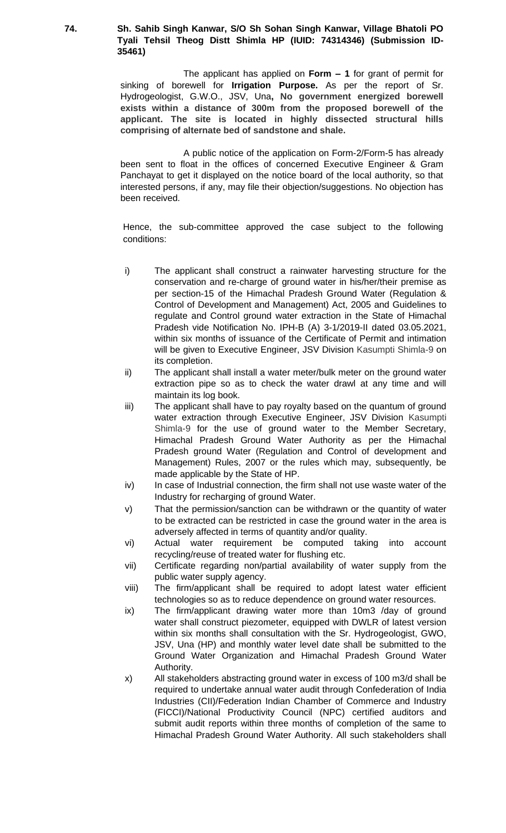**74. Sh. Sahib Singh Kanwar, S/O Sh Sohan Singh Kanwar, Village Bhatoli PO Tyali Tehsil Theog Distt Shimla HP (IUID: 74314346) (Submission ID-35461)**

> The applicant has applied on **Form – 1** for grant of permit for sinking of borewell for **Irrigation Purpose.** As per the report of Sr. Hydrogeologist, G.W.O., JSV, Una**, No government energized borewell exists within a distance of 300m from the proposed borewell of the applicant. The site is located in highly dissected structural hills comprising of alternate bed of sandstone and shale.**

> A public notice of the application on Form-2/Form-5 has already been sent to float in the offices of concerned Executive Engineer & Gram Panchayat to get it displayed on the notice board of the local authority, so that interested persons, if any, may file their objection/suggestions. No objection has been received.

- i) The applicant shall construct a rainwater harvesting structure for the conservation and re-charge of ground water in his/her/their premise as per section-15 of the Himachal Pradesh Ground Water (Regulation & Control of Development and Management) Act, 2005 and Guidelines to regulate and Control ground water extraction in the State of Himachal Pradesh vide Notification No. IPH-B (A) 3-1/2019-II dated 03.05.2021, within six months of issuance of the Certificate of Permit and intimation will be given to Executive Engineer, JSV Division Kasumpti Shimla-9 on its completion.
- ii) The applicant shall install a water meter/bulk meter on the ground water extraction pipe so as to check the water drawl at any time and will maintain its log book.
- iii) The applicant shall have to pay royalty based on the quantum of ground water extraction through Executive Engineer, JSV Division Kasumpti Shimla-9 for the use of ground water to the Member Secretary, Himachal Pradesh Ground Water Authority as per the Himachal Pradesh ground Water (Regulation and Control of development and Management) Rules, 2007 or the rules which may, subsequently, be made applicable by the State of HP.
- iv) In case of Industrial connection, the firm shall not use waste water of the Industry for recharging of ground Water.
- v) That the permission/sanction can be withdrawn or the quantity of water to be extracted can be restricted in case the ground water in the area is adversely affected in terms of quantity and/or quality.
- vi) Actual water requirement be computed taking into account recycling/reuse of treated water for flushing etc.
- vii) Certificate regarding non/partial availability of water supply from the public water supply agency.
- viii) The firm/applicant shall be required to adopt latest water efficient technologies so as to reduce dependence on ground water resources.
- ix) The firm/applicant drawing water more than 10m3 /day of ground water shall construct piezometer, equipped with DWLR of latest version within six months shall consultation with the Sr. Hydrogeologist, GWO, JSV, Una (HP) and monthly water level date shall be submitted to the Ground Water Organization and Himachal Pradesh Ground Water Authority.
- x) All stakeholders abstracting ground water in excess of 100 m3/d shall be required to undertake annual water audit through Confederation of India Industries (CII)/Federation Indian Chamber of Commerce and Industry (FICCI)/National Productivity Council (NPC) certified auditors and submit audit reports within three months of completion of the same to Himachal Pradesh Ground Water Authority. All such stakeholders shall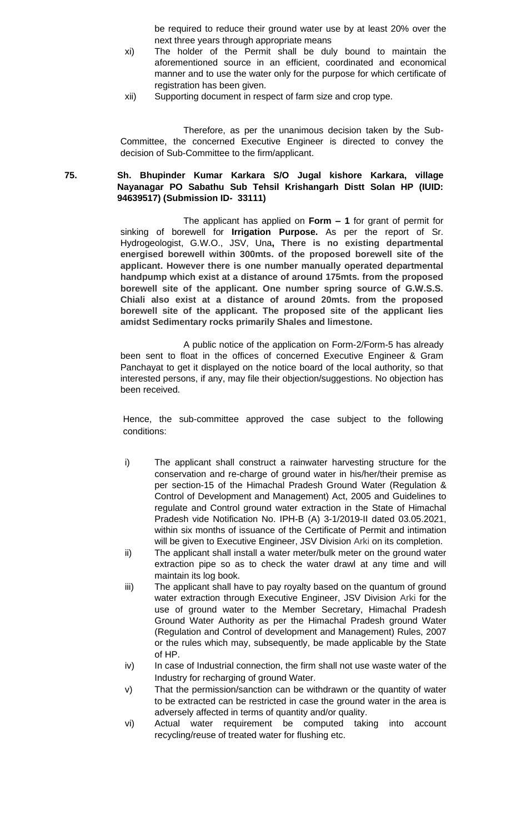be required to reduce their ground water use by at least 20% over the next three years through appropriate means

- xi) The holder of the Permit shall be duly bound to maintain the aforementioned source in an efficient, coordinated and economical manner and to use the water only for the purpose for which certificate of registration has been given.
- xii) Supporting document in respect of farm size and crop type.

Therefore, as per the unanimous decision taken by the Sub-Committee, the concerned Executive Engineer is directed to convey the decision of Sub-Committee to the firm/applicant.

# **75. Sh. Bhupinder Kumar Karkara S/O Jugal kishore Karkara, village Nayanagar PO Sabathu Sub Tehsil Krishangarh Distt Solan HP (IUID: 94639517) (Submission ID- 33111)**

The applicant has applied on **Form – 1** for grant of permit for sinking of borewell for **Irrigation Purpose.** As per the report of Sr. Hydrogeologist, G.W.O., JSV, Una**, There is no existing departmental energised borewell within 300mts. of the proposed borewell site of the applicant. However there is one number manually operated departmental handpump which exist at a distance of around 175mts. from the proposed borewell site of the applicant. One number spring source of G.W.S.S. Chiali also exist at a distance of around 20mts. from the proposed borewell site of the applicant. The proposed site of the applicant lies amidst Sedimentary rocks primarily Shales and limestone.**

A public notice of the application on Form-2/Form-5 has already been sent to float in the offices of concerned Executive Engineer & Gram Panchayat to get it displayed on the notice board of the local authority, so that interested persons, if any, may file their objection/suggestions. No objection has been received.

- i) The applicant shall construct a rainwater harvesting structure for the conservation and re-charge of ground water in his/her/their premise as per section-15 of the Himachal Pradesh Ground Water (Regulation & Control of Development and Management) Act, 2005 and Guidelines to regulate and Control ground water extraction in the State of Himachal Pradesh vide Notification No. IPH-B (A) 3-1/2019-II dated 03.05.2021, within six months of issuance of the Certificate of Permit and intimation will be given to Executive Engineer, JSV Division Arki on its completion.
- ii) The applicant shall install a water meter/bulk meter on the ground water extraction pipe so as to check the water drawl at any time and will maintain its log book.
- iii) The applicant shall have to pay royalty based on the quantum of ground water extraction through Executive Engineer, JSV Division Arki for the use of ground water to the Member Secretary, Himachal Pradesh Ground Water Authority as per the Himachal Pradesh ground Water (Regulation and Control of development and Management) Rules, 2007 or the rules which may, subsequently, be made applicable by the State of HP.
- iv) In case of Industrial connection, the firm shall not use waste water of the Industry for recharging of ground Water.
- v) That the permission/sanction can be withdrawn or the quantity of water to be extracted can be restricted in case the ground water in the area is adversely affected in terms of quantity and/or quality.
- vi) Actual water requirement be computed taking into account recycling/reuse of treated water for flushing etc.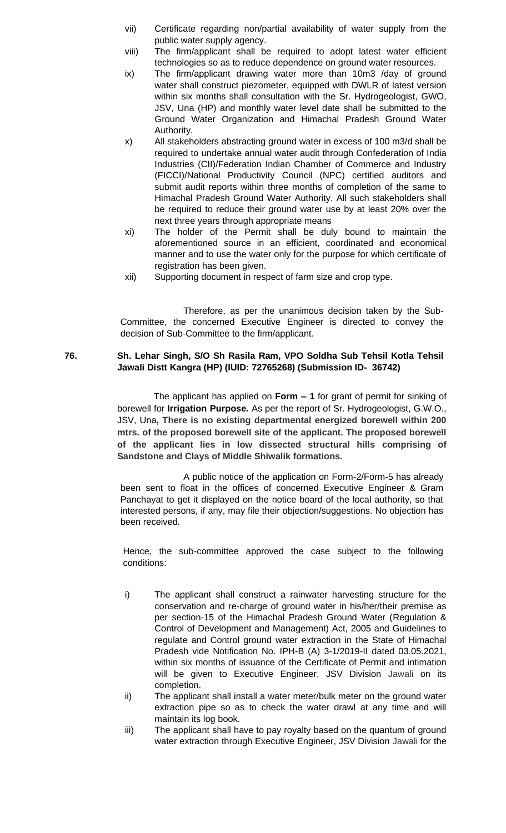- vii) Certificate regarding non/partial availability of water supply from the public water supply agency.
- viii) The firm/applicant shall be required to adopt latest water efficient technologies so as to reduce dependence on ground water resources.
- ix) The firm/applicant drawing water more than 10m3 /day of ground water shall construct piezometer, equipped with DWLR of latest version within six months shall consultation with the Sr. Hydrogeologist, GWO, JSV, Una (HP) and monthly water level date shall be submitted to the Ground Water Organization and Himachal Pradesh Ground Water Authority.
- x) All stakeholders abstracting ground water in excess of 100 m3/d shall be required to undertake annual water audit through Confederation of India Industries (CII)/Federation Indian Chamber of Commerce and Industry (FICCI)/National Productivity Council (NPC) certified auditors and submit audit reports within three months of completion of the same to Himachal Pradesh Ground Water Authority. All such stakeholders shall be required to reduce their ground water use by at least 20% over the next three years through appropriate means
- xi) The holder of the Permit shall be duly bound to maintain the aforementioned source in an efficient, coordinated and economical manner and to use the water only for the purpose for which certificate of registration has been given.
- xii) Supporting document in respect of farm size and crop type.

# **76. Sh. Lehar Singh, S/O Sh Rasila Ram, VPO Soldha Sub Tehsil Kotla Tehsil Jawali Distt Kangra (HP) (IUID: 72765268) (Submission ID- 36742)**

The applicant has applied on **Form – 1** for grant of permit for sinking of borewell for **Irrigation Purpose.** As per the report of Sr. Hydrogeologist, G.W.O., JSV, Una**, There is no existing departmental energized borewell within 200 mtrs. of the proposed borewell site of the applicant. The proposed borewell of the applicant lies in low dissected structural hills comprising of Sandstone and Clays of Middle Shiwalik formations.**

A public notice of the application on Form-2/Form-5 has already been sent to float in the offices of concerned Executive Engineer & Gram Panchayat to get it displayed on the notice board of the local authority, so that interested persons, if any, may file their objection/suggestions. No objection has been received.

- i) The applicant shall construct a rainwater harvesting structure for the conservation and re-charge of ground water in his/her/their premise as per section-15 of the Himachal Pradesh Ground Water (Regulation & Control of Development and Management) Act, 2005 and Guidelines to regulate and Control ground water extraction in the State of Himachal Pradesh vide Notification No. IPH-B (A) 3-1/2019-II dated 03.05.2021, within six months of issuance of the Certificate of Permit and intimation will be given to Executive Engineer, JSV Division Jawali on its completion.
- ii) The applicant shall install a water meter/bulk meter on the ground water extraction pipe so as to check the water drawl at any time and will maintain its log book.
- iii) The applicant shall have to pay royalty based on the quantum of ground water extraction through Executive Engineer, JSV Division Jawali for the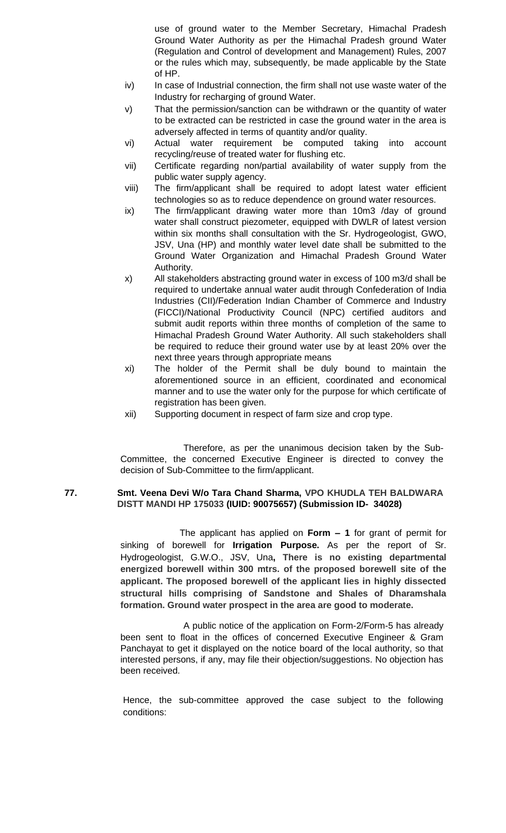use of ground water to the Member Secretary, Himachal Pradesh Ground Water Authority as per the Himachal Pradesh ground Water (Regulation and Control of development and Management) Rules, 2007 or the rules which may, subsequently, be made applicable by the State of HP.

- iv) In case of Industrial connection, the firm shall not use waste water of the Industry for recharging of ground Water.
- v) That the permission/sanction can be withdrawn or the quantity of water to be extracted can be restricted in case the ground water in the area is adversely affected in terms of quantity and/or quality.
- vi) Actual water requirement be computed taking into account recycling/reuse of treated water for flushing etc.
- vii) Certificate regarding non/partial availability of water supply from the public water supply agency.
- viii) The firm/applicant shall be required to adopt latest water efficient technologies so as to reduce dependence on ground water resources.
- ix) The firm/applicant drawing water more than 10m3 /day of ground water shall construct piezometer, equipped with DWLR of latest version within six months shall consultation with the Sr. Hydrogeologist, GWO, JSV, Una (HP) and monthly water level date shall be submitted to the Ground Water Organization and Himachal Pradesh Ground Water Authority.
- x) All stakeholders abstracting ground water in excess of 100 m3/d shall be required to undertake annual water audit through Confederation of India Industries (CII)/Federation Indian Chamber of Commerce and Industry (FICCI)/National Productivity Council (NPC) certified auditors and submit audit reports within three months of completion of the same to Himachal Pradesh Ground Water Authority. All such stakeholders shall be required to reduce their ground water use by at least 20% over the next three years through appropriate means
- xi) The holder of the Permit shall be duly bound to maintain the aforementioned source in an efficient, coordinated and economical manner and to use the water only for the purpose for which certificate of registration has been given.
- xii) Supporting document in respect of farm size and crop type.

Therefore, as per the unanimous decision taken by the Sub-Committee, the concerned Executive Engineer is directed to convey the decision of Sub-Committee to the firm/applicant.

# **77. Smt. Veena Devi W/o Tara Chand Sharma, VPO KHUDLA TEH BALDWARA DISTT MANDI HP 175033 (IUID: 90075657) (Submission ID- 34028)**

 The applicant has applied on **Form – 1** for grant of permit for sinking of borewell for **Irrigation Purpose.** As per the report of Sr. Hydrogeologist, G.W.O., JSV, Una**, There is no existing departmental energized borewell within 300 mtrs. of the proposed borewell site of the applicant. The proposed borewell of the applicant lies in highly dissected structural hills comprising of Sandstone and Shales of Dharamshala formation. Ground water prospect in the area are good to moderate.**

A public notice of the application on Form-2/Form-5 has already been sent to float in the offices of concerned Executive Engineer & Gram Panchayat to get it displayed on the notice board of the local authority, so that interested persons, if any, may file their objection/suggestions. No objection has been received.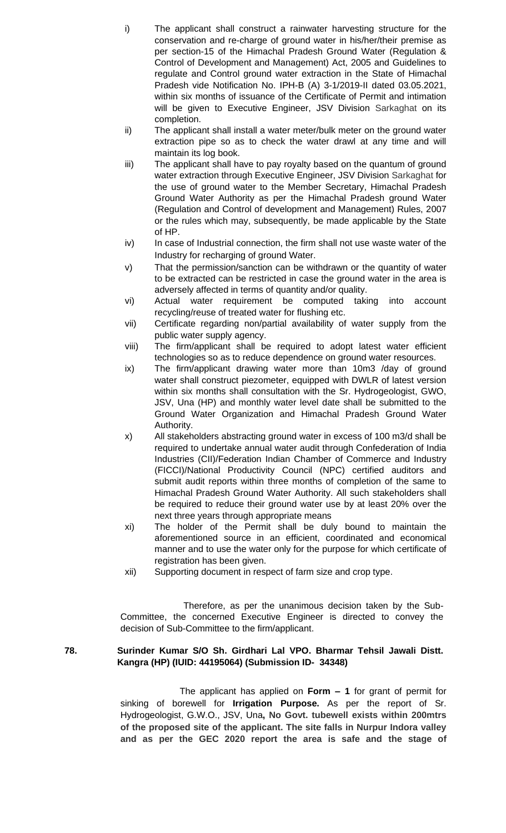- i) The applicant shall construct a rainwater harvesting structure for the conservation and re-charge of ground water in his/her/their premise as per section-15 of the Himachal Pradesh Ground Water (Regulation & Control of Development and Management) Act, 2005 and Guidelines to regulate and Control ground water extraction in the State of Himachal Pradesh vide Notification No. IPH-B (A) 3-1/2019-II dated 03.05.2021, within six months of issuance of the Certificate of Permit and intimation will be given to Executive Engineer, JSV Division Sarkaghat on its completion.
- ii) The applicant shall install a water meter/bulk meter on the ground water extraction pipe so as to check the water drawl at any time and will maintain its log book.
- iii) The applicant shall have to pay royalty based on the quantum of ground water extraction through Executive Engineer, JSV Division Sarkaghat for the use of ground water to the Member Secretary, Himachal Pradesh Ground Water Authority as per the Himachal Pradesh ground Water (Regulation and Control of development and Management) Rules, 2007 or the rules which may, subsequently, be made applicable by the State of HP.
- iv) In case of Industrial connection, the firm shall not use waste water of the Industry for recharging of ground Water.
- v) That the permission/sanction can be withdrawn or the quantity of water to be extracted can be restricted in case the ground water in the area is adversely affected in terms of quantity and/or quality.
- vi) Actual water requirement be computed taking into account recycling/reuse of treated water for flushing etc.
- vii) Certificate regarding non/partial availability of water supply from the public water supply agency.
- viii) The firm/applicant shall be required to adopt latest water efficient technologies so as to reduce dependence on ground water resources.
- ix) The firm/applicant drawing water more than 10m3 /day of ground water shall construct piezometer, equipped with DWLR of latest version within six months shall consultation with the Sr. Hydrogeologist, GWO, JSV, Una (HP) and monthly water level date shall be submitted to the Ground Water Organization and Himachal Pradesh Ground Water Authority.
- x) All stakeholders abstracting ground water in excess of 100 m3/d shall be required to undertake annual water audit through Confederation of India Industries (CII)/Federation Indian Chamber of Commerce and Industry (FICCI)/National Productivity Council (NPC) certified auditors and submit audit reports within three months of completion of the same to Himachal Pradesh Ground Water Authority. All such stakeholders shall be required to reduce their ground water use by at least 20% over the next three years through appropriate means
- xi) The holder of the Permit shall be duly bound to maintain the aforementioned source in an efficient, coordinated and economical manner and to use the water only for the purpose for which certificate of registration has been given.
- xii) Supporting document in respect of farm size and crop type.

# **78. Surinder Kumar S/O Sh. Girdhari Lal VPO. Bharmar Tehsil Jawali Distt. Kangra (HP) (IUID: 44195064) (Submission ID- 34348)**

 The applicant has applied on **Form – 1** for grant of permit for sinking of borewell for **Irrigation Purpose.** As per the report of Sr. Hydrogeologist, G.W.O., JSV, Una**, No Govt. tubewell exists within 200mtrs of the proposed site of the applicant. The site falls in Nurpur Indora valley and as per the GEC 2020 report the area is safe and the stage of**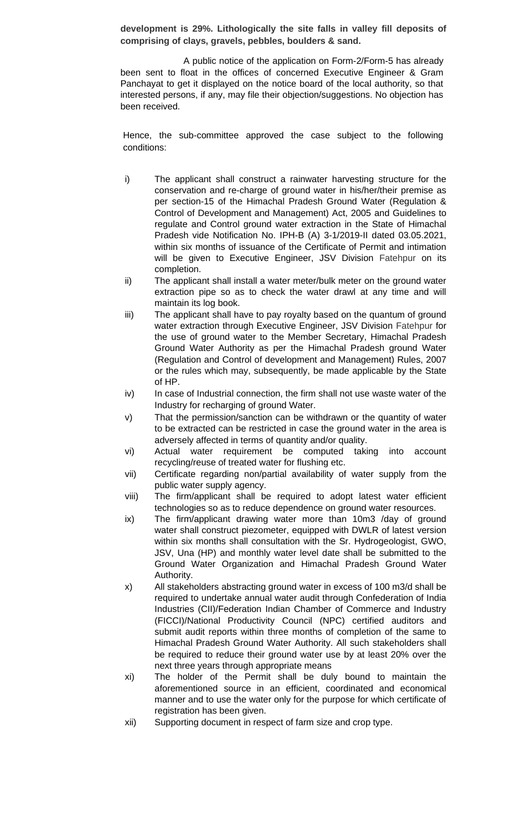**development is 29%. Lithologically the site falls in valley fill deposits of comprising of clays, gravels, pebbles, boulders & sand.**

A public notice of the application on Form-2/Form-5 has already been sent to float in the offices of concerned Executive Engineer & Gram Panchayat to get it displayed on the notice board of the local authority, so that interested persons, if any, may file their objection/suggestions. No objection has been received.

- i) The applicant shall construct a rainwater harvesting structure for the conservation and re-charge of ground water in his/her/their premise as per section-15 of the Himachal Pradesh Ground Water (Regulation & Control of Development and Management) Act, 2005 and Guidelines to regulate and Control ground water extraction in the State of Himachal Pradesh vide Notification No. IPH-B (A) 3-1/2019-II dated 03.05.2021, within six months of issuance of the Certificate of Permit and intimation will be given to Executive Engineer, JSV Division Fatehpur on its completion.
- ii) The applicant shall install a water meter/bulk meter on the ground water extraction pipe so as to check the water drawl at any time and will maintain its log book.
- iii) The applicant shall have to pay royalty based on the quantum of ground water extraction through Executive Engineer, JSV Division Fatehpur for the use of ground water to the Member Secretary, Himachal Pradesh Ground Water Authority as per the Himachal Pradesh ground Water (Regulation and Control of development and Management) Rules, 2007 or the rules which may, subsequently, be made applicable by the State of HP.
- $iv)$  In case of Industrial connection, the firm shall not use waste water of the Industry for recharging of ground Water.
- v) That the permission/sanction can be withdrawn or the quantity of water to be extracted can be restricted in case the ground water in the area is adversely affected in terms of quantity and/or quality.
- vi) Actual water requirement be computed taking into account recycling/reuse of treated water for flushing etc.
- vii) Certificate regarding non/partial availability of water supply from the public water supply agency.
- viii) The firm/applicant shall be required to adopt latest water efficient technologies so as to reduce dependence on ground water resources.
- ix) The firm/applicant drawing water more than 10m3 /day of ground water shall construct piezometer, equipped with DWLR of latest version within six months shall consultation with the Sr. Hydrogeologist, GWO, JSV, Una (HP) and monthly water level date shall be submitted to the Ground Water Organization and Himachal Pradesh Ground Water Authority.
- x) All stakeholders abstracting ground water in excess of 100 m3/d shall be required to undertake annual water audit through Confederation of India Industries (CII)/Federation Indian Chamber of Commerce and Industry (FICCI)/National Productivity Council (NPC) certified auditors and submit audit reports within three months of completion of the same to Himachal Pradesh Ground Water Authority. All such stakeholders shall be required to reduce their ground water use by at least 20% over the next three years through appropriate means
- xi) The holder of the Permit shall be duly bound to maintain the aforementioned source in an efficient, coordinated and economical manner and to use the water only for the purpose for which certificate of registration has been given.
- xii) Supporting document in respect of farm size and crop type.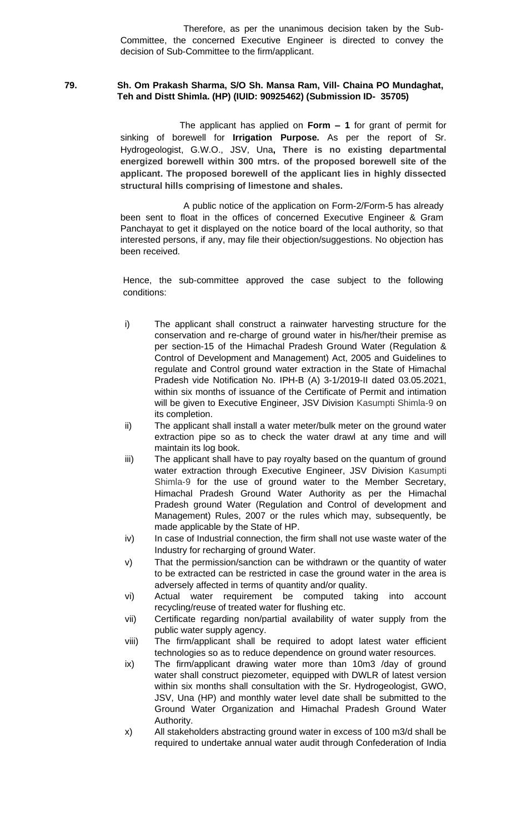### **79. Sh. Om Prakash Sharma, S/O Sh. Mansa Ram, Vill- Chaina PO Mundaghat, Teh and Distt Shimla. (HP) (IUID: 90925462) (Submission ID- 35705)**

 The applicant has applied on **Form – 1** for grant of permit for sinking of borewell for **Irrigation Purpose.** As per the report of Sr. Hydrogeologist, G.W.O., JSV, Una**, There is no existing departmental energized borewell within 300 mtrs. of the proposed borewell site of the applicant. The proposed borewell of the applicant lies in highly dissected structural hills comprising of limestone and shales.**

A public notice of the application on Form-2/Form-5 has already been sent to float in the offices of concerned Executive Engineer & Gram Panchayat to get it displayed on the notice board of the local authority, so that interested persons, if any, may file their objection/suggestions. No objection has been received.

- i) The applicant shall construct a rainwater harvesting structure for the conservation and re-charge of ground water in his/her/their premise as per section-15 of the Himachal Pradesh Ground Water (Regulation & Control of Development and Management) Act, 2005 and Guidelines to regulate and Control ground water extraction in the State of Himachal Pradesh vide Notification No. IPH-B (A) 3-1/2019-II dated 03.05.2021, within six months of issuance of the Certificate of Permit and intimation will be given to Executive Engineer, JSV Division Kasumpti Shimla-9 on its completion.
- ii) The applicant shall install a water meter/bulk meter on the ground water extraction pipe so as to check the water drawl at any time and will maintain its log book.
- iii) The applicant shall have to pay royalty based on the quantum of ground water extraction through Executive Engineer, JSV Division Kasumpti Shimla-9 for the use of ground water to the Member Secretary, Himachal Pradesh Ground Water Authority as per the Himachal Pradesh ground Water (Regulation and Control of development and Management) Rules, 2007 or the rules which may, subsequently, be made applicable by the State of HP.
- iv) In case of Industrial connection, the firm shall not use waste water of the Industry for recharging of ground Water.
- v) That the permission/sanction can be withdrawn or the quantity of water to be extracted can be restricted in case the ground water in the area is adversely affected in terms of quantity and/or quality.
- vi) Actual water requirement be computed taking into account recycling/reuse of treated water for flushing etc.
- vii) Certificate regarding non/partial availability of water supply from the public water supply agency.
- viii) The firm/applicant shall be required to adopt latest water efficient technologies so as to reduce dependence on ground water resources.
- ix) The firm/applicant drawing water more than 10m3 /day of ground water shall construct piezometer, equipped with DWLR of latest version within six months shall consultation with the Sr. Hydrogeologist, GWO, JSV, Una (HP) and monthly water level date shall be submitted to the Ground Water Organization and Himachal Pradesh Ground Water Authority.
- x) All stakeholders abstracting ground water in excess of 100 m3/d shall be required to undertake annual water audit through Confederation of India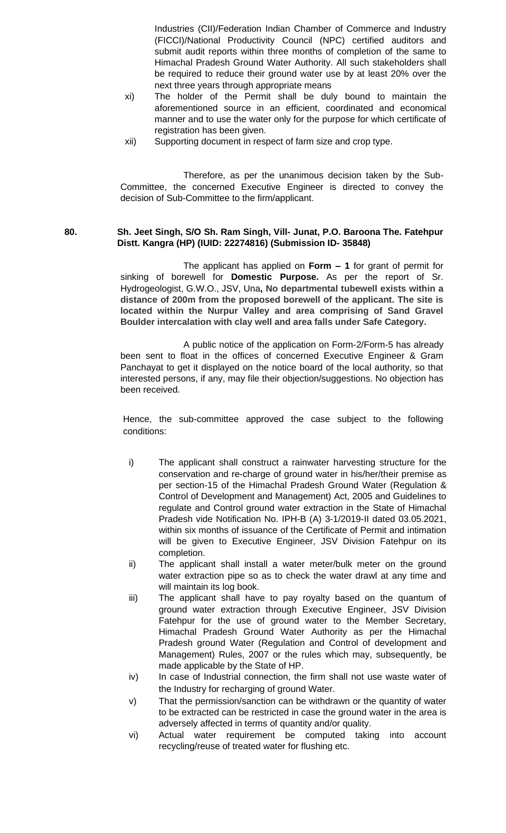Industries (CII)/Federation Indian Chamber of Commerce and Industry (FICCI)/National Productivity Council (NPC) certified auditors and submit audit reports within three months of completion of the same to Himachal Pradesh Ground Water Authority. All such stakeholders shall be required to reduce their ground water use by at least 20% over the next three years through appropriate means

- xi) The holder of the Permit shall be duly bound to maintain the aforementioned source in an efficient, coordinated and economical manner and to use the water only for the purpose for which certificate of registration has been given.
- xii) Supporting document in respect of farm size and crop type.

Therefore, as per the unanimous decision taken by the Sub-Committee, the concerned Executive Engineer is directed to convey the decision of Sub-Committee to the firm/applicant.

# **80. Sh. Jeet Singh, S/O Sh. Ram Singh, Vill- Junat, P.O. Baroona The. Fatehpur Distt. Kangra (HP) (IUID: 22274816) (Submission ID- 35848)**

The applicant has applied on **Form – 1** for grant of permit for sinking of borewell for **Domestic Purpose.** As per the report of Sr. Hydrogeologist, G.W.O., JSV, Una**, No departmental tubewell exists within a distance of 200m from the proposed borewell of the applicant. The site is located within the Nurpur Valley and area comprising of Sand Gravel Boulder intercalation with clay well and area falls under Safe Category.**

A public notice of the application on Form-2/Form-5 has already been sent to float in the offices of concerned Executive Engineer & Gram Panchayat to get it displayed on the notice board of the local authority, so that interested persons, if any, may file their objection/suggestions. No objection has been received.

- i) The applicant shall construct a rainwater harvesting structure for the conservation and re-charge of ground water in his/her/their premise as per section-15 of the Himachal Pradesh Ground Water (Regulation & Control of Development and Management) Act, 2005 and Guidelines to regulate and Control ground water extraction in the State of Himachal Pradesh vide Notification No. IPH-B (A) 3-1/2019-II dated 03.05.2021, within six months of issuance of the Certificate of Permit and intimation will be given to Executive Engineer, JSV Division Fatehpur on its completion.
- ii) The applicant shall install a water meter/bulk meter on the ground water extraction pipe so as to check the water drawl at any time and will maintain its log book.
- iii) The applicant shall have to pay royalty based on the quantum of ground water extraction through Executive Engineer, JSV Division Fatehpur for the use of ground water to the Member Secretary, Himachal Pradesh Ground Water Authority as per the Himachal Pradesh ground Water (Regulation and Control of development and Management) Rules, 2007 or the rules which may, subsequently, be made applicable by the State of HP.
- iv) In case of Industrial connection, the firm shall not use waste water of the Industry for recharging of ground Water.
- v) That the permission/sanction can be withdrawn or the quantity of water to be extracted can be restricted in case the ground water in the area is adversely affected in terms of quantity and/or quality.
- vi) Actual water requirement be computed taking into account recycling/reuse of treated water for flushing etc.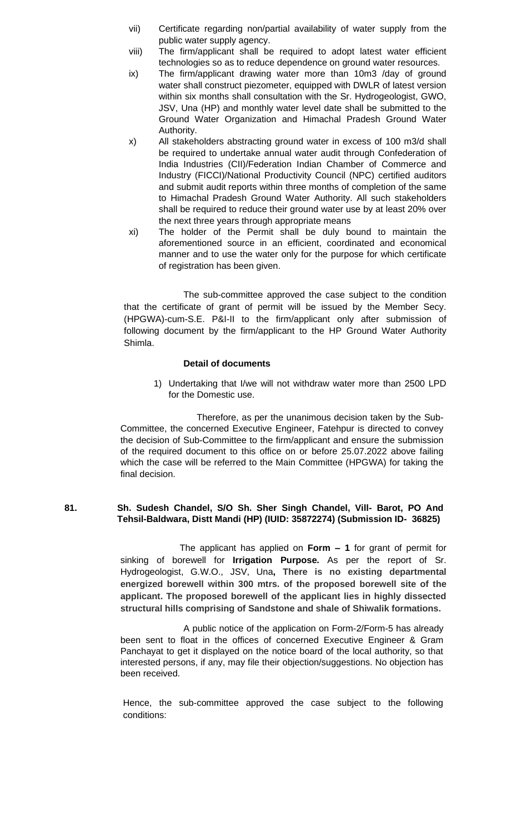- vii) Certificate regarding non/partial availability of water supply from the public water supply agency.
- viii) The firm/applicant shall be required to adopt latest water efficient technologies so as to reduce dependence on ground water resources.
- ix) The firm/applicant drawing water more than 10m3 /day of ground water shall construct piezometer, equipped with DWLR of latest version within six months shall consultation with the Sr. Hydrogeologist, GWO, JSV, Una (HP) and monthly water level date shall be submitted to the Ground Water Organization and Himachal Pradesh Ground Water Authority.
- x) All stakeholders abstracting ground water in excess of 100 m3/d shall be required to undertake annual water audit through Confederation of India Industries (CII)/Federation Indian Chamber of Commerce and Industry (FICCI)/National Productivity Council (NPC) certified auditors and submit audit reports within three months of completion of the same to Himachal Pradesh Ground Water Authority. All such stakeholders shall be required to reduce their ground water use by at least 20% over the next three years through appropriate means
- xi) The holder of the Permit shall be duly bound to maintain the aforementioned source in an efficient, coordinated and economical manner and to use the water only for the purpose for which certificate of registration has been given.

The sub-committee approved the case subject to the condition that the certificate of grant of permit will be issued by the Member Secy. (HPGWA)-cum-S.E. P&I-II to the firm/applicant only after submission of following document by the firm/applicant to the HP Ground Water Authority Shimla.

### **Detail of documents**

1) Undertaking that I/we will not withdraw water more than 2500 LPD for the Domestic use.

 Therefore, as per the unanimous decision taken by the Sub-Committee, the concerned Executive Engineer, Fatehpur is directed to convey the decision of Sub-Committee to the firm/applicant and ensure the submission of the required document to this office on or before 25.07.2022 above failing which the case will be referred to the Main Committee (HPGWA) for taking the final decision.

### **81. Sh. Sudesh Chandel, S/O Sh. Sher Singh Chandel, Vill- Barot, PO And Tehsil-Baldwara, Distt Mandi (HP) (IUID: 35872274) (Submission ID- 36825)**

 The applicant has applied on **Form – 1** for grant of permit for sinking of borewell for **Irrigation Purpose.** As per the report of Sr. Hydrogeologist, G.W.O., JSV, Una**, There is no existing departmental energized borewell within 300 mtrs. of the proposed borewell site of the applicant. The proposed borewell of the applicant lies in highly dissected structural hills comprising of Sandstone and shale of Shiwalik formations.**

A public notice of the application on Form-2/Form-5 has already been sent to float in the offices of concerned Executive Engineer & Gram Panchayat to get it displayed on the notice board of the local authority, so that interested persons, if any, may file their objection/suggestions. No objection has been received.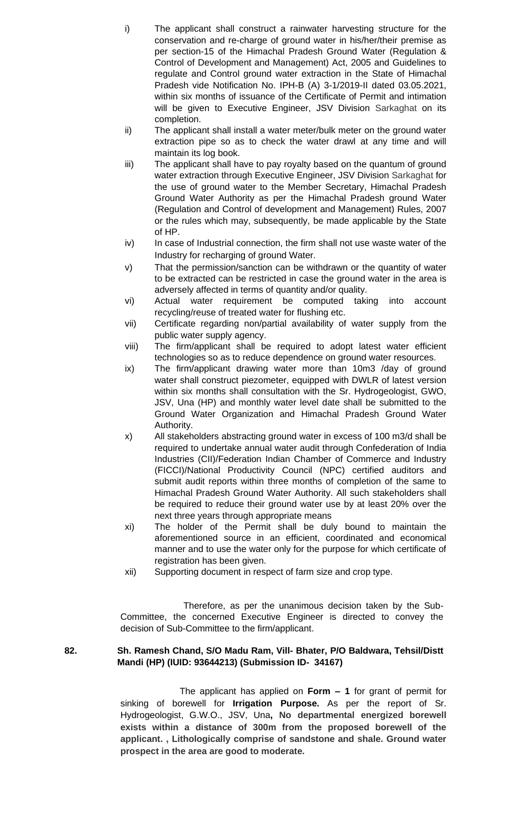- i) The applicant shall construct a rainwater harvesting structure for the conservation and re-charge of ground water in his/her/their premise as per section-15 of the Himachal Pradesh Ground Water (Regulation & Control of Development and Management) Act, 2005 and Guidelines to regulate and Control ground water extraction in the State of Himachal Pradesh vide Notification No. IPH-B (A) 3-1/2019-II dated 03.05.2021, within six months of issuance of the Certificate of Permit and intimation will be given to Executive Engineer, JSV Division Sarkaghat on its completion.
- ii) The applicant shall install a water meter/bulk meter on the ground water extraction pipe so as to check the water drawl at any time and will maintain its log book.
- iii) The applicant shall have to pay royalty based on the quantum of ground water extraction through Executive Engineer, JSV Division Sarkaghat for the use of ground water to the Member Secretary, Himachal Pradesh Ground Water Authority as per the Himachal Pradesh ground Water (Regulation and Control of development and Management) Rules, 2007 or the rules which may, subsequently, be made applicable by the State of HP.
- iv) In case of Industrial connection, the firm shall not use waste water of the Industry for recharging of ground Water.
- v) That the permission/sanction can be withdrawn or the quantity of water to be extracted can be restricted in case the ground water in the area is adversely affected in terms of quantity and/or quality.
- vi) Actual water requirement be computed taking into account recycling/reuse of treated water for flushing etc.
- vii) Certificate regarding non/partial availability of water supply from the public water supply agency.
- viii) The firm/applicant shall be required to adopt latest water efficient technologies so as to reduce dependence on ground water resources.
- ix) The firm/applicant drawing water more than 10m3 /day of ground water shall construct piezometer, equipped with DWLR of latest version within six months shall consultation with the Sr. Hydrogeologist, GWO, JSV, Una (HP) and monthly water level date shall be submitted to the Ground Water Organization and Himachal Pradesh Ground Water Authority.
- x) All stakeholders abstracting ground water in excess of 100 m3/d shall be required to undertake annual water audit through Confederation of India Industries (CII)/Federation Indian Chamber of Commerce and Industry (FICCI)/National Productivity Council (NPC) certified auditors and submit audit reports within three months of completion of the same to Himachal Pradesh Ground Water Authority. All such stakeholders shall be required to reduce their ground water use by at least 20% over the next three years through appropriate means
- xi) The holder of the Permit shall be duly bound to maintain the aforementioned source in an efficient, coordinated and economical manner and to use the water only for the purpose for which certificate of registration has been given.
- xii) Supporting document in respect of farm size and crop type.

# **82. Sh. Ramesh Chand, S/O Madu Ram, Vill- Bhater, P/O Baldwara, Tehsil/Distt Mandi (HP) (IUID: 93644213) (Submission ID- 34167)**

 The applicant has applied on **Form – 1** for grant of permit for sinking of borewell for **Irrigation Purpose.** As per the report of Sr. Hydrogeologist, G.W.O., JSV, Una**, No departmental energized borewell exists within a distance of 300m from the proposed borewell of the applicant. , Lithologically comprise of sandstone and shale. Ground water prospect in the area are good to moderate.**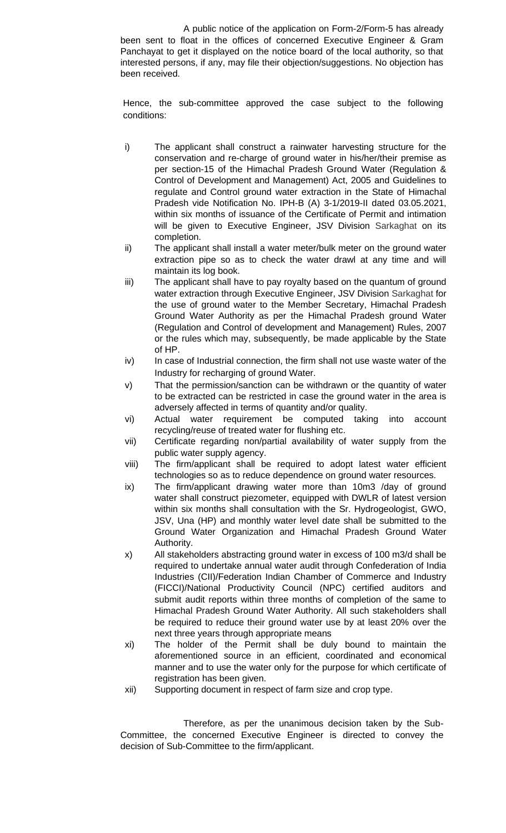A public notice of the application on Form-2/Form-5 has already been sent to float in the offices of concerned Executive Engineer & Gram Panchayat to get it displayed on the notice board of the local authority, so that interested persons, if any, may file their objection/suggestions. No objection has been received.

Hence, the sub-committee approved the case subject to the following conditions:

- i) The applicant shall construct a rainwater harvesting structure for the conservation and re-charge of ground water in his/her/their premise as per section-15 of the Himachal Pradesh Ground Water (Regulation & Control of Development and Management) Act, 2005 and Guidelines to regulate and Control ground water extraction in the State of Himachal Pradesh vide Notification No. IPH-B (A) 3-1/2019-II dated 03.05.2021, within six months of issuance of the Certificate of Permit and intimation will be given to Executive Engineer, JSV Division Sarkaghat on its completion.
- ii) The applicant shall install a water meter/bulk meter on the ground water extraction pipe so as to check the water drawl at any time and will maintain its log book.
- iii) The applicant shall have to pay royalty based on the quantum of ground water extraction through Executive Engineer, JSV Division Sarkaghat for the use of ground water to the Member Secretary, Himachal Pradesh Ground Water Authority as per the Himachal Pradesh ground Water (Regulation and Control of development and Management) Rules, 2007 or the rules which may, subsequently, be made applicable by the State of HP.
- iv) In case of Industrial connection, the firm shall not use waste water of the Industry for recharging of ground Water.
- v) That the permission/sanction can be withdrawn or the quantity of water to be extracted can be restricted in case the ground water in the area is adversely affected in terms of quantity and/or quality.
- vi) Actual water requirement be computed taking into account recycling/reuse of treated water for flushing etc.
- vii) Certificate regarding non/partial availability of water supply from the public water supply agency.
- viii) The firm/applicant shall be required to adopt latest water efficient technologies so as to reduce dependence on ground water resources.
- ix) The firm/applicant drawing water more than 10m3 /day of ground water shall construct piezometer, equipped with DWLR of latest version within six months shall consultation with the Sr. Hydrogeologist, GWO, JSV, Una (HP) and monthly water level date shall be submitted to the Ground Water Organization and Himachal Pradesh Ground Water Authority.
- x) All stakeholders abstracting ground water in excess of 100 m3/d shall be required to undertake annual water audit through Confederation of India Industries (CII)/Federation Indian Chamber of Commerce and Industry (FICCI)/National Productivity Council (NPC) certified auditors and submit audit reports within three months of completion of the same to Himachal Pradesh Ground Water Authority. All such stakeholders shall be required to reduce their ground water use by at least 20% over the next three years through appropriate means
- xi) The holder of the Permit shall be duly bound to maintain the aforementioned source in an efficient, coordinated and economical manner and to use the water only for the purpose for which certificate of registration has been given.
- xii) Supporting document in respect of farm size and crop type.

Therefore, as per the unanimous decision taken by the Sub-Committee, the concerned Executive Engineer is directed to convey the decision of Sub-Committee to the firm/applicant.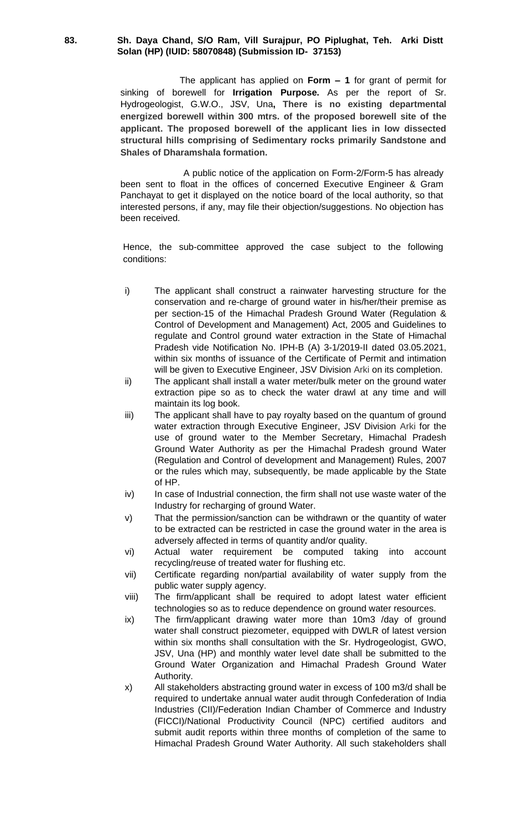#### **83. Sh. Daya Chand, S/O Ram, Vill Surajpur, PO Piplughat, Teh. Arki Distt Solan (HP) (IUID: 58070848) (Submission ID- 37153)**

 The applicant has applied on **Form – 1** for grant of permit for sinking of borewell for **Irrigation Purpose.** As per the report of Sr. Hydrogeologist, G.W.O., JSV, Una**, There is no existing departmental energized borewell within 300 mtrs. of the proposed borewell site of the applicant. The proposed borewell of the applicant lies in low dissected structural hills comprising of Sedimentary rocks primarily Sandstone and Shales of Dharamshala formation.**

A public notice of the application on Form-2/Form-5 has already been sent to float in the offices of concerned Executive Engineer & Gram Panchayat to get it displayed on the notice board of the local authority, so that interested persons, if any, may file their objection/suggestions. No objection has been received.

- i) The applicant shall construct a rainwater harvesting structure for the conservation and re-charge of ground water in his/her/their premise as per section-15 of the Himachal Pradesh Ground Water (Regulation & Control of Development and Management) Act, 2005 and Guidelines to regulate and Control ground water extraction in the State of Himachal Pradesh vide Notification No. IPH-B (A) 3-1/2019-II dated 03.05.2021, within six months of issuance of the Certificate of Permit and intimation will be given to Executive Engineer, JSV Division Arki on its completion.
- ii) The applicant shall install a water meter/bulk meter on the ground water extraction pipe so as to check the water drawl at any time and will maintain its log book.
- iii) The applicant shall have to pay royalty based on the quantum of ground water extraction through Executive Engineer, JSV Division Arki for the use of ground water to the Member Secretary, Himachal Pradesh Ground Water Authority as per the Himachal Pradesh ground Water (Regulation and Control of development and Management) Rules, 2007 or the rules which may, subsequently, be made applicable by the State of HP.
- iv) In case of Industrial connection, the firm shall not use waste water of the Industry for recharging of ground Water.
- v) That the permission/sanction can be withdrawn or the quantity of water to be extracted can be restricted in case the ground water in the area is adversely affected in terms of quantity and/or quality.
- vi) Actual water requirement be computed taking into account recycling/reuse of treated water for flushing etc.
- vii) Certificate regarding non/partial availability of water supply from the public water supply agency.
- viii) The firm/applicant shall be required to adopt latest water efficient technologies so as to reduce dependence on ground water resources.
- ix) The firm/applicant drawing water more than 10m3 /day of ground water shall construct piezometer, equipped with DWLR of latest version within six months shall consultation with the Sr. Hydrogeologist, GWO, JSV, Una (HP) and monthly water level date shall be submitted to the Ground Water Organization and Himachal Pradesh Ground Water Authority.
- x) All stakeholders abstracting ground water in excess of 100 m3/d shall be required to undertake annual water audit through Confederation of India Industries (CII)/Federation Indian Chamber of Commerce and Industry (FICCI)/National Productivity Council (NPC) certified auditors and submit audit reports within three months of completion of the same to Himachal Pradesh Ground Water Authority. All such stakeholders shall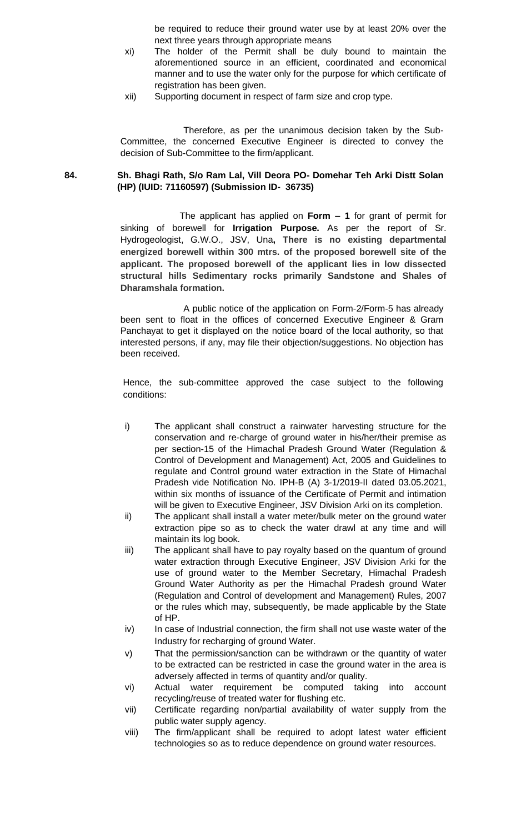be required to reduce their ground water use by at least 20% over the next three years through appropriate means

- xi) The holder of the Permit shall be duly bound to maintain the aforementioned source in an efficient, coordinated and economical manner and to use the water only for the purpose for which certificate of registration has been given.
- xii) Supporting document in respect of farm size and crop type.

Therefore, as per the unanimous decision taken by the Sub-Committee, the concerned Executive Engineer is directed to convey the decision of Sub-Committee to the firm/applicant.

#### **84. Sh. Bhagi Rath, S/o Ram Lal, Vill Deora PO- Domehar Teh Arki Distt Solan (HP) (IUID: 71160597) (Submission ID- 36735)**

 The applicant has applied on **Form – 1** for grant of permit for sinking of borewell for **Irrigation Purpose.** As per the report of Sr. Hydrogeologist, G.W.O., JSV, Una**, There is no existing departmental energized borewell within 300 mtrs. of the proposed borewell site of the applicant. The proposed borewell of the applicant lies in low dissected structural hills Sedimentary rocks primarily Sandstone and Shales of Dharamshala formation.**

A public notice of the application on Form-2/Form-5 has already been sent to float in the offices of concerned Executive Engineer & Gram Panchayat to get it displayed on the notice board of the local authority, so that interested persons, if any, may file their objection/suggestions. No objection has been received.

- i) The applicant shall construct a rainwater harvesting structure for the conservation and re-charge of ground water in his/her/their premise as per section-15 of the Himachal Pradesh Ground Water (Regulation & Control of Development and Management) Act, 2005 and Guidelines to regulate and Control ground water extraction in the State of Himachal Pradesh vide Notification No. IPH-B (A) 3-1/2019-II dated 03.05.2021, within six months of issuance of the Certificate of Permit and intimation will be given to Executive Engineer, JSV Division Arki on its completion.
- ii) The applicant shall install a water meter/bulk meter on the ground water extraction pipe so as to check the water drawl at any time and will maintain its log book.
- iii) The applicant shall have to pay royalty based on the quantum of ground water extraction through Executive Engineer, JSV Division Arki for the use of ground water to the Member Secretary, Himachal Pradesh Ground Water Authority as per the Himachal Pradesh ground Water (Regulation and Control of development and Management) Rules, 2007 or the rules which may, subsequently, be made applicable by the State of HP.
- iv) In case of Industrial connection, the firm shall not use waste water of the Industry for recharging of ground Water.
- v) That the permission/sanction can be withdrawn or the quantity of water to be extracted can be restricted in case the ground water in the area is adversely affected in terms of quantity and/or quality.
- vi) Actual water requirement be computed taking into account recycling/reuse of treated water for flushing etc.
- vii) Certificate regarding non/partial availability of water supply from the public water supply agency.
- viii) The firm/applicant shall be required to adopt latest water efficient technologies so as to reduce dependence on ground water resources.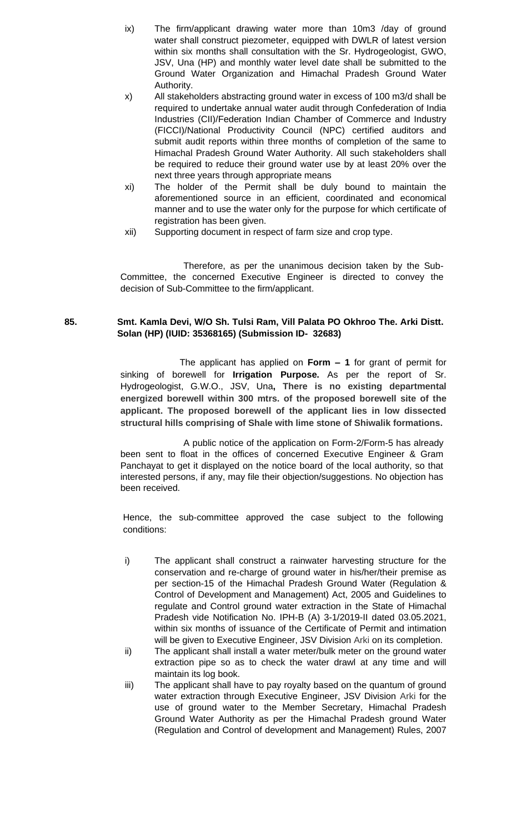- ix) The firm/applicant drawing water more than 10m3 /day of ground water shall construct piezometer, equipped with DWLR of latest version within six months shall consultation with the Sr. Hydrogeologist, GWO, JSV, Una (HP) and monthly water level date shall be submitted to the Ground Water Organization and Himachal Pradesh Ground Water Authority.
- x) All stakeholders abstracting ground water in excess of 100 m3/d shall be required to undertake annual water audit through Confederation of India Industries (CII)/Federation Indian Chamber of Commerce and Industry (FICCI)/National Productivity Council (NPC) certified auditors and submit audit reports within three months of completion of the same to Himachal Pradesh Ground Water Authority. All such stakeholders shall be required to reduce their ground water use by at least 20% over the next three years through appropriate means
- xi) The holder of the Permit shall be duly bound to maintain the aforementioned source in an efficient, coordinated and economical manner and to use the water only for the purpose for which certificate of registration has been given.
- xii) Supporting document in respect of farm size and crop type.

# **85. Smt. Kamla Devi, W/O Sh. Tulsi Ram, Vill Palata PO Okhroo The. Arki Distt. Solan (HP) (IUID: 35368165) (Submission ID- 32683)**

 The applicant has applied on **Form – 1** for grant of permit for sinking of borewell for **Irrigation Purpose.** As per the report of Sr. Hydrogeologist, G.W.O., JSV, Una**, There is no existing departmental energized borewell within 300 mtrs. of the proposed borewell site of the applicant. The proposed borewell of the applicant lies in low dissected structural hills comprising of Shale with lime stone of Shiwalik formations.**

A public notice of the application on Form-2/Form-5 has already been sent to float in the offices of concerned Executive Engineer & Gram Panchayat to get it displayed on the notice board of the local authority, so that interested persons, if any, may file their objection/suggestions. No objection has been received.

- i) The applicant shall construct a rainwater harvesting structure for the conservation and re-charge of ground water in his/her/their premise as per section-15 of the Himachal Pradesh Ground Water (Regulation & Control of Development and Management) Act, 2005 and Guidelines to regulate and Control ground water extraction in the State of Himachal Pradesh vide Notification No. IPH-B (A) 3-1/2019-II dated 03.05.2021, within six months of issuance of the Certificate of Permit and intimation will be given to Executive Engineer, JSV Division Arki on its completion.
- ii) The applicant shall install a water meter/bulk meter on the ground water extraction pipe so as to check the water drawl at any time and will maintain its log book.
- iii) The applicant shall have to pay royalty based on the quantum of ground water extraction through Executive Engineer, JSV Division Arki for the use of ground water to the Member Secretary, Himachal Pradesh Ground Water Authority as per the Himachal Pradesh ground Water (Regulation and Control of development and Management) Rules, 2007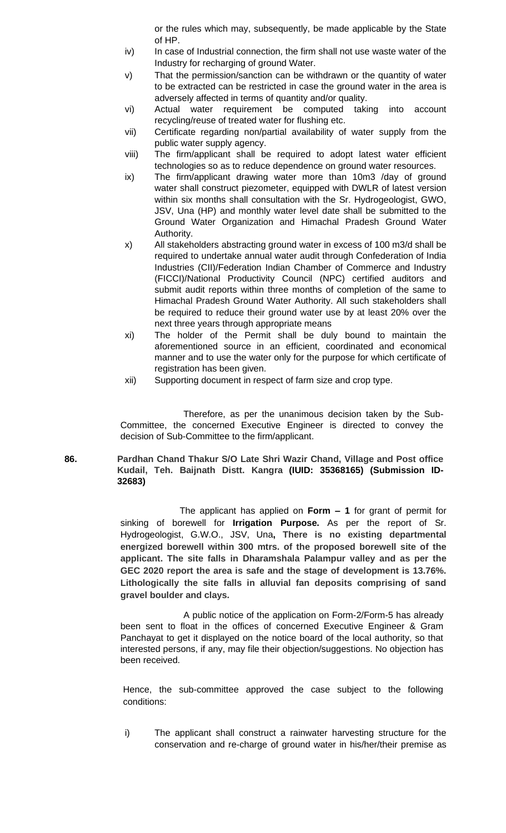or the rules which may, subsequently, be made applicable by the State of HP.

- iv) In case of Industrial connection, the firm shall not use waste water of the Industry for recharging of ground Water.
- v) That the permission/sanction can be withdrawn or the quantity of water to be extracted can be restricted in case the ground water in the area is adversely affected in terms of quantity and/or quality.
- vi) Actual water requirement be computed taking into account recycling/reuse of treated water for flushing etc.
- vii) Certificate regarding non/partial availability of water supply from the public water supply agency.
- viii) The firm/applicant shall be required to adopt latest water efficient technologies so as to reduce dependence on ground water resources.
- ix) The firm/applicant drawing water more than 10m3 /day of ground water shall construct piezometer, equipped with DWLR of latest version within six months shall consultation with the Sr. Hydrogeologist, GWO, JSV, Una (HP) and monthly water level date shall be submitted to the Ground Water Organization and Himachal Pradesh Ground Water Authority.
- x) All stakeholders abstracting ground water in excess of 100 m3/d shall be required to undertake annual water audit through Confederation of India Industries (CII)/Federation Indian Chamber of Commerce and Industry (FICCI)/National Productivity Council (NPC) certified auditors and submit audit reports within three months of completion of the same to Himachal Pradesh Ground Water Authority. All such stakeholders shall be required to reduce their ground water use by at least 20% over the next three years through appropriate means
- xi) The holder of the Permit shall be duly bound to maintain the aforementioned source in an efficient, coordinated and economical manner and to use the water only for the purpose for which certificate of registration has been given.
- xii) Supporting document in respect of farm size and crop type.

Therefore, as per the unanimous decision taken by the Sub-Committee, the concerned Executive Engineer is directed to convey the decision of Sub-Committee to the firm/applicant.

**86. Pardhan Chand Thakur S/O Late Shri Wazir Chand, Village and Post office Kudail, Teh. Baijnath Distt. Kangra (IUID: 35368165) (Submission ID-32683)**

> The applicant has applied on **Form – 1** for grant of permit for sinking of borewell for **Irrigation Purpose.** As per the report of Sr. Hydrogeologist, G.W.O., JSV, Una**, There is no existing departmental energized borewell within 300 mtrs. of the proposed borewell site of the applicant. The site falls in Dharamshala Palampur valley and as per the GEC 2020 report the area is safe and the stage of development is 13.76%. Lithologically the site falls in alluvial fan deposits comprising of sand gravel boulder and clays.**

> A public notice of the application on Form-2/Form-5 has already been sent to float in the offices of concerned Executive Engineer & Gram Panchayat to get it displayed on the notice board of the local authority, so that interested persons, if any, may file their objection/suggestions. No objection has been received.

> Hence, the sub-committee approved the case subject to the following conditions:

> i) The applicant shall construct a rainwater harvesting structure for the conservation and re-charge of ground water in his/her/their premise as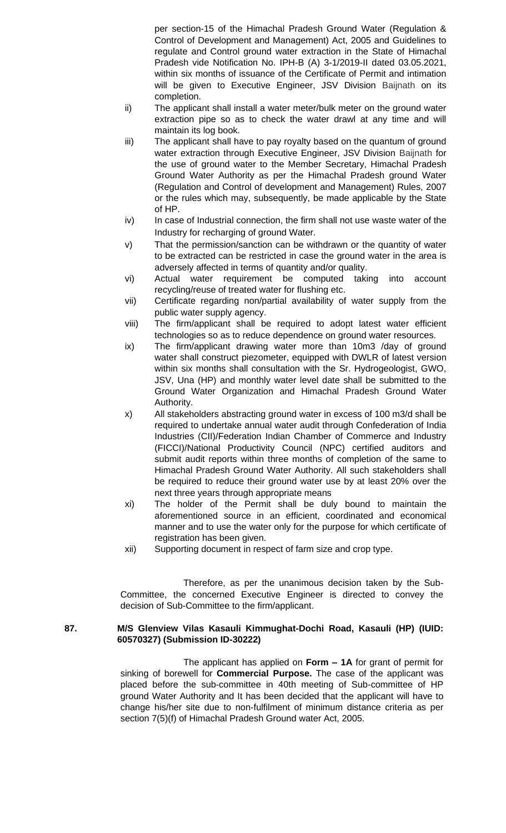per section-15 of the Himachal Pradesh Ground Water (Regulation & Control of Development and Management) Act, 2005 and Guidelines to regulate and Control ground water extraction in the State of Himachal Pradesh vide Notification No. IPH-B (A) 3-1/2019-II dated 03.05.2021, within six months of issuance of the Certificate of Permit and intimation will be given to Executive Engineer, JSV Division Baijnath on its completion.

- ii) The applicant shall install a water meter/bulk meter on the ground water extraction pipe so as to check the water drawl at any time and will maintain its log book.
- iii) The applicant shall have to pay royalty based on the quantum of ground water extraction through Executive Engineer, JSV Division Baijnath for the use of ground water to the Member Secretary, Himachal Pradesh Ground Water Authority as per the Himachal Pradesh ground Water (Regulation and Control of development and Management) Rules, 2007 or the rules which may, subsequently, be made applicable by the State of HP.
- iv) In case of Industrial connection, the firm shall not use waste water of the Industry for recharging of ground Water.
- v) That the permission/sanction can be withdrawn or the quantity of water to be extracted can be restricted in case the ground water in the area is adversely affected in terms of quantity and/or quality.
- vi) Actual water requirement be computed taking into account recycling/reuse of treated water for flushing etc.
- vii) Certificate regarding non/partial availability of water supply from the public water supply agency.
- viii) The firm/applicant shall be required to adopt latest water efficient technologies so as to reduce dependence on ground water resources.
- ix) The firm/applicant drawing water more than 10m3 /day of ground water shall construct piezometer, equipped with DWLR of latest version within six months shall consultation with the Sr. Hydrogeologist, GWO, JSV, Una (HP) and monthly water level date shall be submitted to the Ground Water Organization and Himachal Pradesh Ground Water Authority.
- x) All stakeholders abstracting ground water in excess of 100 m3/d shall be required to undertake annual water audit through Confederation of India Industries (CII)/Federation Indian Chamber of Commerce and Industry (FICCI)/National Productivity Council (NPC) certified auditors and submit audit reports within three months of completion of the same to Himachal Pradesh Ground Water Authority. All such stakeholders shall be required to reduce their ground water use by at least 20% over the next three years through appropriate means
- xi) The holder of the Permit shall be duly bound to maintain the aforementioned source in an efficient, coordinated and economical manner and to use the water only for the purpose for which certificate of registration has been given.
- xii) Supporting document in respect of farm size and crop type.

Therefore, as per the unanimous decision taken by the Sub-Committee, the concerned Executive Engineer is directed to convey the decision of Sub-Committee to the firm/applicant.

### **87. M/S Glenview Vilas Kasauli Kimmughat-Dochi Road, Kasauli (HP) (IUID: 60570327) (Submission ID-30222)**

The applicant has applied on **Form – 1A** for grant of permit for sinking of borewell for **Commercial Purpose.** The case of the applicant was placed before the sub-committee in 40th meeting of Sub-committee of HP ground Water Authority and It has been decided that the applicant will have to change his/her site due to non-fulfilment of minimum distance criteria as per section 7(5)(f) of Himachal Pradesh Ground water Act, 2005.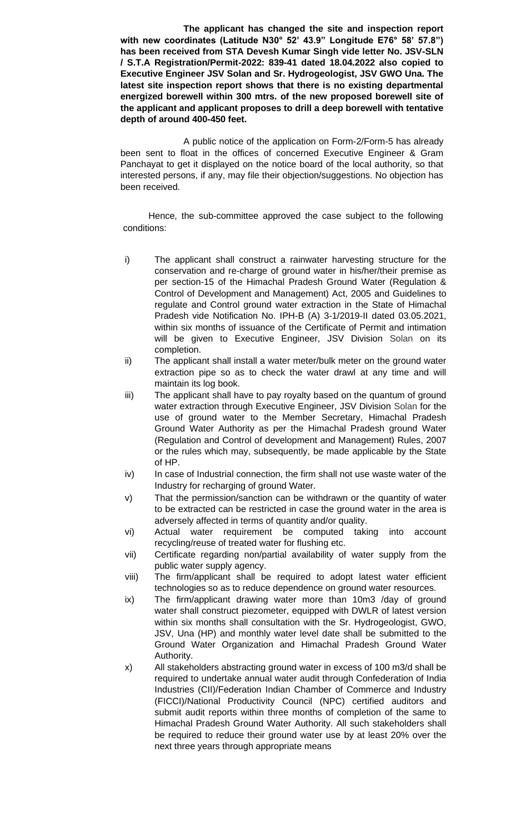**The applicant has changed the site and inspection report with new coordinates (Latitude N30° 52' 43.9" Longitude E76° 58' 57.8") has been received from STA Devesh Kumar Singh vide letter No. JSV-SLN / S.T.A Registration/Permit-2022: 839-41 dated 18.04.2022 also copied to Executive Engineer JSV Solan and Sr. Hydrogeologist, JSV GWO Una. The latest site inspection report shows that there is no existing departmental energized borewell within 300 mtrs. of the new proposed borewell site of the applicant and applicant proposes to drill a deep borewell with tentative depth of around 400-450 feet.**

A public notice of the application on Form-2/Form-5 has already been sent to float in the offices of concerned Executive Engineer & Gram Panchayat to get it displayed on the notice board of the local authority, so that interested persons, if any, may file their objection/suggestions. No objection has been received.

- i) The applicant shall construct a rainwater harvesting structure for the conservation and re-charge of ground water in his/her/their premise as per section-15 of the Himachal Pradesh Ground Water (Regulation & Control of Development and Management) Act, 2005 and Guidelines to regulate and Control ground water extraction in the State of Himachal Pradesh vide Notification No. IPH-B (A) 3-1/2019-II dated 03.05.2021, within six months of issuance of the Certificate of Permit and intimation will be given to Executive Engineer, JSV Division Solan on its completion.
- ii) The applicant shall install a water meter/bulk meter on the ground water extraction pipe so as to check the water drawl at any time and will maintain its log book.
- iii) The applicant shall have to pay royalty based on the quantum of ground water extraction through Executive Engineer, JSV Division Solan for the use of ground water to the Member Secretary, Himachal Pradesh Ground Water Authority as per the Himachal Pradesh ground Water (Regulation and Control of development and Management) Rules, 2007 or the rules which may, subsequently, be made applicable by the State of HP.
- iv) In case of Industrial connection, the firm shall not use waste water of the Industry for recharging of ground Water.
- v) That the permission/sanction can be withdrawn or the quantity of water to be extracted can be restricted in case the ground water in the area is adversely affected in terms of quantity and/or quality.
- vi) Actual water requirement be computed taking into account recycling/reuse of treated water for flushing etc.
- vii) Certificate regarding non/partial availability of water supply from the public water supply agency.
- viii) The firm/applicant shall be required to adopt latest water efficient technologies so as to reduce dependence on ground water resources.
- ix) The firm/applicant drawing water more than 10m3 /day of ground water shall construct piezometer, equipped with DWLR of latest version within six months shall consultation with the Sr. Hydrogeologist, GWO, JSV, Una (HP) and monthly water level date shall be submitted to the Ground Water Organization and Himachal Pradesh Ground Water Authority.
- x) All stakeholders abstracting ground water in excess of 100 m3/d shall be required to undertake annual water audit through Confederation of India Industries (CII)/Federation Indian Chamber of Commerce and Industry (FICCI)/National Productivity Council (NPC) certified auditors and submit audit reports within three months of completion of the same to Himachal Pradesh Ground Water Authority. All such stakeholders shall be required to reduce their ground water use by at least 20% over the next three years through appropriate means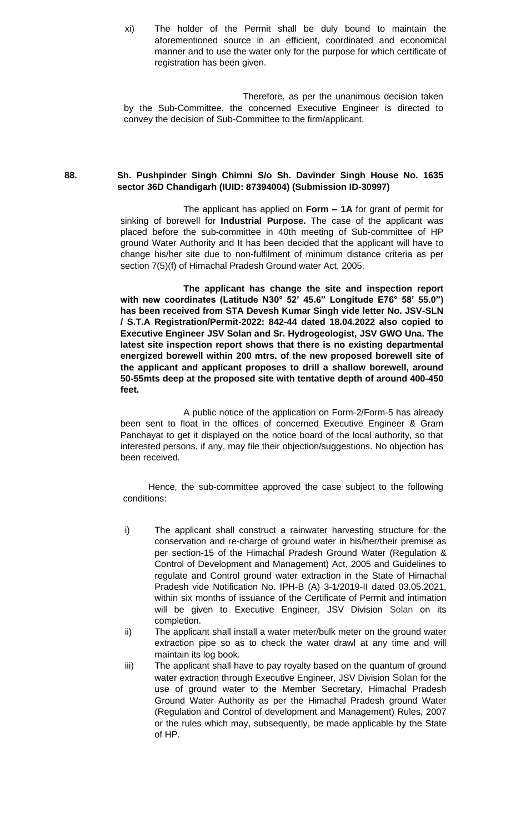xi) The holder of the Permit shall be duly bound to maintain the aforementioned source in an efficient, coordinated and economical manner and to use the water only for the purpose for which certificate of registration has been given.

Therefore, as per the unanimous decision taken by the Sub-Committee, the concerned Executive Engineer is directed to convey the decision of Sub-Committee to the firm/applicant.

# **88. Sh. Pushpinder Singh Chimni S/o Sh. Davinder Singh House No. 1635 sector 36D Chandigarh (IUID: 87394004) (Submission ID-30997)**

The applicant has applied on **Form – 1A** for grant of permit for sinking of borewell for **Industrial Purpose.** The case of the applicant was placed before the sub-committee in 40th meeting of Sub-committee of HP ground Water Authority and It has been decided that the applicant will have to change his/her site due to non-fulfilment of minimum distance criteria as per section 7(5)(f) of Himachal Pradesh Ground water Act, 2005.

**The applicant has change the site and inspection report with new coordinates (Latitude N30° 52' 45.6" Longitude E76° 58' 55.0") has been received from STA Devesh Kumar Singh vide letter No. JSV-SLN / S.T.A Registration/Permit-2022: 842-44 dated 18.04.2022 also copied to Executive Engineer JSV Solan and Sr. Hydrogeologist, JSV GWO Una. The latest site inspection report shows that there is no existing departmental energized borewell within 200 mtrs. of the new proposed borewell site of the applicant and applicant proposes to drill a shallow borewell, around 50-55mts deep at the proposed site with tentative depth of around 400-450 feet.**

A public notice of the application on Form-2/Form-5 has already been sent to float in the offices of concerned Executive Engineer & Gram Panchayat to get it displayed on the notice board of the local authority, so that interested persons, if any, may file their objection/suggestions. No objection has been received.

- i) The applicant shall construct a rainwater harvesting structure for the conservation and re-charge of ground water in his/her/their premise as per section-15 of the Himachal Pradesh Ground Water (Regulation & Control of Development and Management) Act, 2005 and Guidelines to regulate and Control ground water extraction in the State of Himachal Pradesh vide Notification No. IPH-B (A) 3-1/2019-II dated 03.05.2021, within six months of issuance of the Certificate of Permit and intimation will be given to Executive Engineer, JSV Division Solan on its completion.
- ii) The applicant shall install a water meter/bulk meter on the ground water extraction pipe so as to check the water drawl at any time and will maintain its log book.
- iii) The applicant shall have to pay royalty based on the quantum of ground water extraction through Executive Engineer, JSV Division Solan for the use of ground water to the Member Secretary, Himachal Pradesh Ground Water Authority as per the Himachal Pradesh ground Water (Regulation and Control of development and Management) Rules, 2007 or the rules which may, subsequently, be made applicable by the State of HP.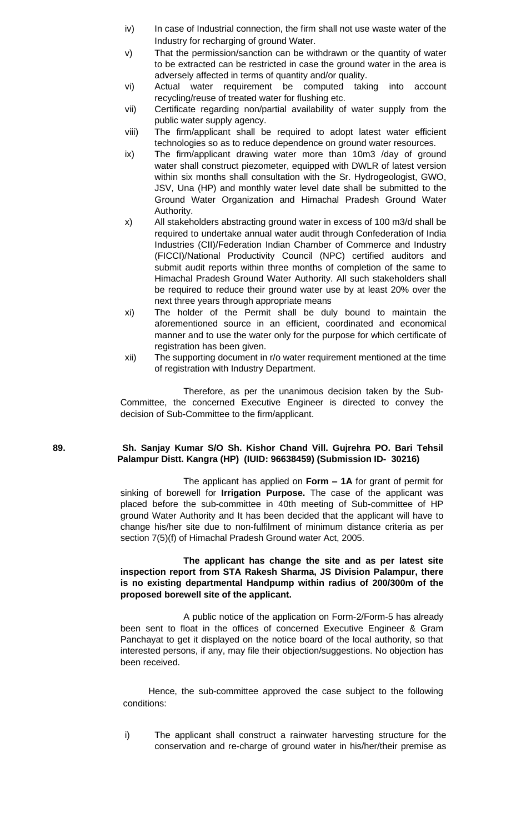- iv) In case of Industrial connection, the firm shall not use waste water of the Industry for recharging of ground Water.
- v) That the permission/sanction can be withdrawn or the quantity of water to be extracted can be restricted in case the ground water in the area is adversely affected in terms of quantity and/or quality.
- vi) Actual water requirement be computed taking into account recycling/reuse of treated water for flushing etc.
- vii) Certificate regarding non/partial availability of water supply from the public water supply agency.
- viii) The firm/applicant shall be required to adopt latest water efficient technologies so as to reduce dependence on ground water resources.
- ix) The firm/applicant drawing water more than 10m3 /day of ground water shall construct piezometer, equipped with DWLR of latest version within six months shall consultation with the Sr. Hydrogeologist, GWO, JSV, Una (HP) and monthly water level date shall be submitted to the Ground Water Organization and Himachal Pradesh Ground Water Authority.
- x) All stakeholders abstracting ground water in excess of 100 m3/d shall be required to undertake annual water audit through Confederation of India Industries (CII)/Federation Indian Chamber of Commerce and Industry (FICCI)/National Productivity Council (NPC) certified auditors and submit audit reports within three months of completion of the same to Himachal Pradesh Ground Water Authority. All such stakeholders shall be required to reduce their ground water use by at least 20% over the next three years through appropriate means
- xi) The holder of the Permit shall be duly bound to maintain the aforementioned source in an efficient, coordinated and economical manner and to use the water only for the purpose for which certificate of registration has been given.
- xii) The supporting document in r/o water requirement mentioned at the time of registration with Industry Department.

# **89. Sh. Sanjay Kumar S/O Sh. Kishor Chand Vill. Gujrehra PO. Bari Tehsil Palampur Distt. Kangra (HP) (IUID: 96638459) (Submission ID- 30216)**

The applicant has applied on **Form – 1A** for grant of permit for sinking of borewell for **Irrigation Purpose.** The case of the applicant was placed before the sub-committee in 40th meeting of Sub-committee of HP ground Water Authority and It has been decided that the applicant will have to change his/her site due to non-fulfilment of minimum distance criteria as per section 7(5)(f) of Himachal Pradesh Ground water Act, 2005.

### **The applicant has change the site and as per latest site inspection report from STA Rakesh Sharma, JS Division Palampur, there is no existing departmental Handpump within radius of 200/300m of the proposed borewell site of the applicant.**

A public notice of the application on Form-2/Form-5 has already been sent to float in the offices of concerned Executive Engineer & Gram Panchayat to get it displayed on the notice board of the local authority, so that interested persons, if any, may file their objection/suggestions. No objection has been received.

Hence, the sub-committee approved the case subject to the following conditions:

i) The applicant shall construct a rainwater harvesting structure for the conservation and re-charge of ground water in his/her/their premise as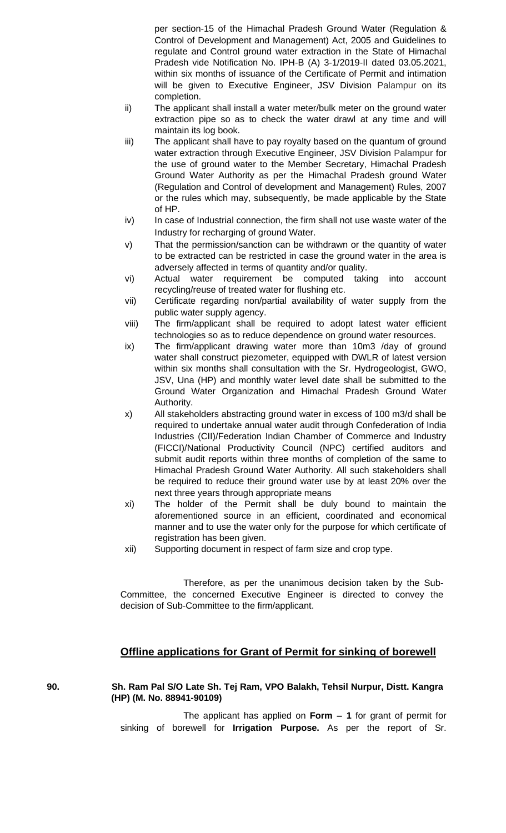per section-15 of the Himachal Pradesh Ground Water (Regulation & Control of Development and Management) Act, 2005 and Guidelines to regulate and Control ground water extraction in the State of Himachal Pradesh vide Notification No. IPH-B (A) 3-1/2019-II dated 03.05.2021, within six months of issuance of the Certificate of Permit and intimation will be given to Executive Engineer, JSV Division Palampur on its completion.

- ii) The applicant shall install a water meter/bulk meter on the ground water extraction pipe so as to check the water drawl at any time and will maintain its log book.
- iii) The applicant shall have to pay royalty based on the quantum of ground water extraction through Executive Engineer, JSV Division Palampur for the use of ground water to the Member Secretary, Himachal Pradesh Ground Water Authority as per the Himachal Pradesh ground Water (Regulation and Control of development and Management) Rules, 2007 or the rules which may, subsequently, be made applicable by the State of HP.
- iv) In case of Industrial connection, the firm shall not use waste water of the Industry for recharging of ground Water.
- v) That the permission/sanction can be withdrawn or the quantity of water to be extracted can be restricted in case the ground water in the area is adversely affected in terms of quantity and/or quality.
- vi) Actual water requirement be computed taking into account recycling/reuse of treated water for flushing etc.
- vii) Certificate regarding non/partial availability of water supply from the public water supply agency.
- viii) The firm/applicant shall be required to adopt latest water efficient technologies so as to reduce dependence on ground water resources.
- ix) The firm/applicant drawing water more than 10m3 /day of ground water shall construct piezometer, equipped with DWLR of latest version within six months shall consultation with the Sr. Hydrogeologist, GWO, JSV, Una (HP) and monthly water level date shall be submitted to the Ground Water Organization and Himachal Pradesh Ground Water Authority.
- x) All stakeholders abstracting ground water in excess of 100 m3/d shall be required to undertake annual water audit through Confederation of India Industries (CII)/Federation Indian Chamber of Commerce and Industry (FICCI)/National Productivity Council (NPC) certified auditors and submit audit reports within three months of completion of the same to Himachal Pradesh Ground Water Authority. All such stakeholders shall be required to reduce their ground water use by at least 20% over the next three years through appropriate means
- xi) The holder of the Permit shall be duly bound to maintain the aforementioned source in an efficient, coordinated and economical manner and to use the water only for the purpose for which certificate of registration has been given.
- xii) Supporting document in respect of farm size and crop type.

Therefore, as per the unanimous decision taken by the Sub-Committee, the concerned Executive Engineer is directed to convey the decision of Sub-Committee to the firm/applicant.

# **Offline applications for Grant of Permit for sinking of borewell**

# **90. Sh. Ram Pal S/O Late Sh. Tej Ram, VPO Balakh, Tehsil Nurpur, Distt. Kangra (HP) (M. No. 88941-90109)**

The applicant has applied on **Form – 1** for grant of permit for sinking of borewell for **Irrigation Purpose.** As per the report of Sr.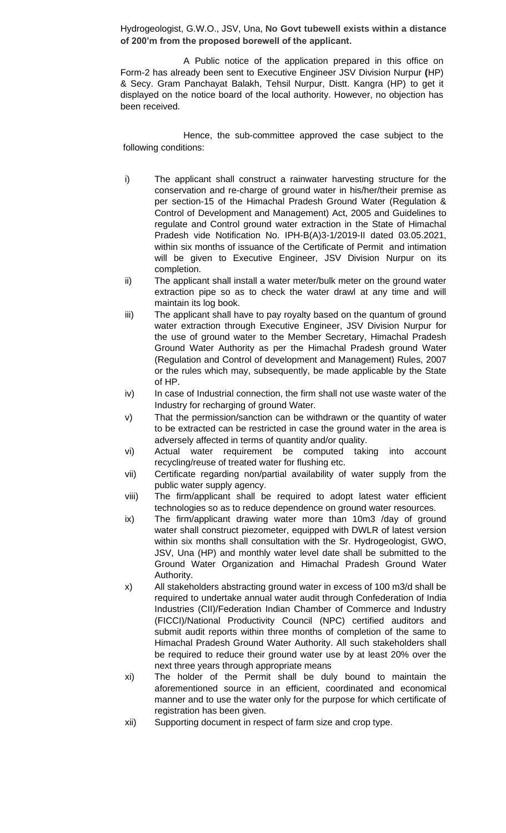Hydrogeologist, G.W.O., JSV, Una, **No Govt tubewell exists within a distance of 200'm from the proposed borewell of the applicant.**

A Public notice of the application prepared in this office on Form-2 has already been sent to Executive Engineer JSV Division Nurpur **(**HP) & Secy. Gram Panchayat Balakh, Tehsil Nurpur, Distt. Kangra (HP) to get it displayed on the notice board of the local authority. However, no objection has been received.

- i) The applicant shall construct a rainwater harvesting structure for the conservation and re-charge of ground water in his/her/their premise as per section-15 of the Himachal Pradesh Ground Water (Regulation & Control of Development and Management) Act, 2005 and Guidelines to regulate and Control ground water extraction in the State of Himachal Pradesh vide Notification No. IPH-B(A)3-1/2019-II dated 03.05.2021, within six months of issuance of the Certificate of Permit and intimation will be given to Executive Engineer, JSV Division Nurpur on its completion.
- ii) The applicant shall install a water meter/bulk meter on the ground water extraction pipe so as to check the water drawl at any time and will maintain its log book.
- iii) The applicant shall have to pay royalty based on the quantum of ground water extraction through Executive Engineer, JSV Division Nurpur for the use of ground water to the Member Secretary, Himachal Pradesh Ground Water Authority as per the Himachal Pradesh ground Water (Regulation and Control of development and Management) Rules, 2007 or the rules which may, subsequently, be made applicable by the State of HP.
- $iv)$  In case of Industrial connection, the firm shall not use waste water of the Industry for recharging of ground Water.
- v) That the permission/sanction can be withdrawn or the quantity of water to be extracted can be restricted in case the ground water in the area is adversely affected in terms of quantity and/or quality.
- vi) Actual water requirement be computed taking into account recycling/reuse of treated water for flushing etc.
- vii) Certificate regarding non/partial availability of water supply from the public water supply agency.
- viii) The firm/applicant shall be required to adopt latest water efficient technologies so as to reduce dependence on ground water resources.
- ix) The firm/applicant drawing water more than 10m3 /day of ground water shall construct piezometer, equipped with DWLR of latest version within six months shall consultation with the Sr. Hydrogeologist, GWO, JSV, Una (HP) and monthly water level date shall be submitted to the Ground Water Organization and Himachal Pradesh Ground Water Authority.
- x) All stakeholders abstracting ground water in excess of 100 m3/d shall be required to undertake annual water audit through Confederation of India Industries (CII)/Federation Indian Chamber of Commerce and Industry (FICCI)/National Productivity Council (NPC) certified auditors and submit audit reports within three months of completion of the same to Himachal Pradesh Ground Water Authority. All such stakeholders shall be required to reduce their ground water use by at least 20% over the next three years through appropriate means
- xi) The holder of the Permit shall be duly bound to maintain the aforementioned source in an efficient, coordinated and economical manner and to use the water only for the purpose for which certificate of registration has been given.
- xii) Supporting document in respect of farm size and crop type.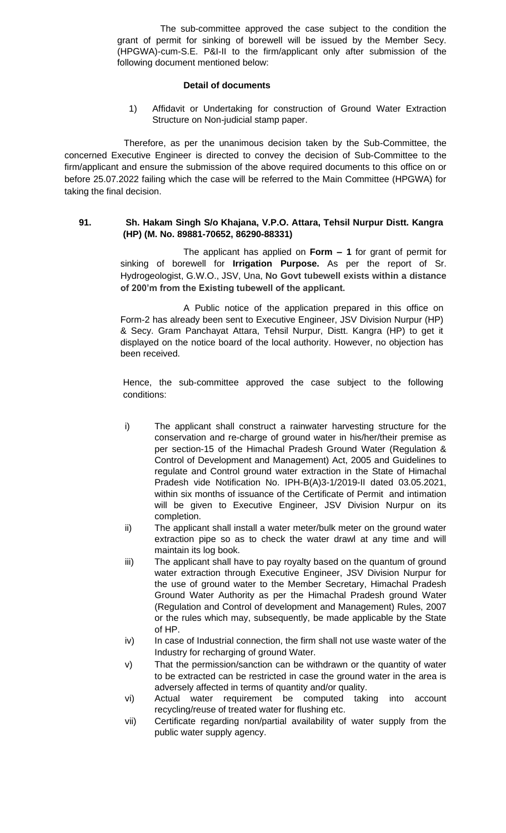The sub-committee approved the case subject to the condition the grant of permit for sinking of borewell will be issued by the Member Secy. (HPGWA)-cum-S.E. P&I-II to the firm/applicant only after submission of the following document mentioned below:

# **Detail of documents**

1) Affidavit or Undertaking for construction of Ground Water Extraction Structure on Non-judicial stamp paper.

Therefore, as per the unanimous decision taken by the Sub-Committee, the concerned Executive Engineer is directed to convey the decision of Sub-Committee to the firm/applicant and ensure the submission of the above required documents to this office on or before 25.07.2022 failing which the case will be referred to the Main Committee (HPGWA) for taking the final decision.

### **91. Sh. Hakam Singh S/o Khajana, V.P.O. Attara, Tehsil Nurpur Distt. Kangra (HP) (M. No. 89881-70652, 86290-88331)**

The applicant has applied on **Form – 1** for grant of permit for sinking of borewell for **Irrigation Purpose.** As per the report of Sr. Hydrogeologist, G.W.O., JSV, Una, **No Govt tubewell exists within a distance of 200'm from the Existing tubewell of the applicant.**

A Public notice of the application prepared in this office on Form-2 has already been sent to Executive Engineer, JSV Division Nurpur (HP) & Secy. Gram Panchayat Attara, Tehsil Nurpur, Distt. Kangra (HP) to get it displayed on the notice board of the local authority. However, no objection has been received.

- i) The applicant shall construct a rainwater harvesting structure for the conservation and re-charge of ground water in his/her/their premise as per section-15 of the Himachal Pradesh Ground Water (Regulation & Control of Development and Management) Act, 2005 and Guidelines to regulate and Control ground water extraction in the State of Himachal Pradesh vide Notification No. IPH-B(A)3-1/2019-II dated 03.05.2021, within six months of issuance of the Certificate of Permit and intimation will be given to Executive Engineer, JSV Division Nurpur on its completion.
- ii) The applicant shall install a water meter/bulk meter on the ground water extraction pipe so as to check the water drawl at any time and will maintain its log book.
- iii) The applicant shall have to pay royalty based on the quantum of ground water extraction through Executive Engineer, JSV Division Nurpur for the use of ground water to the Member Secretary, Himachal Pradesh Ground Water Authority as per the Himachal Pradesh ground Water (Regulation and Control of development and Management) Rules, 2007 or the rules which may, subsequently, be made applicable by the State of HP.
- iv) In case of Industrial connection, the firm shall not use waste water of the Industry for recharging of ground Water.
- v) That the permission/sanction can be withdrawn or the quantity of water to be extracted can be restricted in case the ground water in the area is adversely affected in terms of quantity and/or quality.
- vi) Actual water requirement be computed taking into account recycling/reuse of treated water for flushing etc.
- vii) Certificate regarding non/partial availability of water supply from the public water supply agency.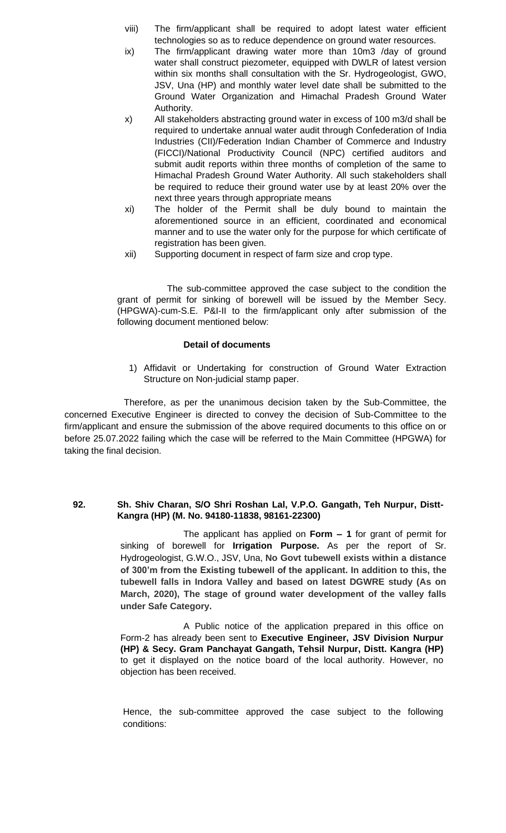- viii) The firm/applicant shall be required to adopt latest water efficient technologies so as to reduce dependence on ground water resources.
- ix) The firm/applicant drawing water more than 10m3 /day of ground water shall construct piezometer, equipped with DWLR of latest version within six months shall consultation with the Sr. Hydrogeologist, GWO, JSV, Una (HP) and monthly water level date shall be submitted to the Ground Water Organization and Himachal Pradesh Ground Water Authority.
- x) All stakeholders abstracting ground water in excess of 100 m3/d shall be required to undertake annual water audit through Confederation of India Industries (CII)/Federation Indian Chamber of Commerce and Industry (FICCI)/National Productivity Council (NPC) certified auditors and submit audit reports within three months of completion of the same to Himachal Pradesh Ground Water Authority. All such stakeholders shall be required to reduce their ground water use by at least 20% over the next three years through appropriate means
- xi) The holder of the Permit shall be duly bound to maintain the aforementioned source in an efficient, coordinated and economical manner and to use the water only for the purpose for which certificate of registration has been given.
- xii) Supporting document in respect of farm size and crop type.

 The sub-committee approved the case subject to the condition the grant of permit for sinking of borewell will be issued by the Member Secy. (HPGWA)-cum-S.E. P&I-II to the firm/applicant only after submission of the following document mentioned below:

### **Detail of documents**

1) Affidavit or Undertaking for construction of Ground Water Extraction Structure on Non-judicial stamp paper.

Therefore, as per the unanimous decision taken by the Sub-Committee, the concerned Executive Engineer is directed to convey the decision of Sub-Committee to the firm/applicant and ensure the submission of the above required documents to this office on or before 25.07.2022 failing which the case will be referred to the Main Committee (HPGWA) for taking the final decision.

#### **92. Sh. Shiv Charan, S/O Shri Roshan Lal, V.P.O. Gangath, Teh Nurpur, Distt-Kangra (HP) (M. No. 94180-11838, 98161-22300)**

The applicant has applied on **Form – 1** for grant of permit for sinking of borewell for **Irrigation Purpose.** As per the report of Sr. Hydrogeologist, G.W.O., JSV, Una, **No Govt tubewell exists within a distance of 300'm from the Existing tubewell of the applicant. In addition to this, the tubewell falls in Indora Valley and based on latest DGWRE study (As on March, 2020), The stage of ground water development of the valley falls under Safe Category.**

A Public notice of the application prepared in this office on Form-2 has already been sent to **Executive Engineer, JSV Division Nurpur (HP) & Secy. Gram Panchayat Gangath, Tehsil Nurpur, Distt. Kangra (HP)**  to get it displayed on the notice board of the local authority. However, no objection has been received.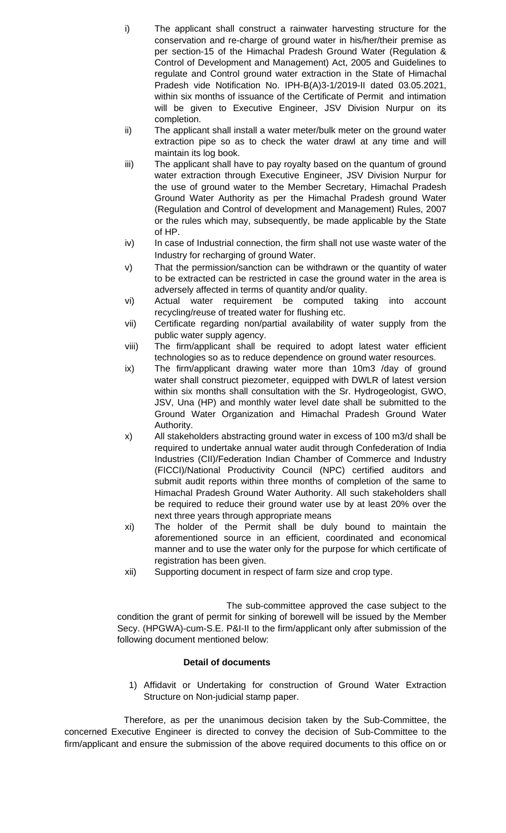- i) The applicant shall construct a rainwater harvesting structure for the conservation and re-charge of ground water in his/her/their premise as per section-15 of the Himachal Pradesh Ground Water (Regulation & Control of Development and Management) Act, 2005 and Guidelines to regulate and Control ground water extraction in the State of Himachal Pradesh vide Notification No. IPH-B(A)3-1/2019-II dated 03.05.2021, within six months of issuance of the Certificate of Permit and intimation will be given to Executive Engineer, JSV Division Nurpur on its completion.
- ii) The applicant shall install a water meter/bulk meter on the ground water extraction pipe so as to check the water drawl at any time and will maintain its log book.
- iii) The applicant shall have to pay royalty based on the quantum of ground water extraction through Executive Engineer, JSV Division Nurpur for the use of ground water to the Member Secretary, Himachal Pradesh Ground Water Authority as per the Himachal Pradesh ground Water (Regulation and Control of development and Management) Rules, 2007 or the rules which may, subsequently, be made applicable by the State of HP.
- iv) In case of Industrial connection, the firm shall not use waste water of the Industry for recharging of ground Water.
- v) That the permission/sanction can be withdrawn or the quantity of water to be extracted can be restricted in case the ground water in the area is adversely affected in terms of quantity and/or quality.
- vi) Actual water requirement be computed taking into account recycling/reuse of treated water for flushing etc.
- vii) Certificate regarding non/partial availability of water supply from the public water supply agency.
- viii) The firm/applicant shall be required to adopt latest water efficient technologies so as to reduce dependence on ground water resources.
- ix) The firm/applicant drawing water more than 10m3 /day of ground water shall construct piezometer, equipped with DWLR of latest version within six months shall consultation with the Sr. Hydrogeologist, GWO, JSV, Una (HP) and monthly water level date shall be submitted to the Ground Water Organization and Himachal Pradesh Ground Water Authority.
- x) All stakeholders abstracting ground water in excess of 100 m3/d shall be required to undertake annual water audit through Confederation of India Industries (CII)/Federation Indian Chamber of Commerce and Industry (FICCI)/National Productivity Council (NPC) certified auditors and submit audit reports within three months of completion of the same to Himachal Pradesh Ground Water Authority. All such stakeholders shall be required to reduce their ground water use by at least 20% over the next three years through appropriate means
- xi) The holder of the Permit shall be duly bound to maintain the aforementioned source in an efficient, coordinated and economical manner and to use the water only for the purpose for which certificate of registration has been given.
- xii) Supporting document in respect of farm size and crop type.

 The sub-committee approved the case subject to the condition the grant of permit for sinking of borewell will be issued by the Member Secy. (HPGWA)-cum-S.E. P&I-II to the firm/applicant only after submission of the following document mentioned below:

# **Detail of documents**

1) Affidavit or Undertaking for construction of Ground Water Extraction Structure on Non-judicial stamp paper.

Therefore, as per the unanimous decision taken by the Sub-Committee, the concerned Executive Engineer is directed to convey the decision of Sub-Committee to the firm/applicant and ensure the submission of the above required documents to this office on or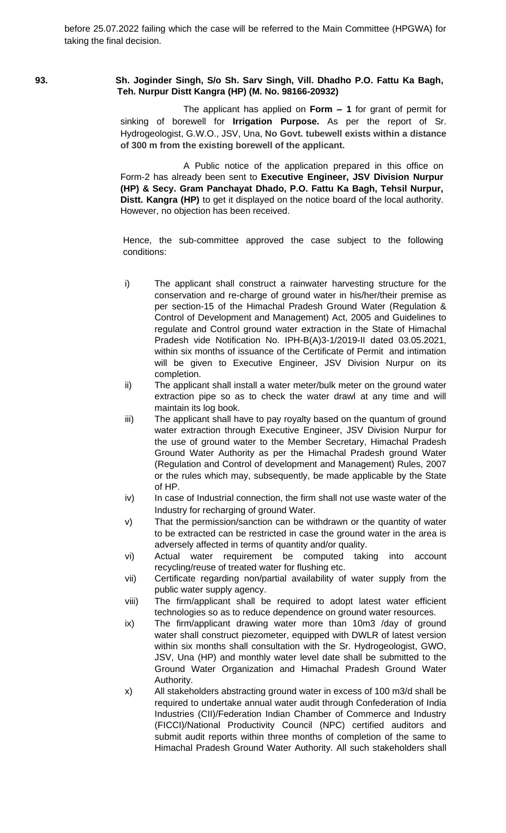# **93. Sh. Joginder Singh, S/o Sh. Sarv Singh, Vill. Dhadho P.O. Fattu Ka Bagh, Teh. Nurpur Distt Kangra (HP) (M. No. 98166-20932)**

The applicant has applied on **Form – 1** for grant of permit for sinking of borewell for **Irrigation Purpose.** As per the report of Sr. Hydrogeologist, G.W.O., JSV, Una, **No Govt. tubewell exists within a distance of 300 m from the existing borewell of the applicant.**

A Public notice of the application prepared in this office on Form-2 has already been sent to **Executive Engineer, JSV Division Nurpur (HP) & Secy. Gram Panchayat Dhado, P.O. Fattu Ka Bagh, Tehsil Nurpur, Distt. Kangra (HP)** to get it displayed on the notice board of the local authority. However, no objection has been received.

- i) The applicant shall construct a rainwater harvesting structure for the conservation and re-charge of ground water in his/her/their premise as per section-15 of the Himachal Pradesh Ground Water (Regulation & Control of Development and Management) Act, 2005 and Guidelines to regulate and Control ground water extraction in the State of Himachal Pradesh vide Notification No. IPH-B(A)3-1/2019-II dated 03.05.2021, within six months of issuance of the Certificate of Permit and intimation will be given to Executive Engineer, JSV Division Nurpur on its completion.
- ii) The applicant shall install a water meter/bulk meter on the ground water extraction pipe so as to check the water drawl at any time and will maintain its log book.
- iii) The applicant shall have to pay royalty based on the quantum of ground water extraction through Executive Engineer, JSV Division Nurpur for the use of ground water to the Member Secretary, Himachal Pradesh Ground Water Authority as per the Himachal Pradesh ground Water (Regulation and Control of development and Management) Rules, 2007 or the rules which may, subsequently, be made applicable by the State of HP.
- iv) In case of Industrial connection, the firm shall not use waste water of the Industry for recharging of ground Water.
- v) That the permission/sanction can be withdrawn or the quantity of water to be extracted can be restricted in case the ground water in the area is adversely affected in terms of quantity and/or quality.
- vi) Actual water requirement be computed taking into account recycling/reuse of treated water for flushing etc.
- vii) Certificate regarding non/partial availability of water supply from the public water supply agency.
- viii) The firm/applicant shall be required to adopt latest water efficient technologies so as to reduce dependence on ground water resources.
- ix) The firm/applicant drawing water more than 10m3 /day of ground water shall construct piezometer, equipped with DWLR of latest version within six months shall consultation with the Sr. Hydrogeologist, GWO, JSV, Una (HP) and monthly water level date shall be submitted to the Ground Water Organization and Himachal Pradesh Ground Water Authority.
- x) All stakeholders abstracting ground water in excess of 100 m3/d shall be required to undertake annual water audit through Confederation of India Industries (CII)/Federation Indian Chamber of Commerce and Industry (FICCI)/National Productivity Council (NPC) certified auditors and submit audit reports within three months of completion of the same to Himachal Pradesh Ground Water Authority. All such stakeholders shall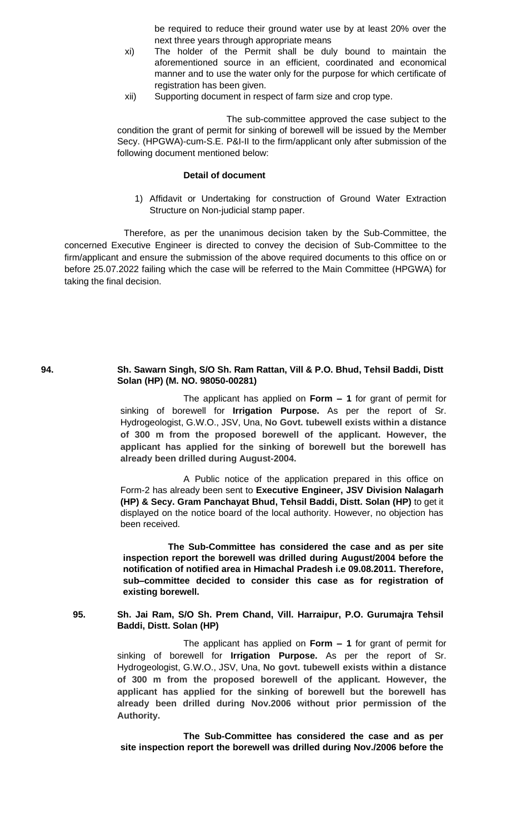be required to reduce their ground water use by at least 20% over the next three years through appropriate means

- xi) The holder of the Permit shall be duly bound to maintain the aforementioned source in an efficient, coordinated and economical manner and to use the water only for the purpose for which certificate of registration has been given.
- xii) Supporting document in respect of farm size and crop type.

 The sub-committee approved the case subject to the condition the grant of permit for sinking of borewell will be issued by the Member Secy. (HPGWA)-cum-S.E. P&I-II to the firm/applicant only after submission of the following document mentioned below:

# **Detail of document**

1) Affidavit or Undertaking for construction of Ground Water Extraction Structure on Non-judicial stamp paper.

Therefore, as per the unanimous decision taken by the Sub-Committee, the concerned Executive Engineer is directed to convey the decision of Sub-Committee to the firm/applicant and ensure the submission of the above required documents to this office on or before 25.07.2022 failing which the case will be referred to the Main Committee (HPGWA) for taking the final decision.

### **94. Sh. Sawarn Singh, S/O Sh. Ram Rattan, Vill & P.O. Bhud, Tehsil Baddi, Distt Solan (HP) (M. NO. 98050-00281)**

The applicant has applied on **Form – 1** for grant of permit for sinking of borewell for **Irrigation Purpose.** As per the report of Sr. Hydrogeologist, G.W.O., JSV, Una, **No Govt. tubewell exists within a distance of 300 m from the proposed borewell of the applicant. However, the applicant has applied for the sinking of borewell but the borewell has already been drilled during August-2004.**

A Public notice of the application prepared in this office on Form-2 has already been sent to **Executive Engineer, JSV Division Nalagarh (HP) & Secy. Gram Panchayat Bhud, Tehsil Baddi, Distt. Solan (HP)** to get it displayed on the notice board of the local authority. However, no objection has been received.

 **The Sub-Committee has considered the case and as per site inspection report the borewell was drilled during August/2004 before the notification of notified area in Himachal Pradesh i.e 09.08.2011. Therefore, sub–committee decided to consider this case as for registration of existing borewell.** 

**95. Sh. Jai Ram, S/O Sh. Prem Chand, Vill. Harraipur, P.O. Gurumajra Tehsil Baddi, Distt. Solan (HP)**

> The applicant has applied on **Form – 1** for grant of permit for sinking of borewell for **Irrigation Purpose.** As per the report of Sr. Hydrogeologist, G.W.O., JSV, Una, **No govt. tubewell exists within a distance of 300 m from the proposed borewell of the applicant. However, the applicant has applied for the sinking of borewell but the borewell has already been drilled during Nov.2006 without prior permission of the Authority.**

**The Sub-Committee has considered the case and as per site inspection report the borewell was drilled during Nov./2006 before the**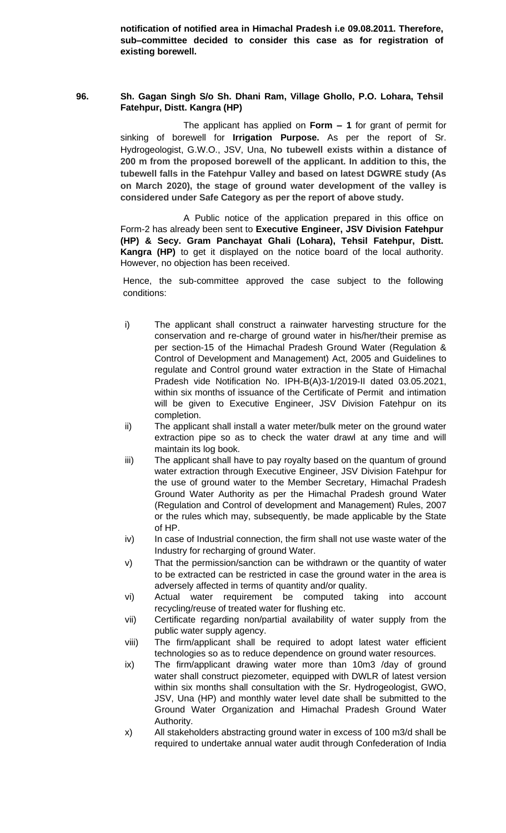**notification of notified area in Himachal Pradesh i.e 09.08.2011. Therefore, sub–committee decided to consider this case as for registration of existing borewell.**

# **96. Sh. Gagan Singh S/o Sh. Dhani Ram, Village Ghollo, P.O. Lohara, Tehsil Fatehpur, Distt. Kangra (HP)**

The applicant has applied on **Form – 1** for grant of permit for sinking of borewell for **Irrigation Purpose.** As per the report of Sr. Hydrogeologist, G.W.O., JSV, Una, **No tubewell exists within a distance of 200 m from the proposed borewell of the applicant. In addition to this, the tubewell falls in the Fatehpur Valley and based on latest DGWRE study (As on March 2020), the stage of ground water development of the valley is considered under Safe Category as per the report of above study.**

A Public notice of the application prepared in this office on Form-2 has already been sent to **Executive Engineer, JSV Division Fatehpur (HP) & Secy. Gram Panchayat Ghali (Lohara), Tehsil Fatehpur, Distt. Kangra (HP)** to get it displayed on the notice board of the local authority. However, no objection has been received.

- i) The applicant shall construct a rainwater harvesting structure for the conservation and re-charge of ground water in his/her/their premise as per section-15 of the Himachal Pradesh Ground Water (Regulation & Control of Development and Management) Act, 2005 and Guidelines to regulate and Control ground water extraction in the State of Himachal Pradesh vide Notification No. IPH-B(A)3-1/2019-II dated 03.05.2021, within six months of issuance of the Certificate of Permit and intimation will be given to Executive Engineer, JSV Division Fatehpur on its completion.
- ii) The applicant shall install a water meter/bulk meter on the ground water extraction pipe so as to check the water drawl at any time and will maintain its log book.
- iii) The applicant shall have to pay royalty based on the quantum of ground water extraction through Executive Engineer, JSV Division Fatehpur for the use of ground water to the Member Secretary, Himachal Pradesh Ground Water Authority as per the Himachal Pradesh ground Water (Regulation and Control of development and Management) Rules, 2007 or the rules which may, subsequently, be made applicable by the State of HP.
- iv) In case of Industrial connection, the firm shall not use waste water of the Industry for recharging of ground Water.
- v) That the permission/sanction can be withdrawn or the quantity of water to be extracted can be restricted in case the ground water in the area is adversely affected in terms of quantity and/or quality.
- vi) Actual water requirement be computed taking into account recycling/reuse of treated water for flushing etc.
- vii) Certificate regarding non/partial availability of water supply from the public water supply agency.
- viii) The firm/applicant shall be required to adopt latest water efficient technologies so as to reduce dependence on ground water resources.
- ix) The firm/applicant drawing water more than 10m3 /day of ground water shall construct piezometer, equipped with DWLR of latest version within six months shall consultation with the Sr. Hydrogeologist, GWO, JSV, Una (HP) and monthly water level date shall be submitted to the Ground Water Organization and Himachal Pradesh Ground Water Authority.
- x) All stakeholders abstracting ground water in excess of 100 m3/d shall be required to undertake annual water audit through Confederation of India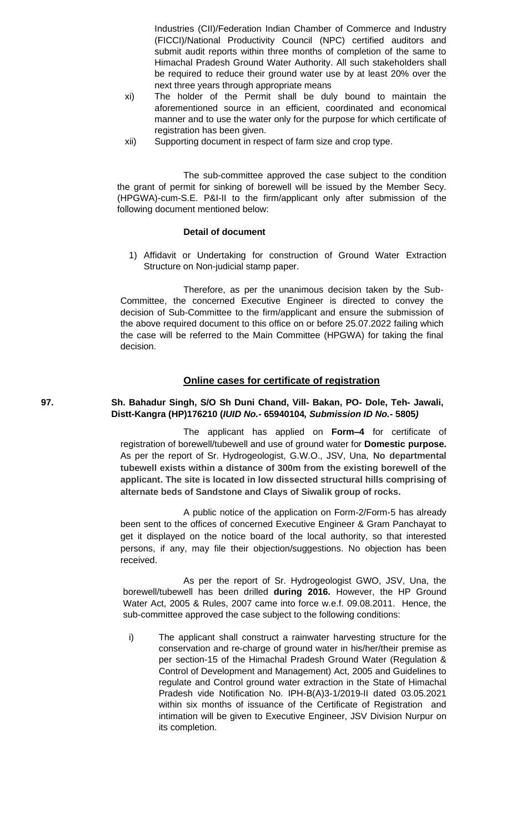Industries (CII)/Federation Indian Chamber of Commerce and Industry (FICCI)/National Productivity Council (NPC) certified auditors and submit audit reports within three months of completion of the same to Himachal Pradesh Ground Water Authority. All such stakeholders shall be required to reduce their ground water use by at least 20% over the next three years through appropriate means

- xi) The holder of the Permit shall be duly bound to maintain the aforementioned source in an efficient, coordinated and economical manner and to use the water only for the purpose for which certificate of registration has been given.
- xii) Supporting document in respect of farm size and crop type.

The sub-committee approved the case subject to the condition the grant of permit for sinking of borewell will be issued by the Member Secy. (HPGWA)-cum-S.E. P&I-II to the firm/applicant only after submission of the following document mentioned below:

# **Detail of document**

1) Affidavit or Undertaking for construction of Ground Water Extraction Structure on Non-judicial stamp paper.

Therefore, as per the unanimous decision taken by the Sub-Committee, the concerned Executive Engineer is directed to convey the decision of Sub-Committee to the firm/applicant and ensure the submission of the above required document to this office on or before 25.07.2022 failing which the case will be referred to the Main Committee (HPGWA) for taking the final decision.

# **Online cases for certificate of registration**

# **97. Sh. Bahadur Singh, S/O Sh Duni Chand, Vill- Bakan, PO- Dole, Teh- Jawali, Distt-Kangra (HP)176210 (***IUID No.-* **65940104***, Submission ID No.-* **5805***)*

The applicant has applied on **Form–4** for certificate of registration of borewell/tubewell and use of ground water for **Domestic purpose.** As per the report of Sr. Hydrogeologist, G.W.O., JSV, Una, **No departmental tubewell exists within a distance of 300m from the existing borewell of the applicant. The site is located in low dissected structural hills comprising of alternate beds of Sandstone and Clays of Siwalik group of rocks.**

A public notice of the application on Form-2/Form-5 has already been sent to the offices of concerned Executive Engineer & Gram Panchayat to get it displayed on the notice board of the local authority, so that interested persons, if any, may file their objection/suggestions. No objection has been received.

As per the report of Sr. Hydrogeologist GWO, JSV, Una, the borewell/tubewell has been drilled **during 2016.** However, the HP Ground Water Act, 2005 & Rules, 2007 came into force w.e.f. 09.08.2011. Hence, the sub-committee approved the case subject to the following conditions:

i) The applicant shall construct a rainwater harvesting structure for the conservation and re-charge of ground water in his/her/their premise as per section-15 of the Himachal Pradesh Ground Water (Regulation & Control of Development and Management) Act, 2005 and Guidelines to regulate and Control ground water extraction in the State of Himachal Pradesh vide Notification No. IPH-B(A)3-1/2019-II dated 03.05.2021 within six months of issuance of the Certificate of Registration and intimation will be given to Executive Engineer, JSV Division Nurpur on its completion.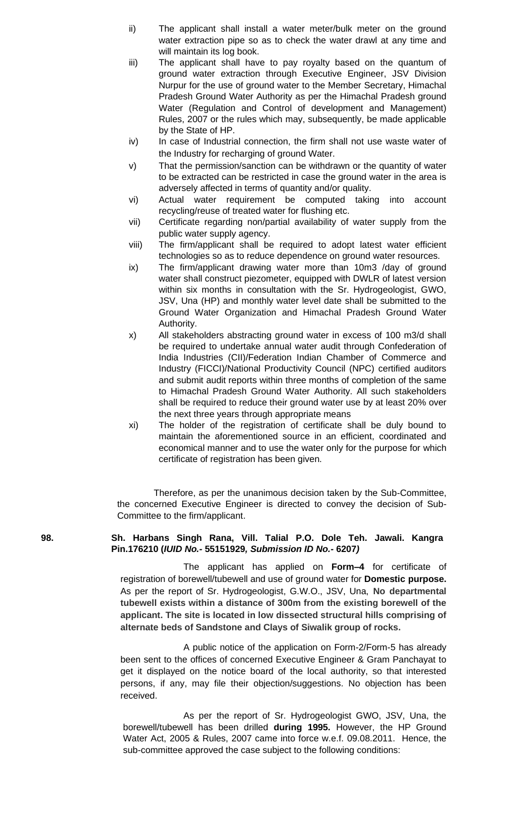- ii) The applicant shall install a water meter/bulk meter on the ground water extraction pipe so as to check the water drawl at any time and will maintain its log book.
- iii) The applicant shall have to pay royalty based on the quantum of ground water extraction through Executive Engineer, JSV Division Nurpur for the use of ground water to the Member Secretary, Himachal Pradesh Ground Water Authority as per the Himachal Pradesh ground Water (Regulation and Control of development and Management) Rules, 2007 or the rules which may, subsequently, be made applicable by the State of HP.
- iv) In case of Industrial connection, the firm shall not use waste water of the Industry for recharging of ground Water.
- v) That the permission/sanction can be withdrawn or the quantity of water to be extracted can be restricted in case the ground water in the area is adversely affected in terms of quantity and/or quality.
- vi) Actual water requirement be computed taking into account recycling/reuse of treated water for flushing etc.
- vii) Certificate regarding non/partial availability of water supply from the public water supply agency.
- viii) The firm/applicant shall be required to adopt latest water efficient technologies so as to reduce dependence on ground water resources.
- ix) The firm/applicant drawing water more than 10m3 /day of ground water shall construct piezometer, equipped with DWLR of latest version within six months in consultation with the Sr. Hydrogeologist, GWO, JSV, Una (HP) and monthly water level date shall be submitted to the Ground Water Organization and Himachal Pradesh Ground Water Authority.
- x) All stakeholders abstracting ground water in excess of 100 m3/d shall be required to undertake annual water audit through Confederation of India Industries (CII)/Federation Indian Chamber of Commerce and Industry (FICCI)/National Productivity Council (NPC) certified auditors and submit audit reports within three months of completion of the same to Himachal Pradesh Ground Water Authority. All such stakeholders shall be required to reduce their ground water use by at least 20% over the next three years through appropriate means
- xi) The holder of the registration of certificate shall be duly bound to maintain the aforementioned source in an efficient, coordinated and economical manner and to use the water only for the purpose for which certificate of registration has been given.

### **98. Sh. Harbans Singh Rana, Vill. Talial P.O. Dole Teh. Jawali. Kangra Pin.176210 (***IUID No.-* **55151929***, Submission ID No.-* **6207***)*

The applicant has applied on **Form–4** for certificate of registration of borewell/tubewell and use of ground water for **Domestic purpose.** As per the report of Sr. Hydrogeologist, G.W.O., JSV, Una, **No departmental tubewell exists within a distance of 300m from the existing borewell of the applicant. The site is located in low dissected structural hills comprising of alternate beds of Sandstone and Clays of Siwalik group of rocks.**

A public notice of the application on Form-2/Form-5 has already been sent to the offices of concerned Executive Engineer & Gram Panchayat to get it displayed on the notice board of the local authority, so that interested persons, if any, may file their objection/suggestions. No objection has been received.

As per the report of Sr. Hydrogeologist GWO, JSV, Una, the borewell/tubewell has been drilled **during 1995.** However, the HP Ground Water Act, 2005 & Rules, 2007 came into force w.e.f. 09.08.2011. Hence, the sub-committee approved the case subject to the following conditions: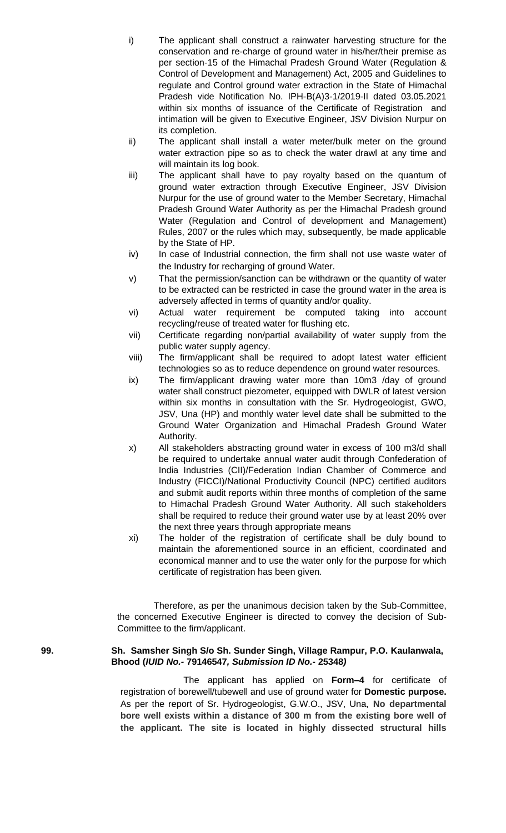- i) The applicant shall construct a rainwater harvesting structure for the conservation and re-charge of ground water in his/her/their premise as per section-15 of the Himachal Pradesh Ground Water (Regulation & Control of Development and Management) Act, 2005 and Guidelines to regulate and Control ground water extraction in the State of Himachal Pradesh vide Notification No. IPH-B(A)3-1/2019-II dated 03.05.2021 within six months of issuance of the Certificate of Registration and intimation will be given to Executive Engineer, JSV Division Nurpur on its completion.
- ii) The applicant shall install a water meter/bulk meter on the ground water extraction pipe so as to check the water drawl at any time and will maintain its log book.
- iii) The applicant shall have to pay royalty based on the quantum of ground water extraction through Executive Engineer, JSV Division Nurpur for the use of ground water to the Member Secretary, Himachal Pradesh Ground Water Authority as per the Himachal Pradesh ground Water (Regulation and Control of development and Management) Rules, 2007 or the rules which may, subsequently, be made applicable by the State of HP.
- iv) In case of Industrial connection, the firm shall not use waste water of the Industry for recharging of ground Water.
- v) That the permission/sanction can be withdrawn or the quantity of water to be extracted can be restricted in case the ground water in the area is adversely affected in terms of quantity and/or quality.
- vi) Actual water requirement be computed taking into account recycling/reuse of treated water for flushing etc.
- vii) Certificate regarding non/partial availability of water supply from the public water supply agency.
- viii) The firm/applicant shall be required to adopt latest water efficient technologies so as to reduce dependence on ground water resources.
- ix) The firm/applicant drawing water more than 10m3 /day of ground water shall construct piezometer, equipped with DWLR of latest version within six months in consultation with the Sr. Hydrogeologist, GWO, JSV, Una (HP) and monthly water level date shall be submitted to the Ground Water Organization and Himachal Pradesh Ground Water Authority.
- x) All stakeholders abstracting ground water in excess of 100 m3/d shall be required to undertake annual water audit through Confederation of India Industries (CII)/Federation Indian Chamber of Commerce and Industry (FICCI)/National Productivity Council (NPC) certified auditors and submit audit reports within three months of completion of the same to Himachal Pradesh Ground Water Authority. All such stakeholders shall be required to reduce their ground water use by at least 20% over the next three years through appropriate means
- xi) The holder of the registration of certificate shall be duly bound to maintain the aforementioned source in an efficient, coordinated and economical manner and to use the water only for the purpose for which certificate of registration has been given.

### **99. Sh. Samsher Singh S/o Sh. Sunder Singh, Village Rampur, P.O. Kaulanwala, Bhood (***IUID No.-* **79146547***, Submission ID No.-* **25348***)*

The applicant has applied on **Form–4** for certificate of registration of borewell/tubewell and use of ground water for **Domestic purpose.** As per the report of Sr. Hydrogeologist, G.W.O., JSV, Una, **No departmental bore well exists within a distance of 300 m from the existing bore well of the applicant. The site is located in highly dissected structural hills**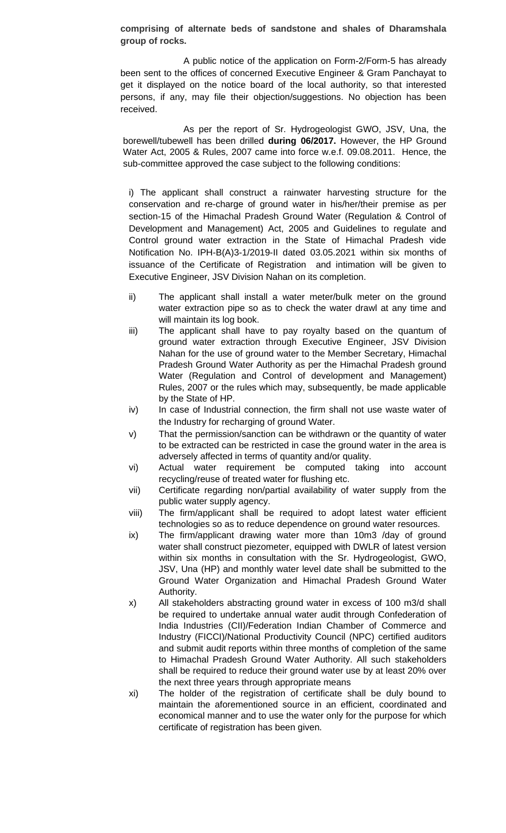**comprising of alternate beds of sandstone and shales of Dharamshala group of rocks.**

A public notice of the application on Form-2/Form-5 has already been sent to the offices of concerned Executive Engineer & Gram Panchayat to get it displayed on the notice board of the local authority, so that interested persons, if any, may file their objection/suggestions. No objection has been received.

As per the report of Sr. Hydrogeologist GWO, JSV, Una, the borewell/tubewell has been drilled **during 06/2017.** However, the HP Ground Water Act, 2005 & Rules, 2007 came into force w.e.f. 09.08.2011. Hence, the sub-committee approved the case subject to the following conditions:

i) The applicant shall construct a rainwater harvesting structure for the conservation and re-charge of ground water in his/her/their premise as per section-15 of the Himachal Pradesh Ground Water (Regulation & Control of Development and Management) Act, 2005 and Guidelines to regulate and Control ground water extraction in the State of Himachal Pradesh vide Notification No. IPH-B(A)3-1/2019-II dated 03.05.2021 within six months of issuance of the Certificate of Registration and intimation will be given to Executive Engineer, JSV Division Nahan on its completion.

- ii) The applicant shall install a water meter/bulk meter on the ground water extraction pipe so as to check the water drawl at any time and will maintain its log book.
- iii) The applicant shall have to pay royalty based on the quantum of ground water extraction through Executive Engineer, JSV Division Nahan for the use of ground water to the Member Secretary, Himachal Pradesh Ground Water Authority as per the Himachal Pradesh ground Water (Regulation and Control of development and Management) Rules, 2007 or the rules which may, subsequently, be made applicable by the State of HP.
- iv) In case of Industrial connection, the firm shall not use waste water of the Industry for recharging of ground Water.
- v) That the permission/sanction can be withdrawn or the quantity of water to be extracted can be restricted in case the ground water in the area is adversely affected in terms of quantity and/or quality.
- vi) Actual water requirement be computed taking into account recycling/reuse of treated water for flushing etc.
- vii) Certificate regarding non/partial availability of water supply from the public water supply agency.
- viii) The firm/applicant shall be required to adopt latest water efficient technologies so as to reduce dependence on ground water resources.
- ix) The firm/applicant drawing water more than 10m3 /day of ground water shall construct piezometer, equipped with DWLR of latest version within six months in consultation with the Sr. Hydrogeologist, GWO, JSV, Una (HP) and monthly water level date shall be submitted to the Ground Water Organization and Himachal Pradesh Ground Water Authority.
- x) All stakeholders abstracting ground water in excess of 100 m3/d shall be required to undertake annual water audit through Confederation of India Industries (CII)/Federation Indian Chamber of Commerce and Industry (FICCI)/National Productivity Council (NPC) certified auditors and submit audit reports within three months of completion of the same to Himachal Pradesh Ground Water Authority. All such stakeholders shall be required to reduce their ground water use by at least 20% over the next three years through appropriate means
- xi) The holder of the registration of certificate shall be duly bound to maintain the aforementioned source in an efficient, coordinated and economical manner and to use the water only for the purpose for which certificate of registration has been given.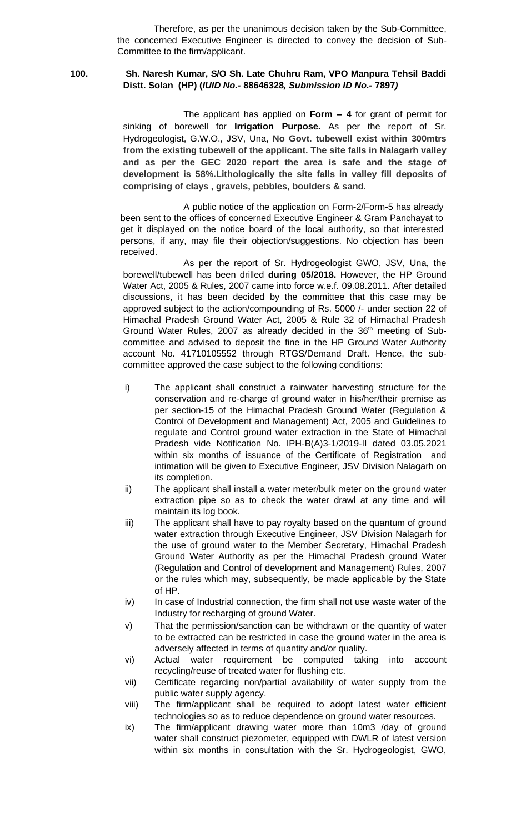# **100. Sh. Naresh Kumar, S/O Sh. Late Chuhru Ram, VPO Manpura Tehsil Baddi Distt. Solan (HP) (***IUID No.-* **88646328***, Submission ID No.-* **7897***)*

The applicant has applied on **Form – 4** for grant of permit for sinking of borewell for **Irrigation Purpose.** As per the report of Sr. Hydrogeologist, G.W.O., JSV, Una, **No Govt. tubewell exist within 300mtrs from the existing tubewell of the applicant. The site falls in Nalagarh valley and as per the GEC 2020 report the area is safe and the stage of development is 58%.Lithologically the site falls in valley fill deposits of comprising of clays , gravels, pebbles, boulders & sand.**

A public notice of the application on Form-2/Form-5 has already been sent to the offices of concerned Executive Engineer & Gram Panchayat to get it displayed on the notice board of the local authority, so that interested persons, if any, may file their objection/suggestions. No objection has been received.

As per the report of Sr. Hydrogeologist GWO, JSV, Una, the borewell/tubewell has been drilled **during 05/2018.** However, the HP Ground Water Act, 2005 & Rules, 2007 came into force w.e.f. 09.08.2011. After detailed discussions, it has been decided by the committee that this case may be approved subject to the action/compounding of Rs. 5000 /- under section 22 of Himachal Pradesh Ground Water Act, 2005 & Rule 32 of Himachal Pradesh Ground Water Rules, 2007 as already decided in the 36<sup>th</sup> meeting of Subcommittee and advised to deposit the fine in the HP Ground Water Authority account No. 41710105552 through RTGS/Demand Draft. Hence, the subcommittee approved the case subject to the following conditions:

- i) The applicant shall construct a rainwater harvesting structure for the conservation and re-charge of ground water in his/her/their premise as per section-15 of the Himachal Pradesh Ground Water (Regulation & Control of Development and Management) Act, 2005 and Guidelines to regulate and Control ground water extraction in the State of Himachal Pradesh vide Notification No. IPH-B(A)3-1/2019-II dated 03.05.2021 within six months of issuance of the Certificate of Registration and intimation will be given to Executive Engineer, JSV Division Nalagarh on its completion.
- ii) The applicant shall install a water meter/bulk meter on the ground water extraction pipe so as to check the water drawl at any time and will maintain its log book.
- iii) The applicant shall have to pay royalty based on the quantum of ground water extraction through Executive Engineer, JSV Division Nalagarh for the use of ground water to the Member Secretary, Himachal Pradesh Ground Water Authority as per the Himachal Pradesh ground Water (Regulation and Control of development and Management) Rules, 2007 or the rules which may, subsequently, be made applicable by the State of HP.
- iv) In case of Industrial connection, the firm shall not use waste water of the Industry for recharging of ground Water.
- v) That the permission/sanction can be withdrawn or the quantity of water to be extracted can be restricted in case the ground water in the area is adversely affected in terms of quantity and/or quality.
- vi) Actual water requirement be computed taking into account recycling/reuse of treated water for flushing etc.
- vii) Certificate regarding non/partial availability of water supply from the public water supply agency.
- viii) The firm/applicant shall be required to adopt latest water efficient technologies so as to reduce dependence on ground water resources.
- ix) The firm/applicant drawing water more than 10m3 /day of ground water shall construct piezometer, equipped with DWLR of latest version within six months in consultation with the Sr. Hydrogeologist, GWO,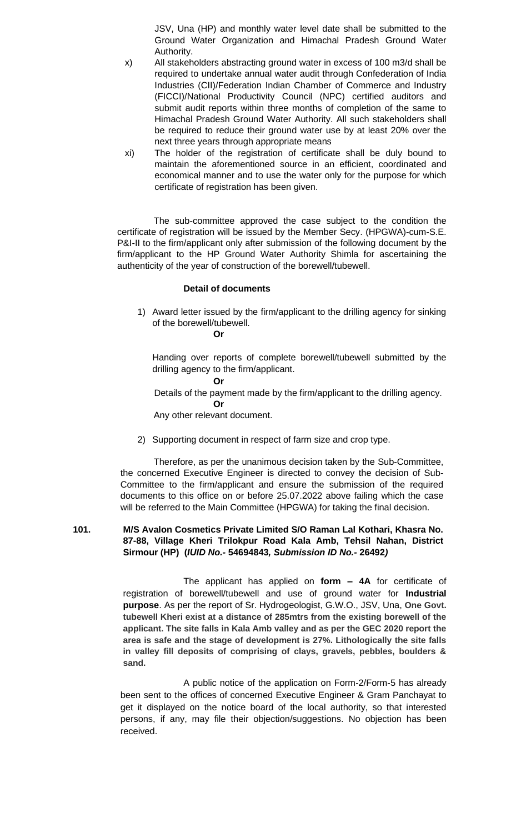JSV, Una (HP) and monthly water level date shall be submitted to the Ground Water Organization and Himachal Pradesh Ground Water Authority.

- x) All stakeholders abstracting ground water in excess of 100 m3/d shall be required to undertake annual water audit through Confederation of India Industries (CII)/Federation Indian Chamber of Commerce and Industry (FICCI)/National Productivity Council (NPC) certified auditors and submit audit reports within three months of completion of the same to Himachal Pradesh Ground Water Authority. All such stakeholders shall be required to reduce their ground water use by at least 20% over the next three years through appropriate means
- xi) The holder of the registration of certificate shall be duly bound to maintain the aforementioned source in an efficient, coordinated and economical manner and to use the water only for the purpose for which certificate of registration has been given.

 The sub-committee approved the case subject to the condition the certificate of registration will be issued by the Member Secy. (HPGWA)-cum-S.E. P&I-II to the firm/applicant only after submission of the following document by the firm/applicant to the HP Ground Water Authority Shimla for ascertaining the authenticity of the year of construction of the borewell/tubewell.

#### **Detail of documents**

1) Award letter issued by the firm/applicant to the drilling agency for sinking of the borewell/tubewell.

**Or**

Handing over reports of complete borewell/tubewell submitted by the drilling agency to the firm/applicant.

#### **Or**

 Details of the payment made by the firm/applicant to the drilling agency. **Or**

Any other relevant document.

2) Supporting document in respect of farm size and crop type.

Therefore, as per the unanimous decision taken by the Sub-Committee, the concerned Executive Engineer is directed to convey the decision of Sub-Committee to the firm/applicant and ensure the submission of the required documents to this office on or before 25.07.2022 above failing which the case will be referred to the Main Committee (HPGWA) for taking the final decision.

#### **101. M/S Avalon Cosmetics Private Limited S/O Raman Lal Kothari, Khasra No. 87-88, Village Kheri Trilokpur Road Kala Amb, Tehsil Nahan, District Sirmour (HP) (***IUID No.-* **54694843***, Submission ID No.-* **26492***)*

The applicant has applied on **form – 4A** for certificate of registration of borewell/tubewell and use of ground water for **Industrial purpose**. As per the report of Sr. Hydrogeologist, G.W.O., JSV, Una, **One Govt. tubewell Kheri exist at a distance of 285mtrs from the existing borewell of the applicant. The site falls in Kala Amb valley and as per the GEC 2020 report the area is safe and the stage of development is 27%. Lithologically the site falls in valley fill deposits of comprising of clays, gravels, pebbles, boulders & sand.**

A public notice of the application on Form-2/Form-5 has already been sent to the offices of concerned Executive Engineer & Gram Panchayat to get it displayed on the notice board of the local authority, so that interested persons, if any, may file their objection/suggestions. No objection has been received.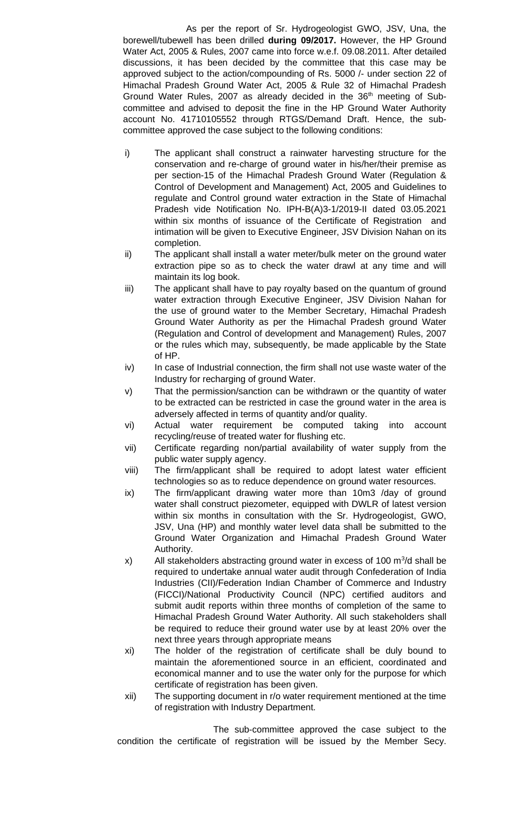As per the report of Sr. Hydrogeologist GWO, JSV, Una, the borewell/tubewell has been drilled **during 09/2017.** However, the HP Ground Water Act, 2005 & Rules, 2007 came into force w.e.f. 09.08.2011. After detailed discussions, it has been decided by the committee that this case may be approved subject to the action/compounding of Rs. 5000 /- under section 22 of Himachal Pradesh Ground Water Act, 2005 & Rule 32 of Himachal Pradesh Ground Water Rules, 2007 as already decided in the  $36<sup>th</sup>$  meeting of Subcommittee and advised to deposit the fine in the HP Ground Water Authority account No. 41710105552 through RTGS/Demand Draft. Hence, the subcommittee approved the case subject to the following conditions:

- i) The applicant shall construct a rainwater harvesting structure for the conservation and re-charge of ground water in his/her/their premise as per section-15 of the Himachal Pradesh Ground Water (Regulation & Control of Development and Management) Act, 2005 and Guidelines to regulate and Control ground water extraction in the State of Himachal Pradesh vide Notification No. IPH-B(A)3-1/2019-II dated 03.05.2021 within six months of issuance of the Certificate of Registration and intimation will be given to Executive Engineer, JSV Division Nahan on its completion.
- ii) The applicant shall install a water meter/bulk meter on the ground water extraction pipe so as to check the water drawl at any time and will maintain its log book.
- iii) The applicant shall have to pay royalty based on the quantum of ground water extraction through Executive Engineer, JSV Division Nahan for the use of ground water to the Member Secretary, Himachal Pradesh Ground Water Authority as per the Himachal Pradesh ground Water (Regulation and Control of development and Management) Rules, 2007 or the rules which may, subsequently, be made applicable by the State of HP.
- iv) In case of Industrial connection, the firm shall not use waste water of the Industry for recharging of ground Water.
- v) That the permission/sanction can be withdrawn or the quantity of water to be extracted can be restricted in case the ground water in the area is adversely affected in terms of quantity and/or quality.
- vi) Actual water requirement be computed taking into account recycling/reuse of treated water for flushing etc.
- vii) Certificate regarding non/partial availability of water supply from the public water supply agency.
- viii) The firm/applicant shall be required to adopt latest water efficient technologies so as to reduce dependence on ground water resources.
- ix) The firm/applicant drawing water more than 10m3 /day of ground water shall construct piezometer, equipped with DWLR of latest version within six months in consultation with the Sr. Hydrogeologist, GWO, JSV, Una (HP) and monthly water level data shall be submitted to the Ground Water Organization and Himachal Pradesh Ground Water Authority.
- $x$ ) All stakeholders abstracting ground water in excess of 100 m<sup>3</sup>/d shall be required to undertake annual water audit through Confederation of India Industries (CII)/Federation Indian Chamber of Commerce and Industry (FICCI)/National Productivity Council (NPC) certified auditors and submit audit reports within three months of completion of the same to Himachal Pradesh Ground Water Authority. All such stakeholders shall be required to reduce their ground water use by at least 20% over the next three years through appropriate means
- xi) The holder of the registration of certificate shall be duly bound to maintain the aforementioned source in an efficient, coordinated and economical manner and to use the water only for the purpose for which certificate of registration has been given.
- xii) The supporting document in r/o water requirement mentioned at the time of registration with Industry Department.

The sub-committee approved the case subject to the condition the certificate of registration will be issued by the Member Secy.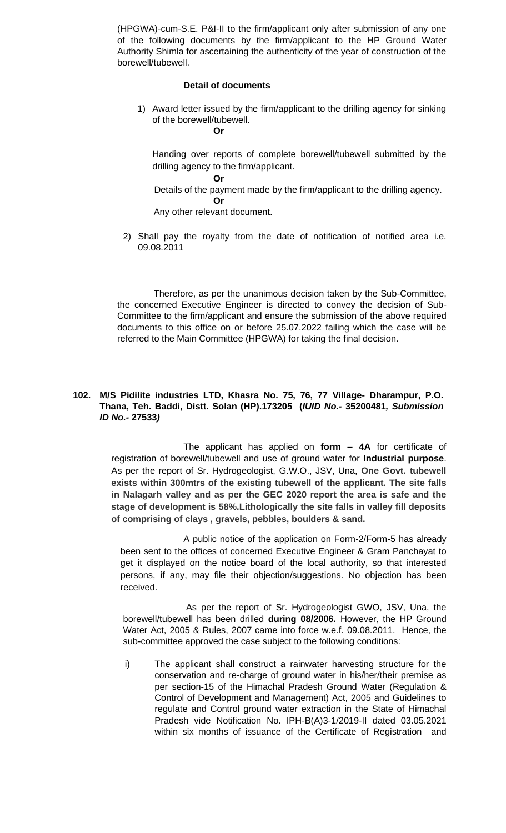(HPGWA)-cum-S.E. P&I-II to the firm/applicant only after submission of any one of the following documents by the firm/applicant to the HP Ground Water Authority Shimla for ascertaining the authenticity of the year of construction of the borewell/tubewell.

#### **Detail of documents**

1) Award letter issued by the firm/applicant to the drilling agency for sinking of the borewell/tubewell.

**Or**

Handing over reports of complete borewell/tubewell submitted by the drilling agency to the firm/applicant.

**Or** Details of the payment made by the firm/applicant to the drilling agency. **Or**

Any other relevant document.

2) Shall pay the royalty from the date of notification of notified area i.e. 09.08.2011

Therefore, as per the unanimous decision taken by the Sub-Committee, the concerned Executive Engineer is directed to convey the decision of Sub-Committee to the firm/applicant and ensure the submission of the above required documents to this office on or before 25.07.2022 failing which the case will be referred to the Main Committee (HPGWA) for taking the final decision.

# **102. M/S Pidilite industries LTD, Khasra No. 75, 76, 77 Village- Dharampur, P.O. Thana, Teh. Baddi, Distt. Solan (HP).173205 (***IUID No.-* **35200481***, Submission ID No.-* **27533***)*

The applicant has applied on **form – 4A** for certificate of registration of borewell/tubewell and use of ground water for **Industrial purpose**. As per the report of Sr. Hydrogeologist, G.W.O., JSV, Una, **One Govt. tubewell exists within 300mtrs of the existing tubewell of the applicant. The site falls in Nalagarh valley and as per the GEC 2020 report the area is safe and the stage of development is 58%.Lithologically the site falls in valley fill deposits of comprising of clays , gravels, pebbles, boulders & sand.**

A public notice of the application on Form-2/Form-5 has already been sent to the offices of concerned Executive Engineer & Gram Panchayat to get it displayed on the notice board of the local authority, so that interested persons, if any, may file their objection/suggestions. No objection has been received.

As per the report of Sr. Hydrogeologist GWO, JSV, Una, the borewell/tubewell has been drilled **during 08/2006.** However, the HP Ground Water Act, 2005 & Rules, 2007 came into force w.e.f. 09.08.2011. Hence, the sub-committee approved the case subject to the following conditions:

i) The applicant shall construct a rainwater harvesting structure for the conservation and re-charge of ground water in his/her/their premise as per section-15 of the Himachal Pradesh Ground Water (Regulation & Control of Development and Management) Act, 2005 and Guidelines to regulate and Control ground water extraction in the State of Himachal Pradesh vide Notification No. IPH-B(A)3-1/2019-II dated 03.05.2021 within six months of issuance of the Certificate of Registration and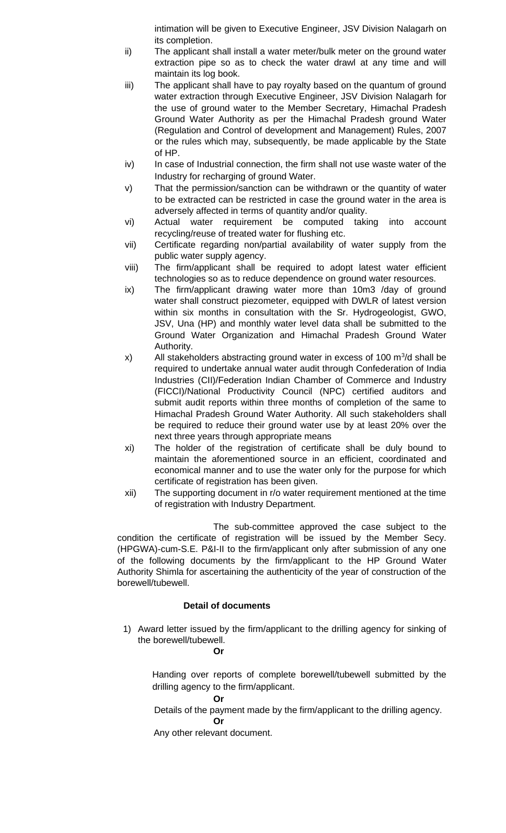intimation will be given to Executive Engineer, JSV Division Nalagarh on its completion.

- ii) The applicant shall install a water meter/bulk meter on the ground water extraction pipe so as to check the water drawl at any time and will maintain its log book.
- iii) The applicant shall have to pay royalty based on the quantum of ground water extraction through Executive Engineer, JSV Division Nalagarh for the use of ground water to the Member Secretary, Himachal Pradesh Ground Water Authority as per the Himachal Pradesh ground Water (Regulation and Control of development and Management) Rules, 2007 or the rules which may, subsequently, be made applicable by the State of HP.
- iv) In case of Industrial connection, the firm shall not use waste water of the Industry for recharging of ground Water.
- v) That the permission/sanction can be withdrawn or the quantity of water to be extracted can be restricted in case the ground water in the area is adversely affected in terms of quantity and/or quality.
- vi) Actual water requirement be computed taking into account recycling/reuse of treated water for flushing etc.
- vii) Certificate regarding non/partial availability of water supply from the public water supply agency.
- viii) The firm/applicant shall be required to adopt latest water efficient technologies so as to reduce dependence on ground water resources.
- ix) The firm/applicant drawing water more than 10m3 /day of ground water shall construct piezometer, equipped with DWLR of latest version within six months in consultation with the Sr. Hydrogeologist, GWO, JSV, Una (HP) and monthly water level data shall be submitted to the Ground Water Organization and Himachal Pradesh Ground Water Authority.
- x) All stakeholders abstracting ground water in excess of 100  $\mathrm{m}^3$ /d shall be required to undertake annual water audit through Confederation of India Industries (CII)/Federation Indian Chamber of Commerce and Industry (FICCI)/National Productivity Council (NPC) certified auditors and submit audit reports within three months of completion of the same to Himachal Pradesh Ground Water Authority. All such stakeholders shall be required to reduce their ground water use by at least 20% over the next three years through appropriate means
- xi) The holder of the registration of certificate shall be duly bound to maintain the aforementioned source in an efficient, coordinated and economical manner and to use the water only for the purpose for which certificate of registration has been given.
- xii) The supporting document in r/o water requirement mentioned at the time of registration with Industry Department.

The sub-committee approved the case subject to the condition the certificate of registration will be issued by the Member Secy. (HPGWA)-cum-S.E. P&I-II to the firm/applicant only after submission of any one of the following documents by the firm/applicant to the HP Ground Water Authority Shimla for ascertaining the authenticity of the year of construction of the borewell/tubewell.

# **Detail of documents**

1) Award letter issued by the firm/applicant to the drilling agency for sinking of the borewell/tubewell.

# **Or**

Handing over reports of complete borewell/tubewell submitted by the drilling agency to the firm/applicant.

### **Or**

 Details of the payment made by the firm/applicant to the drilling agency. **Or**

Any other relevant document.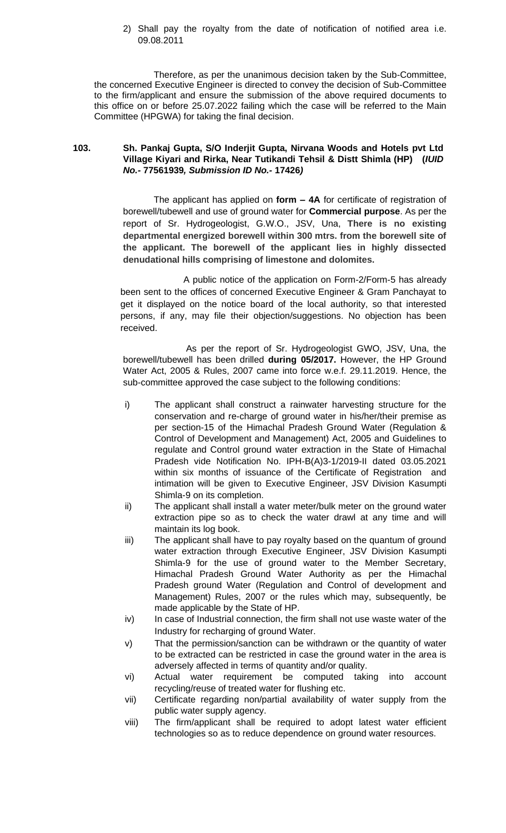### 2) Shall pay the royalty from the date of notification of notified area i.e. 09.08.2011

Therefore, as per the unanimous decision taken by the Sub-Committee, the concerned Executive Engineer is directed to convey the decision of Sub-Committee to the firm/applicant and ensure the submission of the above required documents to this office on or before 25.07.2022 failing which the case will be referred to the Main Committee (HPGWA) for taking the final decision.

## **103. Sh. Pankaj Gupta, S/O Inderjit Gupta, Nirvana Woods and Hotels pvt Ltd Village Kiyari and Rirka, Near Tutikandi Tehsil & Distt Shimla (HP) (***IUID No.-* **77561939***, Submission ID No.-* **17426***)*

The applicant has applied on **form – 4A** for certificate of registration of borewell/tubewell and use of ground water for **Commercial purpose**. As per the report of Sr. Hydrogeologist, G.W.O., JSV, Una, **There is no existing departmental energized borewell within 300 mtrs. from the borewell site of the applicant. The borewell of the applicant lies in highly dissected denudational hills comprising of limestone and dolomites.**

A public notice of the application on Form-2/Form-5 has already been sent to the offices of concerned Executive Engineer & Gram Panchayat to get it displayed on the notice board of the local authority, so that interested persons, if any, may file their objection/suggestions. No objection has been received.

As per the report of Sr. Hydrogeologist GWO, JSV, Una, the borewell/tubewell has been drilled **during 05/2017.** However, the HP Ground Water Act, 2005 & Rules, 2007 came into force w.e.f. 29.11.2019. Hence, the sub-committee approved the case subject to the following conditions:

- i) The applicant shall construct a rainwater harvesting structure for the conservation and re-charge of ground water in his/her/their premise as per section-15 of the Himachal Pradesh Ground Water (Regulation & Control of Development and Management) Act, 2005 and Guidelines to regulate and Control ground water extraction in the State of Himachal Pradesh vide Notification No. IPH-B(A)3-1/2019-II dated 03.05.2021 within six months of issuance of the Certificate of Registration and intimation will be given to Executive Engineer, JSV Division Kasumpti Shimla-9 on its completion.
- ii) The applicant shall install a water meter/bulk meter on the ground water extraction pipe so as to check the water drawl at any time and will maintain its log book.
- iii) The applicant shall have to pay royalty based on the quantum of ground water extraction through Executive Engineer, JSV Division Kasumpti Shimla-9 for the use of ground water to the Member Secretary, Himachal Pradesh Ground Water Authority as per the Himachal Pradesh ground Water (Regulation and Control of development and Management) Rules, 2007 or the rules which may, subsequently, be made applicable by the State of HP.
- iv) In case of Industrial connection, the firm shall not use waste water of the Industry for recharging of ground Water.
- v) That the permission/sanction can be withdrawn or the quantity of water to be extracted can be restricted in case the ground water in the area is adversely affected in terms of quantity and/or quality.
- vi) Actual water requirement be computed taking into account recycling/reuse of treated water for flushing etc.
- vii) Certificate regarding non/partial availability of water supply from the public water supply agency.
- viii) The firm/applicant shall be required to adopt latest water efficient technologies so as to reduce dependence on ground water resources.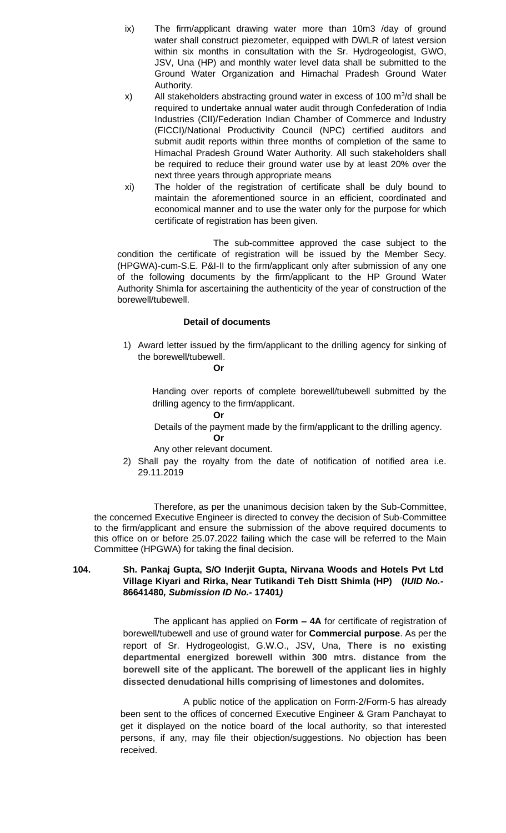- ix) The firm/applicant drawing water more than 10m3 /day of ground water shall construct piezometer, equipped with DWLR of latest version within six months in consultation with the Sr. Hydrogeologist, GWO, JSV, Una (HP) and monthly water level data shall be submitted to the Ground Water Organization and Himachal Pradesh Ground Water Authority.
- x) All stakeholders abstracting ground water in excess of 100  $\mathrm{m}^3$ /d shall be required to undertake annual water audit through Confederation of India Industries (CII)/Federation Indian Chamber of Commerce and Industry (FICCI)/National Productivity Council (NPC) certified auditors and submit audit reports within three months of completion of the same to Himachal Pradesh Ground Water Authority. All such stakeholders shall be required to reduce their ground water use by at least 20% over the next three years through appropriate means
- xi) The holder of the registration of certificate shall be duly bound to maintain the aforementioned source in an efficient, coordinated and economical manner and to use the water only for the purpose for which certificate of registration has been given.

The sub-committee approved the case subject to the condition the certificate of registration will be issued by the Member Secy. (HPGWA)-cum-S.E. P&I-II to the firm/applicant only after submission of any one of the following documents by the firm/applicant to the HP Ground Water Authority Shimla for ascertaining the authenticity of the year of construction of the borewell/tubewell.

## **Detail of documents**

1) Award letter issued by the firm/applicant to the drilling agency for sinking of the borewell/tubewell.

**Or**

**Or**

Handing over reports of complete borewell/tubewell submitted by the drilling agency to the firm/applicant.

Details of the payment made by the firm/applicant to the drilling agency.

**Or** Any other relevant document.

2) Shall pay the royalty from the date of notification of notified area i.e. 29.11.2019

Therefore, as per the unanimous decision taken by the Sub-Committee, the concerned Executive Engineer is directed to convey the decision of Sub-Committee to the firm/applicant and ensure the submission of the above required documents to this office on or before 25.07.2022 failing which the case will be referred to the Main Committee (HPGWA) for taking the final decision.

## **104. Sh. Pankaj Gupta, S/O Inderjit Gupta, Nirvana Woods and Hotels Pvt Ltd Village Kiyari and Rirka, Near Tutikandi Teh Distt Shimla (HP) (***IUID No.-* **86641480***, Submission ID No.-* **17401***)*

The applicant has applied on **Form – 4A** for certificate of registration of borewell/tubewell and use of ground water for **Commercial purpose**. As per the report of Sr. Hydrogeologist, G.W.O., JSV, Una, **There is no existing departmental energized borewell within 300 mtrs. distance from the borewell site of the applicant. The borewell of the applicant lies in highly dissected denudational hills comprising of limestones and dolomites.**

A public notice of the application on Form-2/Form-5 has already been sent to the offices of concerned Executive Engineer & Gram Panchayat to get it displayed on the notice board of the local authority, so that interested persons, if any, may file their objection/suggestions. No objection has been received.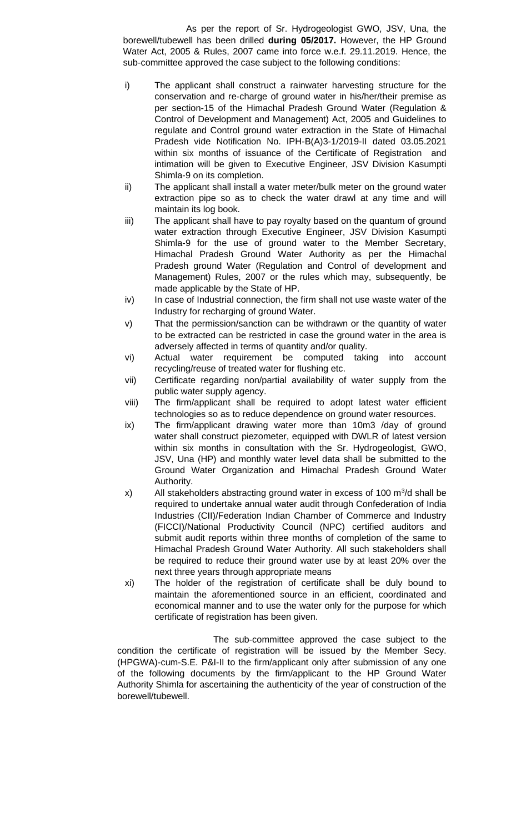As per the report of Sr. Hydrogeologist GWO, JSV, Una, the borewell/tubewell has been drilled **during 05/2017.** However, the HP Ground Water Act, 2005 & Rules, 2007 came into force w.e.f. 29.11.2019. Hence, the sub-committee approved the case subject to the following conditions:

- i) The applicant shall construct a rainwater harvesting structure for the conservation and re-charge of ground water in his/her/their premise as per section-15 of the Himachal Pradesh Ground Water (Regulation & Control of Development and Management) Act, 2005 and Guidelines to regulate and Control ground water extraction in the State of Himachal Pradesh vide Notification No. IPH-B(A)3-1/2019-II dated 03.05.2021 within six months of issuance of the Certificate of Registration and intimation will be given to Executive Engineer, JSV Division Kasumpti Shimla-9 on its completion.
- ii) The applicant shall install a water meter/bulk meter on the ground water extraction pipe so as to check the water drawl at any time and will maintain its log book.
- iii) The applicant shall have to pay royalty based on the quantum of ground water extraction through Executive Engineer, JSV Division Kasumpti Shimla-9 for the use of ground water to the Member Secretary, Himachal Pradesh Ground Water Authority as per the Himachal Pradesh ground Water (Regulation and Control of development and Management) Rules, 2007 or the rules which may, subsequently, be made applicable by the State of HP.
- iv) In case of Industrial connection, the firm shall not use waste water of the Industry for recharging of ground Water.
- v) That the permission/sanction can be withdrawn or the quantity of water to be extracted can be restricted in case the ground water in the area is adversely affected in terms of quantity and/or quality.
- vi) Actual water requirement be computed taking into account recycling/reuse of treated water for flushing etc.
- vii) Certificate regarding non/partial availability of water supply from the public water supply agency.
- viii) The firm/applicant shall be required to adopt latest water efficient technologies so as to reduce dependence on ground water resources.
- ix) The firm/applicant drawing water more than 10m3 /day of ground water shall construct piezometer, equipped with DWLR of latest version within six months in consultation with the Sr. Hydrogeologist, GWO, JSV, Una (HP) and monthly water level data shall be submitted to the Ground Water Organization and Himachal Pradesh Ground Water Authority.
- x) All stakeholders abstracting ground water in excess of 100  $\mathrm{m}^3$ /d shall be required to undertake annual water audit through Confederation of India Industries (CII)/Federation Indian Chamber of Commerce and Industry (FICCI)/National Productivity Council (NPC) certified auditors and submit audit reports within three months of completion of the same to Himachal Pradesh Ground Water Authority. All such stakeholders shall be required to reduce their ground water use by at least 20% over the next three years through appropriate means
- xi) The holder of the registration of certificate shall be duly bound to maintain the aforementioned source in an efficient, coordinated and economical manner and to use the water only for the purpose for which certificate of registration has been given.

The sub-committee approved the case subject to the condition the certificate of registration will be issued by the Member Secy. (HPGWA)-cum-S.E. P&I-II to the firm/applicant only after submission of any one of the following documents by the firm/applicant to the HP Ground Water Authority Shimla for ascertaining the authenticity of the year of construction of the borewell/tubewell.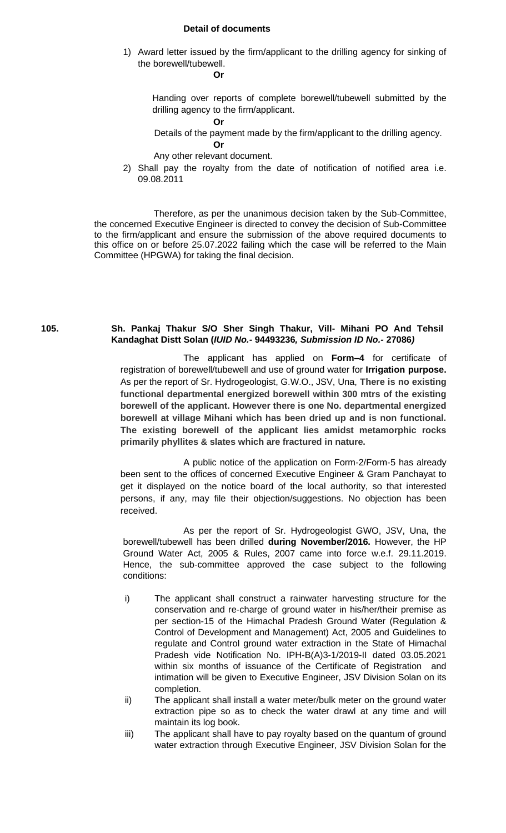## **Detail of documents**

1) Award letter issued by the firm/applicant to the drilling agency for sinking of the borewell/tubewell.

**Or**

Handing over reports of complete borewell/tubewell submitted by the drilling agency to the firm/applicant.

**Or**

Details of the payment made by the firm/applicant to the drilling agency.

**Or**

Any other relevant document.

2) Shall pay the royalty from the date of notification of notified area i.e. 09.08.2011

Therefore, as per the unanimous decision taken by the Sub-Committee, the concerned Executive Engineer is directed to convey the decision of Sub-Committee to the firm/applicant and ensure the submission of the above required documents to this office on or before 25.07.2022 failing which the case will be referred to the Main Committee (HPGWA) for taking the final decision.

## **105. Sh. Pankaj Thakur S/O Sher Singh Thakur, Vill- Mihani PO And Tehsil Kandaghat Distt Solan (***IUID No.-* **94493236***, Submission ID No.-* **27086***)*

The applicant has applied on **Form–4** for certificate of registration of borewell/tubewell and use of ground water for **Irrigation purpose.** As per the report of Sr. Hydrogeologist, G.W.O., JSV, Una, **There is no existing functional departmental energized borewell within 300 mtrs of the existing borewell of the applicant. However there is one No. departmental energized borewell at village Mihani which has been dried up and is non functional. The existing borewell of the applicant lies amidst metamorphic rocks primarily phyllites & slates which are fractured in nature.**

A public notice of the application on Form-2/Form-5 has already been sent to the offices of concerned Executive Engineer & Gram Panchayat to get it displayed on the notice board of the local authority, so that interested persons, if any, may file their objection/suggestions. No objection has been received.

As per the report of Sr. Hydrogeologist GWO, JSV, Una, the borewell/tubewell has been drilled **during November/2016.** However, the HP Ground Water Act, 2005 & Rules, 2007 came into force w.e.f. 29.11.2019. Hence, the sub-committee approved the case subject to the following conditions:

- i) The applicant shall construct a rainwater harvesting structure for the conservation and re-charge of ground water in his/her/their premise as per section-15 of the Himachal Pradesh Ground Water (Regulation & Control of Development and Management) Act, 2005 and Guidelines to regulate and Control ground water extraction in the State of Himachal Pradesh vide Notification No. IPH-B(A)3-1/2019-II dated 03.05.2021 within six months of issuance of the Certificate of Registration and intimation will be given to Executive Engineer, JSV Division Solan on its completion.
- ii) The applicant shall install a water meter/bulk meter on the ground water extraction pipe so as to check the water drawl at any time and will maintain its log book.
- iii) The applicant shall have to pay royalty based on the quantum of ground water extraction through Executive Engineer, JSV Division Solan for the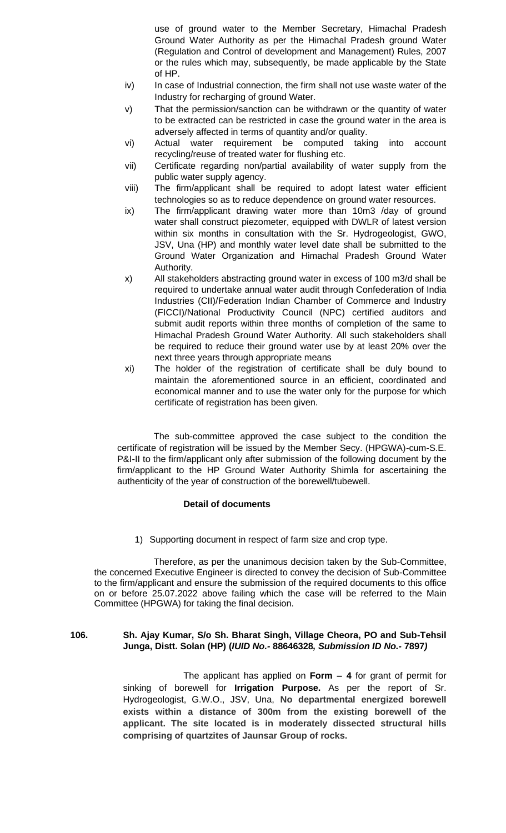use of ground water to the Member Secretary, Himachal Pradesh Ground Water Authority as per the Himachal Pradesh ground Water (Regulation and Control of development and Management) Rules, 2007 or the rules which may, subsequently, be made applicable by the State of HP.

- iv) In case of Industrial connection, the firm shall not use waste water of the Industry for recharging of ground Water.
- v) That the permission/sanction can be withdrawn or the quantity of water to be extracted can be restricted in case the ground water in the area is adversely affected in terms of quantity and/or quality.
- vi) Actual water requirement be computed taking into account recycling/reuse of treated water for flushing etc.
- vii) Certificate regarding non/partial availability of water supply from the public water supply agency.
- viii) The firm/applicant shall be required to adopt latest water efficient technologies so as to reduce dependence on ground water resources.
- ix) The firm/applicant drawing water more than 10m3 /day of ground water shall construct piezometer, equipped with DWLR of latest version within six months in consultation with the Sr. Hydrogeologist, GWO, JSV, Una (HP) and monthly water level date shall be submitted to the Ground Water Organization and Himachal Pradesh Ground Water Authority.
- x) All stakeholders abstracting ground water in excess of 100 m3/d shall be required to undertake annual water audit through Confederation of India Industries (CII)/Federation Indian Chamber of Commerce and Industry (FICCI)/National Productivity Council (NPC) certified auditors and submit audit reports within three months of completion of the same to Himachal Pradesh Ground Water Authority. All such stakeholders shall be required to reduce their ground water use by at least 20% over the next three years through appropriate means
- xi) The holder of the registration of certificate shall be duly bound to maintain the aforementioned source in an efficient, coordinated and economical manner and to use the water only for the purpose for which certificate of registration has been given.

 The sub-committee approved the case subject to the condition the certificate of registration will be issued by the Member Secy. (HPGWA)-cum-S.E. P&I-II to the firm/applicant only after submission of the following document by the firm/applicant to the HP Ground Water Authority Shimla for ascertaining the authenticity of the year of construction of the borewell/tubewell.

# **Detail of documents**

1) Supporting document in respect of farm size and crop type.

Therefore, as per the unanimous decision taken by the Sub-Committee, the concerned Executive Engineer is directed to convey the decision of Sub-Committee to the firm/applicant and ensure the submission of the required documents to this office on or before 25.07.2022 above failing which the case will be referred to the Main Committee (HPGWA) for taking the final decision.

## **106. Sh. Ajay Kumar, S/o Sh. Bharat Singh, Village Cheora, PO and Sub-Tehsil Junga, Distt. Solan (HP) (***IUID No.-* **88646328***, Submission ID No.-* **7897***)*

The applicant has applied on **Form – 4** for grant of permit for sinking of borewell for **Irrigation Purpose.** As per the report of Sr. Hydrogeologist, G.W.O., JSV, Una, **No departmental energized borewell exists within a distance of 300m from the existing borewell of the applicant. The site located is in moderately dissected structural hills comprising of quartzites of Jaunsar Group of rocks.**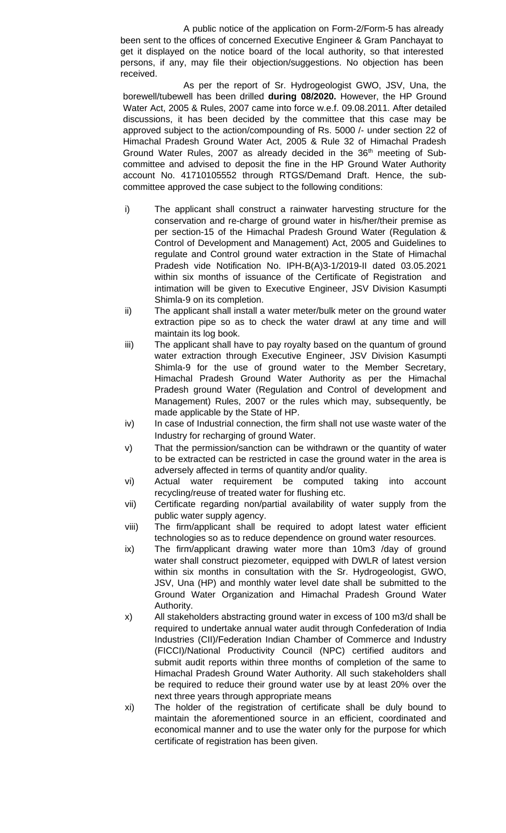A public notice of the application on Form-2/Form-5 has already been sent to the offices of concerned Executive Engineer & Gram Panchayat to get it displayed on the notice board of the local authority, so that interested persons, if any, may file their objection/suggestions. No objection has been received.

As per the report of Sr. Hydrogeologist GWO, JSV, Una, the borewell/tubewell has been drilled **during 08/2020.** However, the HP Ground Water Act, 2005 & Rules, 2007 came into force w.e.f. 09.08.2011. After detailed discussions, it has been decided by the committee that this case may be approved subject to the action/compounding of Rs. 5000 /- under section 22 of Himachal Pradesh Ground Water Act, 2005 & Rule 32 of Himachal Pradesh Ground Water Rules, 2007 as already decided in the 36<sup>th</sup> meeting of Subcommittee and advised to deposit the fine in the HP Ground Water Authority account No. 41710105552 through RTGS/Demand Draft. Hence, the subcommittee approved the case subject to the following conditions:

- i) The applicant shall construct a rainwater harvesting structure for the conservation and re-charge of ground water in his/her/their premise as per section-15 of the Himachal Pradesh Ground Water (Regulation & Control of Development and Management) Act, 2005 and Guidelines to regulate and Control ground water extraction in the State of Himachal Pradesh vide Notification No. IPH-B(A)3-1/2019-II dated 03.05.2021 within six months of issuance of the Certificate of Registration and intimation will be given to Executive Engineer, JSV Division Kasumpti Shimla-9 on its completion.
- ii) The applicant shall install a water meter/bulk meter on the ground water extraction pipe so as to check the water drawl at any time and will maintain its log book.
- iii) The applicant shall have to pay royalty based on the quantum of ground water extraction through Executive Engineer, JSV Division Kasumpti Shimla-9 for the use of ground water to the Member Secretary, Himachal Pradesh Ground Water Authority as per the Himachal Pradesh ground Water (Regulation and Control of development and Management) Rules, 2007 or the rules which may, subsequently, be made applicable by the State of HP.
- iv) In case of Industrial connection, the firm shall not use waste water of the Industry for recharging of ground Water.
- v) That the permission/sanction can be withdrawn or the quantity of water to be extracted can be restricted in case the ground water in the area is adversely affected in terms of quantity and/or quality.
- vi) Actual water requirement be computed taking into account recycling/reuse of treated water for flushing etc.
- vii) Certificate regarding non/partial availability of water supply from the public water supply agency.
- viii) The firm/applicant shall be required to adopt latest water efficient technologies so as to reduce dependence on ground water resources.
- ix) The firm/applicant drawing water more than 10m3 /day of ground water shall construct piezometer, equipped with DWLR of latest version within six months in consultation with the Sr. Hydrogeologist, GWO, JSV, Una (HP) and monthly water level date shall be submitted to the Ground Water Organization and Himachal Pradesh Ground Water Authority.
- x) All stakeholders abstracting ground water in excess of 100 m3/d shall be required to undertake annual water audit through Confederation of India Industries (CII)/Federation Indian Chamber of Commerce and Industry (FICCI)/National Productivity Council (NPC) certified auditors and submit audit reports within three months of completion of the same to Himachal Pradesh Ground Water Authority. All such stakeholders shall be required to reduce their ground water use by at least 20% over the next three years through appropriate means
- xi) The holder of the registration of certificate shall be duly bound to maintain the aforementioned source in an efficient, coordinated and economical manner and to use the water only for the purpose for which certificate of registration has been given.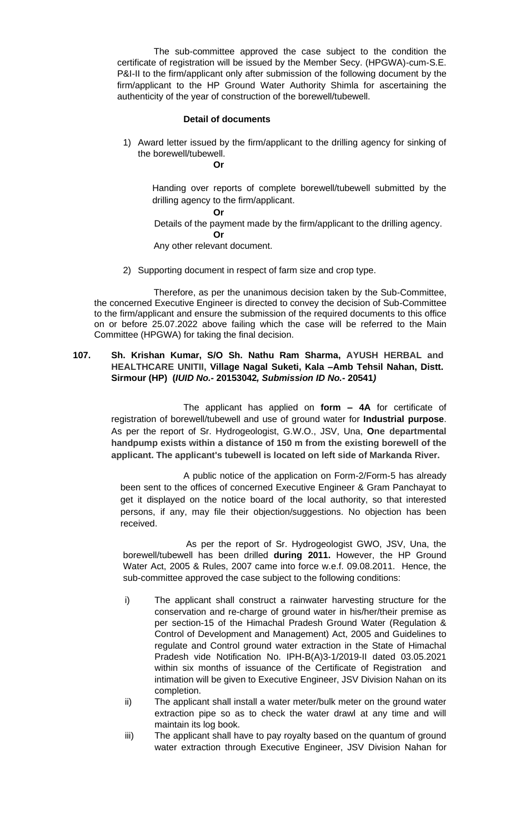The sub-committee approved the case subject to the condition the certificate of registration will be issued by the Member Secy. (HPGWA)-cum-S.E. P&I-II to the firm/applicant only after submission of the following document by the firm/applicant to the HP Ground Water Authority Shimla for ascertaining the authenticity of the year of construction of the borewell/tubewell.

## **Detail of documents**

1) Award letter issued by the firm/applicant to the drilling agency for sinking of the borewell/tubewell. **Or**

Handing over reports of complete borewell/tubewell submitted by the drilling agency to the firm/applicant.

#### **Or**

Details of the payment made by the firm/applicant to the drilling agency.

## **Or**

Any other relevant document.

2) Supporting document in respect of farm size and crop type.

Therefore, as per the unanimous decision taken by the Sub-Committee, the concerned Executive Engineer is directed to convey the decision of Sub-Committee to the firm/applicant and ensure the submission of the required documents to this office on or before 25.07.2022 above failing which the case will be referred to the Main Committee (HPGWA) for taking the final decision.

## **107. Sh. Krishan Kumar, S/O Sh. Nathu Ram Sharma, AYUSH HERBAL and HEALTHCARE UNITII, Village Nagal Suketi, Kala –Amb Tehsil Nahan, Distt. Sirmour (HP) (***IUID No.-* **20153042***, Submission ID No.-* **20541***)*

The applicant has applied on **form – 4A** for certificate of registration of borewell/tubewell and use of ground water for **Industrial purpose**. As per the report of Sr. Hydrogeologist, G.W.O., JSV, Una, **One departmental handpump exists within a distance of 150 m from the existing borewell of the applicant. The applicant's tubewell is located on left side of Markanda River.**

A public notice of the application on Form-2/Form-5 has already been sent to the offices of concerned Executive Engineer & Gram Panchayat to get it displayed on the notice board of the local authority, so that interested persons, if any, may file their objection/suggestions. No objection has been received.

As per the report of Sr. Hydrogeologist GWO, JSV, Una, the borewell/tubewell has been drilled **during 2011.** However, the HP Ground Water Act, 2005 & Rules, 2007 came into force w.e.f. 09.08.2011. Hence, the sub-committee approved the case subject to the following conditions:

- i) The applicant shall construct a rainwater harvesting structure for the conservation and re-charge of ground water in his/her/their premise as per section-15 of the Himachal Pradesh Ground Water (Regulation & Control of Development and Management) Act, 2005 and Guidelines to regulate and Control ground water extraction in the State of Himachal Pradesh vide Notification No. IPH-B(A)3-1/2019-II dated 03.05.2021 within six months of issuance of the Certificate of Registration and intimation will be given to Executive Engineer, JSV Division Nahan on its completion.
- ii) The applicant shall install a water meter/bulk meter on the ground water extraction pipe so as to check the water drawl at any time and will maintain its log book.
- iii) The applicant shall have to pay royalty based on the quantum of ground water extraction through Executive Engineer, JSV Division Nahan for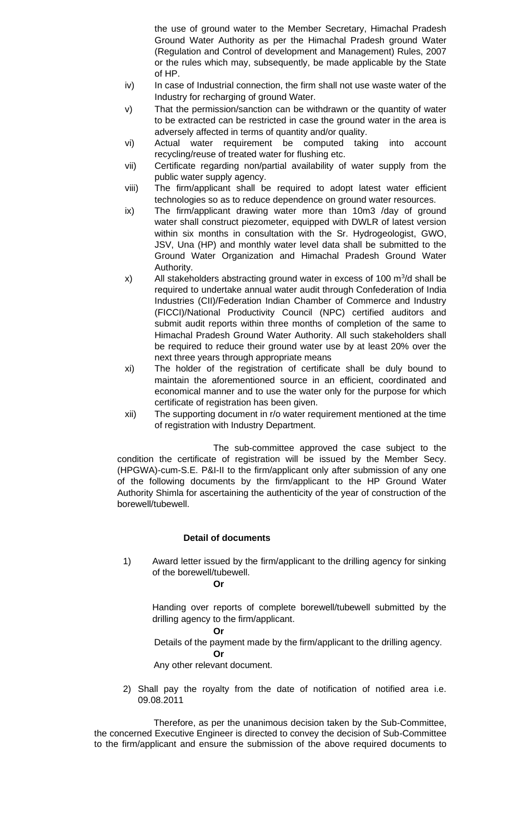the use of ground water to the Member Secretary, Himachal Pradesh Ground Water Authority as per the Himachal Pradesh ground Water (Regulation and Control of development and Management) Rules, 2007 or the rules which may, subsequently, be made applicable by the State of HP.

- iv) In case of Industrial connection, the firm shall not use waste water of the Industry for recharging of ground Water.
- v) That the permission/sanction can be withdrawn or the quantity of water to be extracted can be restricted in case the ground water in the area is adversely affected in terms of quantity and/or quality.
- vi) Actual water requirement be computed taking into account recycling/reuse of treated water for flushing etc.
- vii) Certificate regarding non/partial availability of water supply from the public water supply agency.
- viii) The firm/applicant shall be required to adopt latest water efficient technologies so as to reduce dependence on ground water resources.
- ix) The firm/applicant drawing water more than 10m3 /day of ground water shall construct piezometer, equipped with DWLR of latest version within six months in consultation with the Sr. Hydrogeologist, GWO, JSV, Una (HP) and monthly water level data shall be submitted to the Ground Water Organization and Himachal Pradesh Ground Water Authority.
- $x$ ) All stakeholders abstracting ground water in excess of 100 m<sup>3</sup>/d shall be required to undertake annual water audit through Confederation of India Industries (CII)/Federation Indian Chamber of Commerce and Industry (FICCI)/National Productivity Council (NPC) certified auditors and submit audit reports within three months of completion of the same to Himachal Pradesh Ground Water Authority. All such stakeholders shall be required to reduce their ground water use by at least 20% over the next three years through appropriate means
- xi) The holder of the registration of certificate shall be duly bound to maintain the aforementioned source in an efficient, coordinated and economical manner and to use the water only for the purpose for which certificate of registration has been given.
- xii) The supporting document in r/o water requirement mentioned at the time of registration with Industry Department.

The sub-committee approved the case subject to the condition the certificate of registration will be issued by the Member Secy. (HPGWA)-cum-S.E. P&I-II to the firm/applicant only after submission of any one of the following documents by the firm/applicant to the HP Ground Water Authority Shimla for ascertaining the authenticity of the year of construction of the borewell/tubewell.

# **Detail of documents**

1) Award letter issued by the firm/applicant to the drilling agency for sinking of the borewell/tubewell.

**Or**

Handing over reports of complete borewell/tubewell submitted by the drilling agency to the firm/applicant.

### **Or**

Details of the payment made by the firm/applicant to the drilling agency.

### **Or**

Any other relevant document.

2) Shall pay the royalty from the date of notification of notified area i.e. 09.08.2011

Therefore, as per the unanimous decision taken by the Sub-Committee, the concerned Executive Engineer is directed to convey the decision of Sub-Committee to the firm/applicant and ensure the submission of the above required documents to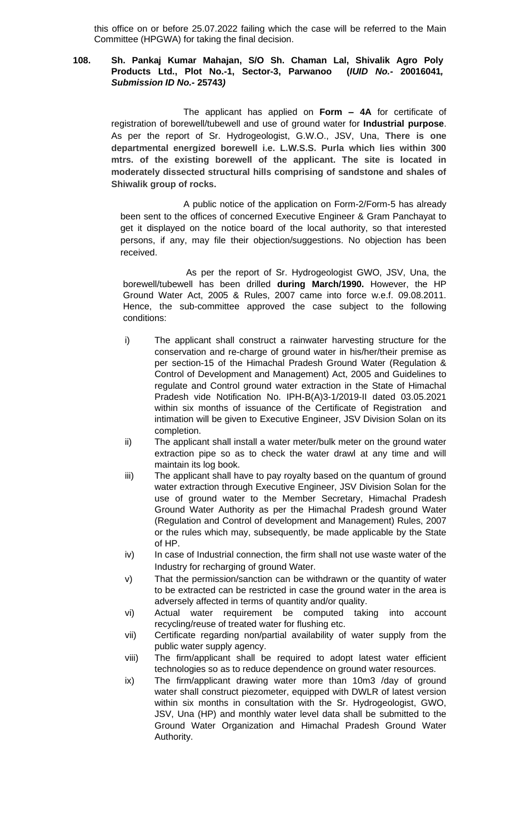this office on or before 25.07.2022 failing which the case will be referred to the Main Committee (HPGWA) for taking the final decision.

# **108. Sh. Pankaj Kumar Mahajan, S/O Sh. Chaman Lal, Shivalik Agro Poly Products Ltd., Plot No.-1, Sector-3, Parwanoo (***IUID No.-* **20016041***, Submission ID No.-* **25743***)*

The applicant has applied on **Form – 4A** for certificate of registration of borewell/tubewell and use of ground water for **Industrial purpose**. As per the report of Sr. Hydrogeologist, G.W.O., JSV, Una, **There is one departmental energized borewell i.e. L.W.S.S. Purla which lies within 300 mtrs. of the existing borewell of the applicant. The site is located in moderately dissected structural hills comprising of sandstone and shales of Shiwalik group of rocks.**

A public notice of the application on Form-2/Form-5 has already been sent to the offices of concerned Executive Engineer & Gram Panchayat to get it displayed on the notice board of the local authority, so that interested persons, if any, may file their objection/suggestions. No objection has been received.

As per the report of Sr. Hydrogeologist GWO, JSV, Una, the borewell/tubewell has been drilled **during March/1990.** However, the HP Ground Water Act, 2005 & Rules, 2007 came into force w.e.f. 09.08.2011. Hence, the sub-committee approved the case subject to the following conditions:

- i) The applicant shall construct a rainwater harvesting structure for the conservation and re-charge of ground water in his/her/their premise as per section-15 of the Himachal Pradesh Ground Water (Regulation & Control of Development and Management) Act, 2005 and Guidelines to regulate and Control ground water extraction in the State of Himachal Pradesh vide Notification No. IPH-B(A)3-1/2019-II dated 03.05.2021 within six months of issuance of the Certificate of Registration and intimation will be given to Executive Engineer, JSV Division Solan on its completion.
- ii) The applicant shall install a water meter/bulk meter on the ground water extraction pipe so as to check the water drawl at any time and will maintain its log book.
- iii) The applicant shall have to pay royalty based on the quantum of ground water extraction through Executive Engineer, JSV Division Solan for the use of ground water to the Member Secretary, Himachal Pradesh Ground Water Authority as per the Himachal Pradesh ground Water (Regulation and Control of development and Management) Rules, 2007 or the rules which may, subsequently, be made applicable by the State of HP.
- iv) In case of Industrial connection, the firm shall not use waste water of the Industry for recharging of ground Water.
- v) That the permission/sanction can be withdrawn or the quantity of water to be extracted can be restricted in case the ground water in the area is adversely affected in terms of quantity and/or quality.
- vi) Actual water requirement be computed taking into account recycling/reuse of treated water for flushing etc.
- vii) Certificate regarding non/partial availability of water supply from the public water supply agency.
- viii) The firm/applicant shall be required to adopt latest water efficient technologies so as to reduce dependence on ground water resources.
- ix) The firm/applicant drawing water more than 10m3 /day of ground water shall construct piezometer, equipped with DWLR of latest version within six months in consultation with the Sr. Hydrogeologist, GWO, JSV, Una (HP) and monthly water level data shall be submitted to the Ground Water Organization and Himachal Pradesh Ground Water Authority.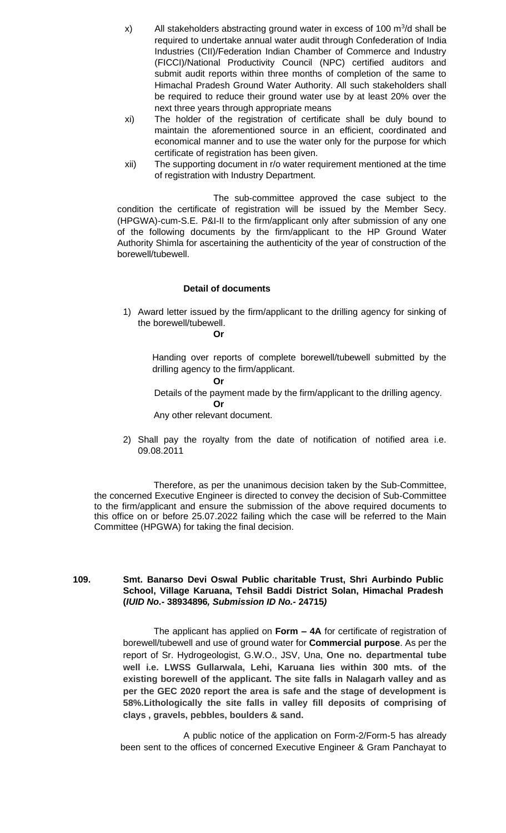- $x$ ) All stakeholders abstracting ground water in excess of 100 m<sup>3</sup>/d shall be required to undertake annual water audit through Confederation of India Industries (CII)/Federation Indian Chamber of Commerce and Industry (FICCI)/National Productivity Council (NPC) certified auditors and submit audit reports within three months of completion of the same to Himachal Pradesh Ground Water Authority. All such stakeholders shall be required to reduce their ground water use by at least 20% over the next three years through appropriate means
- xi) The holder of the registration of certificate shall be duly bound to maintain the aforementioned source in an efficient, coordinated and economical manner and to use the water only for the purpose for which certificate of registration has been given.
- xii) The supporting document in r/o water requirement mentioned at the time of registration with Industry Department.

The sub-committee approved the case subject to the condition the certificate of registration will be issued by the Member Secy. (HPGWA)-cum-S.E. P&I-II to the firm/applicant only after submission of any one of the following documents by the firm/applicant to the HP Ground Water Authority Shimla for ascertaining the authenticity of the year of construction of the borewell/tubewell.

### **Detail of documents**

1) Award letter issued by the firm/applicant to the drilling agency for sinking of the borewell/tubewell.

#### **Or**

Handing over reports of complete borewell/tubewell submitted by the drilling agency to the firm/applicant.

### **Or**

Details of the payment made by the firm/applicant to the drilling agency.

### **Or**

Any other relevant document.

2) Shall pay the royalty from the date of notification of notified area i.e. 09.08.2011

Therefore, as per the unanimous decision taken by the Sub-Committee, the concerned Executive Engineer is directed to convey the decision of Sub-Committee to the firm/applicant and ensure the submission of the above required documents to this office on or before 25.07.2022 failing which the case will be referred to the Main Committee (HPGWA) for taking the final decision.

**109. Smt. Banarso Devi Oswal Public charitable Trust, Shri Aurbindo Public School, Village Karuana, Tehsil Baddi District Solan, Himachal Pradesh (***IUID No.-* **38934896***, Submission ID No.-* **24715***)*

> The applicant has applied on **Form – 4A** for certificate of registration of borewell/tubewell and use of ground water for **Commercial purpose**. As per the report of Sr. Hydrogeologist, G.W.O., JSV, Una, **One no. departmental tube well i.e. LWSS Gullarwala, Lehi, Karuana lies within 300 mts. of the existing borewell of the applicant. The site falls in Nalagarh valley and as per the GEC 2020 report the area is safe and the stage of development is 58%.Lithologically the site falls in valley fill deposits of comprising of clays , gravels, pebbles, boulders & sand.**

> A public notice of the application on Form-2/Form-5 has already been sent to the offices of concerned Executive Engineer & Gram Panchayat to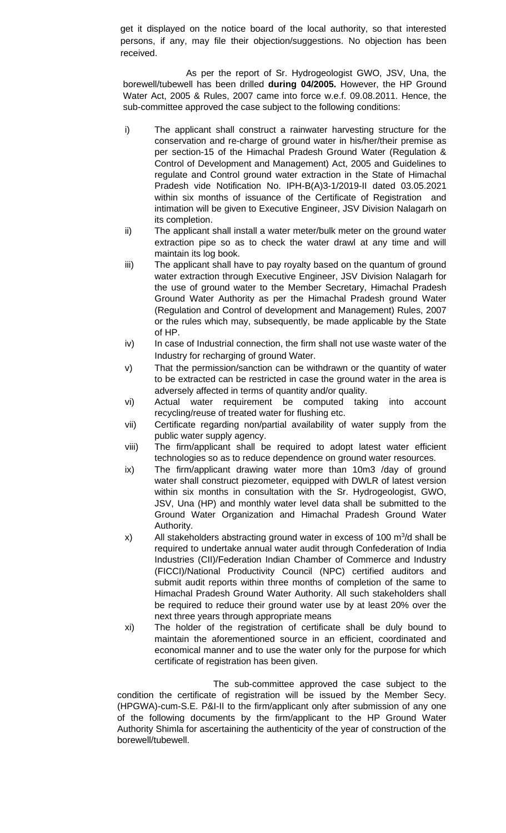get it displayed on the notice board of the local authority, so that interested persons, if any, may file their objection/suggestions. No objection has been received.

As per the report of Sr. Hydrogeologist GWO, JSV, Una, the borewell/tubewell has been drilled **during 04/2005.** However, the HP Ground Water Act, 2005 & Rules, 2007 came into force w.e.f. 09.08.2011. Hence, the sub-committee approved the case subject to the following conditions:

- i) The applicant shall construct a rainwater harvesting structure for the conservation and re-charge of ground water in his/her/their premise as per section-15 of the Himachal Pradesh Ground Water (Regulation & Control of Development and Management) Act, 2005 and Guidelines to regulate and Control ground water extraction in the State of Himachal Pradesh vide Notification No. IPH-B(A)3-1/2019-II dated 03.05.2021 within six months of issuance of the Certificate of Registration and intimation will be given to Executive Engineer, JSV Division Nalagarh on its completion.
- ii) The applicant shall install a water meter/bulk meter on the ground water extraction pipe so as to check the water drawl at any time and will maintain its log book.
- iii) The applicant shall have to pay royalty based on the quantum of ground water extraction through Executive Engineer, JSV Division Nalagarh for the use of ground water to the Member Secretary, Himachal Pradesh Ground Water Authority as per the Himachal Pradesh ground Water (Regulation and Control of development and Management) Rules, 2007 or the rules which may, subsequently, be made applicable by the State of HP.
- iv) In case of Industrial connection, the firm shall not use waste water of the Industry for recharging of ground Water.
- v) That the permission/sanction can be withdrawn or the quantity of water to be extracted can be restricted in case the ground water in the area is adversely affected in terms of quantity and/or quality.
- vi) Actual water requirement be computed taking into account recycling/reuse of treated water for flushing etc.
- vii) Certificate regarding non/partial availability of water supply from the public water supply agency.
- viii) The firm/applicant shall be required to adopt latest water efficient technologies so as to reduce dependence on ground water resources.
- ix) The firm/applicant drawing water more than 10m3 /day of ground water shall construct piezometer, equipped with DWLR of latest version within six months in consultation with the Sr. Hydrogeologist, GWO, JSV, Una (HP) and monthly water level data shall be submitted to the Ground Water Organization and Himachal Pradesh Ground Water Authority.
- x) All stakeholders abstracting ground water in excess of 100  $\mathrm{m}^3$ /d shall be required to undertake annual water audit through Confederation of India Industries (CII)/Federation Indian Chamber of Commerce and Industry (FICCI)/National Productivity Council (NPC) certified auditors and submit audit reports within three months of completion of the same to Himachal Pradesh Ground Water Authority. All such stakeholders shall be required to reduce their ground water use by at least 20% over the next three years through appropriate means
- xi) The holder of the registration of certificate shall be duly bound to maintain the aforementioned source in an efficient, coordinated and economical manner and to use the water only for the purpose for which certificate of registration has been given.

The sub-committee approved the case subject to the condition the certificate of registration will be issued by the Member Secy. (HPGWA)-cum-S.E. P&I-II to the firm/applicant only after submission of any one of the following documents by the firm/applicant to the HP Ground Water Authority Shimla for ascertaining the authenticity of the year of construction of the borewell/tubewell.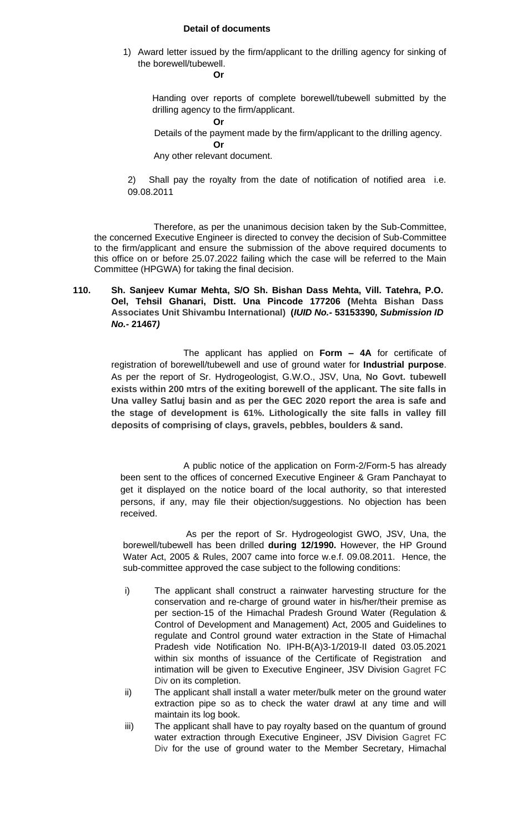## **Detail of documents**

1) Award letter issued by the firm/applicant to the drilling agency for sinking of the borewell/tubewell.

**Or**

Handing over reports of complete borewell/tubewell submitted by the drilling agency to the firm/applicant.

**Or**

Details of the payment made by the firm/applicant to the drilling agency.

Any other relevant document.

2) Shall pay the royalty from the date of notification of notified area i.e. 09.08.2011

Therefore, as per the unanimous decision taken by the Sub-Committee, the concerned Executive Engineer is directed to convey the decision of Sub-Committee to the firm/applicant and ensure the submission of the above required documents to this office on or before 25.07.2022 failing which the case will be referred to the Main Committee (HPGWA) for taking the final decision.

# **110. Sh. Sanjeev Kumar Mehta, S/O Sh. Bishan Dass Mehta, Vill. Tatehra, P.O. Oel, Tehsil Ghanari, Distt. Una Pincode 177206 (Mehta Bishan Dass Associates Unit Shivambu International) (***IUID No.-* **53153390***, Submission ID No.-* **21467***)*

The applicant has applied on **Form – 4A** for certificate of registration of borewell/tubewell and use of ground water for **Industrial purpose**. As per the report of Sr. Hydrogeologist, G.W.O., JSV, Una, **No Govt. tubewell exists within 200 mtrs of the exiting borewell of the applicant. The site falls in Una valley Satluj basin and as per the GEC 2020 report the area is safe and the stage of development is 61%. Lithologically the site falls in valley fill deposits of comprising of clays, gravels, pebbles, boulders & sand.**

A public notice of the application on Form-2/Form-5 has already been sent to the offices of concerned Executive Engineer & Gram Panchayat to get it displayed on the notice board of the local authority, so that interested persons, if any, may file their objection/suggestions. No objection has been received.

As per the report of Sr. Hydrogeologist GWO, JSV, Una, the borewell/tubewell has been drilled **during 12/1990.** However, the HP Ground Water Act, 2005 & Rules, 2007 came into force w.e.f. 09.08.2011. Hence, the sub-committee approved the case subject to the following conditions:

- i) The applicant shall construct a rainwater harvesting structure for the conservation and re-charge of ground water in his/her/their premise as per section-15 of the Himachal Pradesh Ground Water (Regulation & Control of Development and Management) Act, 2005 and Guidelines to regulate and Control ground water extraction in the State of Himachal Pradesh vide Notification No. IPH-B(A)3-1/2019-II dated 03.05.2021 within six months of issuance of the Certificate of Registration and intimation will be given to Executive Engineer, JSV Division Gagret FC Div on its completion.
- ii) The applicant shall install a water meter/bulk meter on the ground water extraction pipe so as to check the water drawl at any time and will maintain its log book.
- iii) The applicant shall have to pay royalty based on the quantum of ground water extraction through Executive Engineer, JSV Division Gagret FC Div for the use of ground water to the Member Secretary, Himachal

**Or**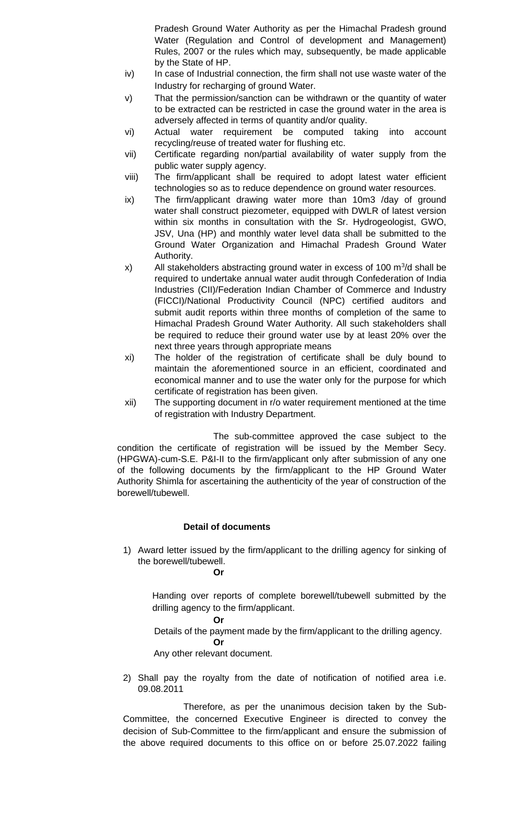Pradesh Ground Water Authority as per the Himachal Pradesh ground Water (Regulation and Control of development and Management) Rules, 2007 or the rules which may, subsequently, be made applicable by the State of HP.

- iv) In case of Industrial connection, the firm shall not use waste water of the Industry for recharging of ground Water.
- v) That the permission/sanction can be withdrawn or the quantity of water to be extracted can be restricted in case the ground water in the area is adversely affected in terms of quantity and/or quality.
- vi) Actual water requirement be computed taking into account recycling/reuse of treated water for flushing etc.
- vii) Certificate regarding non/partial availability of water supply from the public water supply agency.
- viii) The firm/applicant shall be required to adopt latest water efficient technologies so as to reduce dependence on ground water resources.
- ix) The firm/applicant drawing water more than 10m3 /day of ground water shall construct piezometer, equipped with DWLR of latest version within six months in consultation with the Sr. Hydrogeologist, GWO, JSV, Una (HP) and monthly water level data shall be submitted to the Ground Water Organization and Himachal Pradesh Ground Water Authority.
- x) All stakeholders abstracting ground water in excess of 100  $\mathrm{m}^3$ /d shall be required to undertake annual water audit through Confederation of India Industries (CII)/Federation Indian Chamber of Commerce and Industry (FICCI)/National Productivity Council (NPC) certified auditors and submit audit reports within three months of completion of the same to Himachal Pradesh Ground Water Authority. All such stakeholders shall be required to reduce their ground water use by at least 20% over the next three years through appropriate means
- xi) The holder of the registration of certificate shall be duly bound to maintain the aforementioned source in an efficient, coordinated and economical manner and to use the water only for the purpose for which certificate of registration has been given.
- xii) The supporting document in r/o water requirement mentioned at the time of registration with Industry Department.

The sub-committee approved the case subject to the condition the certificate of registration will be issued by the Member Secy. (HPGWA)-cum-S.E. P&I-II to the firm/applicant only after submission of any one of the following documents by the firm/applicant to the HP Ground Water Authority Shimla for ascertaining the authenticity of the year of construction of the borewell/tubewell.

# **Detail of documents**

1) Award letter issued by the firm/applicant to the drilling agency for sinking of the borewell/tubewell.

## **Or**

Handing over reports of complete borewell/tubewell submitted by the drilling agency to the firm/applicant.

### **Or**

Details of the payment made by the firm/applicant to the drilling agency.

### **Or**

Any other relevant document.

2) Shall pay the royalty from the date of notification of notified area i.e. 09.08.2011

Therefore, as per the unanimous decision taken by the Sub-Committee, the concerned Executive Engineer is directed to convey the decision of Sub-Committee to the firm/applicant and ensure the submission of the above required documents to this office on or before 25.07.2022 failing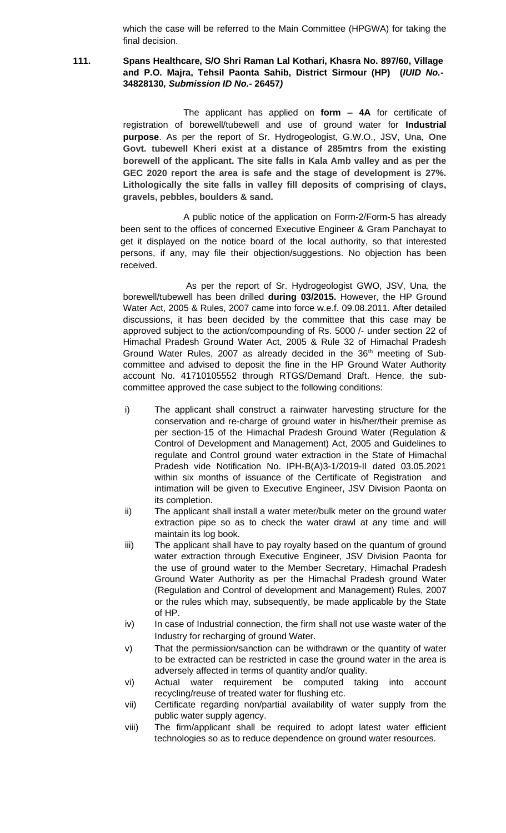which the case will be referred to the Main Committee (HPGWA) for taking the final decision.

## **111. Spans Healthcare, S/O Shri Raman Lal Kothari, Khasra No. 897/60, Village and P.O. Majra, Tehsil Paonta Sahib, District Sirmour (HP) (***IUID No.-* **34828130***, Submission ID No.-* **26457***)*

The applicant has applied on **form – 4A** for certificate of registration of borewell/tubewell and use of ground water for **Industrial purpose**. As per the report of Sr. Hydrogeologist, G.W.O., JSV, Una, **One Govt. tubewell Kheri exist at a distance of 285mtrs from the existing borewell of the applicant. The site falls in Kala Amb valley and as per the GEC 2020 report the area is safe and the stage of development is 27%. Lithologically the site falls in valley fill deposits of comprising of clays, gravels, pebbles, boulders & sand.**

A public notice of the application on Form-2/Form-5 has already been sent to the offices of concerned Executive Engineer & Gram Panchayat to get it displayed on the notice board of the local authority, so that interested persons, if any, may file their objection/suggestions. No objection has been received.

As per the report of Sr. Hydrogeologist GWO, JSV, Una, the borewell/tubewell has been drilled **during 03/2015.** However, the HP Ground Water Act, 2005 & Rules, 2007 came into force w.e.f. 09.08.2011. After detailed discussions, it has been decided by the committee that this case may be approved subject to the action/compounding of Rs. 5000 /- under section 22 of Himachal Pradesh Ground Water Act, 2005 & Rule 32 of Himachal Pradesh Ground Water Rules, 2007 as already decided in the  $36<sup>th</sup>$  meeting of Subcommittee and advised to deposit the fine in the HP Ground Water Authority account No. 41710105552 through RTGS/Demand Draft. Hence, the subcommittee approved the case subject to the following conditions:

- i) The applicant shall construct a rainwater harvesting structure for the conservation and re-charge of ground water in his/her/their premise as per section-15 of the Himachal Pradesh Ground Water (Regulation & Control of Development and Management) Act, 2005 and Guidelines to regulate and Control ground water extraction in the State of Himachal Pradesh vide Notification No. IPH-B(A)3-1/2019-II dated 03.05.2021 within six months of issuance of the Certificate of Registration and intimation will be given to Executive Engineer, JSV Division Paonta on its completion.
- ii) The applicant shall install a water meter/bulk meter on the ground water extraction pipe so as to check the water drawl at any time and will maintain its log book.
- iii) The applicant shall have to pay royalty based on the quantum of ground water extraction through Executive Engineer, JSV Division Paonta for the use of ground water to the Member Secretary, Himachal Pradesh Ground Water Authority as per the Himachal Pradesh ground Water (Regulation and Control of development and Management) Rules, 2007 or the rules which may, subsequently, be made applicable by the State of HP.
- iv) In case of Industrial connection, the firm shall not use waste water of the Industry for recharging of ground Water.
- v) That the permission/sanction can be withdrawn or the quantity of water to be extracted can be restricted in case the ground water in the area is adversely affected in terms of quantity and/or quality.
- vi) Actual water requirement be computed taking into account recycling/reuse of treated water for flushing etc.
- vii) Certificate regarding non/partial availability of water supply from the public water supply agency.
- viii) The firm/applicant shall be required to adopt latest water efficient technologies so as to reduce dependence on ground water resources.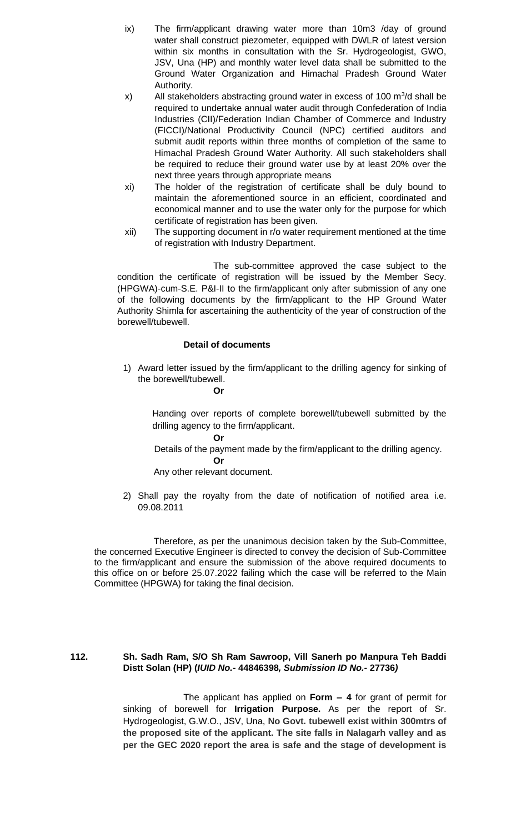- ix) The firm/applicant drawing water more than 10m3 /day of ground water shall construct piezometer, equipped with DWLR of latest version within six months in consultation with the Sr. Hydrogeologist, GWO, JSV, Una (HP) and monthly water level data shall be submitted to the Ground Water Organization and Himachal Pradesh Ground Water Authority.
- x) All stakeholders abstracting ground water in excess of 100  $\mathrm{m}^3$ /d shall be required to undertake annual water audit through Confederation of India Industries (CII)/Federation Indian Chamber of Commerce and Industry (FICCI)/National Productivity Council (NPC) certified auditors and submit audit reports within three months of completion of the same to Himachal Pradesh Ground Water Authority. All such stakeholders shall be required to reduce their ground water use by at least 20% over the next three years through appropriate means
- xi) The holder of the registration of certificate shall be duly bound to maintain the aforementioned source in an efficient, coordinated and economical manner and to use the water only for the purpose for which certificate of registration has been given.
- xii) The supporting document in r/o water requirement mentioned at the time of registration with Industry Department.

The sub-committee approved the case subject to the condition the certificate of registration will be issued by the Member Secy. (HPGWA)-cum-S.E. P&I-II to the firm/applicant only after submission of any one of the following documents by the firm/applicant to the HP Ground Water Authority Shimla for ascertaining the authenticity of the year of construction of the borewell/tubewell.

# **Detail of documents**

1) Award letter issued by the firm/applicant to the drilling agency for sinking of the borewell/tubewell.

**Or**

Handing over reports of complete borewell/tubewell submitted by the drilling agency to the firm/applicant.

**Or**

 Details of the payment made by the firm/applicant to the drilling agency. **Or**

Any other relevant document.

2) Shall pay the royalty from the date of notification of notified area i.e. 09.08.2011

Therefore, as per the unanimous decision taken by the Sub-Committee, the concerned Executive Engineer is directed to convey the decision of Sub-Committee to the firm/applicant and ensure the submission of the above required documents to this office on or before 25.07.2022 failing which the case will be referred to the Main Committee (HPGWA) for taking the final decision.

## **112. Sh. Sadh Ram, S/O Sh Ram Sawroop, Vill Sanerh po Manpura Teh Baddi Distt Solan (HP) (***IUID No.-* **44846398***, Submission ID No.-* **27736***)*

The applicant has applied on **Form – 4** for grant of permit for sinking of borewell for **Irrigation Purpose.** As per the report of Sr. Hydrogeologist, G.W.O., JSV, Una, **No Govt. tubewell exist within 300mtrs of the proposed site of the applicant. The site falls in Nalagarh valley and as per the GEC 2020 report the area is safe and the stage of development is**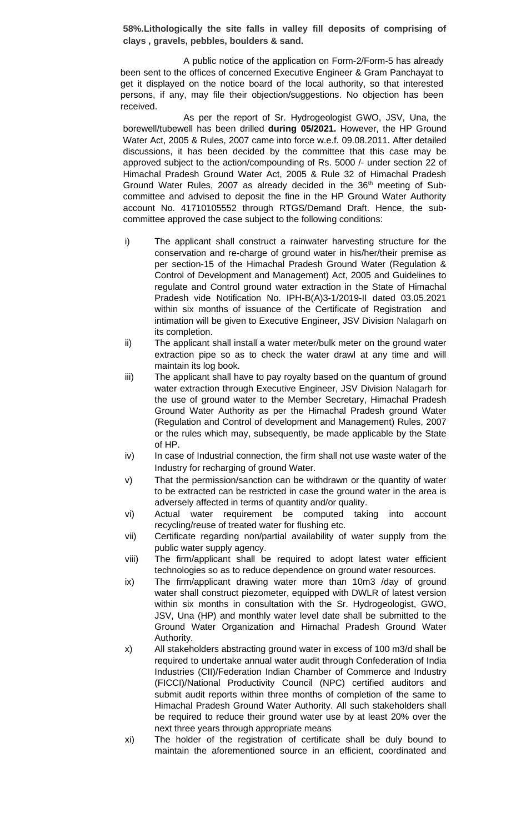**58%.Lithologically the site falls in valley fill deposits of comprising of clays , gravels, pebbles, boulders & sand.**

A public notice of the application on Form-2/Form-5 has already been sent to the offices of concerned Executive Engineer & Gram Panchayat to get it displayed on the notice board of the local authority, so that interested persons, if any, may file their objection/suggestions. No objection has been received.

As per the report of Sr. Hydrogeologist GWO, JSV, Una, the borewell/tubewell has been drilled **during 05/2021.** However, the HP Ground Water Act, 2005 & Rules, 2007 came into force w.e.f. 09.08.2011. After detailed discussions, it has been decided by the committee that this case may be approved subject to the action/compounding of Rs. 5000 /- under section 22 of Himachal Pradesh Ground Water Act, 2005 & Rule 32 of Himachal Pradesh Ground Water Rules, 2007 as already decided in the  $36<sup>th</sup>$  meeting of Subcommittee and advised to deposit the fine in the HP Ground Water Authority account No. 41710105552 through RTGS/Demand Draft. Hence, the subcommittee approved the case subject to the following conditions:

- i) The applicant shall construct a rainwater harvesting structure for the conservation and re-charge of ground water in his/her/their premise as per section-15 of the Himachal Pradesh Ground Water (Regulation & Control of Development and Management) Act, 2005 and Guidelines to regulate and Control ground water extraction in the State of Himachal Pradesh vide Notification No. IPH-B(A)3-1/2019-II dated 03.05.2021 within six months of issuance of the Certificate of Registration and intimation will be given to Executive Engineer, JSV Division Nalagarh on its completion.
- ii) The applicant shall install a water meter/bulk meter on the ground water extraction pipe so as to check the water drawl at any time and will maintain its log book.
- iii) The applicant shall have to pay royalty based on the quantum of ground water extraction through Executive Engineer, JSV Division Nalagarh for the use of ground water to the Member Secretary, Himachal Pradesh Ground Water Authority as per the Himachal Pradesh ground Water (Regulation and Control of development and Management) Rules, 2007 or the rules which may, subsequently, be made applicable by the State of HP.
- iv) In case of Industrial connection, the firm shall not use waste water of the Industry for recharging of ground Water.
- v) That the permission/sanction can be withdrawn or the quantity of water to be extracted can be restricted in case the ground water in the area is adversely affected in terms of quantity and/or quality.
- vi) Actual water requirement be computed taking into account recycling/reuse of treated water for flushing etc.
- vii) Certificate regarding non/partial availability of water supply from the public water supply agency.
- viii) The firm/applicant shall be required to adopt latest water efficient technologies so as to reduce dependence on ground water resources.
- ix) The firm/applicant drawing water more than 10m3 /day of ground water shall construct piezometer, equipped with DWLR of latest version within six months in consultation with the Sr. Hydrogeologist, GWO, JSV, Una (HP) and monthly water level date shall be submitted to the Ground Water Organization and Himachal Pradesh Ground Water Authority.
- x) All stakeholders abstracting ground water in excess of 100 m3/d shall be required to undertake annual water audit through Confederation of India Industries (CII)/Federation Indian Chamber of Commerce and Industry (FICCI)/National Productivity Council (NPC) certified auditors and submit audit reports within three months of completion of the same to Himachal Pradesh Ground Water Authority. All such stakeholders shall be required to reduce their ground water use by at least 20% over the next three years through appropriate means
- xi) The holder of the registration of certificate shall be duly bound to maintain the aforementioned source in an efficient, coordinated and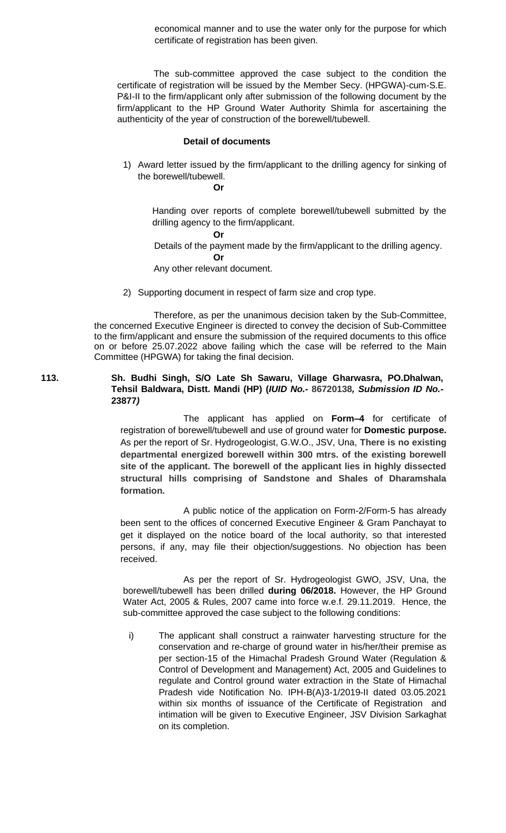economical manner and to use the water only for the purpose for which certificate of registration has been given.

 The sub-committee approved the case subject to the condition the certificate of registration will be issued by the Member Secy. (HPGWA)-cum-S.E. P&I-II to the firm/applicant only after submission of the following document by the firm/applicant to the HP Ground Water Authority Shimla for ascertaining the authenticity of the year of construction of the borewell/tubewell.

## **Detail of documents**

1) Award letter issued by the firm/applicant to the drilling agency for sinking of the borewell/tubewell.

### **Or**

Handing over reports of complete borewell/tubewell submitted by the drilling agency to the firm/applicant.

**Or**

Details of the payment made by the firm/applicant to the drilling agency.

**Or** Any other relevant document.

2) Supporting document in respect of farm size and crop type.

Therefore, as per the unanimous decision taken by the Sub-Committee, the concerned Executive Engineer is directed to convey the decision of Sub-Committee to the firm/applicant and ensure the submission of the required documents to this office on or before 25.07.2022 above failing which the case will be referred to the Main Committee (HPGWA) for taking the final decision.

## **113. Sh. Budhi Singh, S/O Late Sh Sawaru, Village Gharwasra, PO.Dhalwan, Tehsil Baldwara, Distt. Mandi (HP) (***IUID No.-* **86720138***, Submission ID No.-* **23877***)*

The applicant has applied on **Form–4** for certificate of registration of borewell/tubewell and use of ground water for **Domestic purpose.** As per the report of Sr. Hydrogeologist, G.W.O., JSV, Una, **There is no existing departmental energized borewell within 300 mtrs. of the existing borewell site of the applicant. The borewell of the applicant lies in highly dissected structural hills comprising of Sandstone and Shales of Dharamshala formation.**

A public notice of the application on Form-2/Form-5 has already been sent to the offices of concerned Executive Engineer & Gram Panchayat to get it displayed on the notice board of the local authority, so that interested persons, if any, may file their objection/suggestions. No objection has been received.

As per the report of Sr. Hydrogeologist GWO, JSV, Una, the borewell/tubewell has been drilled **during 06/2018.** However, the HP Ground Water Act, 2005 & Rules, 2007 came into force w.e.f. 29.11.2019. Hence, the sub-committee approved the case subject to the following conditions:

i) The applicant shall construct a rainwater harvesting structure for the conservation and re-charge of ground water in his/her/their premise as per section-15 of the Himachal Pradesh Ground Water (Regulation & Control of Development and Management) Act, 2005 and Guidelines to regulate and Control ground water extraction in the State of Himachal Pradesh vide Notification No. IPH-B(A)3-1/2019-II dated 03.05.2021 within six months of issuance of the Certificate of Registration and intimation will be given to Executive Engineer, JSV Division Sarkaghat on its completion.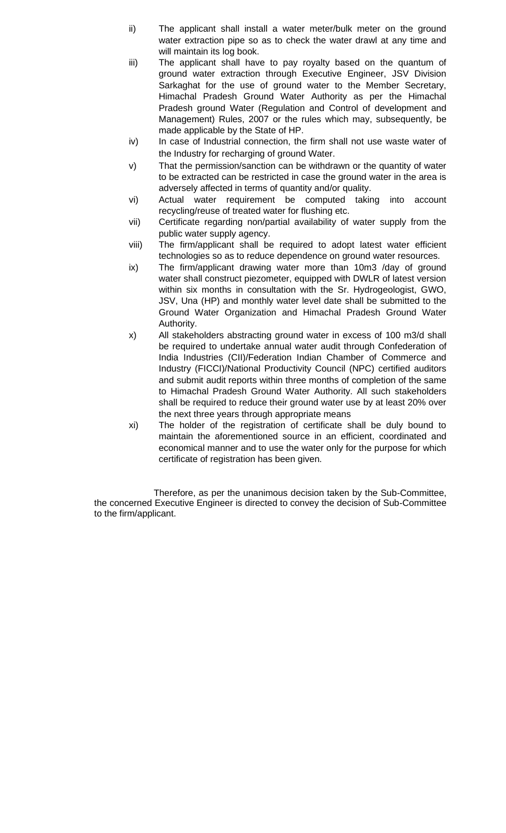- ii) The applicant shall install a water meter/bulk meter on the ground water extraction pipe so as to check the water drawl at any time and will maintain its log book.
- iii) The applicant shall have to pay royalty based on the quantum of ground water extraction through Executive Engineer, JSV Division Sarkaghat for the use of ground water to the Member Secretary, Himachal Pradesh Ground Water Authority as per the Himachal Pradesh ground Water (Regulation and Control of development and Management) Rules, 2007 or the rules which may, subsequently, be made applicable by the State of HP.
- iv) In case of Industrial connection, the firm shall not use waste water of the Industry for recharging of ground Water.
- v) That the permission/sanction can be withdrawn or the quantity of water to be extracted can be restricted in case the ground water in the area is adversely affected in terms of quantity and/or quality.
- vi) Actual water requirement be computed taking into account recycling/reuse of treated water for flushing etc.
- vii) Certificate regarding non/partial availability of water supply from the public water supply agency.
- viii) The firm/applicant shall be required to adopt latest water efficient technologies so as to reduce dependence on ground water resources.
- ix) The firm/applicant drawing water more than 10m3 /day of ground water shall construct piezometer, equipped with DWLR of latest version within six months in consultation with the Sr. Hydrogeologist, GWO, JSV, Una (HP) and monthly water level date shall be submitted to the Ground Water Organization and Himachal Pradesh Ground Water Authority.
- x) All stakeholders abstracting ground water in excess of 100 m3/d shall be required to undertake annual water audit through Confederation of India Industries (CII)/Federation Indian Chamber of Commerce and Industry (FICCI)/National Productivity Council (NPC) certified auditors and submit audit reports within three months of completion of the same to Himachal Pradesh Ground Water Authority. All such stakeholders shall be required to reduce their ground water use by at least 20% over the next three years through appropriate means
- xi) The holder of the registration of certificate shall be duly bound to maintain the aforementioned source in an efficient, coordinated and economical manner and to use the water only for the purpose for which certificate of registration has been given.

 Therefore, as per the unanimous decision taken by the Sub-Committee, the concerned Executive Engineer is directed to convey the decision of Sub-Committee to the firm/applicant.